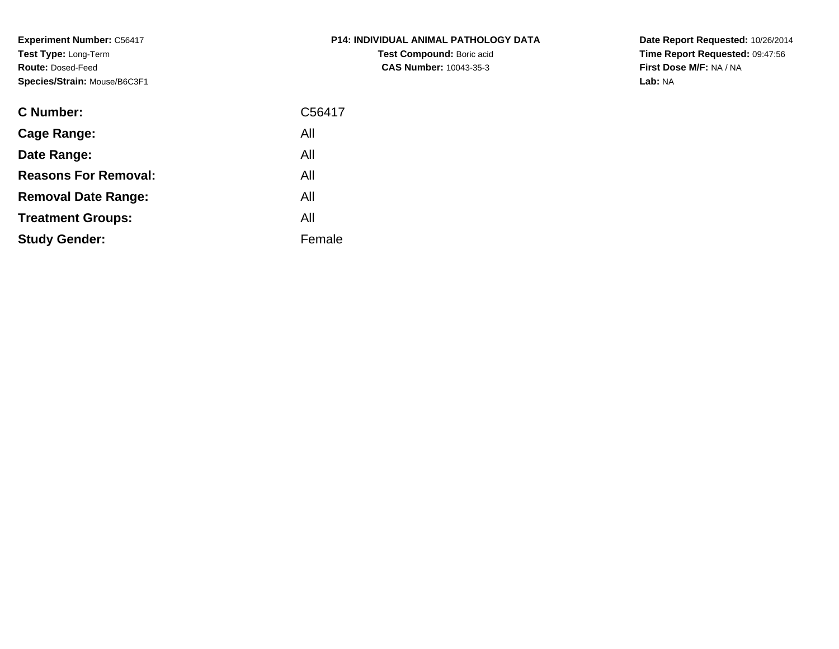**Experiment Number:** C56417**Test Type:** Long-Term**Route:** Dosed-Feed**Species/Strain:** Mouse/B6C3F1

| <b>C Number:</b>            | C56417 |
|-----------------------------|--------|
| <b>Cage Range:</b>          | All    |
| Date Range:                 | All    |
| <b>Reasons For Removal:</b> | All    |
| <b>Removal Date Range:</b>  | All    |
| <b>Treatment Groups:</b>    | All    |
| <b>Study Gender:</b>        | Female |
|                             |        |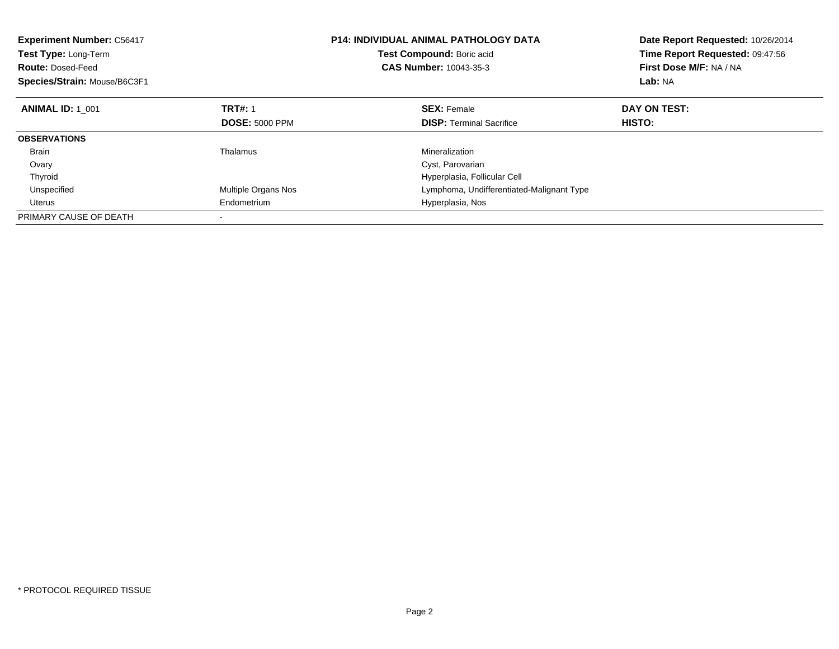| <b>Experiment Number: C56417</b><br>Test Type: Long-Term<br><b>Route: Dosed-Feed</b><br>Species/Strain: Mouse/B6C3F1 |                       | <b>P14: INDIVIDUAL ANIMAL PATHOLOGY DATA</b><br>Test Compound: Boric acid<br><b>CAS Number: 10043-35-3</b> | Date Report Requested: 10/26/2014<br>Time Report Requested: 09:47:56<br>First Dose M/F: NA / NA<br>Lab: NA |
|----------------------------------------------------------------------------------------------------------------------|-----------------------|------------------------------------------------------------------------------------------------------------|------------------------------------------------------------------------------------------------------------|
| <b>ANIMAL ID: 1 001</b>                                                                                              | <b>TRT#: 1</b>        | <b>SEX: Female</b>                                                                                         | DAY ON TEST:                                                                                               |
|                                                                                                                      | <b>DOSE: 5000 PPM</b> | <b>DISP:</b> Terminal Sacrifice                                                                            | HISTO:                                                                                                     |
| <b>OBSERVATIONS</b>                                                                                                  |                       |                                                                                                            |                                                                                                            |
| <b>Brain</b>                                                                                                         | Thalamus              | Mineralization                                                                                             |                                                                                                            |
| Ovary                                                                                                                |                       | Cyst, Parovarian                                                                                           |                                                                                                            |
| Thyroid                                                                                                              |                       | Hyperplasia, Follicular Cell                                                                               |                                                                                                            |
| Unspecified                                                                                                          | Multiple Organs Nos   | Lymphoma, Undifferentiated-Malignant Type                                                                  |                                                                                                            |
| Uterus                                                                                                               | Endometrium           | Hyperplasia, Nos                                                                                           |                                                                                                            |
| PRIMARY CAUSE OF DEATH                                                                                               |                       |                                                                                                            |                                                                                                            |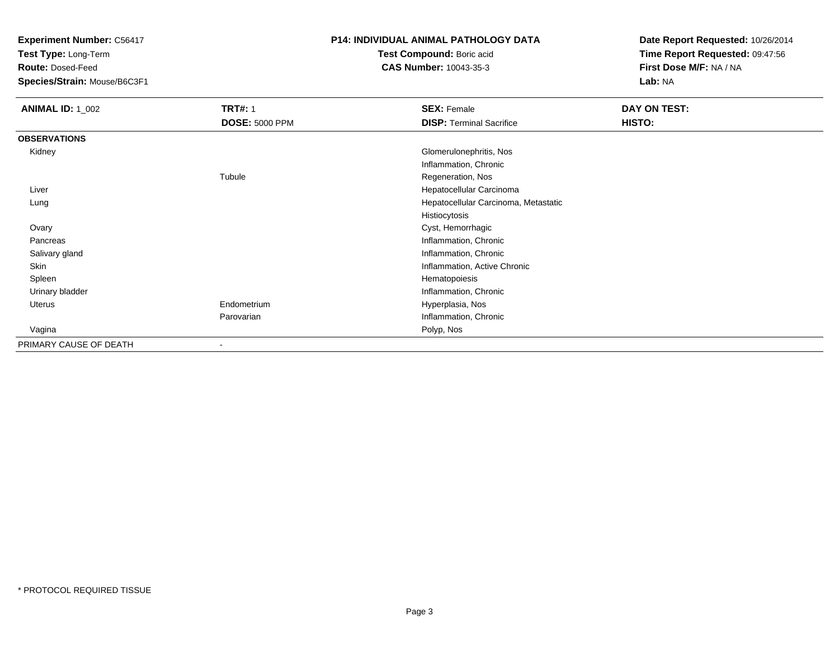**Test Type:** Long-Term

**Route:** Dosed-Feed

**Species/Strain:** Mouse/B6C3F1

### **P14: INDIVIDUAL ANIMAL PATHOLOGY DATA**

**Test Compound:** Boric acid**CAS Number:** 10043-35-3

| <b>ANIMAL ID: 1 002</b> | <b>TRT#: 1</b>           | <b>SEX: Female</b>                   | DAY ON TEST: |
|-------------------------|--------------------------|--------------------------------------|--------------|
|                         | <b>DOSE: 5000 PPM</b>    | <b>DISP: Terminal Sacrifice</b>      | HISTO:       |
| <b>OBSERVATIONS</b>     |                          |                                      |              |
| Kidney                  |                          | Glomerulonephritis, Nos              |              |
|                         |                          | Inflammation, Chronic                |              |
|                         | Tubule                   | Regeneration, Nos                    |              |
| Liver                   |                          | Hepatocellular Carcinoma             |              |
| Lung                    |                          | Hepatocellular Carcinoma, Metastatic |              |
|                         |                          | Histiocytosis                        |              |
| Ovary                   |                          | Cyst, Hemorrhagic                    |              |
| Pancreas                |                          | Inflammation, Chronic                |              |
| Salivary gland          |                          | Inflammation, Chronic                |              |
| Skin                    |                          | Inflammation, Active Chronic         |              |
| Spleen                  |                          | Hematopoiesis                        |              |
| Urinary bladder         |                          | Inflammation, Chronic                |              |
| Uterus                  | Endometrium              | Hyperplasia, Nos                     |              |
|                         | Parovarian               | Inflammation, Chronic                |              |
| Vagina                  |                          | Polyp, Nos                           |              |
| PRIMARY CAUSE OF DEATH  | $\overline{\phantom{a}}$ |                                      |              |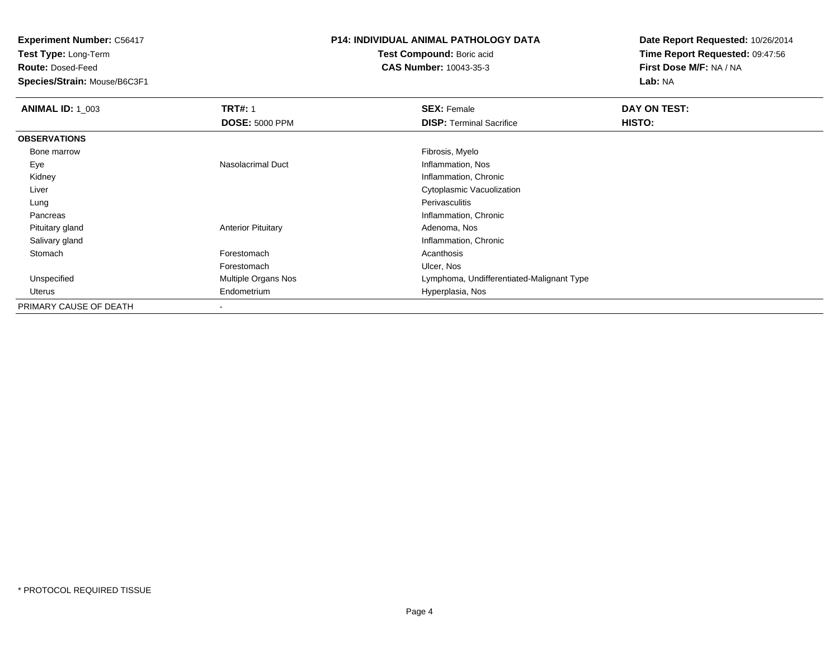**Test Type:** Long-Term

**Route:** Dosed-Feed

**Species/Strain:** Mouse/B6C3F1

## **P14: INDIVIDUAL ANIMAL PATHOLOGY DATA**

**Test Compound:** Boric acid**CAS Number:** 10043-35-3

| <b>ANIMAL ID: 1 003</b> | <b>TRT#: 1</b>            | <b>SEX: Female</b>                        | DAY ON TEST: |
|-------------------------|---------------------------|-------------------------------------------|--------------|
|                         | <b>DOSE: 5000 PPM</b>     | <b>DISP: Terminal Sacrifice</b>           | HISTO:       |
| <b>OBSERVATIONS</b>     |                           |                                           |              |
| Bone marrow             |                           | Fibrosis, Myelo                           |              |
| Eye                     | Nasolacrimal Duct         | Inflammation, Nos                         |              |
| Kidney                  |                           | Inflammation, Chronic                     |              |
| Liver                   |                           | Cytoplasmic Vacuolization                 |              |
| Lung                    |                           | Perivasculitis                            |              |
| Pancreas                |                           | Inflammation, Chronic                     |              |
| Pituitary gland         | <b>Anterior Pituitary</b> | Adenoma, Nos                              |              |
| Salivary gland          |                           | Inflammation, Chronic                     |              |
| Stomach                 | Forestomach               | Acanthosis                                |              |
|                         | Forestomach               | Ulcer, Nos                                |              |
| Unspecified             | Multiple Organs Nos       | Lymphoma, Undifferentiated-Malignant Type |              |
| Uterus                  | Endometrium               | Hyperplasia, Nos                          |              |
| PRIMARY CAUSE OF DEATH  |                           |                                           |              |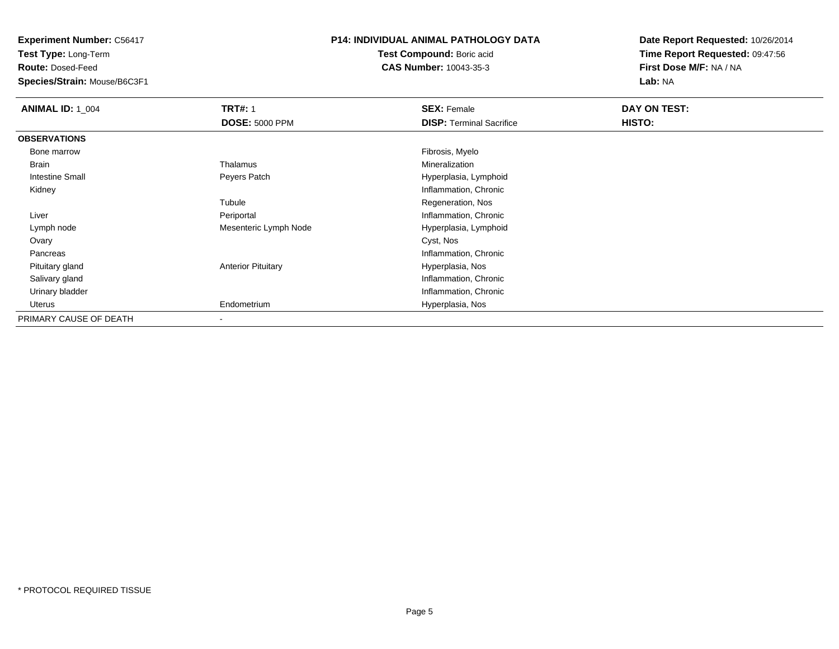**Test Type:** Long-Term

**Route:** Dosed-Feed

**Species/Strain:** Mouse/B6C3F1

### **P14: INDIVIDUAL ANIMAL PATHOLOGY DATA**

**Test Compound:** Boric acid**CAS Number:** 10043-35-3

| <b>ANIMAL ID: 1_004</b> | <b>TRT#: 1</b>            | <b>SEX: Female</b>              | DAY ON TEST: |  |
|-------------------------|---------------------------|---------------------------------|--------------|--|
|                         | <b>DOSE: 5000 PPM</b>     | <b>DISP: Terminal Sacrifice</b> | HISTO:       |  |
| <b>OBSERVATIONS</b>     |                           |                                 |              |  |
| Bone marrow             |                           | Fibrosis, Myelo                 |              |  |
| Brain                   | Thalamus                  | Mineralization                  |              |  |
| Intestine Small         | Peyers Patch              | Hyperplasia, Lymphoid           |              |  |
| Kidney                  |                           | Inflammation, Chronic           |              |  |
|                         | Tubule                    | Regeneration, Nos               |              |  |
| Liver                   | Periportal                | Inflammation, Chronic           |              |  |
| Lymph node              | Mesenteric Lymph Node     | Hyperplasia, Lymphoid           |              |  |
| Ovary                   |                           | Cyst, Nos                       |              |  |
| Pancreas                |                           | Inflammation, Chronic           |              |  |
| Pituitary gland         | <b>Anterior Pituitary</b> | Hyperplasia, Nos                |              |  |
| Salivary gland          |                           | Inflammation, Chronic           |              |  |
| Urinary bladder         |                           | Inflammation, Chronic           |              |  |
| Uterus                  | Endometrium               | Hyperplasia, Nos                |              |  |
| PRIMARY CAUSE OF DEATH  | $\,$                      |                                 |              |  |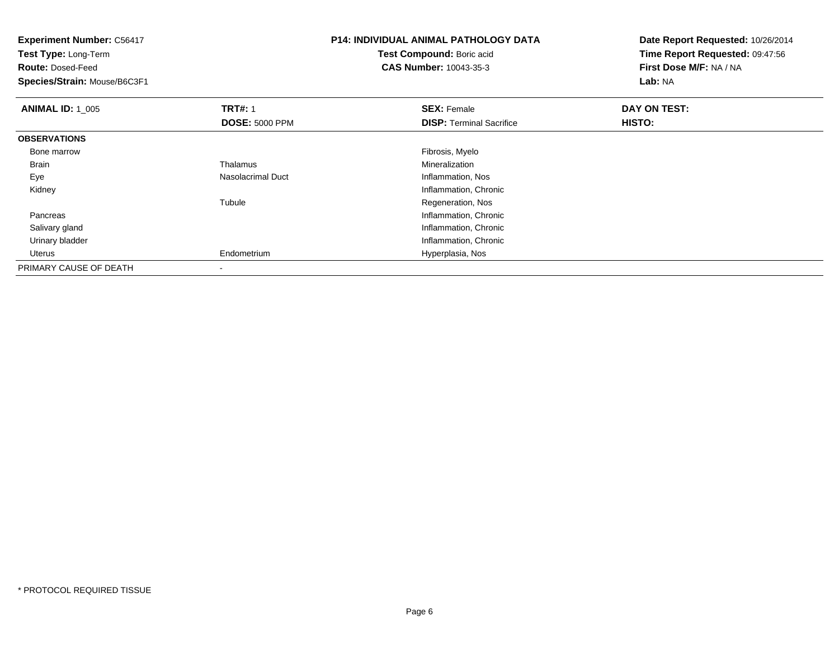| <b>Experiment Number: C56417</b><br>Test Type: Long-Term<br><b>Route: Dosed-Feed</b><br>Species/Strain: Mouse/B6C3F1 |                       | <b>P14: INDIVIDUAL ANIMAL PATHOLOGY DATA</b><br>Test Compound: Boric acid<br><b>CAS Number: 10043-35-3</b> | Date Report Requested: 10/26/2014<br>Time Report Requested: 09:47:56<br>First Dose M/F: NA / NA<br>Lab: NA |
|----------------------------------------------------------------------------------------------------------------------|-----------------------|------------------------------------------------------------------------------------------------------------|------------------------------------------------------------------------------------------------------------|
| <b>ANIMAL ID: 1_005</b>                                                                                              | <b>TRT#: 1</b>        | <b>SEX: Female</b>                                                                                         | DAY ON TEST:                                                                                               |
|                                                                                                                      | <b>DOSE: 5000 PPM</b> | <b>DISP:</b> Terminal Sacrifice                                                                            | HISTO:                                                                                                     |
| <b>OBSERVATIONS</b>                                                                                                  |                       |                                                                                                            |                                                                                                            |
| Bone marrow                                                                                                          |                       | Fibrosis, Myelo                                                                                            |                                                                                                            |
| Brain                                                                                                                | Thalamus              | Mineralization                                                                                             |                                                                                                            |
| Eye                                                                                                                  | Nasolacrimal Duct     | Inflammation, Nos                                                                                          |                                                                                                            |
| Kidney                                                                                                               |                       | Inflammation, Chronic                                                                                      |                                                                                                            |
|                                                                                                                      | Tubule                | Regeneration, Nos                                                                                          |                                                                                                            |
| Pancreas                                                                                                             |                       | Inflammation, Chronic                                                                                      |                                                                                                            |
| Salivary gland                                                                                                       |                       | Inflammation, Chronic                                                                                      |                                                                                                            |
| Urinary bladder                                                                                                      |                       | Inflammation, Chronic                                                                                      |                                                                                                            |
| Uterus                                                                                                               | Endometrium           | Hyperplasia, Nos                                                                                           |                                                                                                            |
| PRIMARY CAUSE OF DEATH                                                                                               |                       |                                                                                                            |                                                                                                            |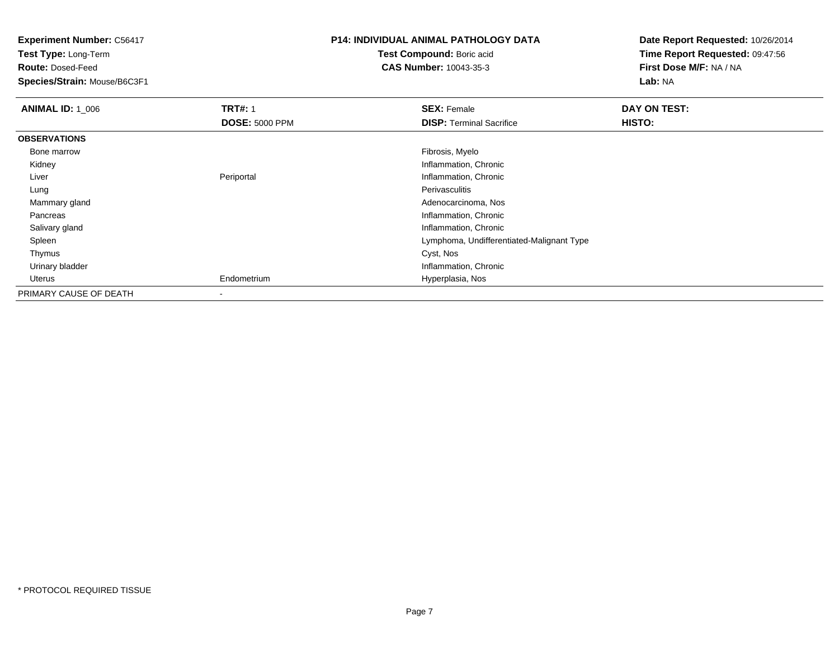**Experiment Number:** C56417**Test Type:** Long-Term**Route:** Dosed-Feed **Species/Strain:** Mouse/B6C3F1**P14: INDIVIDUAL ANIMAL PATHOLOGY DATATest Compound:** Boric acid **CAS Number:** 10043-35-3**Date Report Requested:** 10/26/2014**Time Report Requested:** 09:47:56**First Dose M/F:** NA / NA**Lab:** NA**ANIMAL ID: 1\_006 6 DAY ON TEST:** 1 **SEX:** Female **SEX: Female DAY ON TEST: DOSE:** 5000 PPM**DISP:** Terminal Sacrifice **HISTO: OBSERVATIONS** Bone marroww which is a state of the state of the state of the state of the state of the Fibrosis, Myelo state of the state of the state of the state of the state of the state of the state of the state of the state of the state of th Kidney Inflammation, Chronic LiverPeriportal **Inflammation**, Chronic Lungg in the extension of the extension of the extension of the extension of the extension of the extension of the extension of the extension of the extension of the extension of the extension of the extension of the extension Mammary gland Adenocarcinoma, Nos Pancreas Inflammation, Chronic Salivary gland Inflammation, Chronic Spleen Lymphoma, Undifferentiated-Malignant Type Thymuss and the control of the control of the control of the control of the control of the control of the control of the control of the control of the control of the control of the control of the control of the control of the co Urinary bladder Inflammation, Chronic Uterus Endometrium Hyperplasia, Nos PRIMARY CAUSE OF DEATH-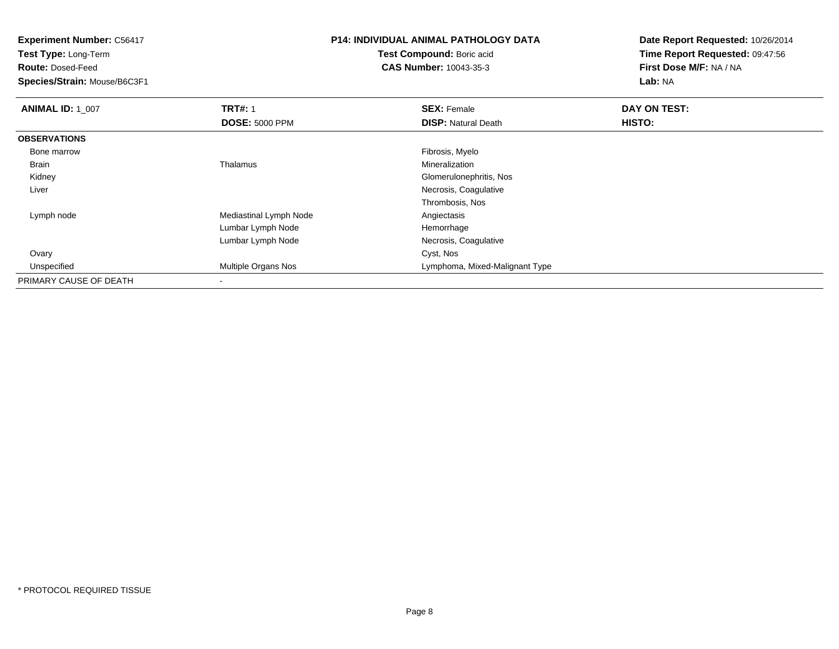**Test Type:** Long-Term

**Route:** Dosed-Feed

**Species/Strain:** Mouse/B6C3F1

## **P14: INDIVIDUAL ANIMAL PATHOLOGY DATA**

**Test Compound:** Boric acid**CAS Number:** 10043-35-3

| <b>ANIMAL ID: 1_007</b> | <b>TRT#: 1</b>             | <b>SEX: Female</b>             | DAY ON TEST: |  |
|-------------------------|----------------------------|--------------------------------|--------------|--|
|                         | <b>DOSE: 5000 PPM</b>      | <b>DISP: Natural Death</b>     | HISTO:       |  |
| <b>OBSERVATIONS</b>     |                            |                                |              |  |
| Bone marrow             |                            | Fibrosis, Myelo                |              |  |
| <b>Brain</b>            | Thalamus                   | Mineralization                 |              |  |
| Kidney                  |                            | Glomerulonephritis, Nos        |              |  |
| Liver                   |                            | Necrosis, Coagulative          |              |  |
|                         |                            | Thrombosis, Nos                |              |  |
| Lymph node              | Mediastinal Lymph Node     | Angiectasis                    |              |  |
|                         | Lumbar Lymph Node          | Hemorrhage                     |              |  |
|                         | Lumbar Lymph Node          | Necrosis, Coagulative          |              |  |
| Ovary                   |                            | Cyst, Nos                      |              |  |
| Unspecified             | <b>Multiple Organs Nos</b> | Lymphoma, Mixed-Malignant Type |              |  |
| PRIMARY CAUSE OF DEATH  |                            |                                |              |  |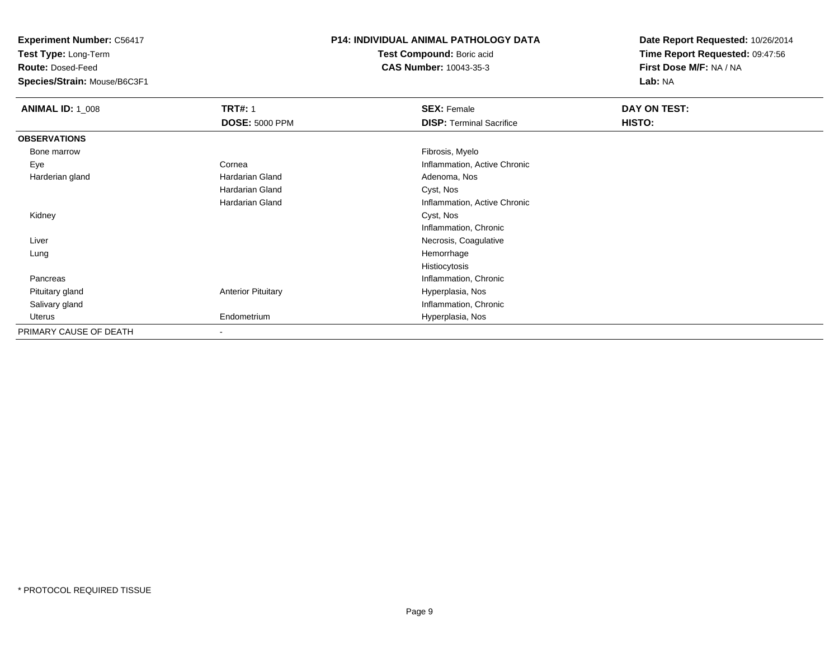**Test Type:** Long-Term

**Route:** Dosed-Feed

**Species/Strain:** Mouse/B6C3F1

### **P14: INDIVIDUAL ANIMAL PATHOLOGY DATA**

**Test Compound:** Boric acid**CAS Number:** 10043-35-3

| <b>ANIMAL ID: 1_008</b> | <b>TRT#: 1</b>            | <b>SEX: Female</b>              | DAY ON TEST: |
|-------------------------|---------------------------|---------------------------------|--------------|
|                         | <b>DOSE: 5000 PPM</b>     | <b>DISP: Terminal Sacrifice</b> | HISTO:       |
| <b>OBSERVATIONS</b>     |                           |                                 |              |
| Bone marrow             |                           | Fibrosis, Myelo                 |              |
| Eye                     | Cornea                    | Inflammation, Active Chronic    |              |
| Harderian gland         | <b>Hardarian Gland</b>    | Adenoma, Nos                    |              |
|                         | Hardarian Gland           | Cyst, Nos                       |              |
|                         | Hardarian Gland           | Inflammation, Active Chronic    |              |
| Kidney                  |                           | Cyst, Nos                       |              |
|                         |                           | Inflammation, Chronic           |              |
| Liver                   |                           | Necrosis, Coagulative           |              |
| Lung                    |                           | Hemorrhage                      |              |
|                         |                           | Histiocytosis                   |              |
| Pancreas                |                           | Inflammation, Chronic           |              |
| Pituitary gland         | <b>Anterior Pituitary</b> | Hyperplasia, Nos                |              |
| Salivary gland          |                           | Inflammation, Chronic           |              |
| Uterus                  | Endometrium               | Hyperplasia, Nos                |              |
| PRIMARY CAUSE OF DEATH  | $\overline{\phantom{a}}$  |                                 |              |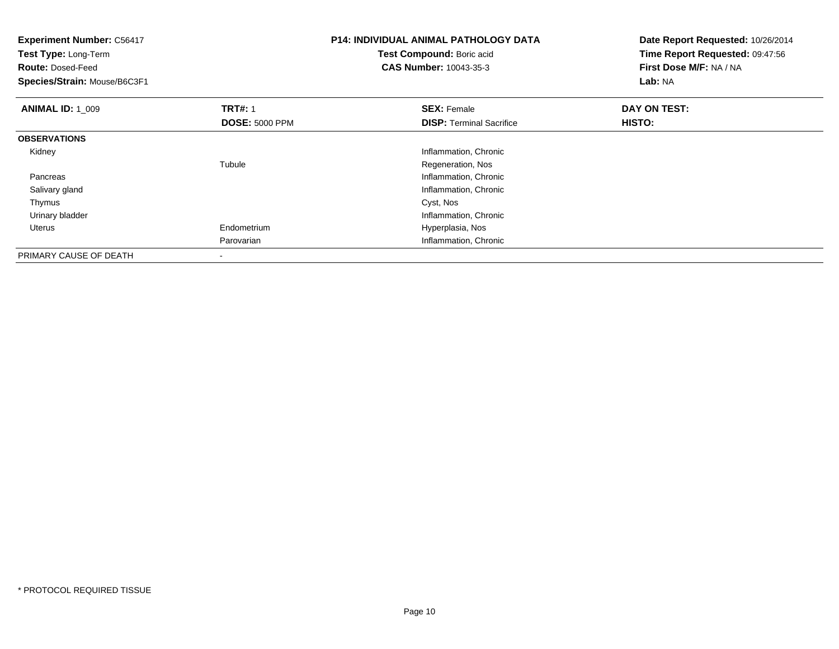| <b>Experiment Number: C56417</b><br>Test Type: Long-Term<br><b>Route: Dosed-Feed</b><br>Species/Strain: Mouse/B6C3F1 |                          | <b>P14: INDIVIDUAL ANIMAL PATHOLOGY DATA</b><br>Test Compound: Boric acid<br><b>CAS Number: 10043-35-3</b> | Date Report Requested: 10/26/2014<br>Time Report Requested: 09:47:56<br>First Dose M/F: NA / NA<br>Lab: NA |
|----------------------------------------------------------------------------------------------------------------------|--------------------------|------------------------------------------------------------------------------------------------------------|------------------------------------------------------------------------------------------------------------|
| <b>ANIMAL ID: 1 009</b>                                                                                              | <b>TRT#: 1</b>           | <b>SEX: Female</b>                                                                                         | DAY ON TEST:                                                                                               |
|                                                                                                                      | <b>DOSE: 5000 PPM</b>    | <b>DISP:</b> Terminal Sacrifice                                                                            | <b>HISTO:</b>                                                                                              |
| <b>OBSERVATIONS</b>                                                                                                  |                          |                                                                                                            |                                                                                                            |
| Kidney                                                                                                               |                          | Inflammation, Chronic                                                                                      |                                                                                                            |
|                                                                                                                      | Tubule                   | Regeneration, Nos                                                                                          |                                                                                                            |
| Pancreas                                                                                                             |                          | Inflammation, Chronic                                                                                      |                                                                                                            |
| Salivary gland                                                                                                       |                          | Inflammation, Chronic                                                                                      |                                                                                                            |
| Thymus                                                                                                               |                          | Cyst, Nos                                                                                                  |                                                                                                            |
| Urinary bladder                                                                                                      |                          | Inflammation, Chronic                                                                                      |                                                                                                            |
| Uterus                                                                                                               | Endometrium              | Hyperplasia, Nos                                                                                           |                                                                                                            |
|                                                                                                                      | Parovarian               | Inflammation, Chronic                                                                                      |                                                                                                            |
| PRIMARY CAUSE OF DEATH                                                                                               | $\overline{\phantom{a}}$ |                                                                                                            |                                                                                                            |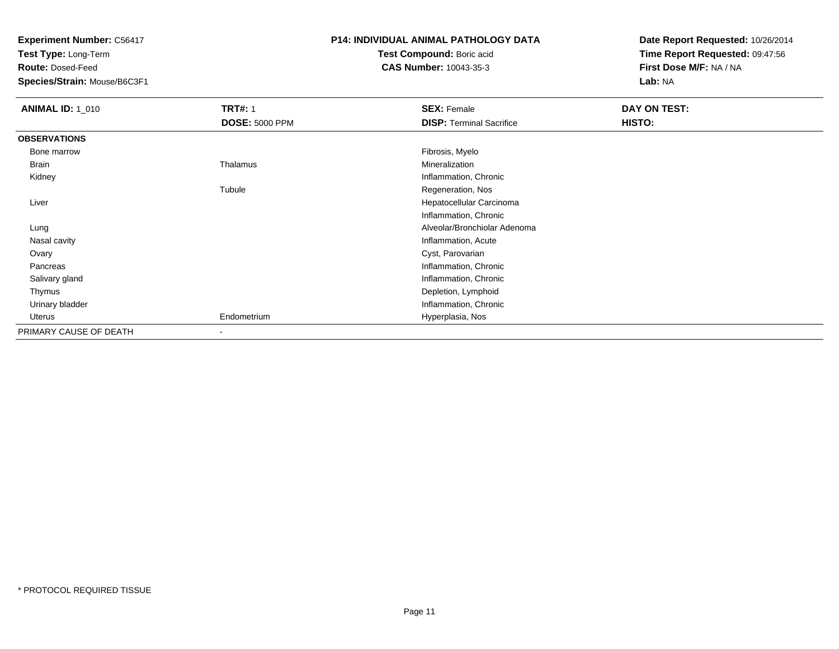**Test Type:** Long-Term

**Route:** Dosed-Feed

**Species/Strain:** Mouse/B6C3F1

### **P14: INDIVIDUAL ANIMAL PATHOLOGY DATA**

**Test Compound:** Boric acid**CAS Number:** 10043-35-3

| <b>ANIMAL ID: 1_010</b> | <b>TRT#: 1</b>        | <b>SEX: Female</b>              | DAY ON TEST: |  |
|-------------------------|-----------------------|---------------------------------|--------------|--|
|                         | <b>DOSE: 5000 PPM</b> | <b>DISP: Terminal Sacrifice</b> | HISTO:       |  |
| <b>OBSERVATIONS</b>     |                       |                                 |              |  |
| Bone marrow             |                       | Fibrosis, Myelo                 |              |  |
| Brain                   | Thalamus              | Mineralization                  |              |  |
| Kidney                  |                       | Inflammation, Chronic           |              |  |
|                         | Tubule                | Regeneration, Nos               |              |  |
| Liver                   |                       | Hepatocellular Carcinoma        |              |  |
|                         |                       | Inflammation, Chronic           |              |  |
| Lung                    |                       | Alveolar/Bronchiolar Adenoma    |              |  |
| Nasal cavity            |                       | Inflammation, Acute             |              |  |
| Ovary                   |                       | Cyst, Parovarian                |              |  |
| Pancreas                |                       | Inflammation, Chronic           |              |  |
| Salivary gland          |                       | Inflammation, Chronic           |              |  |
| Thymus                  |                       | Depletion, Lymphoid             |              |  |
| Urinary bladder         |                       | Inflammation, Chronic           |              |  |
| Uterus                  | Endometrium           | Hyperplasia, Nos                |              |  |
| PRIMARY CAUSE OF DEATH  | $\,$ $\,$             |                                 |              |  |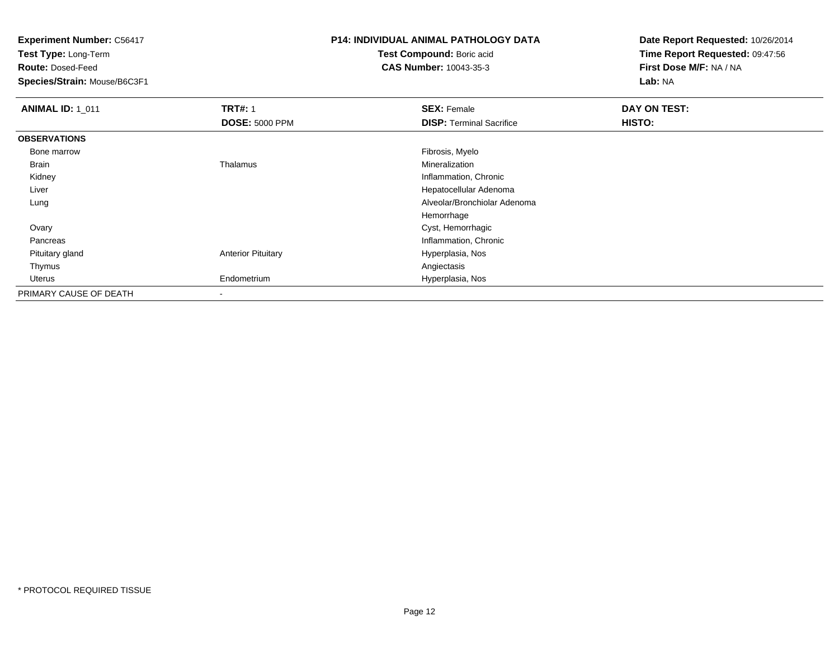**Test Type:** Long-Term

**Route:** Dosed-Feed

**Species/Strain:** Mouse/B6C3F1

# **P14: INDIVIDUAL ANIMAL PATHOLOGY DATA**

**Test Compound:** Boric acid**CAS Number:** 10043-35-3

| <b>ANIMAL ID: 1 011</b> | <b>TRT#: 1</b>            | <b>SEX: Female</b>              | DAY ON TEST: |
|-------------------------|---------------------------|---------------------------------|--------------|
|                         | <b>DOSE: 5000 PPM</b>     | <b>DISP: Terminal Sacrifice</b> | HISTO:       |
| <b>OBSERVATIONS</b>     |                           |                                 |              |
| Bone marrow             |                           | Fibrosis, Myelo                 |              |
| Brain                   | Thalamus                  | Mineralization                  |              |
| Kidney                  |                           | Inflammation, Chronic           |              |
| Liver                   |                           | Hepatocellular Adenoma          |              |
| Lung                    |                           | Alveolar/Bronchiolar Adenoma    |              |
|                         |                           | Hemorrhage                      |              |
| Ovary                   |                           | Cyst, Hemorrhagic               |              |
| Pancreas                |                           | Inflammation, Chronic           |              |
| Pituitary gland         | <b>Anterior Pituitary</b> | Hyperplasia, Nos                |              |
| Thymus                  |                           | Angiectasis                     |              |
| Uterus                  | Endometrium               | Hyperplasia, Nos                |              |
| PRIMARY CAUSE OF DEATH  | $\,$                      |                                 |              |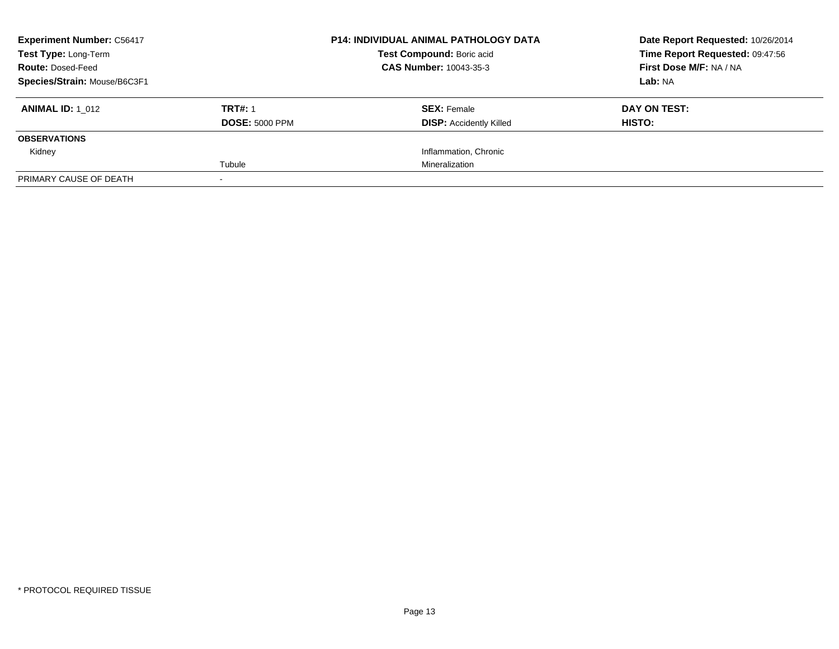| <b>Experiment Number: C56417</b><br>Test Type: Long-Term<br><b>Route: Dosed-Feed</b> |                       | <b>P14: INDIVIDUAL ANIMAL PATHOLOGY DATA</b><br>Test Compound: Boric acid<br>CAS Number: 10043-35-3 | Date Report Requested: 10/26/2014<br>Time Report Requested: 09:47:56<br>First Dose M/F: NA / NA |
|--------------------------------------------------------------------------------------|-----------------------|-----------------------------------------------------------------------------------------------------|-------------------------------------------------------------------------------------------------|
| Species/Strain: Mouse/B6C3F1                                                         |                       |                                                                                                     | Lab: NA                                                                                         |
| <b>ANIMAL ID: 1 012</b>                                                              | <b>TRT#: 1</b>        | <b>SEX: Female</b>                                                                                  | DAY ON TEST:                                                                                    |
|                                                                                      | <b>DOSE: 5000 PPM</b> | <b>DISP:</b> Accidently Killed                                                                      | HISTO:                                                                                          |
| <b>OBSERVATIONS</b>                                                                  |                       |                                                                                                     |                                                                                                 |
| Kidney                                                                               |                       | Inflammation, Chronic                                                                               |                                                                                                 |
|                                                                                      | Tubule                | Mineralization                                                                                      |                                                                                                 |
| PRIMARY CAUSE OF DEATH                                                               |                       |                                                                                                     |                                                                                                 |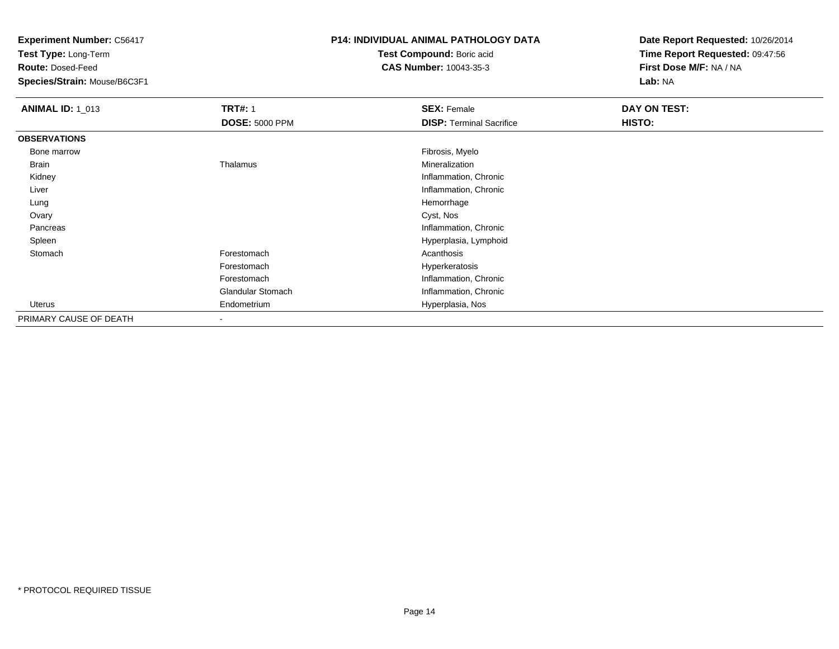**Test Type:** Long-Term

**Route:** Dosed-Feed

**Species/Strain:** Mouse/B6C3F1

### **P14: INDIVIDUAL ANIMAL PATHOLOGY DATA**

**Test Compound:** Boric acid**CAS Number:** 10043-35-3

| <b>ANIMAL ID: 1_013</b> | <b>TRT#: 1</b><br><b>DOSE: 5000 PPM</b> | <b>SEX: Female</b><br><b>DISP:</b> Terminal Sacrifice | DAY ON TEST:<br>HISTO: |
|-------------------------|-----------------------------------------|-------------------------------------------------------|------------------------|
| <b>OBSERVATIONS</b>     |                                         |                                                       |                        |
| Bone marrow             |                                         | Fibrosis, Myelo                                       |                        |
| Brain                   | Thalamus                                | Mineralization                                        |                        |
| Kidney                  |                                         | Inflammation, Chronic                                 |                        |
| Liver                   |                                         | Inflammation, Chronic                                 |                        |
| Lung                    |                                         | Hemorrhage                                            |                        |
| Ovary                   |                                         | Cyst, Nos                                             |                        |
| Pancreas                |                                         | Inflammation, Chronic                                 |                        |
| Spleen                  |                                         | Hyperplasia, Lymphoid                                 |                        |
| Stomach                 | Forestomach                             | Acanthosis                                            |                        |
|                         | Forestomach                             | Hyperkeratosis                                        |                        |
|                         | Forestomach                             | Inflammation, Chronic                                 |                        |
|                         | <b>Glandular Stomach</b>                | Inflammation, Chronic                                 |                        |
| Uterus                  | Endometrium                             | Hyperplasia, Nos                                      |                        |
| PRIMARY CAUSE OF DEATH  |                                         |                                                       |                        |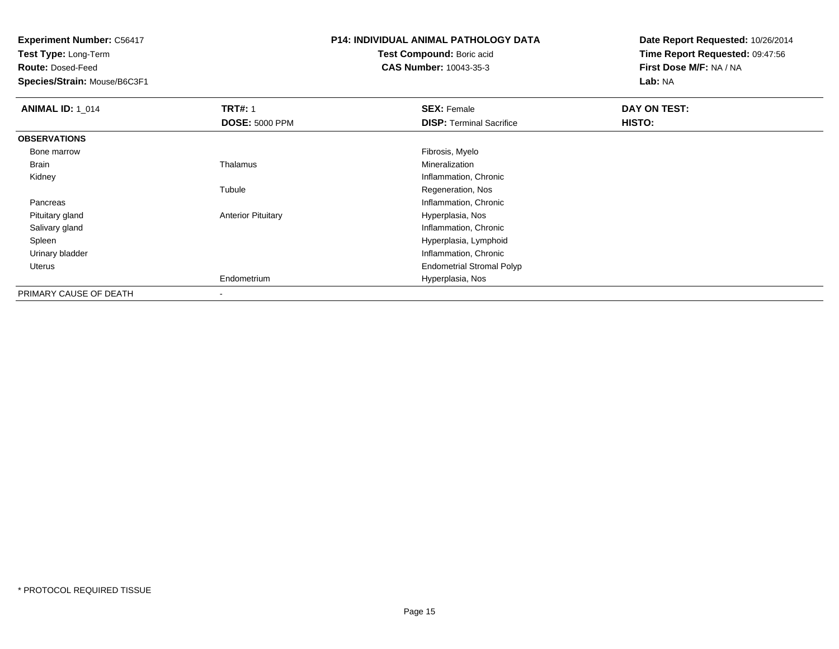**Test Type:** Long-Term

**Route:** Dosed-Feed

**Species/Strain:** Mouse/B6C3F1

## **P14: INDIVIDUAL ANIMAL PATHOLOGY DATA**

**Test Compound:** Boric acid**CAS Number:** 10043-35-3

| <b>ANIMAL ID: 1_014</b> | <b>TRT#: 1</b>            | <b>SEX: Female</b>               | DAY ON TEST: |  |
|-------------------------|---------------------------|----------------------------------|--------------|--|
|                         | <b>DOSE: 5000 PPM</b>     | <b>DISP: Terminal Sacrifice</b>  | HISTO:       |  |
| <b>OBSERVATIONS</b>     |                           |                                  |              |  |
| Bone marrow             |                           | Fibrosis, Myelo                  |              |  |
| <b>Brain</b>            | Thalamus                  | Mineralization                   |              |  |
| Kidney                  |                           | Inflammation, Chronic            |              |  |
|                         | Tubule                    | Regeneration, Nos                |              |  |
| Pancreas                |                           | Inflammation, Chronic            |              |  |
| Pituitary gland         | <b>Anterior Pituitary</b> | Hyperplasia, Nos                 |              |  |
| Salivary gland          |                           | Inflammation, Chronic            |              |  |
| Spleen                  |                           | Hyperplasia, Lymphoid            |              |  |
| Urinary bladder         |                           | Inflammation, Chronic            |              |  |
| Uterus                  |                           | <b>Endometrial Stromal Polyp</b> |              |  |
|                         | Endometrium               | Hyperplasia, Nos                 |              |  |
| PRIMARY CAUSE OF DEATH  |                           |                                  |              |  |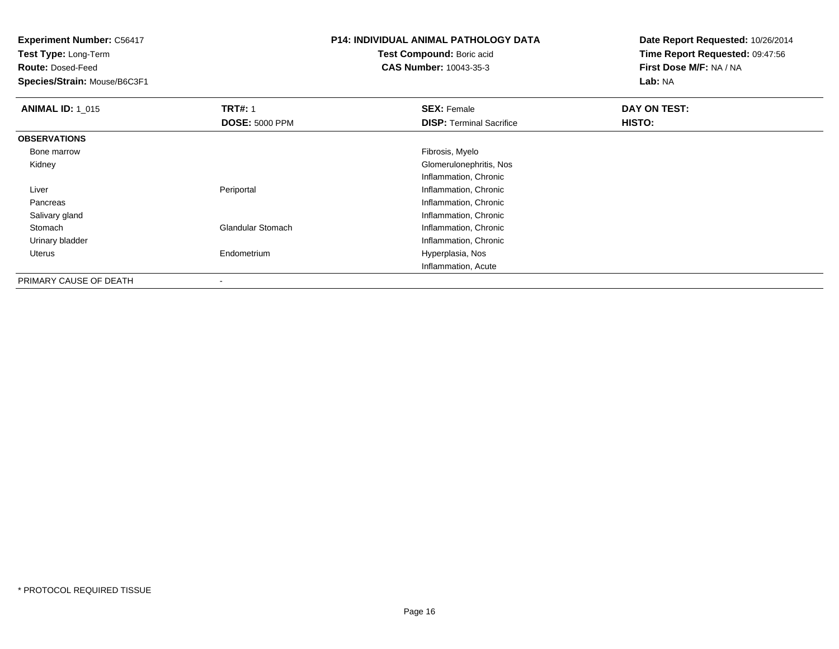**Experiment Number:** C56417**Test Type:** Long-Term**Route:** Dosed-Feed **Species/Strain:** Mouse/B6C3F1**P14: INDIVIDUAL ANIMAL PATHOLOGY DATATest Compound:** Boric acid **CAS Number:** 10043-35-3**Date Report Requested:** 10/26/2014**Time Report Requested:** 09:47:56**First Dose M/F:** NA / NA**Lab:** NA**ANIMAL ID: 1\_015 TRT#:** 1 **SEX:** Female **DAY ON TEST: DOSE:** 5000 PPM**DISP:** Terminal Sacrifice **HISTO: OBSERVATIONS** Bone marroww which is a state of the state of the state of the state of the state of the Fibrosis, Myelo state of the state of the state of the state of the state of the state of the state of the state of the state of the state of th Kidney Glomerulonephritis, Nos Inflammation, Chronic**Periportal Community Community Community Community Community Community Community Community Community Community**  Liver**Inflammation, Chronic**  Pancreas Salivary glandInflammation, Chronic<br>
Glandular Stomach (Inflammation, Chronic StomachInflammation, Chronic Urinary bladder Inflammation, Chronic Uterus Endometrium Hyperplasia, Nos Inflammation, AcutePRIMARY CAUSE OF DEATH

-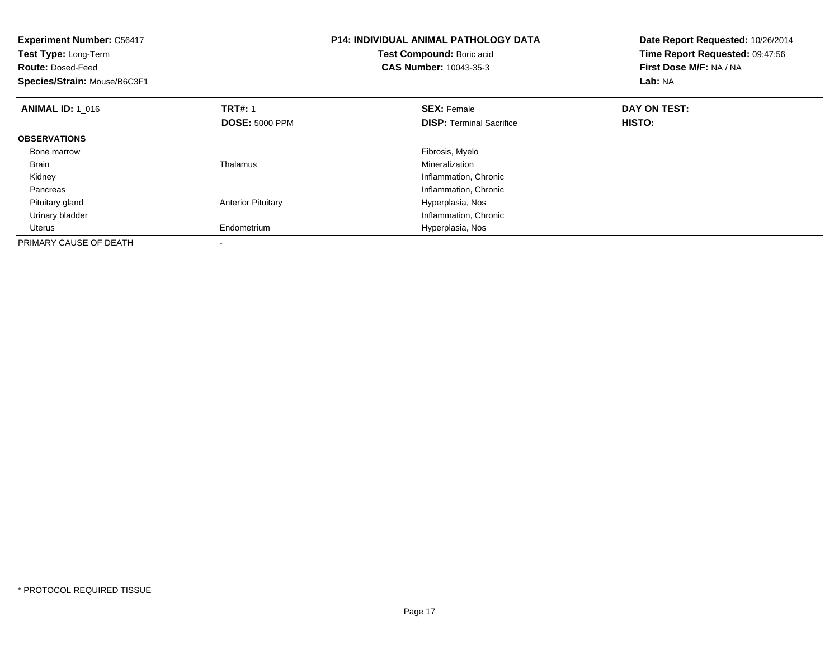| <b>Experiment Number: C56417</b><br><b>Test Type: Long-Term</b><br><b>Route: Dosed-Feed</b><br>Species/Strain: Mouse/B6C3F1 |                                         | <b>P14: INDIVIDUAL ANIMAL PATHOLOGY DATA</b><br>Test Compound: Boric acid<br><b>CAS Number: 10043-35-3</b> | Date Report Requested: 10/26/2014<br>Time Report Requested: 09:47:56<br>First Dose M/F: NA / NA<br>Lab: NA |
|-----------------------------------------------------------------------------------------------------------------------------|-----------------------------------------|------------------------------------------------------------------------------------------------------------|------------------------------------------------------------------------------------------------------------|
| <b>ANIMAL ID: 1 016</b>                                                                                                     | <b>TRT#: 1</b><br><b>DOSE: 5000 PPM</b> | <b>SEX: Female</b><br><b>DISP:</b> Terminal Sacrifice                                                      | DAY ON TEST:<br>HISTO:                                                                                     |
| <b>OBSERVATIONS</b>                                                                                                         |                                         |                                                                                                            |                                                                                                            |
| Bone marrow                                                                                                                 |                                         | Fibrosis, Myelo                                                                                            |                                                                                                            |
| <b>Brain</b>                                                                                                                | Thalamus                                | Mineralization                                                                                             |                                                                                                            |
| Kidney                                                                                                                      |                                         | Inflammation, Chronic                                                                                      |                                                                                                            |
| Pancreas                                                                                                                    |                                         | Inflammation, Chronic                                                                                      |                                                                                                            |
| Pituitary gland                                                                                                             | <b>Anterior Pituitary</b>               | Hyperplasia, Nos                                                                                           |                                                                                                            |
| Urinary bladder                                                                                                             |                                         | Inflammation, Chronic                                                                                      |                                                                                                            |
| <b>Uterus</b>                                                                                                               | Endometrium                             | Hyperplasia, Nos                                                                                           |                                                                                                            |
| PRIMARY CAUSE OF DEATH                                                                                                      |                                         |                                                                                                            |                                                                                                            |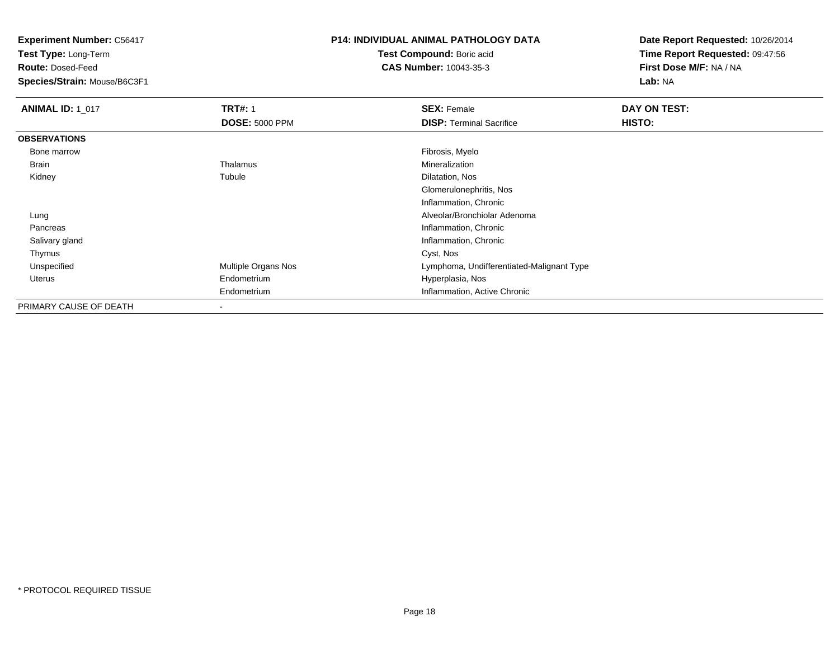**Test Type:** Long-Term

**Route:** Dosed-Feed

**Species/Strain:** Mouse/B6C3F1

# **P14: INDIVIDUAL ANIMAL PATHOLOGY DATA**

**Test Compound:** Boric acid**CAS Number:** 10043-35-3

| <b>ANIMAL ID: 1_017</b> | <b>TRT#: 1</b>        | <b>SEX: Female</b>                        | DAY ON TEST: |  |
|-------------------------|-----------------------|-------------------------------------------|--------------|--|
|                         | <b>DOSE: 5000 PPM</b> | <b>DISP: Terminal Sacrifice</b>           | HISTO:       |  |
| <b>OBSERVATIONS</b>     |                       |                                           |              |  |
| Bone marrow             |                       | Fibrosis, Myelo                           |              |  |
| Brain                   | Thalamus              | Mineralization                            |              |  |
| Kidney                  | Tubule                | Dilatation, Nos                           |              |  |
|                         |                       | Glomerulonephritis, Nos                   |              |  |
|                         |                       | Inflammation, Chronic                     |              |  |
| Lung                    |                       | Alveolar/Bronchiolar Adenoma              |              |  |
| Pancreas                |                       | Inflammation, Chronic                     |              |  |
| Salivary gland          |                       | Inflammation, Chronic                     |              |  |
| Thymus                  |                       | Cyst, Nos                                 |              |  |
| Unspecified             | Multiple Organs Nos   | Lymphoma, Undifferentiated-Malignant Type |              |  |
| Uterus                  | Endometrium           | Hyperplasia, Nos                          |              |  |
|                         | Endometrium           | Inflammation, Active Chronic              |              |  |
| PRIMARY CAUSE OF DEATH  | ۰                     |                                           |              |  |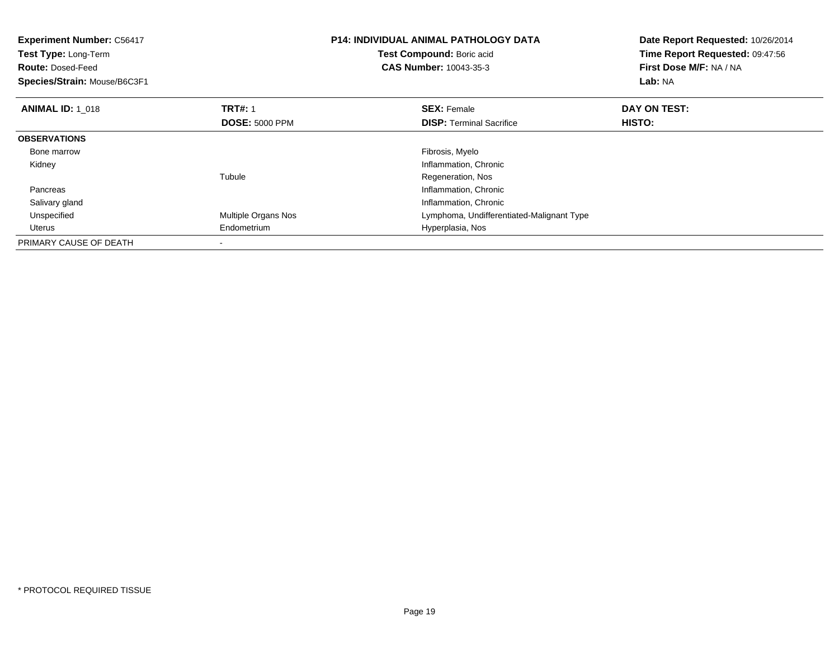| <b>Experiment Number: C56417</b><br>Test Type: Long-Term<br><b>Route: Dosed-Feed</b><br>Species/Strain: Mouse/B6C3F1 |                       | <b>P14: INDIVIDUAL ANIMAL PATHOLOGY DATA</b><br>Test Compound: Boric acid<br><b>CAS Number: 10043-35-3</b> | Date Report Requested: 10/26/2014<br>Time Report Requested: 09:47:56<br>First Dose M/F: NA / NA<br>Lab: NA |
|----------------------------------------------------------------------------------------------------------------------|-----------------------|------------------------------------------------------------------------------------------------------------|------------------------------------------------------------------------------------------------------------|
| <b>ANIMAL ID: 1_018</b>                                                                                              | <b>TRT#:</b> 1        | <b>SEX: Female</b>                                                                                         | DAY ON TEST:                                                                                               |
|                                                                                                                      | <b>DOSE: 5000 PPM</b> | <b>DISP:</b> Terminal Sacrifice                                                                            | <b>HISTO:</b>                                                                                              |
| <b>OBSERVATIONS</b>                                                                                                  |                       |                                                                                                            |                                                                                                            |
| Bone marrow                                                                                                          |                       | Fibrosis, Myelo                                                                                            |                                                                                                            |
| Kidney                                                                                                               |                       | Inflammation, Chronic                                                                                      |                                                                                                            |
|                                                                                                                      | Tubule                | Regeneration, Nos                                                                                          |                                                                                                            |
| Pancreas                                                                                                             |                       | Inflammation, Chronic                                                                                      |                                                                                                            |
| Salivary gland                                                                                                       |                       | Inflammation, Chronic                                                                                      |                                                                                                            |
| Unspecified                                                                                                          | Multiple Organs Nos   | Lymphoma, Undifferentiated-Malignant Type                                                                  |                                                                                                            |
| <b>Uterus</b>                                                                                                        | Endometrium           | Hyperplasia, Nos                                                                                           |                                                                                                            |
| PRIMARY CAUSE OF DEATH                                                                                               |                       |                                                                                                            |                                                                                                            |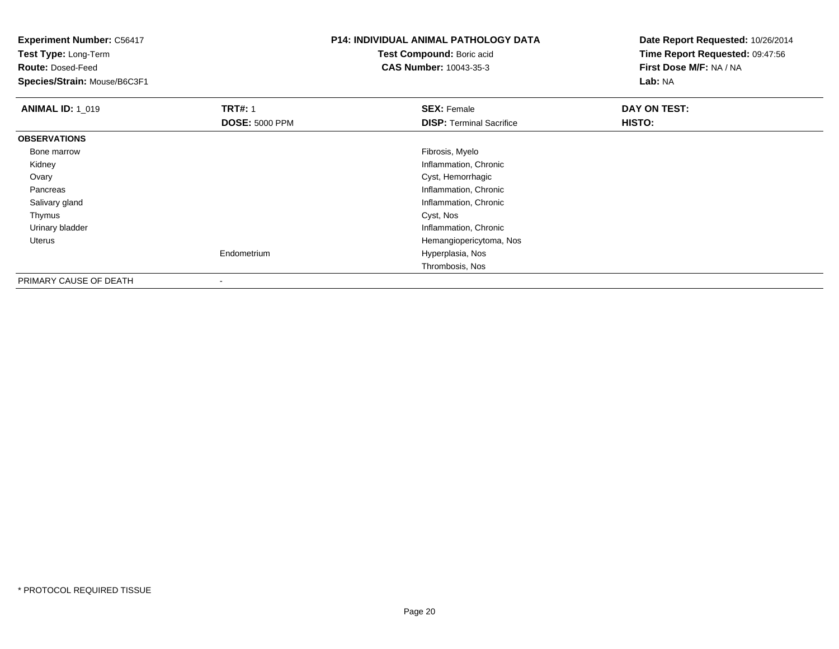**Experiment Number:** C56417**Test Type:** Long-Term**Route:** Dosed-Feed **Species/Strain:** Mouse/B6C3F1**P14: INDIVIDUAL ANIMAL PATHOLOGY DATATest Compound:** Boric acid **CAS Number:** 10043-35-3**Date Report Requested:** 10/26/2014**Time Report Requested:** 09:47:56**First Dose M/F:** NA / NA**Lab:** NA**ANIMAL ID: 1\_019 TRT#:** 1 **SEX:** Female **DAY ON TEST: DOSE:** 5000 PPM**DISP:** Terminal Sacrifice **HISTO: OBSERVATIONS** Bone marroww which is a state of the state of the state of the state of the state of the Fibrosis, Myelo state of the state of the state of the state of the state of the state of the state of the state of the state of the state of th Kidney Inflammation, Chronic Ovary Cyst, Hemorrhagic Pancreas Inflammation, Chronic Salivary glandInflammation, Chronic<br>Cyst, Nos Thymuss and the control of the control of the control of the control of the control of the control of the control of the control of the control of the control of the control of the control of the control of the control of the co Urinary bladder Inflammation, Chronic Hemangiopericytoma, Nos UterusEndometrium Hyperplasia, Nos Thrombosis, NosPRIMARY CAUSE OF DEATH

-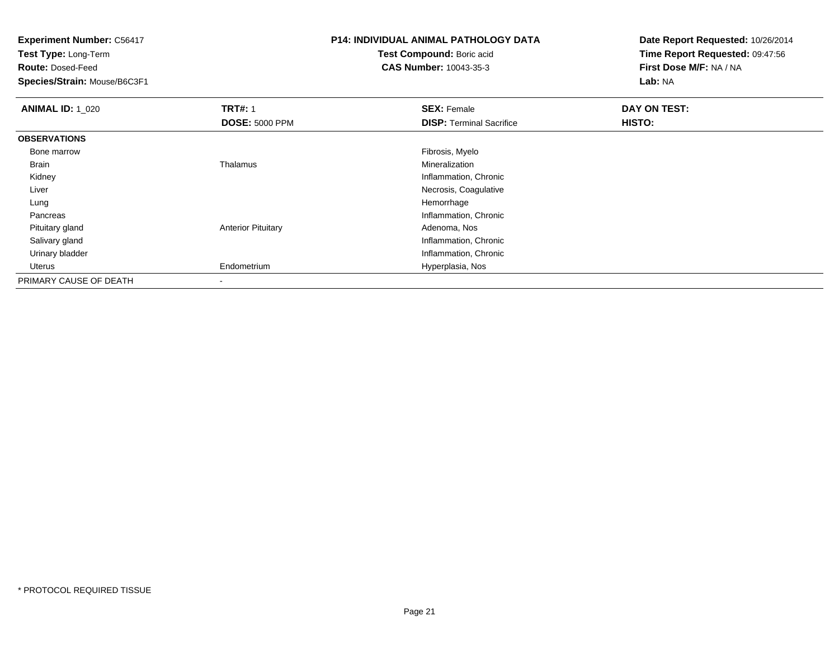**Test Type:** Long-Term

**Route:** Dosed-Feed

**Species/Strain:** Mouse/B6C3F1

# **P14: INDIVIDUAL ANIMAL PATHOLOGY DATA**

**Test Compound:** Boric acid**CAS Number:** 10043-35-3

| <b>ANIMAL ID: 1_020</b> | <b>TRT#: 1</b>            | <b>SEX: Female</b>              | DAY ON TEST: |  |
|-------------------------|---------------------------|---------------------------------|--------------|--|
|                         | <b>DOSE: 5000 PPM</b>     | <b>DISP: Terminal Sacrifice</b> | HISTO:       |  |
| <b>OBSERVATIONS</b>     |                           |                                 |              |  |
| Bone marrow             |                           | Fibrosis, Myelo                 |              |  |
| <b>Brain</b>            | Thalamus                  | Mineralization                  |              |  |
| Kidney                  |                           | Inflammation, Chronic           |              |  |
| Liver                   |                           | Necrosis, Coagulative           |              |  |
| Lung                    |                           | Hemorrhage                      |              |  |
| Pancreas                |                           | Inflammation, Chronic           |              |  |
| Pituitary gland         | <b>Anterior Pituitary</b> | Adenoma, Nos                    |              |  |
| Salivary gland          |                           | Inflammation, Chronic           |              |  |
| Urinary bladder         |                           | Inflammation, Chronic           |              |  |
| Uterus                  | Endometrium               | Hyperplasia, Nos                |              |  |
| PRIMARY CAUSE OF DEATH  | $\overline{\phantom{a}}$  |                                 |              |  |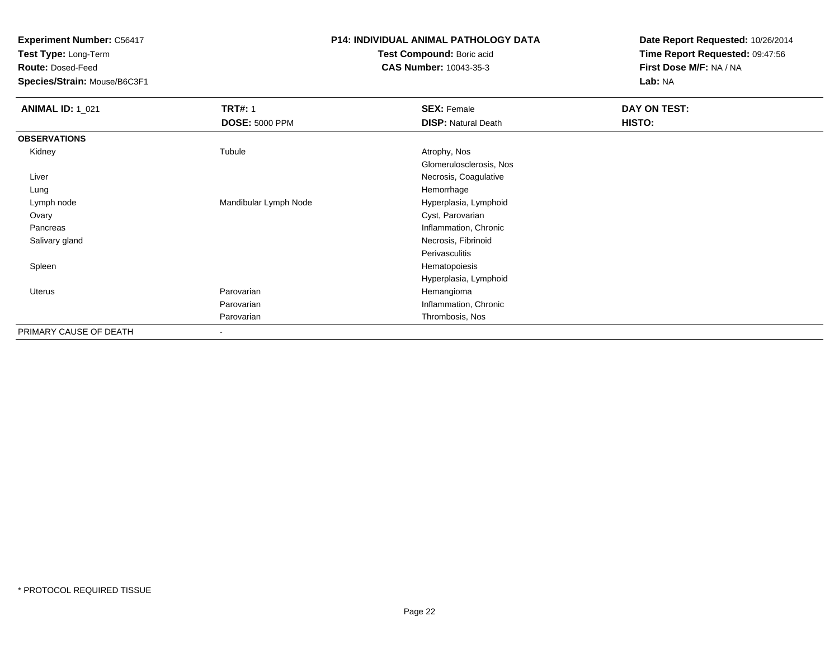**Test Type:** Long-Term

**Route:** Dosed-Feed

**Species/Strain:** Mouse/B6C3F1

### **P14: INDIVIDUAL ANIMAL PATHOLOGY DATA**

**Test Compound:** Boric acid**CAS Number:** 10043-35-3

| <b>ANIMAL ID: 1_021</b> | <b>TRT#: 1</b>           | <b>SEX: Female</b>         | DAY ON TEST: |  |
|-------------------------|--------------------------|----------------------------|--------------|--|
|                         | <b>DOSE: 5000 PPM</b>    | <b>DISP: Natural Death</b> | HISTO:       |  |
| <b>OBSERVATIONS</b>     |                          |                            |              |  |
| Kidney                  | Tubule                   | Atrophy, Nos               |              |  |
|                         |                          | Glomerulosclerosis, Nos    |              |  |
| Liver                   |                          | Necrosis, Coagulative      |              |  |
| Lung                    |                          | Hemorrhage                 |              |  |
| Lymph node              | Mandibular Lymph Node    | Hyperplasia, Lymphoid      |              |  |
| Ovary                   |                          | Cyst, Parovarian           |              |  |
| Pancreas                |                          | Inflammation, Chronic      |              |  |
| Salivary gland          |                          | Necrosis, Fibrinoid        |              |  |
|                         |                          | Perivasculitis             |              |  |
| Spleen                  |                          | Hematopoiesis              |              |  |
|                         |                          | Hyperplasia, Lymphoid      |              |  |
| <b>Uterus</b>           | Parovarian               | Hemangioma                 |              |  |
|                         | Parovarian               | Inflammation, Chronic      |              |  |
|                         | Parovarian               | Thrombosis, Nos            |              |  |
| PRIMARY CAUSE OF DEATH  | $\overline{\phantom{a}}$ |                            |              |  |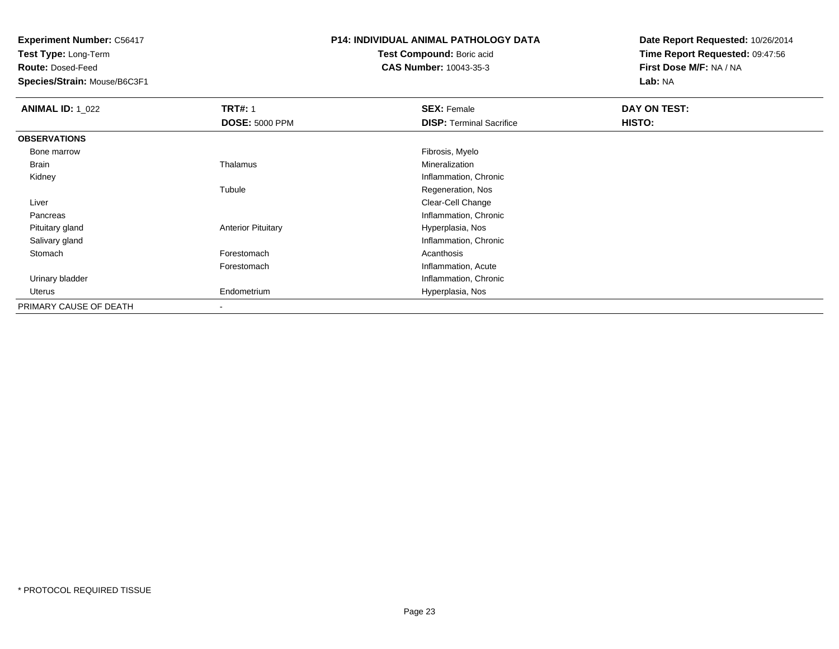**Test Type:** Long-Term

**Route:** Dosed-Feed

**Species/Strain:** Mouse/B6C3F1

## **P14: INDIVIDUAL ANIMAL PATHOLOGY DATA**

**Test Compound:** Boric acid**CAS Number:** 10043-35-3

| <b>ANIMAL ID: 1 022</b> | <b>TRT#: 1</b>            | <b>SEX: Female</b>              | DAY ON TEST: |  |
|-------------------------|---------------------------|---------------------------------|--------------|--|
|                         | <b>DOSE: 5000 PPM</b>     | <b>DISP: Terminal Sacrifice</b> | HISTO:       |  |
| <b>OBSERVATIONS</b>     |                           |                                 |              |  |
| Bone marrow             |                           | Fibrosis, Myelo                 |              |  |
| Brain                   | Thalamus                  | Mineralization                  |              |  |
| Kidney                  |                           | Inflammation, Chronic           |              |  |
|                         | Tubule                    | Regeneration, Nos               |              |  |
| Liver                   |                           | Clear-Cell Change               |              |  |
| Pancreas                |                           | Inflammation, Chronic           |              |  |
| Pituitary gland         | <b>Anterior Pituitary</b> | Hyperplasia, Nos                |              |  |
| Salivary gland          |                           | Inflammation, Chronic           |              |  |
| Stomach                 | Forestomach               | Acanthosis                      |              |  |
|                         | Forestomach               | Inflammation, Acute             |              |  |
| Urinary bladder         |                           | Inflammation, Chronic           |              |  |
| Uterus                  | Endometrium               | Hyperplasia, Nos                |              |  |
| PRIMARY CAUSE OF DEATH  | $\overline{\phantom{a}}$  |                                 |              |  |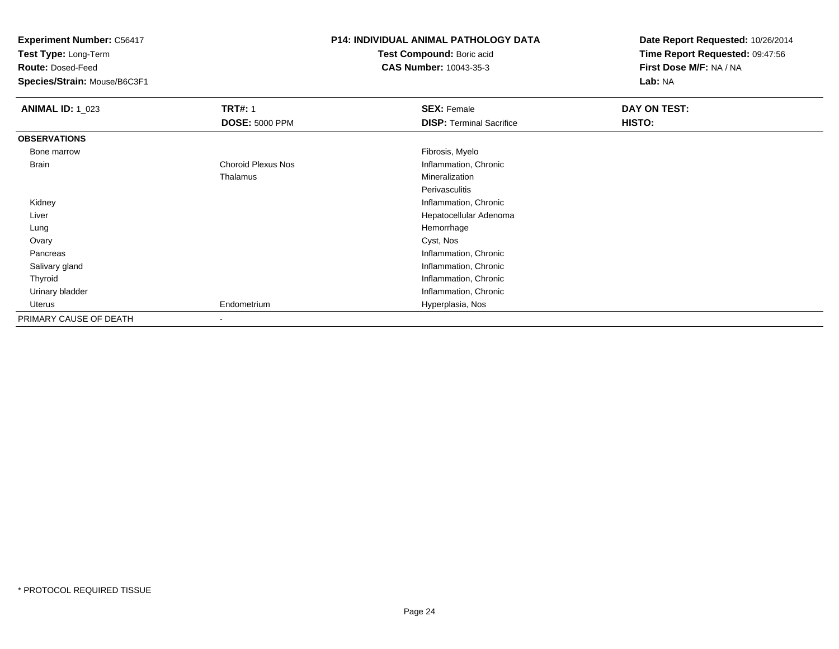**Test Type:** Long-Term

**Route:** Dosed-Feed

**Species/Strain:** Mouse/B6C3F1

### **P14: INDIVIDUAL ANIMAL PATHOLOGY DATA**

**Test Compound:** Boric acid**CAS Number:** 10043-35-3

| <b>ANIMAL ID: 1_023</b> | <b>TRT#: 1</b>            | <b>SEX: Female</b>              | DAY ON TEST: |  |
|-------------------------|---------------------------|---------------------------------|--------------|--|
|                         | <b>DOSE: 5000 PPM</b>     | <b>DISP: Terminal Sacrifice</b> | HISTO:       |  |
| <b>OBSERVATIONS</b>     |                           |                                 |              |  |
| Bone marrow             |                           | Fibrosis, Myelo                 |              |  |
| <b>Brain</b>            | <b>Choroid Plexus Nos</b> | Inflammation, Chronic           |              |  |
|                         | Thalamus                  | Mineralization                  |              |  |
|                         |                           | Perivasculitis                  |              |  |
| Kidney                  |                           | Inflammation, Chronic           |              |  |
| Liver                   |                           | Hepatocellular Adenoma          |              |  |
| Lung                    |                           | Hemorrhage                      |              |  |
| Ovary                   |                           | Cyst, Nos                       |              |  |
| Pancreas                |                           | Inflammation, Chronic           |              |  |
| Salivary gland          |                           | Inflammation, Chronic           |              |  |
| Thyroid                 |                           | Inflammation, Chronic           |              |  |
| Urinary bladder         |                           | Inflammation, Chronic           |              |  |
| Uterus                  | Endometrium               | Hyperplasia, Nos                |              |  |
| PRIMARY CAUSE OF DEATH  |                           |                                 |              |  |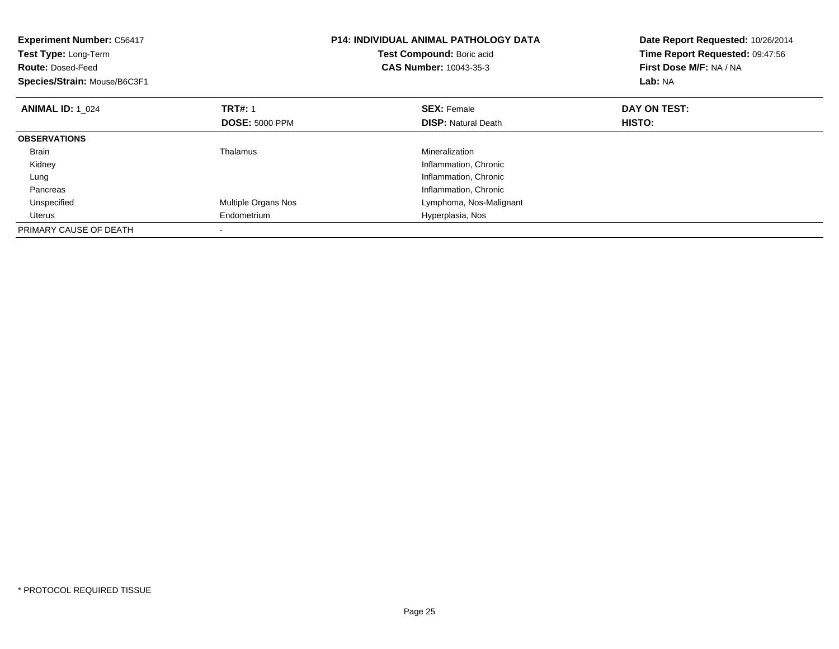| <b>Experiment Number: C56417</b><br>Test Type: Long-Term<br><b>Route: Dosed-Feed</b><br>Species/Strain: Mouse/B6C3F1 |                       | P14: INDIVIDUAL ANIMAL PATHOLOGY DATA<br>Test Compound: Boric acid<br><b>CAS Number: 10043-35-3</b> | Date Report Requested: 10/26/2014<br>Time Report Requested: 09:47:56<br>First Dose M/F: NA / NA<br>Lab: NA |
|----------------------------------------------------------------------------------------------------------------------|-----------------------|-----------------------------------------------------------------------------------------------------|------------------------------------------------------------------------------------------------------------|
| <b>ANIMAL ID: 1 024</b>                                                                                              | <b>TRT#: 1</b>        | <b>SEX: Female</b>                                                                                  | DAY ON TEST:                                                                                               |
|                                                                                                                      | <b>DOSE: 5000 PPM</b> | <b>DISP:</b> Natural Death                                                                          | <b>HISTO:</b>                                                                                              |
| <b>OBSERVATIONS</b>                                                                                                  |                       |                                                                                                     |                                                                                                            |
| <b>Brain</b>                                                                                                         | Thalamus              | Mineralization                                                                                      |                                                                                                            |
| Kidney                                                                                                               |                       | Inflammation, Chronic                                                                               |                                                                                                            |
| Lung                                                                                                                 |                       | Inflammation, Chronic                                                                               |                                                                                                            |
| Pancreas                                                                                                             |                       | Inflammation, Chronic                                                                               |                                                                                                            |
| Unspecified                                                                                                          | Multiple Organs Nos   | Lymphoma, Nos-Malignant                                                                             |                                                                                                            |
| Uterus                                                                                                               | Endometrium           | Hyperplasia, Nos                                                                                    |                                                                                                            |
| PRIMARY CAUSE OF DEATH                                                                                               |                       |                                                                                                     |                                                                                                            |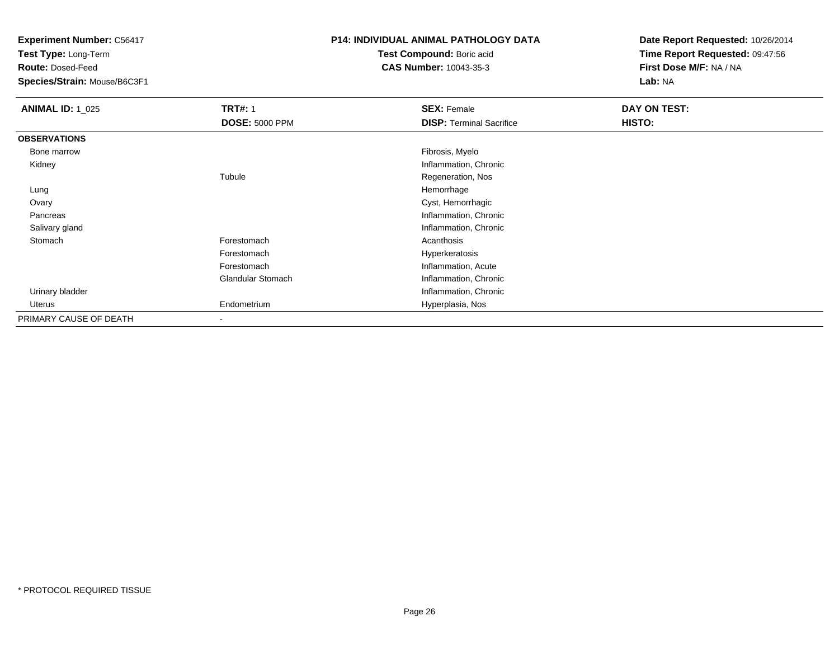**Test Type:** Long-Term

**Route:** Dosed-Feed

**Species/Strain:** Mouse/B6C3F1

### **P14: INDIVIDUAL ANIMAL PATHOLOGY DATA**

**Test Compound:** Boric acid**CAS Number:** 10043-35-3

| <b>ANIMAL ID: 1_025</b> | <b>TRT#: 1</b>           | <b>SEX: Female</b>              | DAY ON TEST: |  |
|-------------------------|--------------------------|---------------------------------|--------------|--|
|                         | <b>DOSE: 5000 PPM</b>    | <b>DISP: Terminal Sacrifice</b> | HISTO:       |  |
| <b>OBSERVATIONS</b>     |                          |                                 |              |  |
| Bone marrow             |                          | Fibrosis, Myelo                 |              |  |
| Kidney                  |                          | Inflammation, Chronic           |              |  |
|                         | Tubule                   | Regeneration, Nos               |              |  |
| Lung                    |                          | Hemorrhage                      |              |  |
| Ovary                   |                          | Cyst, Hemorrhagic               |              |  |
| Pancreas                |                          | Inflammation, Chronic           |              |  |
| Salivary gland          |                          | Inflammation, Chronic           |              |  |
| Stomach                 | Forestomach              | Acanthosis                      |              |  |
|                         | Forestomach              | Hyperkeratosis                  |              |  |
|                         | Forestomach              | Inflammation, Acute             |              |  |
|                         | Glandular Stomach        | Inflammation, Chronic           |              |  |
| Urinary bladder         |                          | Inflammation, Chronic           |              |  |
| Uterus                  | Endometrium              | Hyperplasia, Nos                |              |  |
| PRIMARY CAUSE OF DEATH  | $\overline{\phantom{a}}$ |                                 |              |  |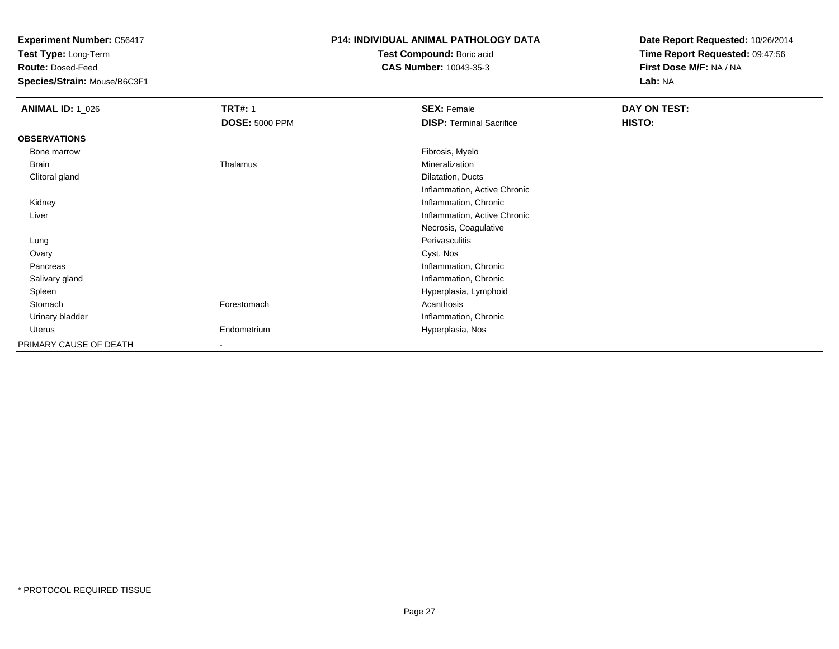**Test Type:** Long-Term

**Route:** Dosed-Feed

**Species/Strain:** Mouse/B6C3F1

### **P14: INDIVIDUAL ANIMAL PATHOLOGY DATA**

**Test Compound:** Boric acid**CAS Number:** 10043-35-3

| <b>ANIMAL ID: 1_026</b> | <b>TRT#: 1</b>           | <b>SEX: Female</b>              | DAY ON TEST: |
|-------------------------|--------------------------|---------------------------------|--------------|
|                         | <b>DOSE: 5000 PPM</b>    | <b>DISP: Terminal Sacrifice</b> | HISTO:       |
| <b>OBSERVATIONS</b>     |                          |                                 |              |
| Bone marrow             |                          | Fibrosis, Myelo                 |              |
| Brain                   | Thalamus                 | Mineralization                  |              |
| Clitoral gland          |                          | Dilatation, Ducts               |              |
|                         |                          | Inflammation, Active Chronic    |              |
| Kidney                  |                          | Inflammation, Chronic           |              |
| Liver                   |                          | Inflammation, Active Chronic    |              |
|                         |                          | Necrosis, Coagulative           |              |
| Lung                    |                          | Perivasculitis                  |              |
| Ovary                   |                          | Cyst, Nos                       |              |
| Pancreas                |                          | Inflammation, Chronic           |              |
| Salivary gland          |                          | Inflammation, Chronic           |              |
| Spleen                  |                          | Hyperplasia, Lymphoid           |              |
| Stomach                 | Forestomach              | Acanthosis                      |              |
| Urinary bladder         |                          | Inflammation, Chronic           |              |
| Uterus                  | Endometrium              | Hyperplasia, Nos                |              |
| PRIMARY CAUSE OF DEATH  | $\overline{\phantom{a}}$ |                                 |              |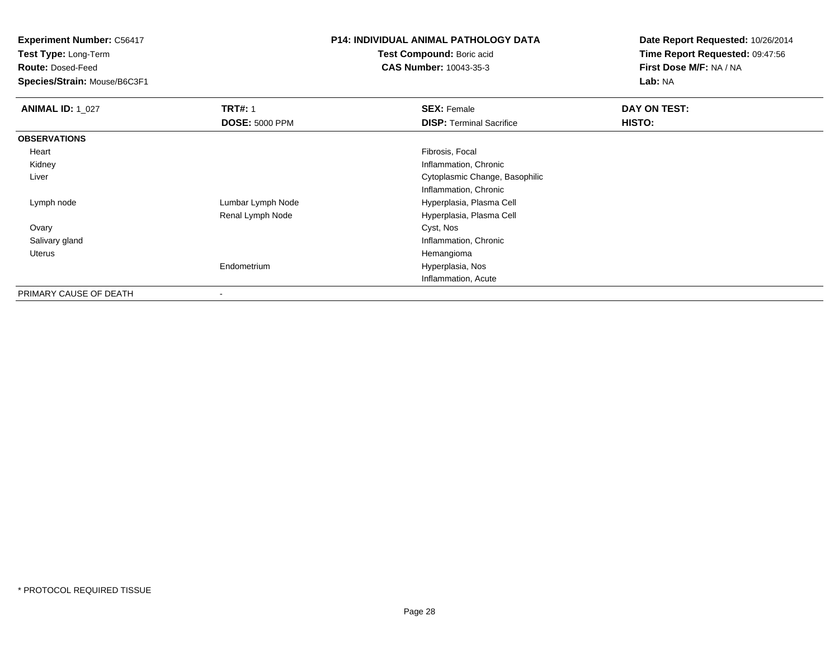**Test Type:** Long-Term

**Route:** Dosed-Feed

**Species/Strain:** Mouse/B6C3F1

## **P14: INDIVIDUAL ANIMAL PATHOLOGY DATA**

**Test Compound:** Boric acid**CAS Number:** 10043-35-3

| <b>ANIMAL ID: 1_027</b> | <b>TRT#: 1</b>        | <b>SEX: Female</b>              | DAY ON TEST: |
|-------------------------|-----------------------|---------------------------------|--------------|
|                         | <b>DOSE: 5000 PPM</b> | <b>DISP: Terminal Sacrifice</b> | HISTO:       |
| <b>OBSERVATIONS</b>     |                       |                                 |              |
| Heart                   |                       | Fibrosis, Focal                 |              |
| Kidney                  |                       | Inflammation, Chronic           |              |
| Liver                   |                       | Cytoplasmic Change, Basophilic  |              |
|                         |                       | Inflammation, Chronic           |              |
| Lymph node              | Lumbar Lymph Node     | Hyperplasia, Plasma Cell        |              |
|                         | Renal Lymph Node      | Hyperplasia, Plasma Cell        |              |
| Ovary                   |                       | Cyst, Nos                       |              |
| Salivary gland          |                       | Inflammation, Chronic           |              |
| Uterus                  |                       | Hemangioma                      |              |
|                         | Endometrium           | Hyperplasia, Nos                |              |
|                         |                       | Inflammation, Acute             |              |
| PRIMARY CAUSE OF DEATH  | $\blacksquare$        |                                 |              |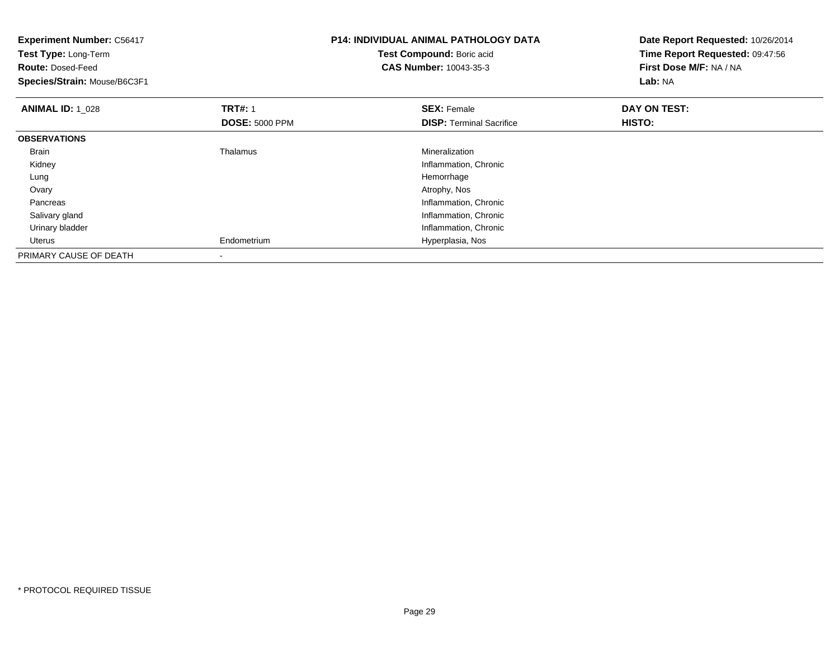| <b>Experiment Number: C56417</b><br>Test Type: Long-Term<br><b>Route: Dosed-Feed</b><br>Species/Strain: Mouse/B6C3F1 |                       | <b>P14: INDIVIDUAL ANIMAL PATHOLOGY DATA</b><br>Test Compound: Boric acid<br><b>CAS Number: 10043-35-3</b> | Date Report Requested: 10/26/2014<br>Time Report Requested: 09:47:56<br>First Dose M/F: NA / NA<br>Lab: NA |  |
|----------------------------------------------------------------------------------------------------------------------|-----------------------|------------------------------------------------------------------------------------------------------------|------------------------------------------------------------------------------------------------------------|--|
| <b>ANIMAL ID: 1 028</b>                                                                                              | <b>TRT#: 1</b>        | <b>SEX: Female</b>                                                                                         | DAY ON TEST:                                                                                               |  |
|                                                                                                                      | <b>DOSE: 5000 PPM</b> | <b>DISP:</b> Terminal Sacrifice                                                                            | <b>HISTO:</b>                                                                                              |  |
| <b>OBSERVATIONS</b>                                                                                                  |                       |                                                                                                            |                                                                                                            |  |
| <b>Brain</b>                                                                                                         | Thalamus              | Mineralization                                                                                             |                                                                                                            |  |
| Kidney                                                                                                               |                       | Inflammation, Chronic                                                                                      |                                                                                                            |  |
| Lung                                                                                                                 |                       | Hemorrhage                                                                                                 |                                                                                                            |  |
| Ovary                                                                                                                |                       | Atrophy, Nos                                                                                               |                                                                                                            |  |
| Pancreas                                                                                                             |                       | Inflammation, Chronic                                                                                      |                                                                                                            |  |
| Salivary gland                                                                                                       |                       | Inflammation, Chronic                                                                                      |                                                                                                            |  |
| Urinary bladder                                                                                                      |                       | Inflammation, Chronic                                                                                      |                                                                                                            |  |
| Uterus                                                                                                               | Endometrium           | Hyperplasia, Nos                                                                                           |                                                                                                            |  |
| PRIMARY CAUSE OF DEATH                                                                                               |                       |                                                                                                            |                                                                                                            |  |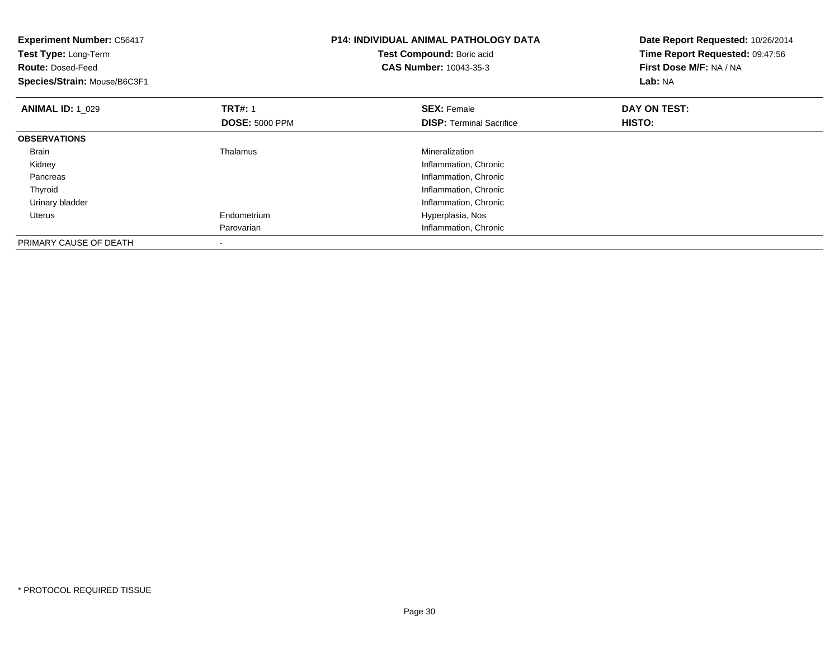| <b>Experiment Number: C56417</b><br>Test Type: Long-Term<br><b>Route: Dosed-Feed</b><br>Species/Strain: Mouse/B6C3F1 |                       | <b>P14: INDIVIDUAL ANIMAL PATHOLOGY DATA</b><br>Test Compound: Boric acid<br>CAS Number: 10043-35-3 | Date Report Requested: 10/26/2014<br>Time Report Requested: 09:47:56<br>First Dose M/F: NA / NA<br>Lab: NA |  |
|----------------------------------------------------------------------------------------------------------------------|-----------------------|-----------------------------------------------------------------------------------------------------|------------------------------------------------------------------------------------------------------------|--|
| <b>ANIMAL ID: 1 029</b>                                                                                              | <b>TRT#: 1</b>        | <b>SEX: Female</b>                                                                                  | DAY ON TEST:                                                                                               |  |
|                                                                                                                      | <b>DOSE: 5000 PPM</b> | <b>DISP:</b> Terminal Sacrifice                                                                     | <b>HISTO:</b>                                                                                              |  |
| <b>OBSERVATIONS</b>                                                                                                  |                       |                                                                                                     |                                                                                                            |  |
| <b>Brain</b>                                                                                                         | Thalamus              | Mineralization                                                                                      |                                                                                                            |  |
| Kidney                                                                                                               |                       | Inflammation, Chronic                                                                               |                                                                                                            |  |
| Pancreas                                                                                                             |                       | Inflammation, Chronic                                                                               |                                                                                                            |  |
| Thyroid                                                                                                              |                       | Inflammation, Chronic                                                                               |                                                                                                            |  |
| Urinary bladder                                                                                                      |                       | Inflammation, Chronic                                                                               |                                                                                                            |  |
| <b>Uterus</b>                                                                                                        | Endometrium           | Hyperplasia, Nos                                                                                    |                                                                                                            |  |
|                                                                                                                      | Parovarian            | Inflammation, Chronic                                                                               |                                                                                                            |  |
| PRIMARY CAUSE OF DEATH                                                                                               |                       |                                                                                                     |                                                                                                            |  |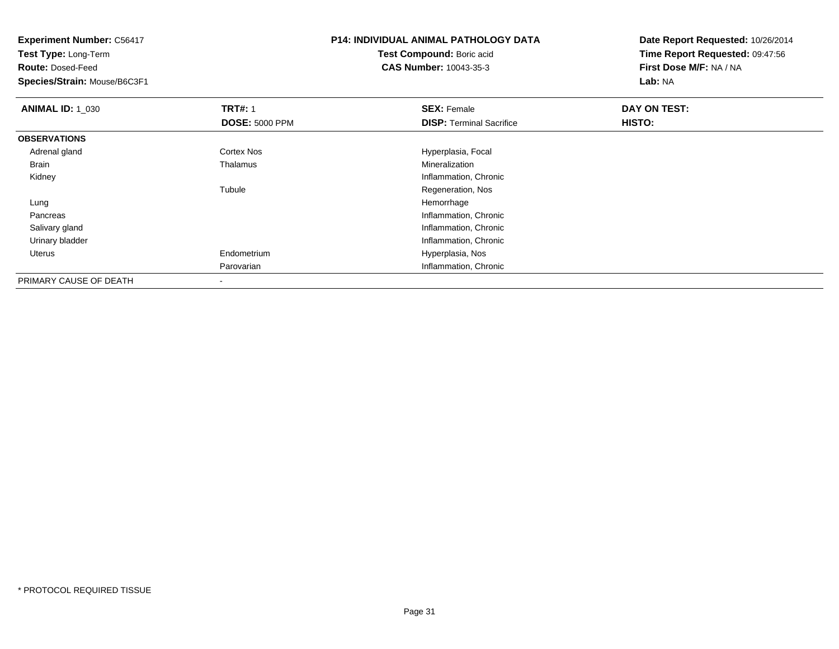**Experiment Number:** C56417**Test Type:** Long-Term**Route:** Dosed-Feed **Species/Strain:** Mouse/B6C3F1**P14: INDIVIDUAL ANIMAL PATHOLOGY DATATest Compound:** Boric acid **CAS Number:** 10043-35-3**Date Report Requested:** 10/26/2014**Time Report Requested:** 09:47:56**First Dose M/F:** NA / NA**Lab:** NA**ANIMAL ID: 1\_030 C TRT#:** 1 **SEX:** Female **DAY ON TEST: DOSE:** 5000 PPM**DISP:** Terminal Sacrifice **HISTO: OBSERVATIONS** Adrenal glandCortex Nos **Exercía Exercía Exercía Exercía Exercía Exercía Exercía Exercía Exercía Exercía Exercía Exercía Exercí<br>
Exercía Exercía Exercía Exercía Exercía Exercía Exercía Exercía Exercía Exercía Exercía Exercía Exercía Ex**  Brain Thalamus Mineralization Kidney Inflammation, Chronic TubuleRegeneration, Nos<br>Hemorrhage Lungg and the state of the state of the state of the state of the state of the state of the state of the state of the state of the state of the state of the state of the state of the state of the state of the state of the stat Pancreas Inflammation, Chronic Salivary gland Inflammation, Chronic Urinary bladder Inflammation, Chronic Uterus Endometrium Hyperplasia, Nos Parovarian Inflammation, Chronic PRIMARY CAUSE OF DEATH-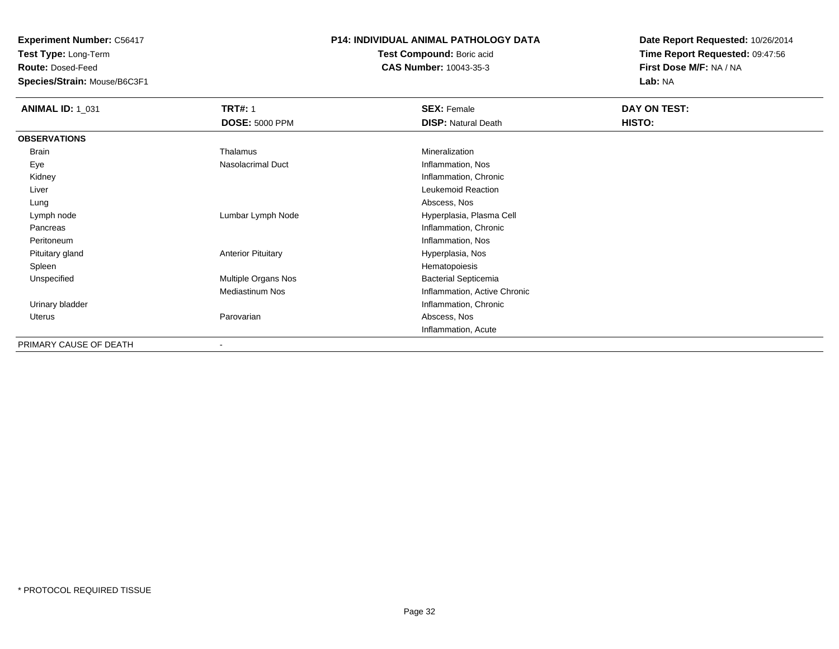**Test Type:** Long-Term

**Route:** Dosed-Feed

**Species/Strain:** Mouse/B6C3F1

### **P14: INDIVIDUAL ANIMAL PATHOLOGY DATA**

**Test Compound:** Boric acid**CAS Number:** 10043-35-3

| <b>ANIMAL ID: 1_031</b> | <b>TRT#: 1</b>            | <b>SEX: Female</b>           | DAY ON TEST: |
|-------------------------|---------------------------|------------------------------|--------------|
|                         | <b>DOSE: 5000 PPM</b>     | <b>DISP: Natural Death</b>   | HISTO:       |
| <b>OBSERVATIONS</b>     |                           |                              |              |
| <b>Brain</b>            | Thalamus                  | Mineralization               |              |
| Eye                     | Nasolacrimal Duct         | Inflammation, Nos            |              |
| Kidney                  |                           | Inflammation, Chronic        |              |
| Liver                   |                           | Leukemoid Reaction           |              |
| Lung                    |                           | Abscess, Nos                 |              |
| Lymph node              | Lumbar Lymph Node         | Hyperplasia, Plasma Cell     |              |
| Pancreas                |                           | Inflammation, Chronic        |              |
| Peritoneum              |                           | Inflammation, Nos            |              |
| Pituitary gland         | <b>Anterior Pituitary</b> | Hyperplasia, Nos             |              |
| Spleen                  |                           | Hematopoiesis                |              |
| Unspecified             | Multiple Organs Nos       | <b>Bacterial Septicemia</b>  |              |
|                         | <b>Mediastinum Nos</b>    | Inflammation, Active Chronic |              |
| Urinary bladder         |                           | Inflammation, Chronic        |              |
| Uterus                  | Parovarian                | Abscess, Nos                 |              |
|                         |                           | Inflammation, Acute          |              |
| PRIMARY CAUSE OF DEATH  |                           |                              |              |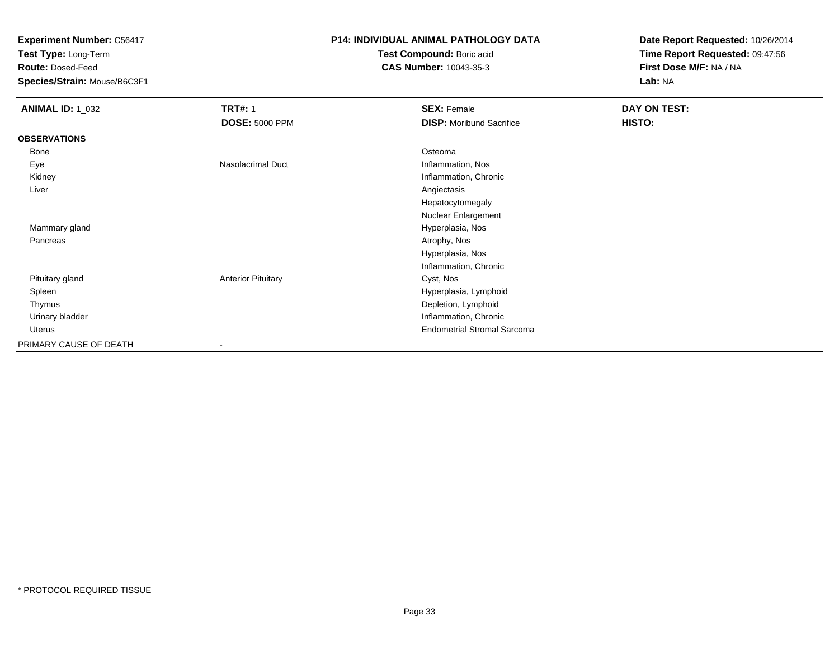**Test Type:** Long-Term

**Route:** Dosed-Feed

**Species/Strain:** Mouse/B6C3F1

### **P14: INDIVIDUAL ANIMAL PATHOLOGY DATA**

**Test Compound:** Boric acid**CAS Number:** 10043-35-3

| <b>ANIMAL ID: 1_032</b> | <b>TRT#: 1</b><br><b>DOSE: 5000 PPM</b> | <b>SEX: Female</b><br><b>DISP:</b> Moribund Sacrifice | DAY ON TEST:<br>HISTO: |
|-------------------------|-----------------------------------------|-------------------------------------------------------|------------------------|
|                         |                                         |                                                       |                        |
| <b>OBSERVATIONS</b>     |                                         |                                                       |                        |
| Bone                    |                                         | Osteoma                                               |                        |
| Eye                     | Nasolacrimal Duct                       | Inflammation, Nos                                     |                        |
| Kidney                  |                                         | Inflammation, Chronic                                 |                        |
| Liver                   |                                         | Angiectasis                                           |                        |
|                         |                                         | Hepatocytomegaly                                      |                        |
|                         |                                         | Nuclear Enlargement                                   |                        |
| Mammary gland           |                                         | Hyperplasia, Nos                                      |                        |
| Pancreas                |                                         | Atrophy, Nos                                          |                        |
|                         |                                         | Hyperplasia, Nos                                      |                        |
|                         |                                         | Inflammation, Chronic                                 |                        |
| Pituitary gland         | <b>Anterior Pituitary</b>               | Cyst, Nos                                             |                        |
| Spleen                  |                                         | Hyperplasia, Lymphoid                                 |                        |
| Thymus                  |                                         | Depletion, Lymphoid                                   |                        |
| Urinary bladder         |                                         | Inflammation, Chronic                                 |                        |
| Uterus                  |                                         | <b>Endometrial Stromal Sarcoma</b>                    |                        |
| PRIMARY CAUSE OF DEATH  | $\overline{\phantom{a}}$                |                                                       |                        |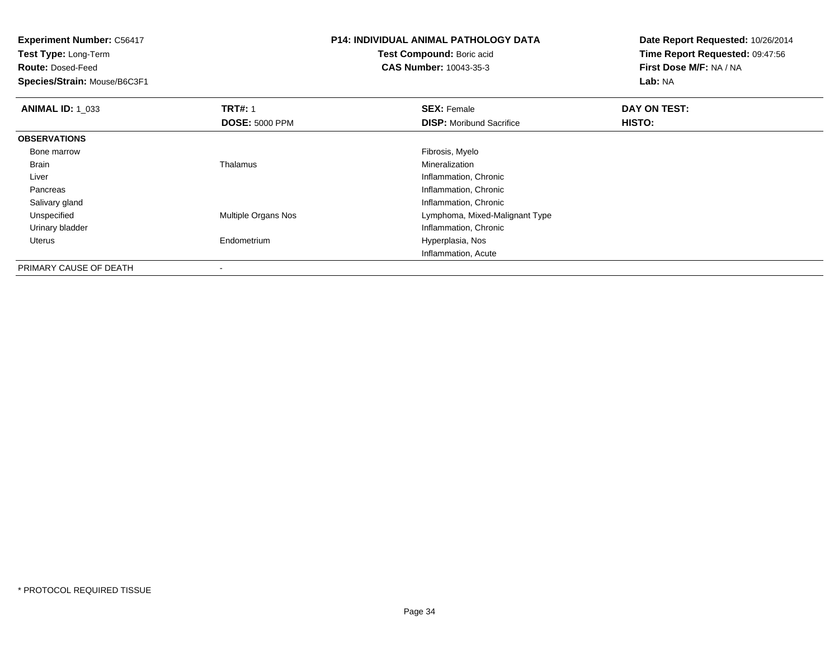**Experiment Number:** C56417**Test Type:** Long-Term**Route:** Dosed-Feed **Species/Strain:** Mouse/B6C3F1**P14: INDIVIDUAL ANIMAL PATHOLOGY DATATest Compound:** Boric acid **CAS Number:** 10043-35-3**Date Report Requested:** 10/26/2014**Time Report Requested:** 09:47:56**First Dose M/F:** NA / NA**Lab:** NA**ANIMAL ID: 1\_033 TRT#:** 1 **SEX:** Female **DAY ON TEST: DOSE:** 5000 PPM**DISP:** Moribund Sacrifice **HISTO: OBSERVATIONS** Bone marroww which is a state of the state of the state of the state of the state of the Fibrosis, Myelo state of the state of the state of the state of the state of the state of the state of the state of the state of the state of th Brain Thalamus Mineralization Liver Inflammation, Chronic**Inflammation, Chronic**  Pancreas Salivary glandInflammation, Chronic<br>Multiple Organs Nos **Example 19** Lymphoma, Mixed-Mal UnspecifiedLymphoma, Mixed-Malignant Type Urinary bladder Inflammation, Chronic Uterus Endometrium Hyperplasia, Nos Inflammation, AcutePRIMARY CAUSE OF DEATH

-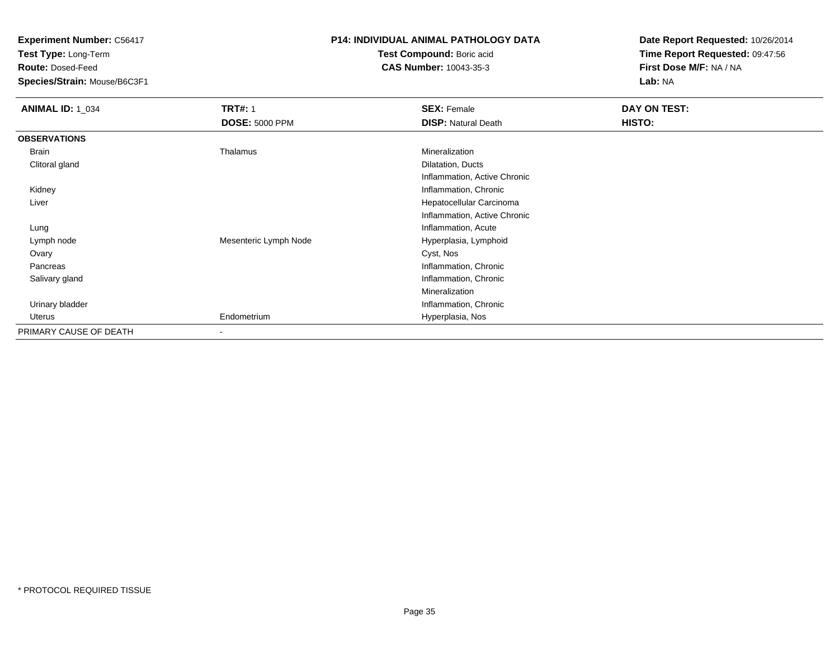**Test Type:** Long-Term

**Route:** Dosed-Feed

**Species/Strain:** Mouse/B6C3F1

## **P14: INDIVIDUAL ANIMAL PATHOLOGY DATA**

**Test Compound:** Boric acid**CAS Number:** 10043-35-3

| <b>ANIMAL ID: 1_034</b> | <b>TRT#: 1</b>           | <b>SEX: Female</b>           | DAY ON TEST: |
|-------------------------|--------------------------|------------------------------|--------------|
|                         | <b>DOSE: 5000 PPM</b>    | <b>DISP: Natural Death</b>   | HISTO:       |
| <b>OBSERVATIONS</b>     |                          |                              |              |
| Brain                   | Thalamus                 | Mineralization               |              |
| Clitoral gland          |                          | Dilatation, Ducts            |              |
|                         |                          | Inflammation, Active Chronic |              |
| Kidney                  |                          | Inflammation, Chronic        |              |
| Liver                   |                          | Hepatocellular Carcinoma     |              |
|                         |                          | Inflammation, Active Chronic |              |
| Lung                    |                          | Inflammation, Acute          |              |
| Lymph node              | Mesenteric Lymph Node    | Hyperplasia, Lymphoid        |              |
| Ovary                   |                          | Cyst, Nos                    |              |
| Pancreas                |                          | Inflammation, Chronic        |              |
| Salivary gland          |                          | Inflammation, Chronic        |              |
|                         |                          | Mineralization               |              |
| Urinary bladder         |                          | Inflammation, Chronic        |              |
| Uterus                  | Endometrium              | Hyperplasia, Nos             |              |
| PRIMARY CAUSE OF DEATH  | $\overline{\phantom{a}}$ |                              |              |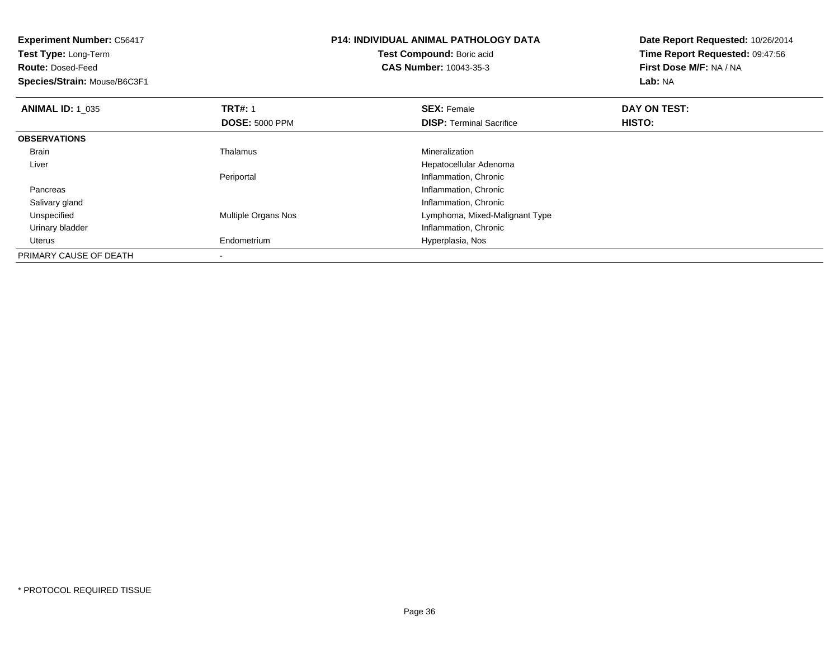| <b>Experiment Number: C56417</b><br>Test Type: Long-Term<br><b>Route: Dosed-Feed</b><br>Species/Strain: Mouse/B6C3F1 |                            | <b>P14: INDIVIDUAL ANIMAL PATHOLOGY DATA</b><br>Test Compound: Boric acid<br><b>CAS Number: 10043-35-3</b> | Date Report Requested: 10/26/2014<br>Time Report Requested: 09:47:56<br>First Dose M/F: NA / NA<br>Lab: NA |  |
|----------------------------------------------------------------------------------------------------------------------|----------------------------|------------------------------------------------------------------------------------------------------------|------------------------------------------------------------------------------------------------------------|--|
| <b>ANIMAL ID: 1 035</b>                                                                                              | <b>TRT#: 1</b>             | <b>SEX: Female</b>                                                                                         | DAY ON TEST:                                                                                               |  |
|                                                                                                                      | <b>DOSE: 5000 PPM</b>      | <b>DISP: Terminal Sacrifice</b>                                                                            | HISTO:                                                                                                     |  |
| <b>OBSERVATIONS</b>                                                                                                  |                            |                                                                                                            |                                                                                                            |  |
| <b>Brain</b>                                                                                                         | Thalamus                   | <b>Mineralization</b>                                                                                      |                                                                                                            |  |
| Liver                                                                                                                |                            | Hepatocellular Adenoma                                                                                     |                                                                                                            |  |
|                                                                                                                      | Periportal                 | Inflammation, Chronic                                                                                      |                                                                                                            |  |
| Pancreas                                                                                                             |                            | Inflammation, Chronic                                                                                      |                                                                                                            |  |
| Salivary gland                                                                                                       |                            | Inflammation, Chronic                                                                                      |                                                                                                            |  |
| Unspecified                                                                                                          | <b>Multiple Organs Nos</b> | Lymphoma, Mixed-Malignant Type                                                                             |                                                                                                            |  |
| Urinary bladder                                                                                                      |                            | Inflammation, Chronic                                                                                      |                                                                                                            |  |
| Uterus                                                                                                               | Endometrium                | Hyperplasia, Nos                                                                                           |                                                                                                            |  |
| PRIMARY CAUSE OF DEATH                                                                                               |                            |                                                                                                            |                                                                                                            |  |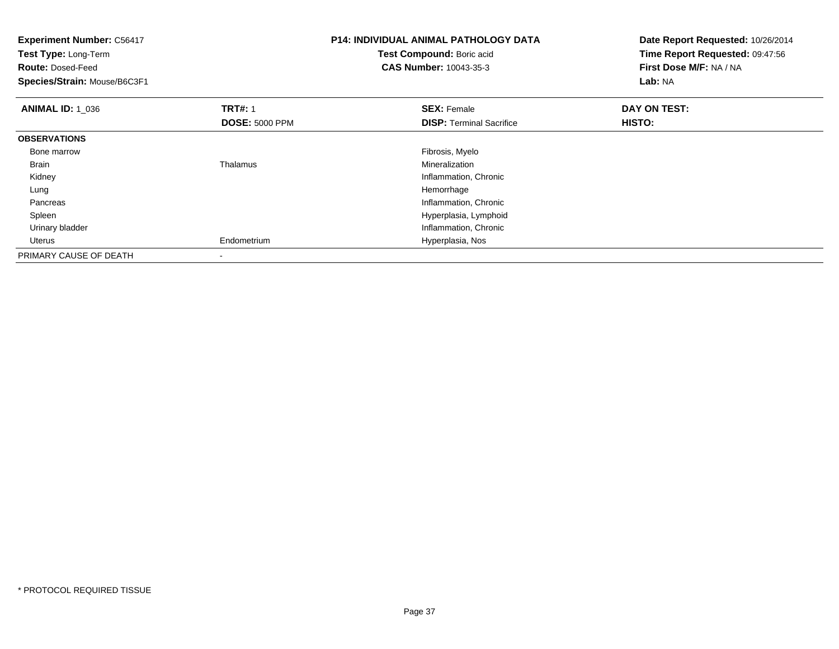| <b>Experiment Number: C56417</b><br>Test Type: Long-Term<br><b>Route: Dosed-Feed</b><br>Species/Strain: Mouse/B6C3F1 |                       | <b>P14: INDIVIDUAL ANIMAL PATHOLOGY DATA</b><br>Test Compound: Boric acid<br><b>CAS Number: 10043-35-3</b> | Date Report Requested: 10/26/2014<br>Time Report Requested: 09:47:56<br>First Dose M/F: NA / NA<br>Lab: NA |
|----------------------------------------------------------------------------------------------------------------------|-----------------------|------------------------------------------------------------------------------------------------------------|------------------------------------------------------------------------------------------------------------|
| <b>ANIMAL ID: 1 036</b>                                                                                              | <b>TRT#: 1</b>        | <b>SEX: Female</b>                                                                                         | DAY ON TEST:                                                                                               |
|                                                                                                                      | <b>DOSE: 5000 PPM</b> | <b>DISP: Terminal Sacrifice</b>                                                                            | HISTO:                                                                                                     |
| <b>OBSERVATIONS</b>                                                                                                  |                       |                                                                                                            |                                                                                                            |
| Bone marrow                                                                                                          |                       | Fibrosis, Myelo                                                                                            |                                                                                                            |
| Brain                                                                                                                | Thalamus              | Mineralization                                                                                             |                                                                                                            |
| Kidney                                                                                                               |                       | Inflammation, Chronic                                                                                      |                                                                                                            |
| Lung                                                                                                                 |                       | Hemorrhage                                                                                                 |                                                                                                            |
| Pancreas                                                                                                             |                       | Inflammation, Chronic                                                                                      |                                                                                                            |
| Spleen                                                                                                               |                       | Hyperplasia, Lymphoid                                                                                      |                                                                                                            |
| Urinary bladder                                                                                                      |                       | Inflammation, Chronic                                                                                      |                                                                                                            |
| Uterus                                                                                                               | Endometrium           | Hyperplasia, Nos                                                                                           |                                                                                                            |
| PRIMARY CAUSE OF DEATH                                                                                               |                       |                                                                                                            |                                                                                                            |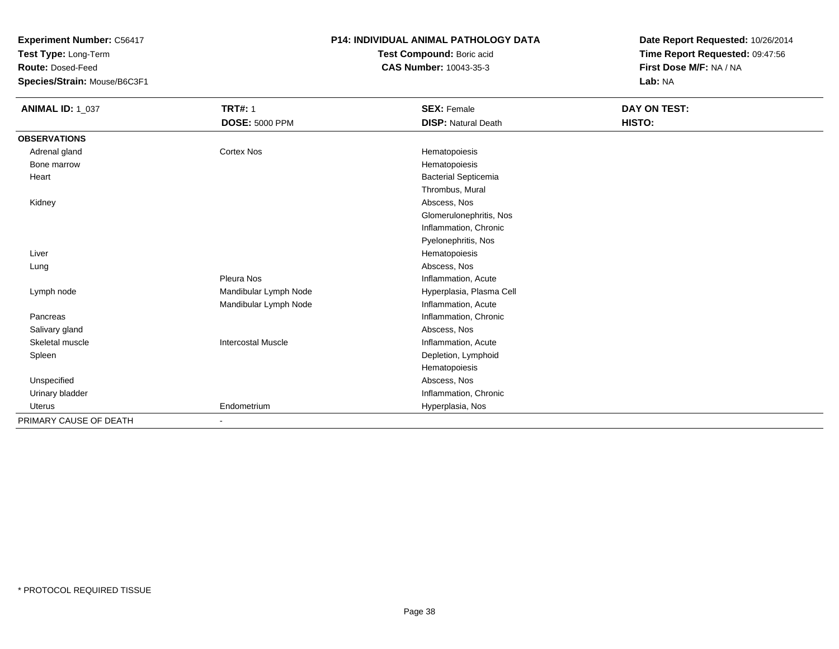**Test Type:** Long-Term

**Route:** Dosed-Feed

**Species/Strain:** Mouse/B6C3F1

#### **P14: INDIVIDUAL ANIMAL PATHOLOGY DATA**

**Test Compound:** Boric acid**CAS Number:** 10043-35-3

| <b>ANIMAL ID: 1_037</b> | <b>TRT#: 1</b>            | <b>SEX: Female</b>          | DAY ON TEST: |
|-------------------------|---------------------------|-----------------------------|--------------|
|                         | <b>DOSE: 5000 PPM</b>     | <b>DISP: Natural Death</b>  | HISTO:       |
| <b>OBSERVATIONS</b>     |                           |                             |              |
| Adrenal gland           | <b>Cortex Nos</b>         | Hematopoiesis               |              |
| Bone marrow             |                           | Hematopoiesis               |              |
| Heart                   |                           | <b>Bacterial Septicemia</b> |              |
|                         |                           | Thrombus, Mural             |              |
| Kidney                  |                           | Abscess, Nos                |              |
|                         |                           | Glomerulonephritis, Nos     |              |
|                         |                           | Inflammation, Chronic       |              |
|                         |                           | Pyelonephritis, Nos         |              |
| Liver                   |                           | Hematopoiesis               |              |
| Lung                    |                           | Abscess, Nos                |              |
|                         | Pleura Nos                | Inflammation, Acute         |              |
| Lymph node              | Mandibular Lymph Node     | Hyperplasia, Plasma Cell    |              |
|                         | Mandibular Lymph Node     | Inflammation, Acute         |              |
| Pancreas                |                           | Inflammation, Chronic       |              |
| Salivary gland          |                           | Abscess, Nos                |              |
| Skeletal muscle         | <b>Intercostal Muscle</b> | Inflammation, Acute         |              |
| Spleen                  |                           | Depletion, Lymphoid         |              |
|                         |                           | Hematopoiesis               |              |
| Unspecified             |                           | Abscess, Nos                |              |
| Urinary bladder         |                           | Inflammation, Chronic       |              |
| <b>Uterus</b>           | Endometrium               | Hyperplasia, Nos            |              |
| PRIMARY CAUSE OF DEATH  |                           |                             |              |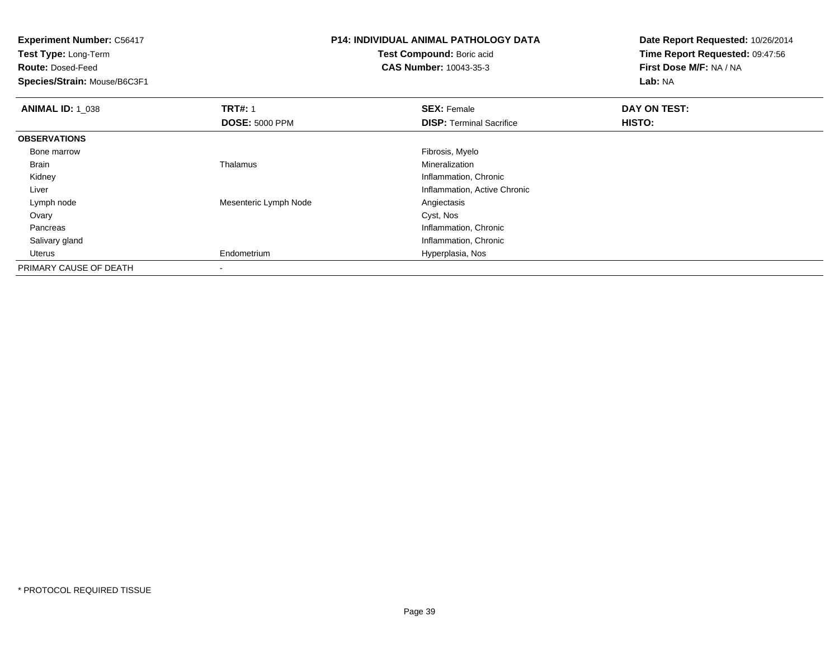**Test Type:** Long-Term

**Route:** Dosed-Feed

**Species/Strain:** Mouse/B6C3F1

# **P14: INDIVIDUAL ANIMAL PATHOLOGY DATA**

**Test Compound:** Boric acid**CAS Number:** 10043-35-3

| <b>ANIMAL ID: 1 038</b> | <b>TRT#: 1</b>        | <b>SEX: Female</b>              | DAY ON TEST: |  |
|-------------------------|-----------------------|---------------------------------|--------------|--|
|                         | <b>DOSE: 5000 PPM</b> | <b>DISP: Terminal Sacrifice</b> | HISTO:       |  |
| <b>OBSERVATIONS</b>     |                       |                                 |              |  |
| Bone marrow             |                       | Fibrosis, Myelo                 |              |  |
| Brain                   | Thalamus              | Mineralization                  |              |  |
| Kidney                  |                       | Inflammation, Chronic           |              |  |
| Liver                   |                       | Inflammation, Active Chronic    |              |  |
| Lymph node              | Mesenteric Lymph Node | Angiectasis                     |              |  |
| Ovary                   |                       | Cyst, Nos                       |              |  |
| Pancreas                |                       | Inflammation, Chronic           |              |  |
| Salivary gland          |                       | Inflammation, Chronic           |              |  |
| Uterus                  | Endometrium           | Hyperplasia, Nos                |              |  |
| PRIMARY CAUSE OF DEATH  |                       |                                 |              |  |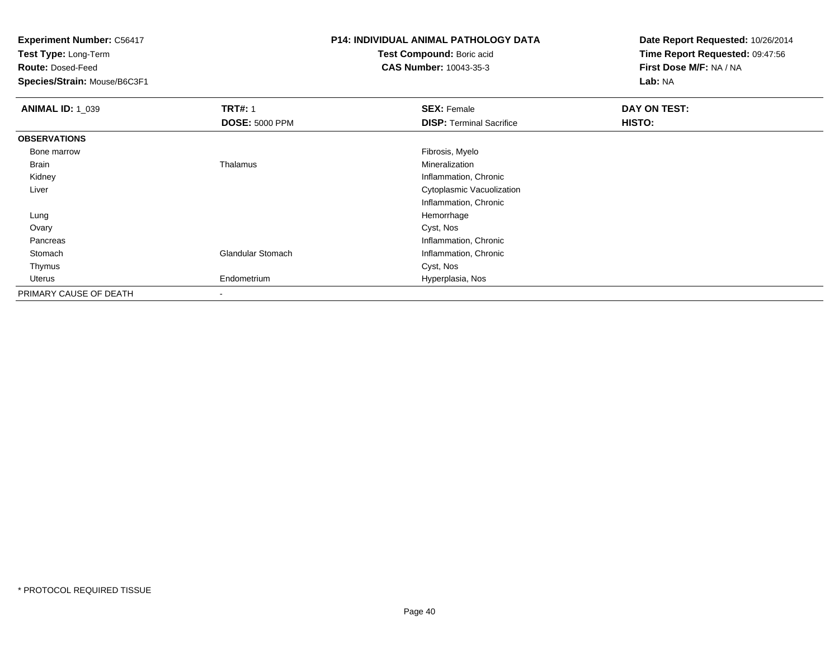**Test Type:** Long-Term

**Route:** Dosed-Feed

**Species/Strain:** Mouse/B6C3F1

# **P14: INDIVIDUAL ANIMAL PATHOLOGY DATA**

**Test Compound:** Boric acid**CAS Number:** 10043-35-3

| <b>ANIMAL ID: 1_039</b> | <b>TRT#: 1</b>           | <b>SEX: Female</b>              | DAY ON TEST: |  |
|-------------------------|--------------------------|---------------------------------|--------------|--|
|                         | <b>DOSE: 5000 PPM</b>    | <b>DISP: Terminal Sacrifice</b> | HISTO:       |  |
| <b>OBSERVATIONS</b>     |                          |                                 |              |  |
| Bone marrow             |                          | Fibrosis, Myelo                 |              |  |
| Brain                   | Thalamus                 | Mineralization                  |              |  |
| Kidney                  |                          | Inflammation, Chronic           |              |  |
| Liver                   |                          | Cytoplasmic Vacuolization       |              |  |
|                         |                          | Inflammation, Chronic           |              |  |
| Lung                    |                          | Hemorrhage                      |              |  |
| Ovary                   |                          | Cyst, Nos                       |              |  |
| Pancreas                |                          | Inflammation, Chronic           |              |  |
| Stomach                 | <b>Glandular Stomach</b> | Inflammation, Chronic           |              |  |
| Thymus                  |                          | Cyst, Nos                       |              |  |
| Uterus                  | Endometrium              | Hyperplasia, Nos                |              |  |
| PRIMARY CAUSE OF DEATH  |                          |                                 |              |  |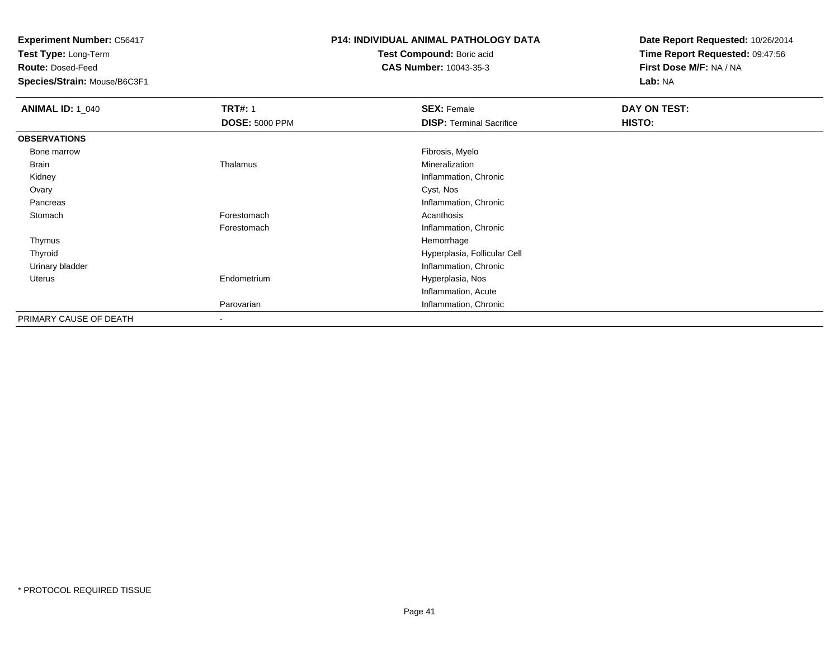**Test Type:** Long-Term

**Route:** Dosed-Feed

**Species/Strain:** Mouse/B6C3F1

### **P14: INDIVIDUAL ANIMAL PATHOLOGY DATA**

**Test Compound:** Boric acid**CAS Number:** 10043-35-3

| <b>ANIMAL ID: 1_040</b> | <b>TRT#: 1</b>        | <b>SEX: Female</b>              | DAY ON TEST: |  |
|-------------------------|-----------------------|---------------------------------|--------------|--|
|                         | <b>DOSE: 5000 PPM</b> | <b>DISP: Terminal Sacrifice</b> | HISTO:       |  |
| <b>OBSERVATIONS</b>     |                       |                                 |              |  |
| Bone marrow             |                       | Fibrosis, Myelo                 |              |  |
| Brain                   | Thalamus              | Mineralization                  |              |  |
| Kidney                  |                       | Inflammation, Chronic           |              |  |
| Ovary                   |                       | Cyst, Nos                       |              |  |
| Pancreas                |                       | Inflammation, Chronic           |              |  |
| Stomach                 | Forestomach           | Acanthosis                      |              |  |
|                         | Forestomach           | Inflammation, Chronic           |              |  |
| Thymus                  |                       | Hemorrhage                      |              |  |
| Thyroid                 |                       | Hyperplasia, Follicular Cell    |              |  |
| Urinary bladder         |                       | Inflammation, Chronic           |              |  |
| Uterus                  | Endometrium           | Hyperplasia, Nos                |              |  |
|                         |                       | Inflammation, Acute             |              |  |
|                         | Parovarian            | Inflammation, Chronic           |              |  |
| PRIMARY CAUSE OF DEATH  | $\sim$                |                                 |              |  |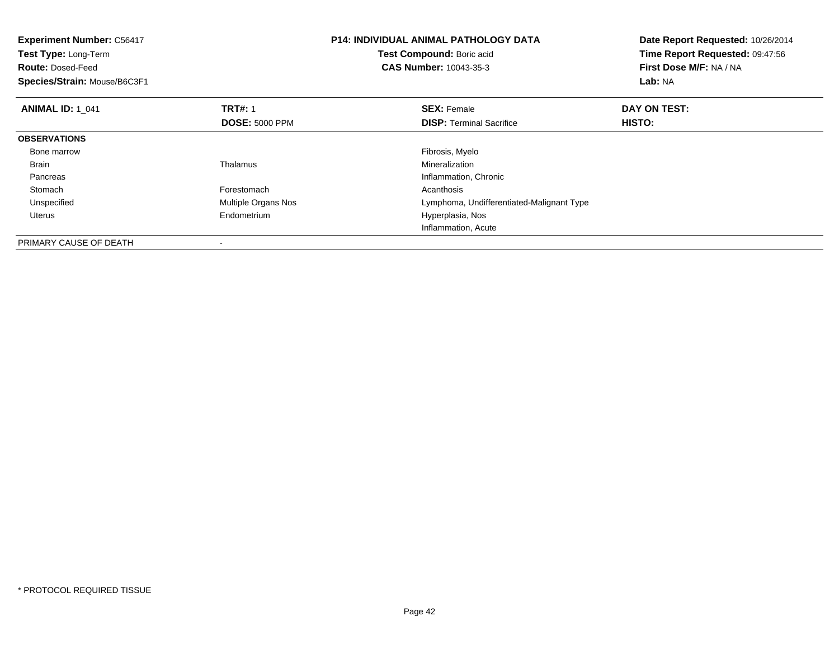| <b>Experiment Number: C56417</b><br>Test Type: Long-Term<br><b>Route: Dosed-Feed</b><br>Species/Strain: Mouse/B6C3F1 |                       | <b>P14: INDIVIDUAL ANIMAL PATHOLOGY DATA</b><br>Test Compound: Boric acid<br><b>CAS Number: 10043-35-3</b> | Date Report Requested: 10/26/2014<br>Time Report Requested: 09:47:56<br>First Dose M/F: NA / NA<br>Lab: NA |
|----------------------------------------------------------------------------------------------------------------------|-----------------------|------------------------------------------------------------------------------------------------------------|------------------------------------------------------------------------------------------------------------|
| <b>ANIMAL ID: 1 041</b>                                                                                              | <b>TRT#: 1</b>        | <b>SEX: Female</b>                                                                                         | DAY ON TEST:                                                                                               |
|                                                                                                                      | <b>DOSE: 5000 PPM</b> | <b>DISP:</b> Terminal Sacrifice                                                                            | HISTO:                                                                                                     |
| <b>OBSERVATIONS</b>                                                                                                  |                       |                                                                                                            |                                                                                                            |
| Bone marrow                                                                                                          |                       | Fibrosis, Myelo                                                                                            |                                                                                                            |
| Brain                                                                                                                | Thalamus              | Mineralization                                                                                             |                                                                                                            |
| Pancreas                                                                                                             |                       | Inflammation, Chronic                                                                                      |                                                                                                            |
| Stomach                                                                                                              | Forestomach           | Acanthosis                                                                                                 |                                                                                                            |
| Unspecified                                                                                                          | Multiple Organs Nos   | Lymphoma, Undifferentiated-Malignant Type                                                                  |                                                                                                            |
| Uterus                                                                                                               | Endometrium           | Hyperplasia, Nos                                                                                           |                                                                                                            |
|                                                                                                                      |                       | Inflammation, Acute                                                                                        |                                                                                                            |
| PRIMARY CAUSE OF DEATH                                                                                               |                       |                                                                                                            |                                                                                                            |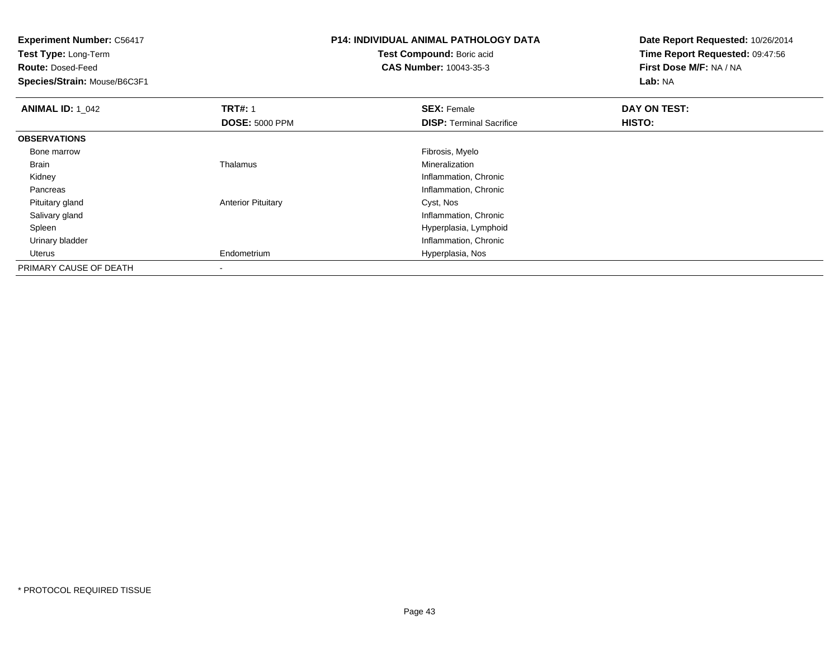**Experiment Number:** C56417**Test Type:** Long-Term**Route:** Dosed-Feed **Species/Strain:** Mouse/B6C3F1**P14: INDIVIDUAL ANIMAL PATHOLOGY DATATest Compound:** Boric acid **CAS Number:** 10043-35-3**Date Report Requested:** 10/26/2014**Time Report Requested:** 09:47:56**First Dose M/F:** NA / NA**Lab:** NA**ANIMAL ID: 1\_042 TRT#:** 1 **SEX:** Female **DAY ON TEST: DOSE:** 5000 PPM**DISP:** Terminal Sacrifice **HISTO: OBSERVATIONS** Bone marroww which is a state of the state of the state of the state of the state of the Fibrosis, Myelo state of the state of the state of the state of the state of the state of the state of the state of the state of the state of th Brain Thalamus Mineralization Kidney Inflammation, Chronic Pancreas Inflammation, Chronic Pituitary glandAnterior Pituitary **Cyst, Nos**  Salivary gland Inflammation, Chronic Spleen Hyperplasia, Lymphoid Urinary bladder Inflammation, Chronic Uterus Endometrium Hyperplasia, Nos PRIMARY CAUSE OF DEATH-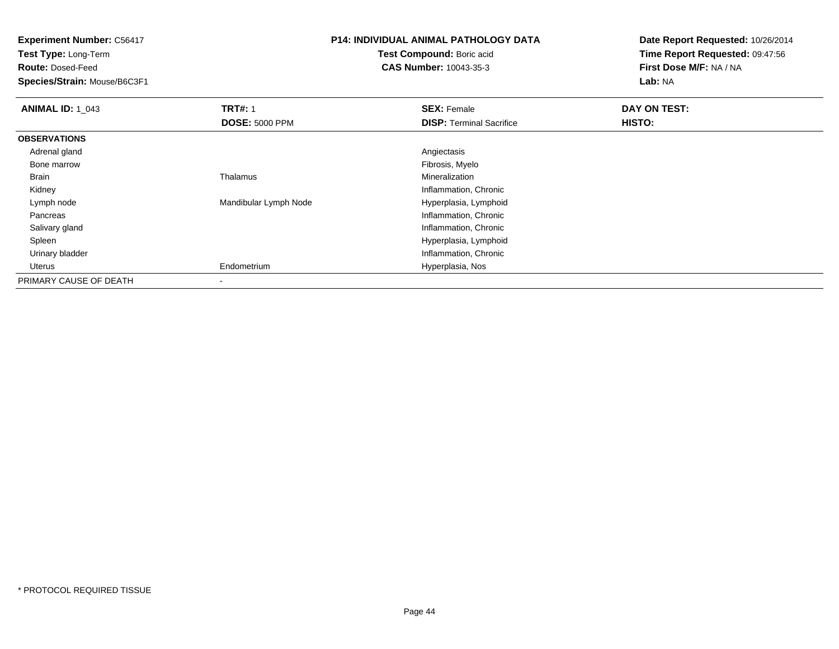**Experiment Number:** C56417**Test Type:** Long-Term**Route:** Dosed-Feed **Species/Strain:** Mouse/B6C3F1**P14: INDIVIDUAL ANIMAL PATHOLOGY DATATest Compound:** Boric acid **CAS Number:** 10043-35-3**Date Report Requested:** 10/26/2014**Time Report Requested:** 09:47:56**First Dose M/F:** NA / NA**Lab:** NA**ANIMAL ID: 1\_043 TRT#:** 1 **SEX:** Female **DAY ON TEST: DOSE:** 5000 PPM**DISP:** Terminal Sacrifice **HISTO: OBSERVATIONS** Adrenal glandd and the contract of the contract of the contract of the contract of the contract of the contract of the contract of the contract of the contract of the contract of the contract of the contract of the contract of the cont Bone marroww which is a state of the state of the state of the state of the state of the Fibrosis, Myelo state of the state of the state of the state of the state of the state of the state of the state of the state of the state of th Brain Thalamus Mineralization Kidney Inflammation, Chronic Lymph nodeMandibular Lymph Node **Hyperplasia, Lymphoid**  Pancreas Inflammation, Chronic Salivary gland Inflammation, Chronic Spleen Hyperplasia, Lymphoid Urinary bladder Inflammation, Chronic Uterus Endometrium Hyperplasia, Nos PRIMARY CAUSE OF DEATH-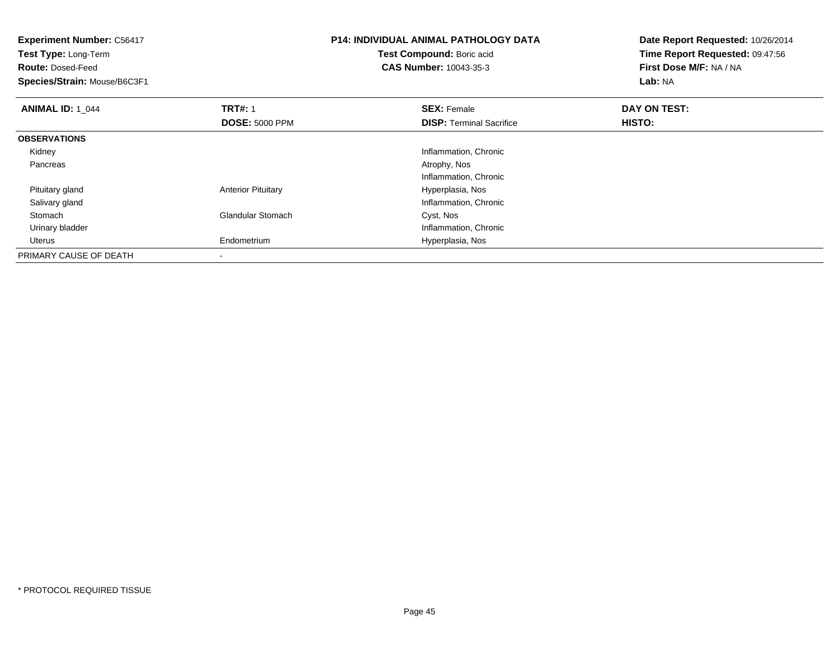| <b>Experiment Number: C56417</b><br>Test Type: Long-Term |                           | <b>P14: INDIVIDUAL ANIMAL PATHOLOGY DATA</b> | Date Report Requested: 10/26/2014 |
|----------------------------------------------------------|---------------------------|----------------------------------------------|-----------------------------------|
|                                                          |                           | Test Compound: Boric acid                    | Time Report Requested: 09:47:56   |
| <b>Route: Dosed-Feed</b>                                 |                           | <b>CAS Number: 10043-35-3</b>                | First Dose M/F: NA / NA           |
| Species/Strain: Mouse/B6C3F1                             |                           |                                              | Lab: NA                           |
| <b>ANIMAL ID: 1_044</b>                                  | <b>TRT#: 1</b>            | <b>SEX: Female</b>                           | DAY ON TEST:                      |
|                                                          | <b>DOSE: 5000 PPM</b>     | <b>DISP:</b> Terminal Sacrifice              | HISTO:                            |
| <b>OBSERVATIONS</b>                                      |                           |                                              |                                   |
| Kidney                                                   |                           | Inflammation, Chronic                        |                                   |
| Pancreas                                                 |                           | Atrophy, Nos                                 |                                   |
|                                                          |                           | Inflammation, Chronic                        |                                   |
| Pituitary gland                                          | <b>Anterior Pituitary</b> | Hyperplasia, Nos                             |                                   |
| Salivary gland                                           |                           | Inflammation, Chronic                        |                                   |
| Stomach                                                  | <b>Glandular Stomach</b>  | Cyst, Nos                                    |                                   |
| Urinary bladder                                          |                           | Inflammation, Chronic                        |                                   |
| Uterus                                                   | Endometrium               | Hyperplasia, Nos                             |                                   |
| PRIMARY CAUSE OF DEATH                                   |                           |                                              |                                   |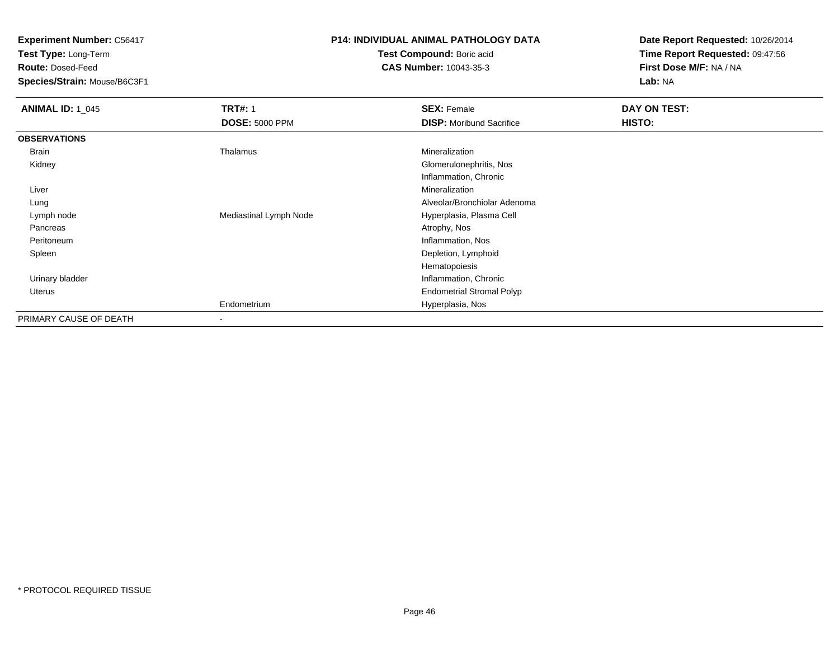**Test Type:** Long-Term

**Route:** Dosed-Feed

**Species/Strain:** Mouse/B6C3F1

### **P14: INDIVIDUAL ANIMAL PATHOLOGY DATA**

**Test Compound:** Boric acid**CAS Number:** 10043-35-3

| <b>ANIMAL ID: 1_045</b> | <b>TRT#: 1</b>         | <b>SEX: Female</b>               | DAY ON TEST: |  |
|-------------------------|------------------------|----------------------------------|--------------|--|
|                         | <b>DOSE: 5000 PPM</b>  | <b>DISP:</b> Moribund Sacrifice  | HISTO:       |  |
| <b>OBSERVATIONS</b>     |                        |                                  |              |  |
| Brain                   | Thalamus               | Mineralization                   |              |  |
| Kidney                  |                        | Glomerulonephritis, Nos          |              |  |
|                         |                        | Inflammation, Chronic            |              |  |
| Liver                   |                        | Mineralization                   |              |  |
| Lung                    |                        | Alveolar/Bronchiolar Adenoma     |              |  |
| Lymph node              | Mediastinal Lymph Node | Hyperplasia, Plasma Cell         |              |  |
| Pancreas                |                        | Atrophy, Nos                     |              |  |
| Peritoneum              |                        | Inflammation, Nos                |              |  |
| Spleen                  |                        | Depletion, Lymphoid              |              |  |
|                         |                        | Hematopoiesis                    |              |  |
| Urinary bladder         |                        | Inflammation, Chronic            |              |  |
| Uterus                  |                        | <b>Endometrial Stromal Polyp</b> |              |  |
|                         | Endometrium            | Hyperplasia, Nos                 |              |  |
| PRIMARY CAUSE OF DEATH  |                        |                                  |              |  |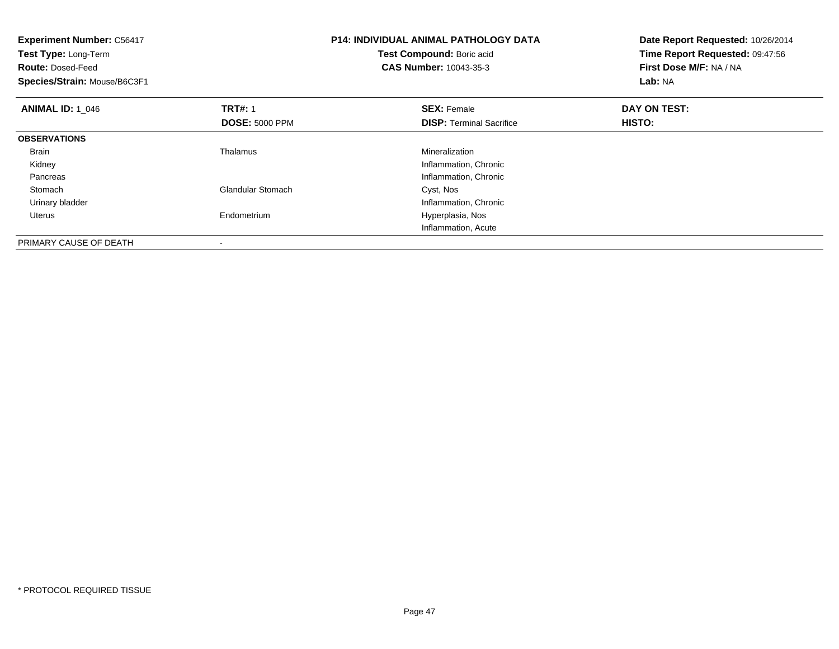| <b>Experiment Number: C56417</b><br>Test Type: Long-Term<br><b>Route: Dosed-Feed</b><br>Species/Strain: Mouse/B6C3F1 |                                                     | <b>P14: INDIVIDUAL ANIMAL PATHOLOGY DATA</b><br>Test Compound: Boric acid<br><b>CAS Number: 10043-35-3</b>                                        | Date Report Requested: 10/26/2014<br>Time Report Requested: 09:47:56<br>First Dose M/F: NA / NA<br><b>Lab: NA</b> |
|----------------------------------------------------------------------------------------------------------------------|-----------------------------------------------------|---------------------------------------------------------------------------------------------------------------------------------------------------|-------------------------------------------------------------------------------------------------------------------|
| <b>ANIMAL ID: 1 046</b>                                                                                              | <b>TRT#: 1</b><br><b>DOSE: 5000 PPM</b>             | <b>SEX: Female</b><br><b>DISP:</b> Terminal Sacrifice                                                                                             | DAY ON TEST:<br>HISTO:                                                                                            |
| <b>OBSERVATIONS</b>                                                                                                  |                                                     |                                                                                                                                                   |                                                                                                                   |
| <b>Brain</b><br>Kidney<br>Pancreas<br>Stomach<br>Urinary bladder<br>Uterus                                           | Thalamus<br><b>Glandular Stomach</b><br>Endometrium | Mineralization<br>Inflammation, Chronic<br>Inflammation, Chronic<br>Cyst, Nos<br>Inflammation, Chronic<br>Hyperplasia, Nos<br>Inflammation, Acute |                                                                                                                   |
| PRIMARY CAUSE OF DEATH                                                                                               |                                                     |                                                                                                                                                   |                                                                                                                   |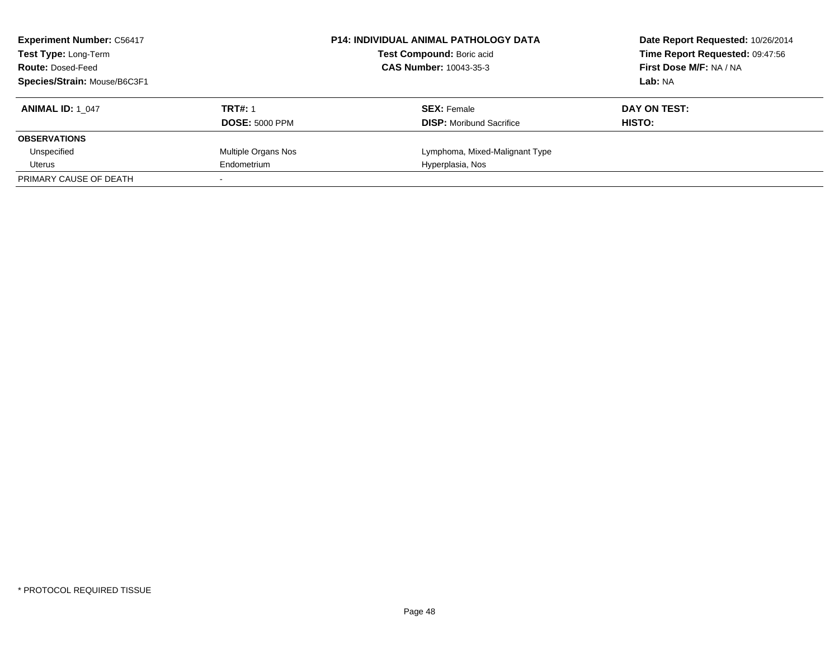| <b>Experiment Number: C56417</b><br>Test Type: Long-Term<br><b>Route: Dosed-Feed</b> |                       | <b>P14: INDIVIDUAL ANIMAL PATHOLOGY DATA</b><br>Test Compound: Boric acid<br><b>CAS Number: 10043-35-3</b> | Date Report Requested: 10/26/2014<br>Time Report Requested: 09:47:56<br>First Dose M/F: NA / NA |
|--------------------------------------------------------------------------------------|-----------------------|------------------------------------------------------------------------------------------------------------|-------------------------------------------------------------------------------------------------|
| Species/Strain: Mouse/B6C3F1                                                         |                       |                                                                                                            | Lab: NA                                                                                         |
| <b>ANIMAL ID: 1 047</b>                                                              | <b>TRT#: 1</b>        | <b>SEX: Female</b>                                                                                         | DAY ON TEST:                                                                                    |
|                                                                                      | <b>DOSE: 5000 PPM</b> | <b>DISP:</b> Moribund Sacrifice                                                                            | HISTO:                                                                                          |
| <b>OBSERVATIONS</b>                                                                  |                       |                                                                                                            |                                                                                                 |
| Unspecified                                                                          | Multiple Organs Nos   | Lymphoma, Mixed-Malignant Type                                                                             |                                                                                                 |
| Uterus                                                                               | Endometrium           | Hyperplasia, Nos                                                                                           |                                                                                                 |
| PRIMARY CAUSE OF DEATH                                                               |                       |                                                                                                            |                                                                                                 |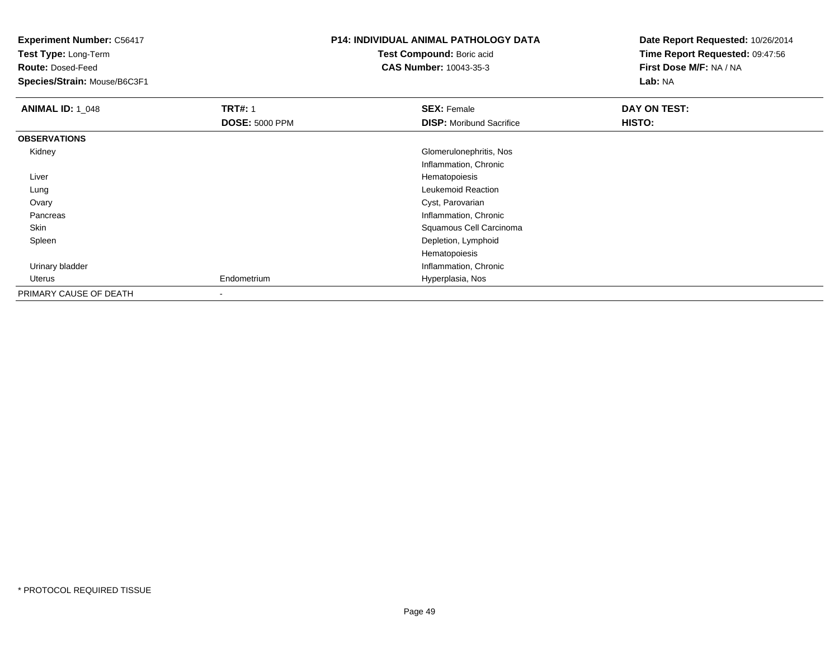**Test Type:** Long-Term

**Route:** Dosed-Feed

**Species/Strain:** Mouse/B6C3F1

### **P14: INDIVIDUAL ANIMAL PATHOLOGY DATA**

**Test Compound:** Boric acid**CAS Number:** 10043-35-3

| <b>ANIMAL ID: 1_048</b> | <b>TRT#: 1</b>        | <b>SEX: Female</b>              | DAY ON TEST: |  |
|-------------------------|-----------------------|---------------------------------|--------------|--|
|                         | <b>DOSE: 5000 PPM</b> | <b>DISP:</b> Moribund Sacrifice | HISTO:       |  |
| <b>OBSERVATIONS</b>     |                       |                                 |              |  |
| Kidney                  |                       | Glomerulonephritis, Nos         |              |  |
|                         |                       | Inflammation, Chronic           |              |  |
| Liver                   |                       | Hematopoiesis                   |              |  |
| Lung                    |                       | Leukemoid Reaction              |              |  |
| Ovary                   |                       | Cyst, Parovarian                |              |  |
| Pancreas                |                       | Inflammation, Chronic           |              |  |
| Skin                    |                       | Squamous Cell Carcinoma         |              |  |
| Spleen                  |                       | Depletion, Lymphoid             |              |  |
|                         |                       | Hematopoiesis                   |              |  |
| Urinary bladder         |                       | Inflammation, Chronic           |              |  |
| Uterus                  | Endometrium           | Hyperplasia, Nos                |              |  |
| PRIMARY CAUSE OF DEATH  |                       |                                 |              |  |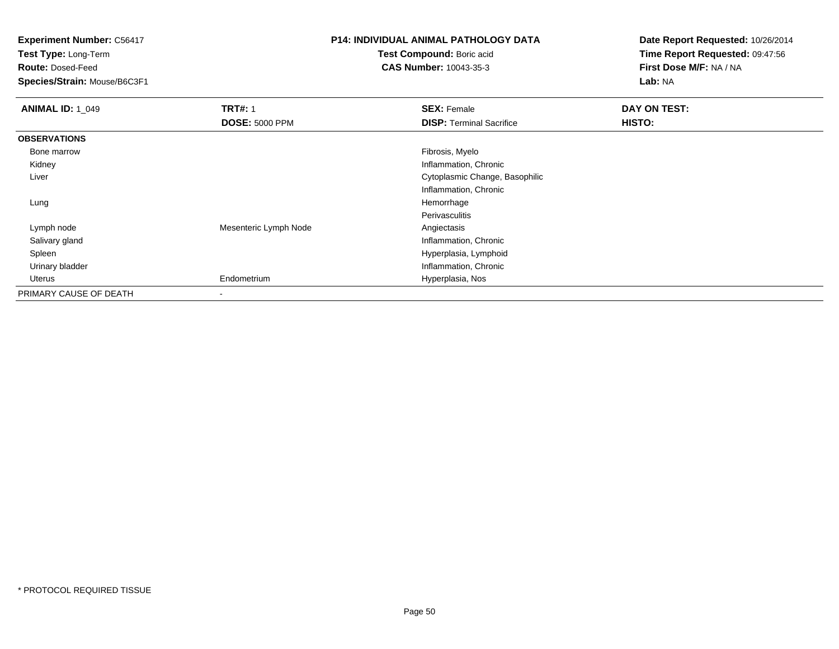**Test Type:** Long-Term

**Route:** Dosed-Feed

**Species/Strain:** Mouse/B6C3F1

## **P14: INDIVIDUAL ANIMAL PATHOLOGY DATA**

**Test Compound:** Boric acid**CAS Number:** 10043-35-3

| <b>ANIMAL ID: 1 049</b> | <b>TRT#: 1</b>        | <b>SEX: Female</b>              | DAY ON TEST: |
|-------------------------|-----------------------|---------------------------------|--------------|
|                         | <b>DOSE: 5000 PPM</b> | <b>DISP: Terminal Sacrifice</b> | HISTO:       |
| <b>OBSERVATIONS</b>     |                       |                                 |              |
| Bone marrow             |                       | Fibrosis, Myelo                 |              |
| Kidney                  |                       | Inflammation, Chronic           |              |
| Liver                   |                       | Cytoplasmic Change, Basophilic  |              |
|                         |                       | Inflammation, Chronic           |              |
| Lung                    |                       | Hemorrhage                      |              |
|                         |                       | Perivasculitis                  |              |
| Lymph node              | Mesenteric Lymph Node | Angiectasis                     |              |
| Salivary gland          |                       | Inflammation, Chronic           |              |
| Spleen                  |                       | Hyperplasia, Lymphoid           |              |
| Urinary bladder         |                       | Inflammation, Chronic           |              |
| Uterus                  | Endometrium           | Hyperplasia, Nos                |              |
| PRIMARY CAUSE OF DEATH  | $\,$                  |                                 |              |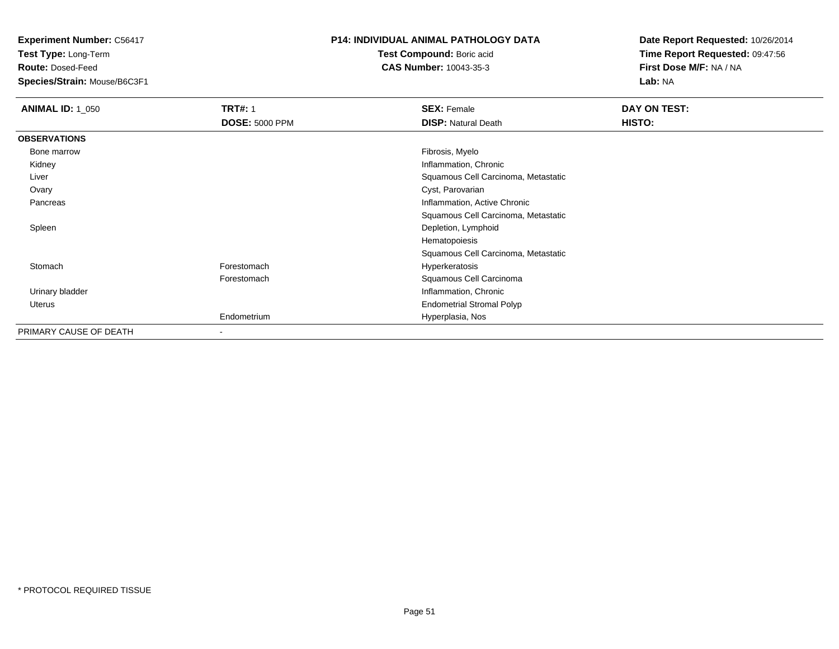**Test Type:** Long-Term

**Route:** Dosed-Feed

**Species/Strain:** Mouse/B6C3F1

#### **P14: INDIVIDUAL ANIMAL PATHOLOGY DATA**

**Test Compound:** Boric acid**CAS Number:** 10043-35-3

| <b>ANIMAL ID: 1_050</b> | <b>TRT#: 1</b>        | <b>SEX: Female</b>                  | DAY ON TEST: |  |
|-------------------------|-----------------------|-------------------------------------|--------------|--|
|                         | <b>DOSE: 5000 PPM</b> | <b>DISP: Natural Death</b>          | HISTO:       |  |
| <b>OBSERVATIONS</b>     |                       |                                     |              |  |
| Bone marrow             |                       | Fibrosis, Myelo                     |              |  |
| Kidney                  |                       | Inflammation, Chronic               |              |  |
| Liver                   |                       | Squamous Cell Carcinoma, Metastatic |              |  |
| Ovary                   |                       | Cyst, Parovarian                    |              |  |
| Pancreas                |                       | Inflammation, Active Chronic        |              |  |
|                         |                       | Squamous Cell Carcinoma, Metastatic |              |  |
| Spleen                  |                       | Depletion, Lymphoid                 |              |  |
|                         |                       | Hematopoiesis                       |              |  |
|                         |                       | Squamous Cell Carcinoma, Metastatic |              |  |
| Stomach                 | Forestomach           | Hyperkeratosis                      |              |  |
|                         | Forestomach           | Squamous Cell Carcinoma             |              |  |
| Urinary bladder         |                       | Inflammation, Chronic               |              |  |
| Uterus                  |                       | <b>Endometrial Stromal Polyp</b>    |              |  |
|                         | Endometrium           | Hyperplasia, Nos                    |              |  |
| PRIMARY CAUSE OF DEATH  | $\,$                  |                                     |              |  |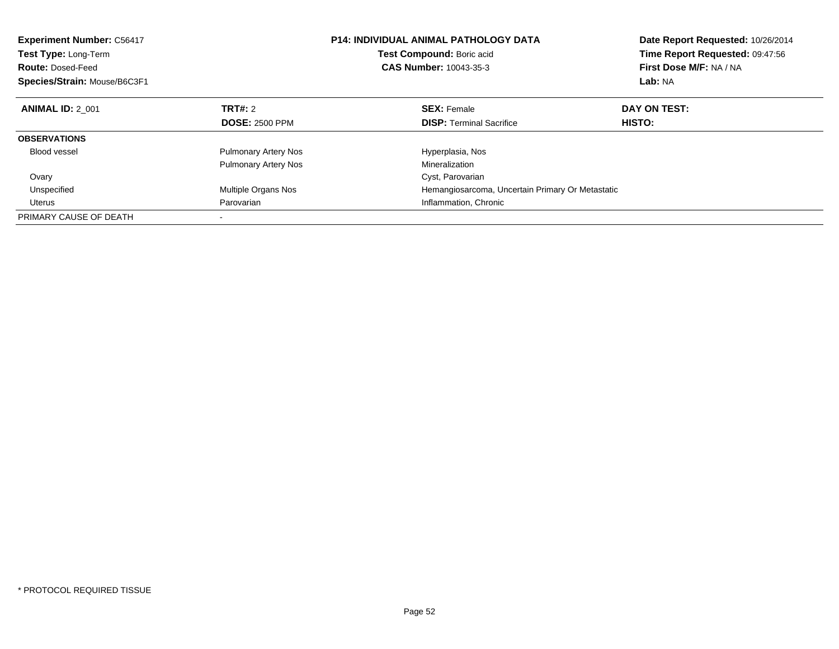| <b>Experiment Number: C56417</b><br><b>Test Type: Long-Term</b><br><b>Route: Dosed-Feed</b><br>Species/Strain: Mouse/B6C3F1 |                             | <b>P14: INDIVIDUAL ANIMAL PATHOLOGY DATA</b><br>Test Compound: Boric acid<br><b>CAS Number: 10043-35-3</b> | Date Report Requested: 10/26/2014<br>Time Report Requested: 09:47:56<br>First Dose M/F: NA / NA<br>Lab: NA |
|-----------------------------------------------------------------------------------------------------------------------------|-----------------------------|------------------------------------------------------------------------------------------------------------|------------------------------------------------------------------------------------------------------------|
| <b>ANIMAL ID: 2 001</b>                                                                                                     | TRT#: 2                     | <b>SEX: Female</b>                                                                                         | DAY ON TEST:                                                                                               |
|                                                                                                                             | <b>DOSE: 2500 PPM</b>       | <b>DISP:</b> Terminal Sacrifice                                                                            | HISTO:                                                                                                     |
| <b>OBSERVATIONS</b>                                                                                                         |                             |                                                                                                            |                                                                                                            |
| <b>Blood vessel</b>                                                                                                         | <b>Pulmonary Artery Nos</b> | Hyperplasia, Nos                                                                                           |                                                                                                            |
|                                                                                                                             | <b>Pulmonary Artery Nos</b> | Mineralization                                                                                             |                                                                                                            |
| Ovary                                                                                                                       |                             | Cyst, Parovarian                                                                                           |                                                                                                            |
| Unspecified                                                                                                                 | Multiple Organs Nos         | Hemangiosarcoma, Uncertain Primary Or Metastatic                                                           |                                                                                                            |
| <b>Uterus</b>                                                                                                               | Parovarian                  | Inflammation, Chronic                                                                                      |                                                                                                            |
| PRIMARY CAUSE OF DEATH                                                                                                      |                             |                                                                                                            |                                                                                                            |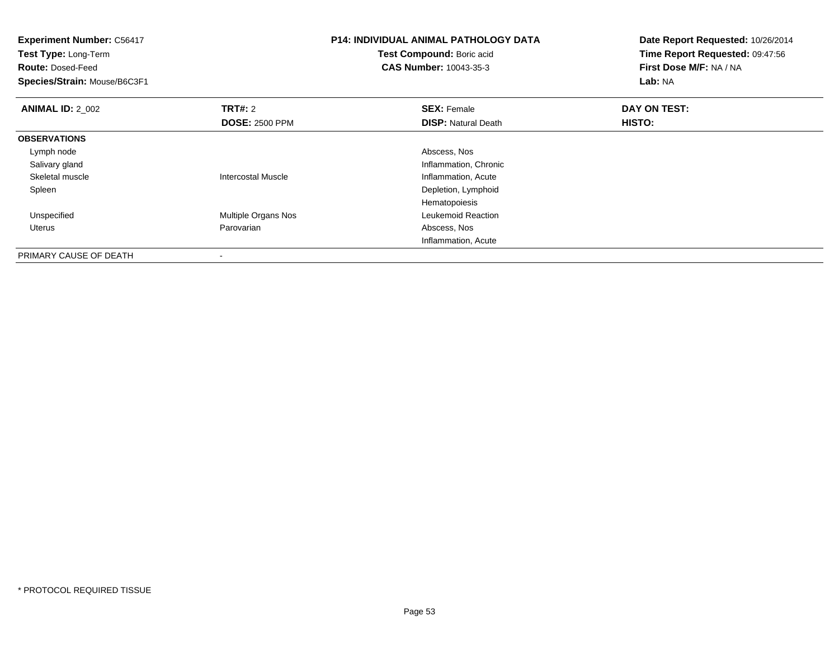| <b>Experiment Number: C56417</b><br>Test Type: Long-Term<br><b>Route: Dosed-Feed</b><br>Species/Strain: Mouse/B6C3F1 |                           | <b>P14: INDIVIDUAL ANIMAL PATHOLOGY DATA</b><br>Test Compound: Boric acid<br>CAS Number: 10043-35-3 | Date Report Requested: 10/26/2014<br>Time Report Requested: 09:47:56<br>First Dose M/F: NA / NA<br>Lab: NA |
|----------------------------------------------------------------------------------------------------------------------|---------------------------|-----------------------------------------------------------------------------------------------------|------------------------------------------------------------------------------------------------------------|
| <b>ANIMAL ID: 2 002</b>                                                                                              | TRT#: 2                   | <b>SEX: Female</b>                                                                                  | DAY ON TEST:                                                                                               |
|                                                                                                                      | <b>DOSE: 2500 PPM</b>     | <b>DISP: Natural Death</b>                                                                          | HISTO:                                                                                                     |
| <b>OBSERVATIONS</b>                                                                                                  |                           |                                                                                                     |                                                                                                            |
| Lymph node                                                                                                           |                           | Abscess, Nos                                                                                        |                                                                                                            |
| Salivary gland                                                                                                       |                           | Inflammation, Chronic                                                                               |                                                                                                            |
| Skeletal muscle                                                                                                      | <b>Intercostal Muscle</b> | Inflammation, Acute                                                                                 |                                                                                                            |
| Spleen                                                                                                               |                           | Depletion, Lymphoid                                                                                 |                                                                                                            |
|                                                                                                                      |                           | Hematopoiesis                                                                                       |                                                                                                            |
| Unspecified                                                                                                          | Multiple Organs Nos       | Leukemoid Reaction                                                                                  |                                                                                                            |
| Uterus                                                                                                               | Parovarian                | Abscess, Nos                                                                                        |                                                                                                            |
|                                                                                                                      |                           | Inflammation, Acute                                                                                 |                                                                                                            |
| PRIMARY CAUSE OF DEATH                                                                                               |                           |                                                                                                     |                                                                                                            |

-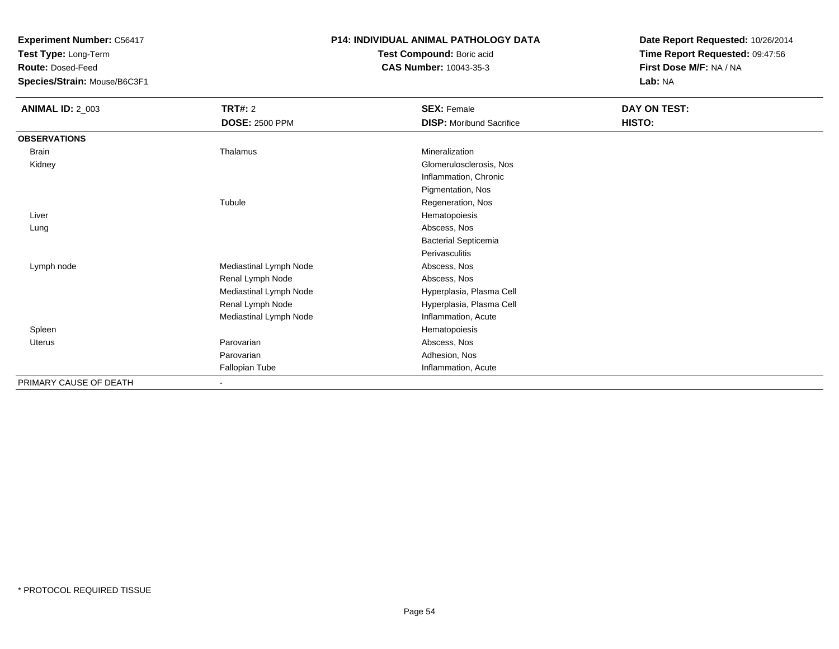**Test Type:** Long-Term

**Route:** Dosed-Feed

**Species/Strain:** Mouse/B6C3F1

#### **P14: INDIVIDUAL ANIMAL PATHOLOGY DATA**

**Test Compound:** Boric acid**CAS Number:** 10043-35-3

| <b>ANIMAL ID: 2_003</b> | <b>TRT#: 2</b>         | <b>SEX: Female</b>              | DAY ON TEST: |
|-------------------------|------------------------|---------------------------------|--------------|
|                         | <b>DOSE: 2500 PPM</b>  | <b>DISP:</b> Moribund Sacrifice | HISTO:       |
| <b>OBSERVATIONS</b>     |                        |                                 |              |
| Brain                   | Thalamus               | Mineralization                  |              |
| Kidney                  |                        | Glomerulosclerosis, Nos         |              |
|                         |                        | Inflammation, Chronic           |              |
|                         |                        | Pigmentation, Nos               |              |
|                         | Tubule                 | Regeneration, Nos               |              |
| Liver                   |                        | Hematopoiesis                   |              |
| Lung                    |                        | Abscess, Nos                    |              |
|                         |                        | <b>Bacterial Septicemia</b>     |              |
|                         |                        | Perivasculitis                  |              |
| Lymph node              | Mediastinal Lymph Node | Abscess, Nos                    |              |
|                         | Renal Lymph Node       | Abscess, Nos                    |              |
|                         | Mediastinal Lymph Node | Hyperplasia, Plasma Cell        |              |
|                         | Renal Lymph Node       | Hyperplasia, Plasma Cell        |              |
|                         | Mediastinal Lymph Node | Inflammation, Acute             |              |
| Spleen                  |                        | Hematopoiesis                   |              |
| Uterus                  | Parovarian             | Abscess, Nos                    |              |
|                         | Parovarian             | Adhesion, Nos                   |              |
|                         | Fallopian Tube         | Inflammation, Acute             |              |
| PRIMARY CAUSE OF DEATH  | Ξ.                     |                                 |              |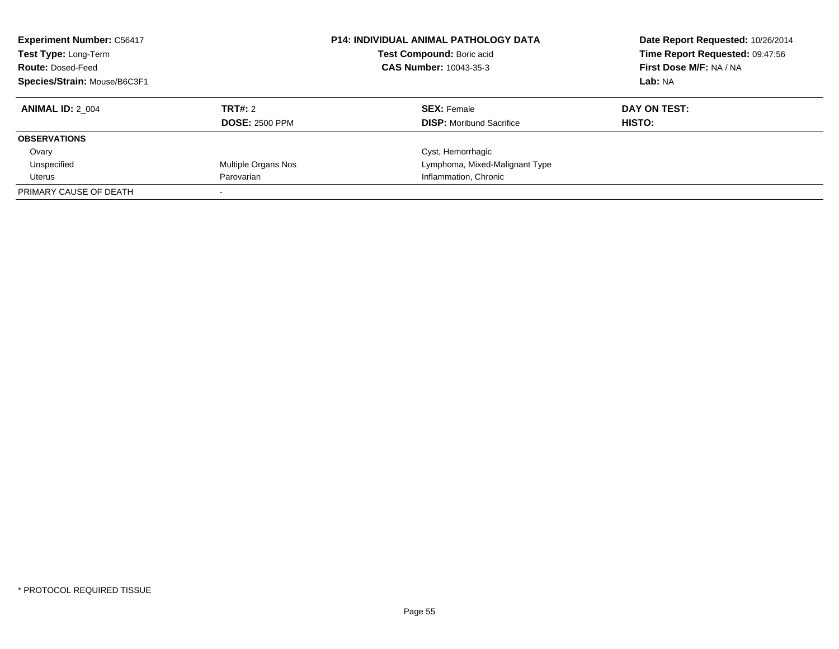| <b>Experiment Number: C56417</b><br><b>P14: INDIVIDUAL ANIMAL PATHOLOGY DATA</b><br>Test Type: Long-Term<br>Test Compound: Boric acid<br><b>CAS Number: 10043-35-3</b><br><b>Route: Dosed-Feed</b><br>Species/Strain: Mouse/B6C3F1 |                       | Date Report Requested: 10/26/2014<br>Time Report Requested: 09:47:56<br>First Dose M/F: NA / NA<br>Lab: NA |              |
|------------------------------------------------------------------------------------------------------------------------------------------------------------------------------------------------------------------------------------|-----------------------|------------------------------------------------------------------------------------------------------------|--------------|
| <b>ANIMAL ID: 2 004</b>                                                                                                                                                                                                            | TRT#: 2               | <b>SEX: Female</b>                                                                                         | DAY ON TEST: |
|                                                                                                                                                                                                                                    | <b>DOSE: 2500 PPM</b> | <b>DISP:</b> Moribund Sacrifice                                                                            | HISTO:       |
| <b>OBSERVATIONS</b>                                                                                                                                                                                                                |                       |                                                                                                            |              |
| Ovary                                                                                                                                                                                                                              |                       | Cyst, Hemorrhagic                                                                                          |              |
| Unspecified                                                                                                                                                                                                                        | Multiple Organs Nos   | Lymphoma, Mixed-Malignant Type                                                                             |              |
| Uterus                                                                                                                                                                                                                             | Parovarian            | Inflammation, Chronic                                                                                      |              |
| PRIMARY CAUSE OF DEATH                                                                                                                                                                                                             |                       |                                                                                                            |              |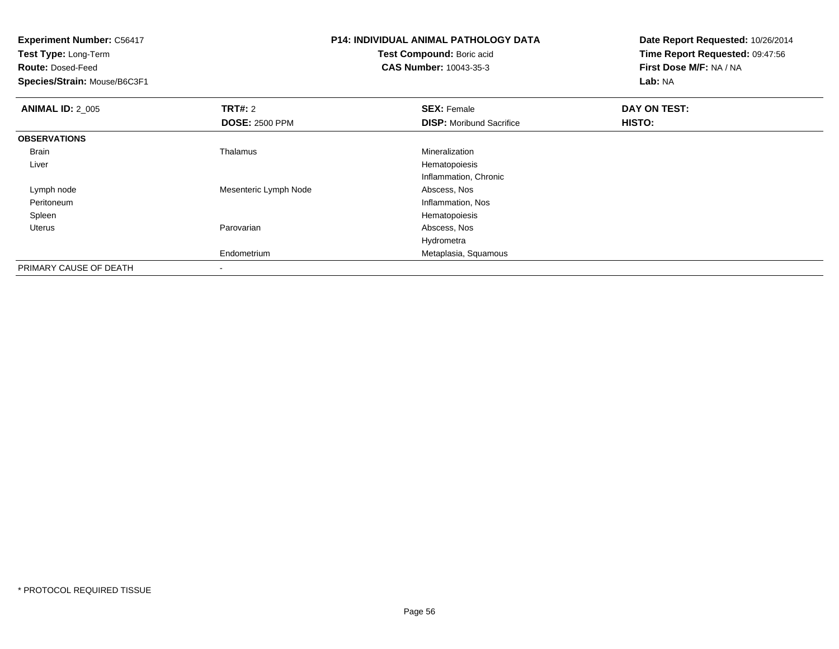| <b>Experiment Number: C56417</b> |                       | <b>P14: INDIVIDUAL ANIMAL PATHOLOGY DATA</b> | Date Report Requested: 10/26/2014 |  |
|----------------------------------|-----------------------|----------------------------------------------|-----------------------------------|--|
| Test Type: Long-Term             |                       | Test Compound: Boric acid                    | Time Report Requested: 09:47:56   |  |
| <b>Route: Dosed-Feed</b>         |                       | <b>CAS Number: 10043-35-3</b>                | First Dose M/F: NA / NA           |  |
| Species/Strain: Mouse/B6C3F1     |                       |                                              | Lab: NA                           |  |
| <b>ANIMAL ID: 2_005</b>          | <b>TRT#: 2</b>        | <b>SEX: Female</b>                           | DAY ON TEST:                      |  |
|                                  | <b>DOSE: 2500 PPM</b> | <b>DISP:</b> Moribund Sacrifice              | HISTO:                            |  |
| <b>OBSERVATIONS</b>              |                       |                                              |                                   |  |
| Brain                            | Thalamus              | Mineralization                               |                                   |  |
| Liver                            |                       | Hematopoiesis                                |                                   |  |
|                                  |                       | Inflammation, Chronic                        |                                   |  |
| Lymph node                       | Mesenteric Lymph Node | Abscess, Nos                                 |                                   |  |
| Peritoneum                       |                       | Inflammation, Nos                            |                                   |  |
| Spleen                           |                       | Hematopoiesis                                |                                   |  |
| Uterus                           | Parovarian            | Abscess, Nos                                 |                                   |  |
|                                  |                       | Hydrometra                                   |                                   |  |
|                                  | Endometrium           | Metaplasia, Squamous                         |                                   |  |
| PRIMARY CAUSE OF DEATH           |                       |                                              |                                   |  |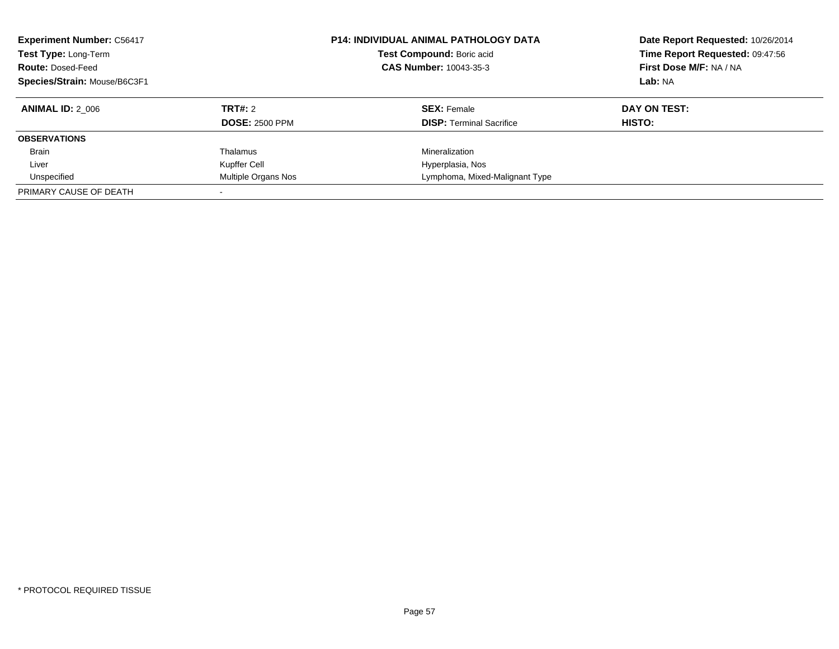| <b>Experiment Number: C56417</b><br>Test Type: Long-Term<br><b>Route: Dosed-Feed</b><br>Species/Strain: Mouse/B6C3F1 | <b>P14: INDIVIDUAL ANIMAL PATHOLOGY DATA</b><br>Test Compound: Boric acid<br>CAS Number: 10043-35-3 |                                 | Date Report Requested: 10/26/2014<br>Time Report Requested: 09:47:56<br>First Dose M/F: NA / NA<br>Lab: NA |
|----------------------------------------------------------------------------------------------------------------------|-----------------------------------------------------------------------------------------------------|---------------------------------|------------------------------------------------------------------------------------------------------------|
| <b>ANIMAL ID: 2 006</b>                                                                                              | TRT#: 2                                                                                             | <b>SEX:</b> Female              | DAY ON TEST:                                                                                               |
|                                                                                                                      | <b>DOSE: 2500 PPM</b>                                                                               | <b>DISP:</b> Terminal Sacrifice | HISTO:                                                                                                     |
| <b>OBSERVATIONS</b>                                                                                                  |                                                                                                     |                                 |                                                                                                            |
| <b>Brain</b>                                                                                                         | Thalamus                                                                                            | Mineralization                  |                                                                                                            |
| Liver                                                                                                                | Kupffer Cell                                                                                        | Hyperplasia, Nos                |                                                                                                            |
| Unspecified                                                                                                          | Multiple Organs Nos                                                                                 | Lymphoma, Mixed-Malignant Type  |                                                                                                            |
| PRIMARY CAUSE OF DEATH                                                                                               |                                                                                                     |                                 |                                                                                                            |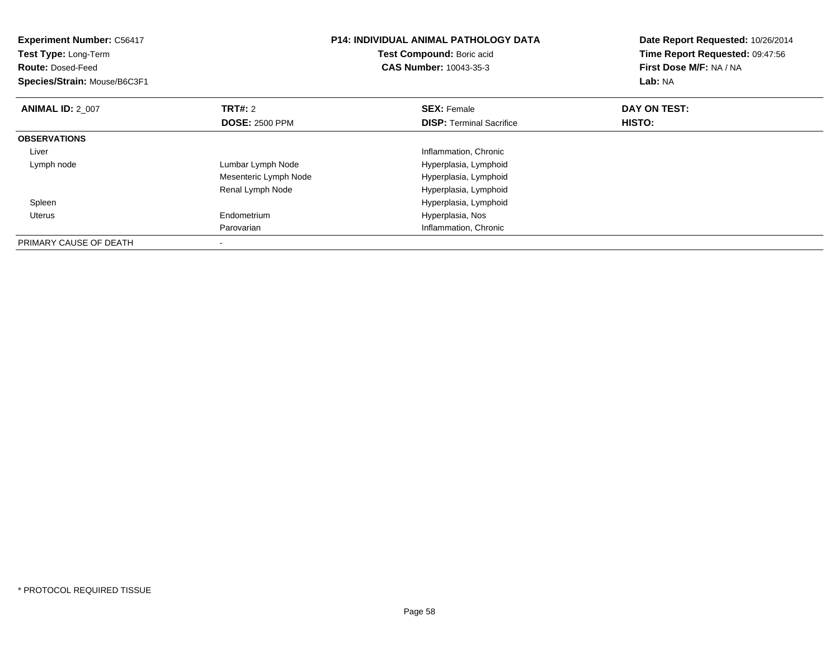| <b>Experiment Number: C56417</b><br>Test Type: Long-Term<br><b>Route: Dosed-Feed</b><br>Species/Strain: Mouse/B6C3F1 |                       | <b>P14: INDIVIDUAL ANIMAL PATHOLOGY DATA</b><br>Test Compound: Boric acid<br><b>CAS Number: 10043-35-3</b> | Date Report Requested: 10/26/2014<br>Time Report Requested: 09:47:56<br>First Dose M/F: NA / NA<br>Lab: NA |
|----------------------------------------------------------------------------------------------------------------------|-----------------------|------------------------------------------------------------------------------------------------------------|------------------------------------------------------------------------------------------------------------|
| <b>ANIMAL ID: 2 007</b>                                                                                              | <b>TRT#: 2</b>        | <b>SEX: Female</b>                                                                                         | DAY ON TEST:                                                                                               |
|                                                                                                                      | <b>DOSE: 2500 PPM</b> | <b>DISP:</b> Terminal Sacrifice                                                                            | <b>HISTO:</b>                                                                                              |
| <b>OBSERVATIONS</b>                                                                                                  |                       |                                                                                                            |                                                                                                            |
| Liver                                                                                                                |                       | Inflammation, Chronic                                                                                      |                                                                                                            |
| Lymph node                                                                                                           | Lumbar Lymph Node     | Hyperplasia, Lymphoid                                                                                      |                                                                                                            |
|                                                                                                                      | Mesenteric Lymph Node | Hyperplasia, Lymphoid                                                                                      |                                                                                                            |
|                                                                                                                      | Renal Lymph Node      | Hyperplasia, Lymphoid                                                                                      |                                                                                                            |
| Spleen                                                                                                               |                       | Hyperplasia, Lymphoid                                                                                      |                                                                                                            |
| Uterus                                                                                                               | Endometrium           | Hyperplasia, Nos                                                                                           |                                                                                                            |
|                                                                                                                      | Parovarian            | Inflammation, Chronic                                                                                      |                                                                                                            |
| PRIMARY CAUSE OF DEATH                                                                                               |                       |                                                                                                            |                                                                                                            |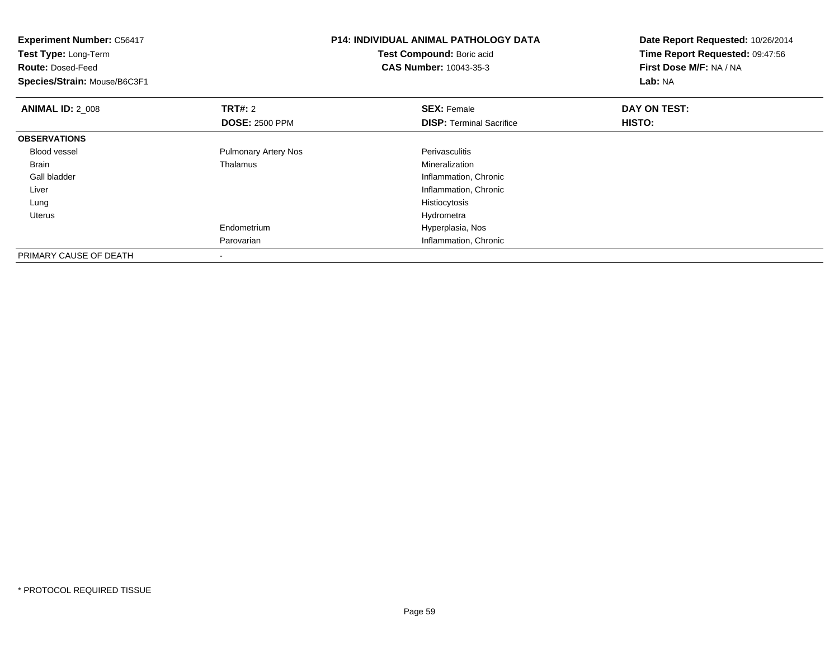| <b>Experiment Number: C56417</b><br>Test Type: Long-Term<br><b>Route: Dosed-Feed</b><br>Species/Strain: Mouse/B6C3F1 |                             | <b>P14: INDIVIDUAL ANIMAL PATHOLOGY DATA</b><br>Test Compound: Boric acid<br><b>CAS Number: 10043-35-3</b> | Date Report Requested: 10/26/2014<br>Time Report Requested: 09:47:56<br>First Dose M/F: NA / NA<br>Lab: NA |
|----------------------------------------------------------------------------------------------------------------------|-----------------------------|------------------------------------------------------------------------------------------------------------|------------------------------------------------------------------------------------------------------------|
| <b>ANIMAL ID: 2 008</b>                                                                                              | <b>TRT#: 2</b>              | <b>SEX: Female</b>                                                                                         | DAY ON TEST:                                                                                               |
|                                                                                                                      | <b>DOSE: 2500 PPM</b>       | <b>DISP:</b> Terminal Sacrifice                                                                            | <b>HISTO:</b>                                                                                              |
| <b>OBSERVATIONS</b>                                                                                                  |                             |                                                                                                            |                                                                                                            |
| <b>Blood vessel</b>                                                                                                  | <b>Pulmonary Artery Nos</b> | Perivasculitis                                                                                             |                                                                                                            |
| Brain                                                                                                                | Thalamus                    | Mineralization                                                                                             |                                                                                                            |
| Gall bladder                                                                                                         |                             | Inflammation, Chronic                                                                                      |                                                                                                            |
| Liver                                                                                                                |                             | Inflammation, Chronic                                                                                      |                                                                                                            |
| Lung                                                                                                                 |                             | Histiocytosis                                                                                              |                                                                                                            |
| Uterus                                                                                                               |                             | Hydrometra                                                                                                 |                                                                                                            |
|                                                                                                                      | Endometrium                 | Hyperplasia, Nos                                                                                           |                                                                                                            |
|                                                                                                                      | Parovarian                  | Inflammation, Chronic                                                                                      |                                                                                                            |
| PRIMARY CAUSE OF DEATH                                                                                               | $\overline{\phantom{a}}$    |                                                                                                            |                                                                                                            |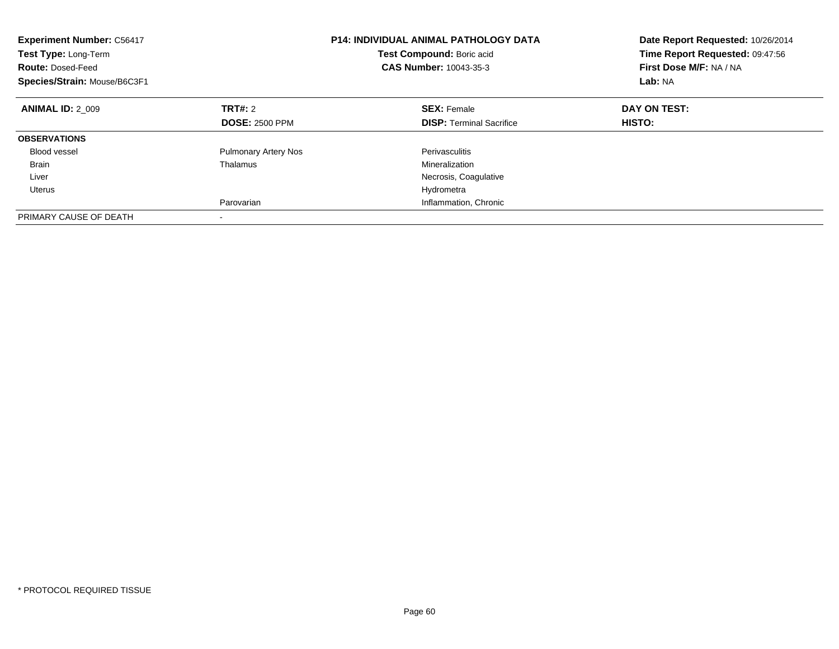| <b>Experiment Number: C56417</b><br><b>Test Type: Long-Term</b><br><b>Route: Dosed-Feed</b><br>Species/Strain: Mouse/B6C3F1 |                             | <b>P14: INDIVIDUAL ANIMAL PATHOLOGY DATA</b><br>Test Compound: Boric acid<br>CAS Number: 10043-35-3 | Date Report Requested: 10/26/2014<br>Time Report Requested: 09:47:56<br>First Dose M/F: NA / NA<br>Lab: NA |
|-----------------------------------------------------------------------------------------------------------------------------|-----------------------------|-----------------------------------------------------------------------------------------------------|------------------------------------------------------------------------------------------------------------|
| <b>ANIMAL ID: 2 009</b>                                                                                                     | <b>TRT#: 2</b>              | <b>SEX: Female</b>                                                                                  | DAY ON TEST:                                                                                               |
|                                                                                                                             | <b>DOSE: 2500 PPM</b>       | <b>DISP:</b> Terminal Sacrifice                                                                     | HISTO:                                                                                                     |
| <b>OBSERVATIONS</b>                                                                                                         |                             |                                                                                                     |                                                                                                            |
| <b>Blood vessel</b>                                                                                                         | <b>Pulmonary Artery Nos</b> | Perivasculitis                                                                                      |                                                                                                            |
| Brain                                                                                                                       | Thalamus                    | Mineralization                                                                                      |                                                                                                            |
| Liver                                                                                                                       |                             | Necrosis, Coagulative                                                                               |                                                                                                            |
| Uterus                                                                                                                      |                             | Hydrometra                                                                                          |                                                                                                            |
|                                                                                                                             | Parovarian                  | Inflammation, Chronic                                                                               |                                                                                                            |
| PRIMARY CAUSE OF DEATH                                                                                                      |                             |                                                                                                     |                                                                                                            |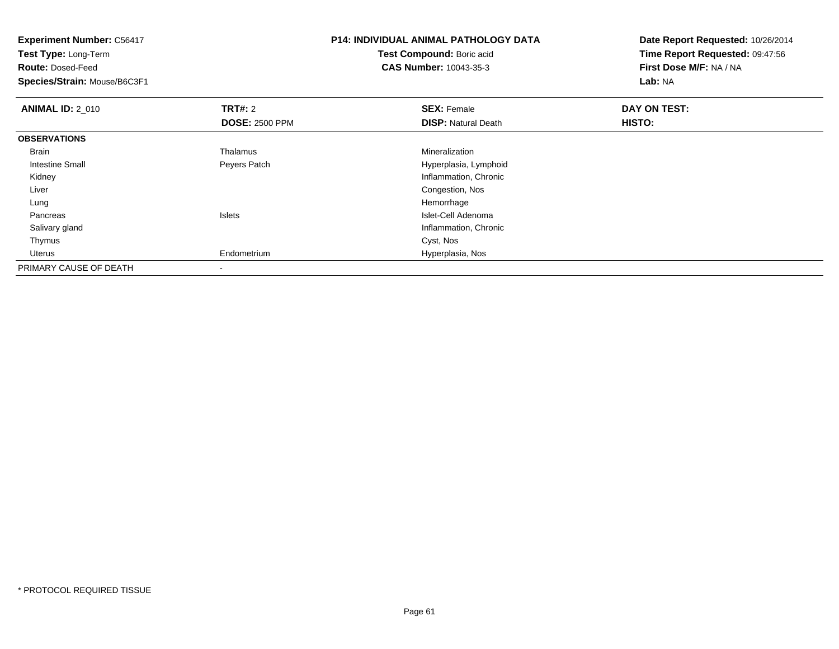| <b>Experiment Number: C56417</b><br>Test Type: Long-Term<br><b>Route: Dosed-Feed</b><br>Species/Strain: Mouse/B6C3F1 |                                         | <b>P14: INDIVIDUAL ANIMAL PATHOLOGY DATA</b><br>Test Compound: Boric acid<br><b>CAS Number: 10043-35-3</b> | Date Report Requested: 10/26/2014<br>Time Report Requested: 09:47:56<br>First Dose M/F: NA / NA<br>Lab: NA |
|----------------------------------------------------------------------------------------------------------------------|-----------------------------------------|------------------------------------------------------------------------------------------------------------|------------------------------------------------------------------------------------------------------------|
| <b>ANIMAL ID: 2 010</b>                                                                                              | <b>TRT#: 2</b><br><b>DOSE: 2500 PPM</b> | <b>SEX: Female</b><br><b>DISP: Natural Death</b>                                                           | DAY ON TEST:<br>HISTO:                                                                                     |
| <b>OBSERVATIONS</b>                                                                                                  |                                         |                                                                                                            |                                                                                                            |
| Brain                                                                                                                | Thalamus                                | Mineralization                                                                                             |                                                                                                            |
| Intestine Small                                                                                                      | Peyers Patch                            | Hyperplasia, Lymphoid                                                                                      |                                                                                                            |
| Kidney                                                                                                               |                                         | Inflammation, Chronic                                                                                      |                                                                                                            |
| Liver                                                                                                                |                                         | Congestion, Nos                                                                                            |                                                                                                            |
| Lung                                                                                                                 |                                         | Hemorrhage                                                                                                 |                                                                                                            |
| Pancreas                                                                                                             | <b>Islets</b>                           | Islet-Cell Adenoma                                                                                         |                                                                                                            |
| Salivary gland                                                                                                       |                                         | Inflammation, Chronic                                                                                      |                                                                                                            |
| Thymus                                                                                                               |                                         | Cyst, Nos                                                                                                  |                                                                                                            |
| Uterus                                                                                                               | Endometrium                             | Hyperplasia, Nos                                                                                           |                                                                                                            |
| PRIMARY CAUSE OF DEATH                                                                                               |                                         |                                                                                                            |                                                                                                            |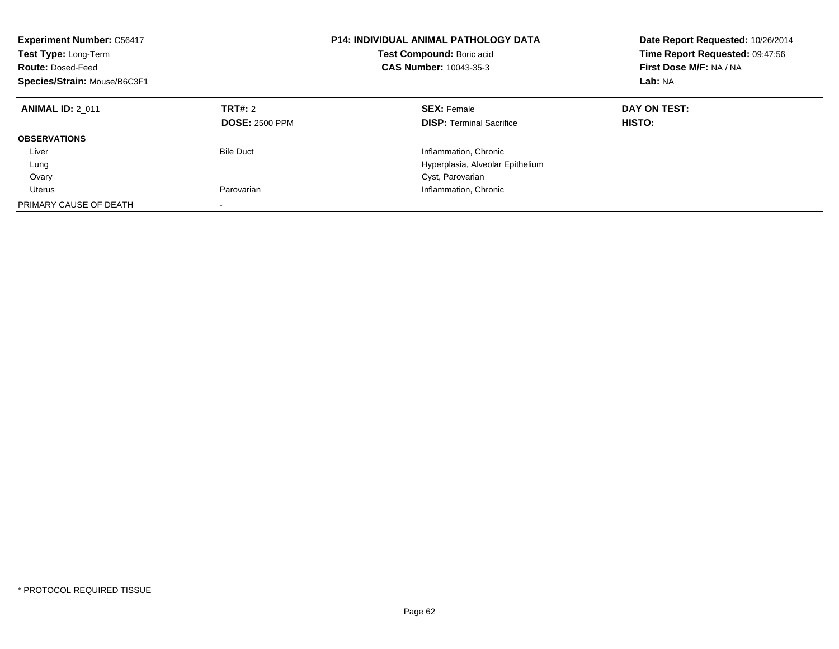| <b>Experiment Number: C56417</b><br>Test Type: Long-Term<br><b>Route: Dosed-Feed</b><br>Species/Strain: Mouse/B6C3F1 |                                  | <b>P14: INDIVIDUAL ANIMAL PATHOLOGY DATA</b><br>Test Compound: Boric acid<br><b>CAS Number: 10043-35-3</b> | Date Report Requested: 10/26/2014<br>Time Report Requested: 09:47:56<br>First Dose M/F: NA / NA<br>Lab: NA |
|----------------------------------------------------------------------------------------------------------------------|----------------------------------|------------------------------------------------------------------------------------------------------------|------------------------------------------------------------------------------------------------------------|
| <b>ANIMAL ID: 2 011</b>                                                                                              | TRT#: 2<br><b>DOSE: 2500 PPM</b> | <b>SEX: Female</b><br><b>DISP:</b> Terminal Sacrifice                                                      | DAY ON TEST:<br><b>HISTO:</b>                                                                              |
| <b>OBSERVATIONS</b>                                                                                                  |                                  |                                                                                                            |                                                                                                            |
| Liver                                                                                                                | <b>Bile Duct</b>                 | Inflammation, Chronic                                                                                      |                                                                                                            |
| Lung                                                                                                                 |                                  | Hyperplasia, Alveolar Epithelium                                                                           |                                                                                                            |
| Ovary                                                                                                                |                                  | Cyst, Parovarian                                                                                           |                                                                                                            |
| Uterus                                                                                                               | Parovarian                       | Inflammation, Chronic                                                                                      |                                                                                                            |
| PRIMARY CAUSE OF DEATH                                                                                               |                                  |                                                                                                            |                                                                                                            |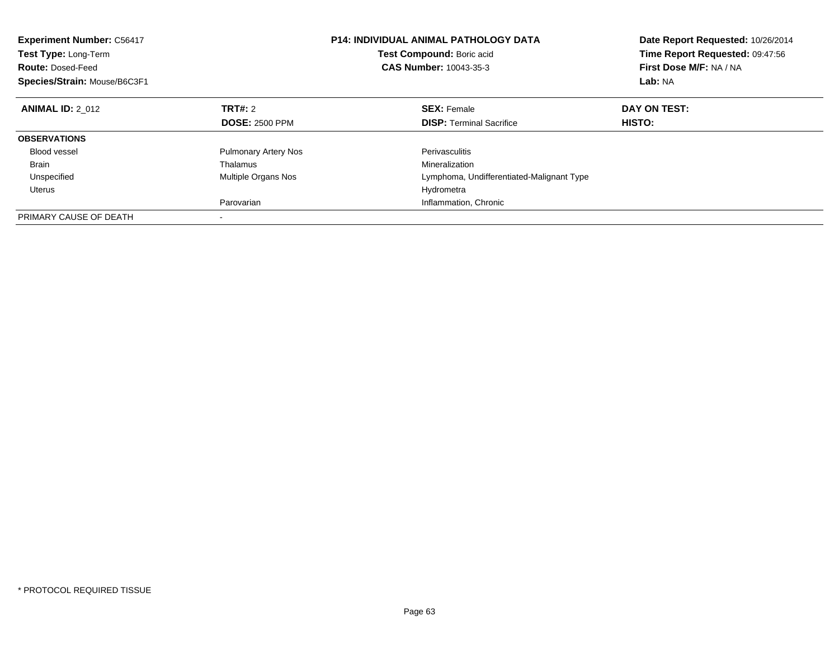| <b>Experiment Number: C56417</b><br>Test Type: Long-Term<br><b>Route: Dosed-Feed</b><br>Species/Strain: Mouse/B6C3F1 |                             | <b>P14: INDIVIDUAL ANIMAL PATHOLOGY DATA</b><br>Test Compound: Boric acid<br>CAS Number: 10043-35-3 | Date Report Requested: 10/26/2014<br>Time Report Requested: 09:47:56<br>First Dose M/F: NA / NA<br>Lab: NA |
|----------------------------------------------------------------------------------------------------------------------|-----------------------------|-----------------------------------------------------------------------------------------------------|------------------------------------------------------------------------------------------------------------|
| <b>ANIMAL ID: 2 012</b>                                                                                              | TRT#: 2                     | <b>SEX: Female</b>                                                                                  | DAY ON TEST:                                                                                               |
|                                                                                                                      | <b>DOSE: 2500 PPM</b>       | <b>DISP:</b> Terminal Sacrifice                                                                     | HISTO:                                                                                                     |
| <b>OBSERVATIONS</b>                                                                                                  |                             |                                                                                                     |                                                                                                            |
| <b>Blood vessel</b>                                                                                                  | <b>Pulmonary Artery Nos</b> | Perivasculitis                                                                                      |                                                                                                            |
| Brain                                                                                                                | Thalamus                    | Mineralization                                                                                      |                                                                                                            |
| Unspecified                                                                                                          | Multiple Organs Nos         | Lymphoma, Undifferentiated-Malignant Type                                                           |                                                                                                            |
| Uterus                                                                                                               |                             | Hydrometra                                                                                          |                                                                                                            |
|                                                                                                                      | Parovarian                  | Inflammation, Chronic                                                                               |                                                                                                            |
| PRIMARY CAUSE OF DEATH                                                                                               |                             |                                                                                                     |                                                                                                            |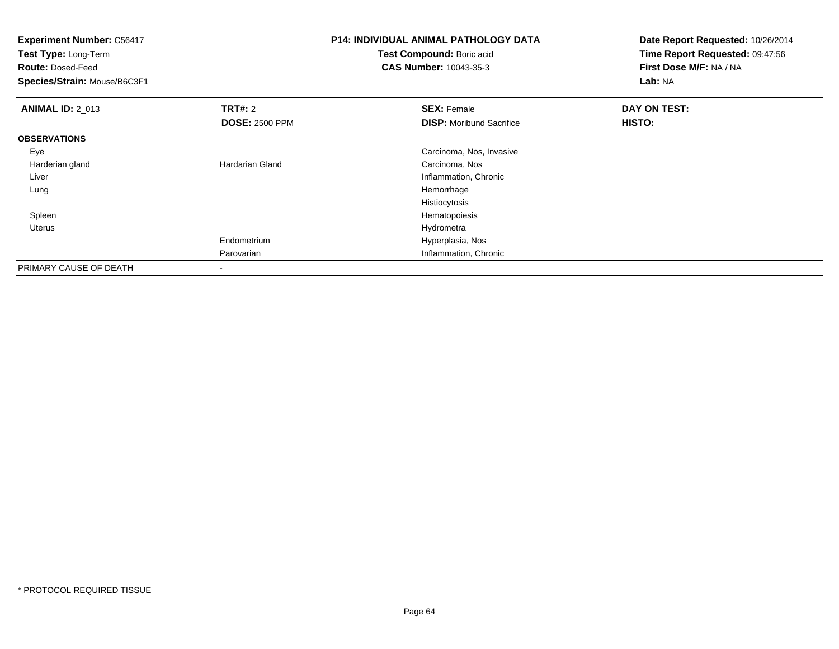| <b>Experiment Number: C56417</b><br>Test Type: Long-Term<br><b>Route: Dosed-Feed</b><br>Species/Strain: Mouse/B6C3F1 |                        | <b>P14: INDIVIDUAL ANIMAL PATHOLOGY DATA</b><br>Test Compound: Boric acid<br><b>CAS Number: 10043-35-3</b> | Date Report Requested: 10/26/2014<br>Time Report Requested: 09:47:56<br>First Dose M/F: NA / NA<br>Lab: NA |
|----------------------------------------------------------------------------------------------------------------------|------------------------|------------------------------------------------------------------------------------------------------------|------------------------------------------------------------------------------------------------------------|
| <b>ANIMAL ID: 2 013</b>                                                                                              | <b>TRT#: 2</b>         | <b>SEX: Female</b>                                                                                         | DAY ON TEST:                                                                                               |
|                                                                                                                      | <b>DOSE: 2500 PPM</b>  | <b>DISP:</b> Moribund Sacrifice                                                                            | HISTO:                                                                                                     |
| <b>OBSERVATIONS</b>                                                                                                  |                        |                                                                                                            |                                                                                                            |
| Eye                                                                                                                  |                        | Carcinoma, Nos, Invasive                                                                                   |                                                                                                            |
| Harderian gland                                                                                                      | <b>Hardarian Gland</b> | Carcinoma, Nos                                                                                             |                                                                                                            |
| Liver                                                                                                                |                        | Inflammation, Chronic                                                                                      |                                                                                                            |
| Lung                                                                                                                 |                        | Hemorrhage                                                                                                 |                                                                                                            |
|                                                                                                                      |                        | Histiocytosis                                                                                              |                                                                                                            |
| Spleen                                                                                                               |                        | Hematopoiesis                                                                                              |                                                                                                            |
| Uterus                                                                                                               |                        | Hydrometra                                                                                                 |                                                                                                            |
|                                                                                                                      | Endometrium            | Hyperplasia, Nos                                                                                           |                                                                                                            |
|                                                                                                                      | Parovarian             | Inflammation, Chronic                                                                                      |                                                                                                            |
| PRIMARY CAUSE OF DEATH                                                                                               |                        |                                                                                                            |                                                                                                            |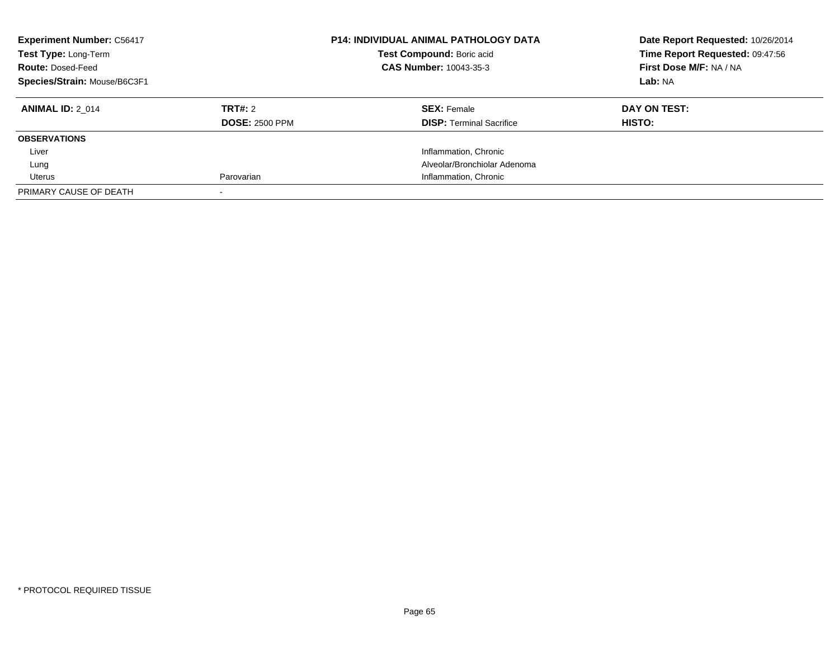| <b>Experiment Number: C56417</b><br>Test Type: Long-Term<br><b>Route: Dosed-Feed</b><br>Species/Strain: Mouse/B6C3F1 |                       | <b>P14: INDIVIDUAL ANIMAL PATHOLOGY DATA</b><br>Test Compound: Boric acid<br>CAS Number: 10043-35-3 | Date Report Requested: 10/26/2014<br>Time Report Requested: 09:47:56<br>First Dose M/F: NA / NA<br>Lab: NA |
|----------------------------------------------------------------------------------------------------------------------|-----------------------|-----------------------------------------------------------------------------------------------------|------------------------------------------------------------------------------------------------------------|
| <b>ANIMAL ID: 2 014</b>                                                                                              | TRT#: 2               | <b>SEX: Female</b>                                                                                  | DAY ON TEST:                                                                                               |
|                                                                                                                      | <b>DOSE: 2500 PPM</b> | <b>DISP:</b> Terminal Sacrifice                                                                     | <b>HISTO:</b>                                                                                              |
| <b>OBSERVATIONS</b>                                                                                                  |                       |                                                                                                     |                                                                                                            |
| Liver                                                                                                                |                       | Inflammation, Chronic                                                                               |                                                                                                            |
| Lung                                                                                                                 |                       | Alveolar/Bronchiolar Adenoma                                                                        |                                                                                                            |
| Uterus                                                                                                               | Parovarian            | Inflammation, Chronic                                                                               |                                                                                                            |
| PRIMARY CAUSE OF DEATH                                                                                               |                       |                                                                                                     |                                                                                                            |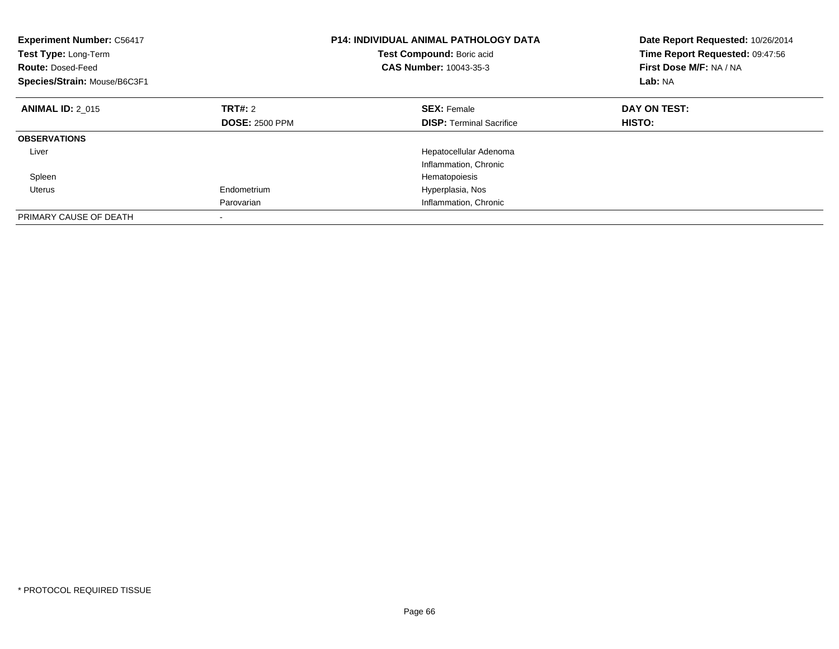| <b>Experiment Number: C56417</b><br>Test Type: Long-Term<br><b>Route: Dosed-Feed</b><br>Species/Strain: Mouse/B6C3F1 |                       | <b>P14: INDIVIDUAL ANIMAL PATHOLOGY DATA</b><br>Test Compound: Boric acid<br>CAS Number: 10043-35-3 | Date Report Requested: 10/26/2014<br>Time Report Requested: 09:47:56<br>First Dose M/F: NA / NA<br>Lab: NA |
|----------------------------------------------------------------------------------------------------------------------|-----------------------|-----------------------------------------------------------------------------------------------------|------------------------------------------------------------------------------------------------------------|
| <b>ANIMAL ID: 2 015</b>                                                                                              | <b>TRT#: 2</b>        | <b>SEX: Female</b>                                                                                  | DAY ON TEST:                                                                                               |
|                                                                                                                      | <b>DOSE: 2500 PPM</b> | <b>DISP:</b> Terminal Sacrifice                                                                     | <b>HISTO:</b>                                                                                              |
| <b>OBSERVATIONS</b>                                                                                                  |                       |                                                                                                     |                                                                                                            |
| Liver                                                                                                                |                       | Hepatocellular Adenoma                                                                              |                                                                                                            |
|                                                                                                                      |                       | Inflammation, Chronic                                                                               |                                                                                                            |
| Spleen                                                                                                               |                       | Hematopoiesis                                                                                       |                                                                                                            |
| Uterus                                                                                                               | Endometrium           | Hyperplasia, Nos                                                                                    |                                                                                                            |
|                                                                                                                      | Parovarian            | Inflammation, Chronic                                                                               |                                                                                                            |
| PRIMARY CAUSE OF DEATH                                                                                               |                       |                                                                                                     |                                                                                                            |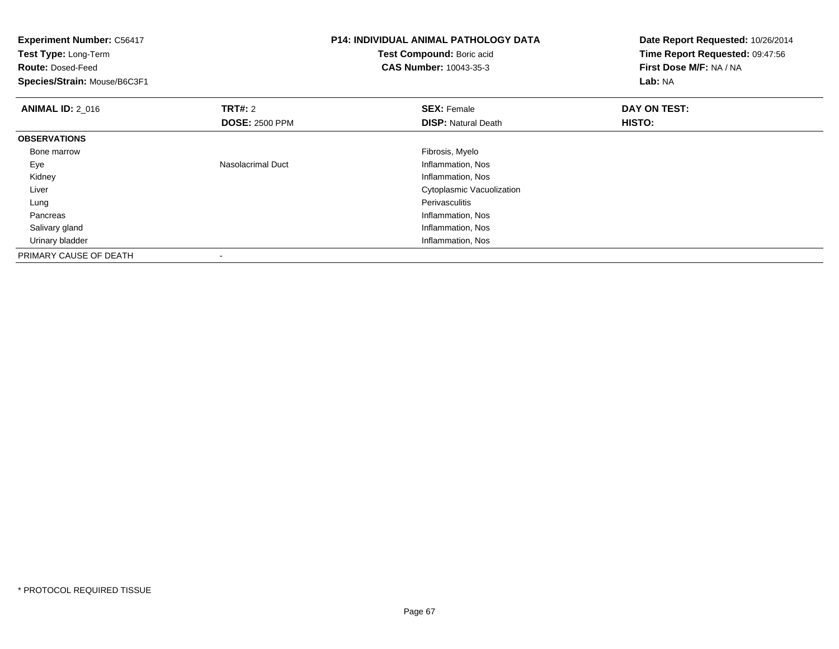| <b>Experiment Number: C56417</b><br>Test Type: Long-Term<br><b>Route: Dosed-Feed</b><br>Species/Strain: Mouse/B6C3F1 |                          | <b>P14: INDIVIDUAL ANIMAL PATHOLOGY DATA</b><br>Test Compound: Boric acid<br><b>CAS Number: 10043-35-3</b> | Date Report Requested: 10/26/2014<br>Time Report Requested: 09:47:56<br>First Dose M/F: NA / NA<br>Lab: NA |
|----------------------------------------------------------------------------------------------------------------------|--------------------------|------------------------------------------------------------------------------------------------------------|------------------------------------------------------------------------------------------------------------|
| <b>ANIMAL ID: 2 016</b>                                                                                              | <b>TRT#: 2</b>           | <b>SEX: Female</b>                                                                                         | DAY ON TEST:                                                                                               |
|                                                                                                                      | <b>DOSE: 2500 PPM</b>    | <b>DISP:</b> Natural Death                                                                                 | HISTO:                                                                                                     |
| <b>OBSERVATIONS</b>                                                                                                  |                          |                                                                                                            |                                                                                                            |
| Bone marrow                                                                                                          |                          | Fibrosis, Myelo                                                                                            |                                                                                                            |
| Eye                                                                                                                  | <b>Nasolacrimal Duct</b> | Inflammation, Nos                                                                                          |                                                                                                            |
| Kidney                                                                                                               |                          | Inflammation, Nos                                                                                          |                                                                                                            |
| Liver                                                                                                                |                          | Cytoplasmic Vacuolization                                                                                  |                                                                                                            |
| Lung                                                                                                                 |                          | <b>Perivasculitis</b>                                                                                      |                                                                                                            |
| Pancreas                                                                                                             |                          | Inflammation, Nos                                                                                          |                                                                                                            |
| Salivary gland                                                                                                       |                          | Inflammation, Nos                                                                                          |                                                                                                            |
| Urinary bladder                                                                                                      |                          | Inflammation, Nos                                                                                          |                                                                                                            |
| PRIMARY CAUSE OF DEATH                                                                                               |                          |                                                                                                            |                                                                                                            |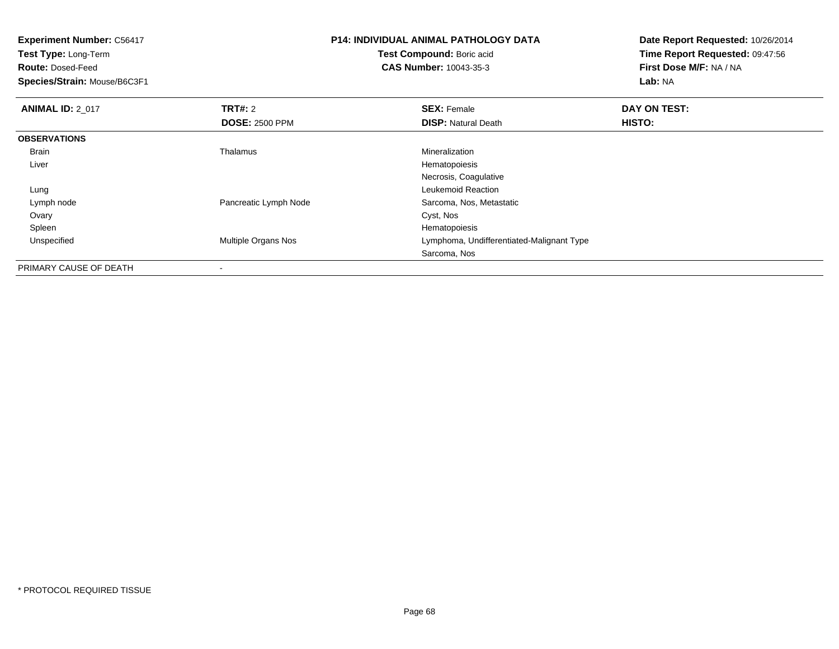| <b>Experiment Number: C56417</b> |                           | <b>P14: INDIVIDUAL ANIMAL PATHOLOGY DATA</b> |                                    |
|----------------------------------|---------------------------|----------------------------------------------|------------------------------------|
| Test Type: Long-Term             | Test Compound: Boric acid |                                              | Time Report Requested: 09:47:56    |
| <b>Route: Dosed-Feed</b>         |                           | <b>CAS Number: 10043-35-3</b>                | First Dose M/F: NA / NA<br>Lab: NA |
| Species/Strain: Mouse/B6C3F1     |                           |                                              |                                    |
| <b>ANIMAL ID: 2 017</b>          | <b>TRT#: 2</b>            | <b>SEX: Female</b>                           | DAY ON TEST:                       |
|                                  | <b>DOSE: 2500 PPM</b>     | <b>DISP: Natural Death</b>                   | <b>HISTO:</b>                      |
| <b>OBSERVATIONS</b>              |                           |                                              |                                    |
| Brain                            | Thalamus                  | Mineralization                               |                                    |
| Liver                            |                           | Hematopoiesis                                |                                    |
|                                  |                           | Necrosis, Coagulative                        |                                    |
| Lung                             |                           | Leukemoid Reaction                           |                                    |
| Lymph node                       | Pancreatic Lymph Node     | Sarcoma, Nos, Metastatic                     |                                    |
| Ovary                            |                           | Cyst, Nos                                    |                                    |
| Spleen                           |                           | Hematopoiesis                                |                                    |
| Unspecified                      | Multiple Organs Nos       | Lymphoma, Undifferentiated-Malignant Type    |                                    |
|                                  |                           | Sarcoma, Nos                                 |                                    |
| <b>DOIMADY OAUGE OF BEATH</b>    |                           |                                              |                                    |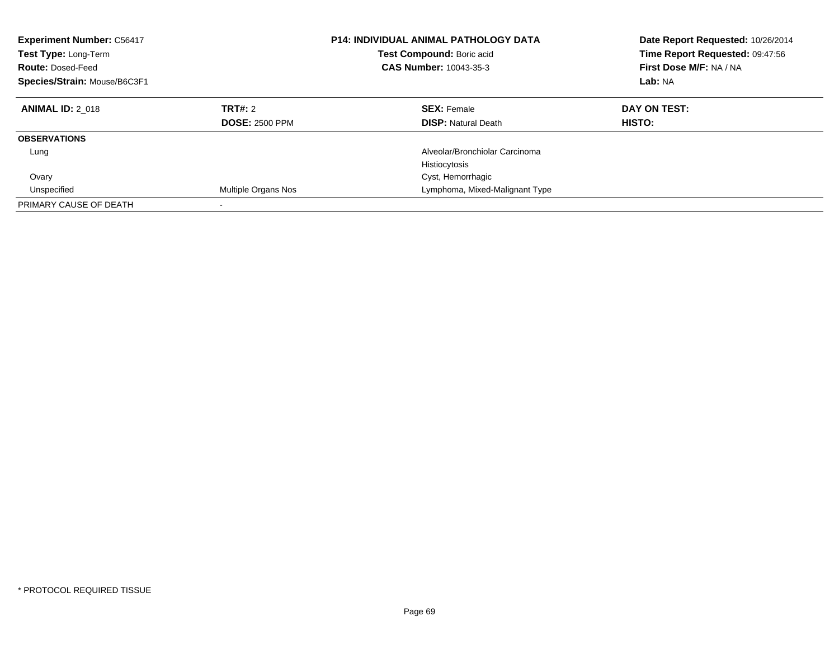| <b>Experiment Number: C56417</b><br>Test Type: Long-Term<br><b>Route: Dosed-Feed</b><br>Species/Strain: Mouse/B6C3F1 |                                  | <b>P14: INDIVIDUAL ANIMAL PATHOLOGY DATA</b><br><b>Test Compound: Boric acid</b><br>CAS Number: 10043-35-3 | Date Report Requested: 10/26/2014<br>Time Report Requested: 09:47:56<br>First Dose M/F: NA / NA<br>Lab: NA |
|----------------------------------------------------------------------------------------------------------------------|----------------------------------|------------------------------------------------------------------------------------------------------------|------------------------------------------------------------------------------------------------------------|
| <b>ANIMAL ID: 2 018</b>                                                                                              | TRT#: 2<br><b>DOSE: 2500 PPM</b> | <b>SEX: Female</b><br><b>DISP:</b> Natural Death                                                           | DAY ON TEST:<br>HISTO:                                                                                     |
| <b>OBSERVATIONS</b>                                                                                                  |                                  |                                                                                                            |                                                                                                            |
| Lung                                                                                                                 |                                  | Alveolar/Bronchiolar Carcinoma<br>Histiocytosis                                                            |                                                                                                            |
| Ovary                                                                                                                |                                  | Cyst, Hemorrhagic                                                                                          |                                                                                                            |
| Unspecified                                                                                                          | Multiple Organs Nos              | Lymphoma, Mixed-Malignant Type                                                                             |                                                                                                            |
| PRIMARY CAUSE OF DEATH                                                                                               |                                  |                                                                                                            |                                                                                                            |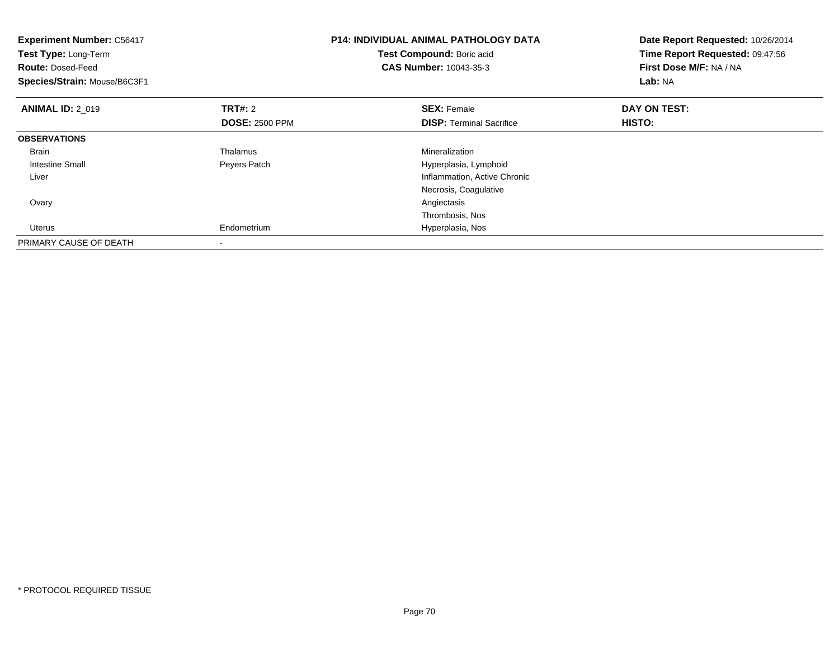| <b>Experiment Number: C56417</b><br>Test Type: Long-Term<br><b>Route: Dosed-Feed</b><br>Species/Strain: Mouse/B6C3F1 |                       | <b>P14: INDIVIDUAL ANIMAL PATHOLOGY DATA</b><br>Test Compound: Boric acid<br><b>CAS Number: 10043-35-3</b> | Date Report Requested: 10/26/2014<br>Time Report Requested: 09:47:56<br>First Dose M/F: NA / NA<br>Lab: NA |
|----------------------------------------------------------------------------------------------------------------------|-----------------------|------------------------------------------------------------------------------------------------------------|------------------------------------------------------------------------------------------------------------|
| <b>ANIMAL ID: 2_019</b>                                                                                              | <b>TRT#: 2</b>        | <b>SEX: Female</b>                                                                                         | DAY ON TEST:                                                                                               |
|                                                                                                                      | <b>DOSE: 2500 PPM</b> | <b>DISP:</b> Terminal Sacrifice                                                                            | HISTO:                                                                                                     |
| <b>OBSERVATIONS</b>                                                                                                  |                       |                                                                                                            |                                                                                                            |
| <b>Brain</b>                                                                                                         | Thalamus              | Mineralization                                                                                             |                                                                                                            |
| Intestine Small                                                                                                      | Peyers Patch          | Hyperplasia, Lymphoid                                                                                      |                                                                                                            |
| Liver                                                                                                                |                       | Inflammation, Active Chronic                                                                               |                                                                                                            |
|                                                                                                                      |                       | Necrosis, Coagulative                                                                                      |                                                                                                            |
| Ovary                                                                                                                |                       | Angiectasis                                                                                                |                                                                                                            |
|                                                                                                                      |                       | Thrombosis, Nos                                                                                            |                                                                                                            |
| <b>Uterus</b>                                                                                                        | Endometrium           | Hyperplasia, Nos                                                                                           |                                                                                                            |
| PRIMARY CAUSE OF DEATH                                                                                               |                       |                                                                                                            |                                                                                                            |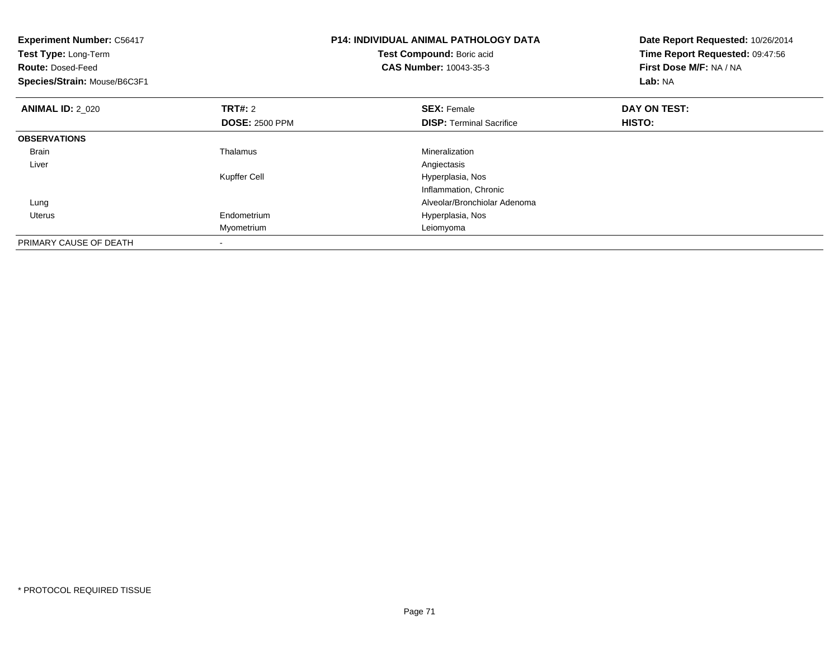| <b>Experiment Number: C56417</b><br>Test Type: Long-Term<br><b>Route: Dosed-Feed</b><br>Species/Strain: Mouse/B6C3F1 |                       | <b>P14: INDIVIDUAL ANIMAL PATHOLOGY DATA</b><br>Test Compound: Boric acid<br>CAS Number: 10043-35-3 | Date Report Requested: 10/26/2014<br>Time Report Requested: 09:47:56<br>First Dose M/F: NA / NA<br>Lab: NA |
|----------------------------------------------------------------------------------------------------------------------|-----------------------|-----------------------------------------------------------------------------------------------------|------------------------------------------------------------------------------------------------------------|
| <b>ANIMAL ID: 2 020</b>                                                                                              | TRT#: 2               | <b>SEX: Female</b>                                                                                  | DAY ON TEST:                                                                                               |
|                                                                                                                      | <b>DOSE: 2500 PPM</b> | <b>DISP:</b> Terminal Sacrifice                                                                     | <b>HISTO:</b>                                                                                              |
| <b>OBSERVATIONS</b>                                                                                                  |                       |                                                                                                     |                                                                                                            |
| Brain                                                                                                                | Thalamus              | Mineralization                                                                                      |                                                                                                            |
| Liver                                                                                                                |                       | Angiectasis                                                                                         |                                                                                                            |
|                                                                                                                      | Kupffer Cell          | Hyperplasia, Nos                                                                                    |                                                                                                            |
|                                                                                                                      |                       | Inflammation, Chronic                                                                               |                                                                                                            |
| Lung                                                                                                                 |                       | Alveolar/Bronchiolar Adenoma                                                                        |                                                                                                            |
| Uterus                                                                                                               | Endometrium           | Hyperplasia, Nos                                                                                    |                                                                                                            |
|                                                                                                                      | Myometrium            | Leiomyoma                                                                                           |                                                                                                            |
| PRIMARY CAUSE OF DEATH                                                                                               |                       |                                                                                                     |                                                                                                            |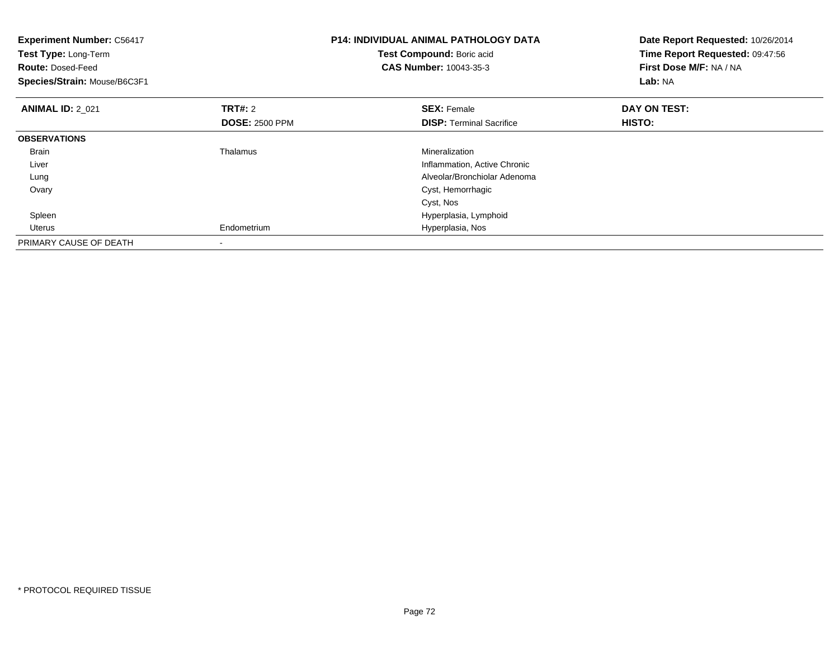| <b>Experiment Number: C56417</b><br>Test Type: Long-Term<br><b>Route: Dosed-Feed</b><br>Species/Strain: Mouse/B6C3F1 |                       | <b>P14: INDIVIDUAL ANIMAL PATHOLOGY DATA</b><br>Test Compound: Boric acid<br><b>CAS Number: 10043-35-3</b> | Date Report Requested: 10/26/2014<br>Time Report Requested: 09:47:56<br>First Dose M/F: NA / NA<br>Lab: NA |
|----------------------------------------------------------------------------------------------------------------------|-----------------------|------------------------------------------------------------------------------------------------------------|------------------------------------------------------------------------------------------------------------|
| <b>ANIMAL ID: 2_021</b>                                                                                              | <b>TRT#: 2</b>        | <b>SEX: Female</b>                                                                                         | DAY ON TEST:                                                                                               |
|                                                                                                                      | <b>DOSE: 2500 PPM</b> | <b>DISP:</b> Terminal Sacrifice                                                                            | HISTO:                                                                                                     |
| <b>OBSERVATIONS</b>                                                                                                  |                       |                                                                                                            |                                                                                                            |
| <b>Brain</b>                                                                                                         | Thalamus              | Mineralization                                                                                             |                                                                                                            |
| Liver                                                                                                                |                       | Inflammation, Active Chronic                                                                               |                                                                                                            |
| Lung                                                                                                                 |                       | Alveolar/Bronchiolar Adenoma                                                                               |                                                                                                            |
| Ovary                                                                                                                |                       | Cyst, Hemorrhagic                                                                                          |                                                                                                            |
|                                                                                                                      |                       | Cyst, Nos                                                                                                  |                                                                                                            |
| Spleen                                                                                                               |                       | Hyperplasia, Lymphoid                                                                                      |                                                                                                            |
| Uterus                                                                                                               | Endometrium           | Hyperplasia, Nos                                                                                           |                                                                                                            |
| PRIMARY CAUSE OF DEATH                                                                                               |                       |                                                                                                            |                                                                                                            |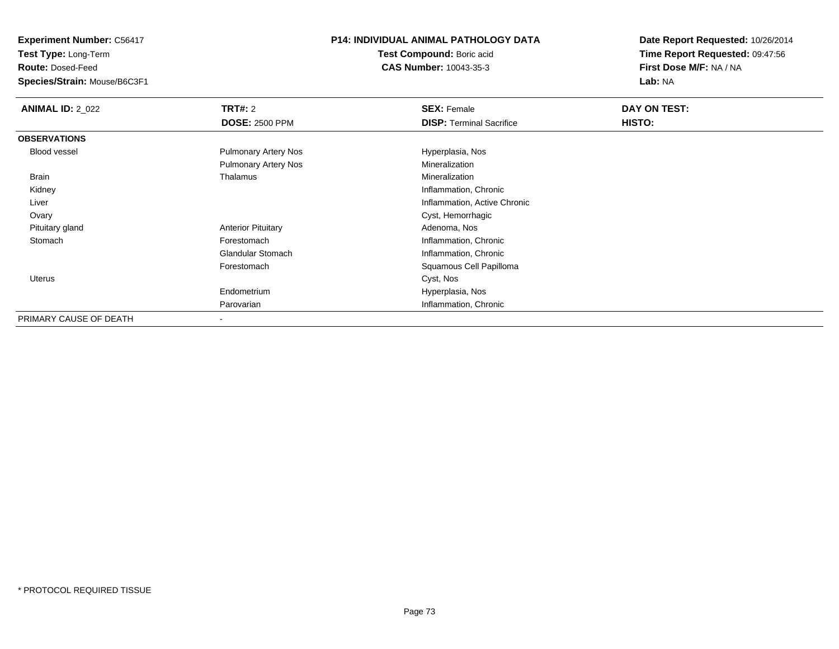**Test Type:** Long-Term

**Route:** Dosed-Feed

**Species/Strain:** Mouse/B6C3F1

## **P14: INDIVIDUAL ANIMAL PATHOLOGY DATA**

**Test Compound:** Boric acid**CAS Number:** 10043-35-3

| <b>ANIMAL ID: 2_022</b> | <b>TRT#:</b> 2              | <b>SEX: Female</b>              | DAY ON TEST: |
|-------------------------|-----------------------------|---------------------------------|--------------|
|                         | <b>DOSE: 2500 PPM</b>       | <b>DISP:</b> Terminal Sacrifice | HISTO:       |
| <b>OBSERVATIONS</b>     |                             |                                 |              |
| <b>Blood vessel</b>     | <b>Pulmonary Artery Nos</b> | Hyperplasia, Nos                |              |
|                         | <b>Pulmonary Artery Nos</b> | Mineralization                  |              |
| Brain                   | Thalamus                    | Mineralization                  |              |
| Kidney                  |                             | Inflammation, Chronic           |              |
| Liver                   |                             | Inflammation, Active Chronic    |              |
| Ovary                   |                             | Cyst, Hemorrhagic               |              |
| Pituitary gland         | <b>Anterior Pituitary</b>   | Adenoma, Nos                    |              |
| Stomach                 | Forestomach                 | Inflammation, Chronic           |              |
|                         | <b>Glandular Stomach</b>    | Inflammation, Chronic           |              |
|                         | Forestomach                 | Squamous Cell Papilloma         |              |
| Uterus                  |                             | Cyst, Nos                       |              |
|                         | Endometrium                 | Hyperplasia, Nos                |              |
|                         | Parovarian                  | Inflammation, Chronic           |              |
| PRIMARY CAUSE OF DEATH  | $\overline{\phantom{a}}$    |                                 |              |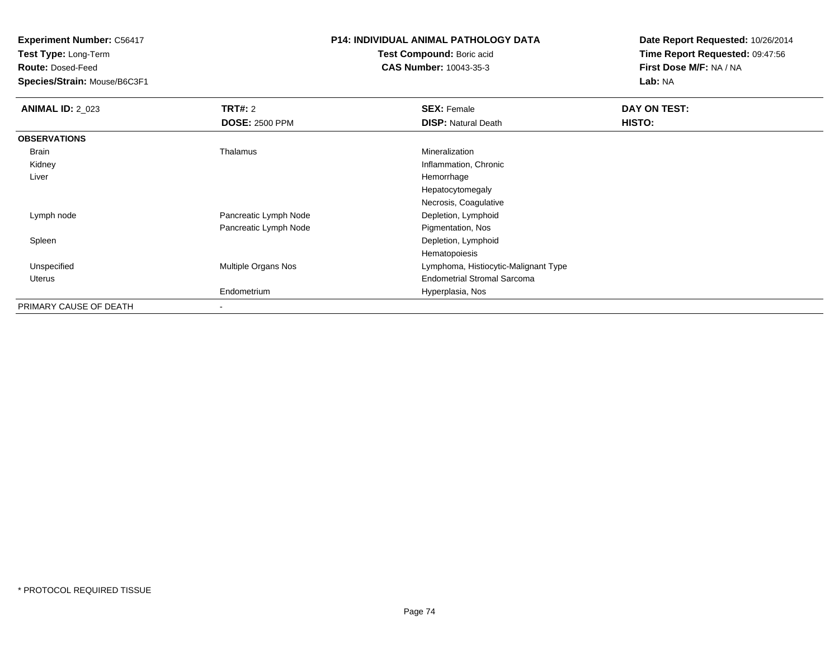**Test Type:** Long-Term

**Route:** Dosed-Feed

**Species/Strain:** Mouse/B6C3F1

## **P14: INDIVIDUAL ANIMAL PATHOLOGY DATA**

**Test Compound:** Boric acid**CAS Number:** 10043-35-3

| <b>ANIMAL ID: 2_023</b> | <b>TRT#: 2</b>        | <b>SEX: Female</b>                   | DAY ON TEST: |
|-------------------------|-----------------------|--------------------------------------|--------------|
|                         | <b>DOSE: 2500 PPM</b> | <b>DISP: Natural Death</b>           | HISTO:       |
| <b>OBSERVATIONS</b>     |                       |                                      |              |
| Brain                   | Thalamus              | Mineralization                       |              |
| Kidney                  |                       | Inflammation, Chronic                |              |
| Liver                   |                       | Hemorrhage                           |              |
|                         |                       | Hepatocytomegaly                     |              |
|                         |                       | Necrosis, Coagulative                |              |
| Lymph node              | Pancreatic Lymph Node | Depletion, Lymphoid                  |              |
|                         | Pancreatic Lymph Node | Pigmentation, Nos                    |              |
| Spleen                  |                       | Depletion, Lymphoid                  |              |
|                         |                       | Hematopoiesis                        |              |
| Unspecified             | Multiple Organs Nos   | Lymphoma, Histiocytic-Malignant Type |              |
| Uterus                  |                       | <b>Endometrial Stromal Sarcoma</b>   |              |
|                         | Endometrium           | Hyperplasia, Nos                     |              |
| PRIMARY CAUSE OF DEATH  |                       |                                      |              |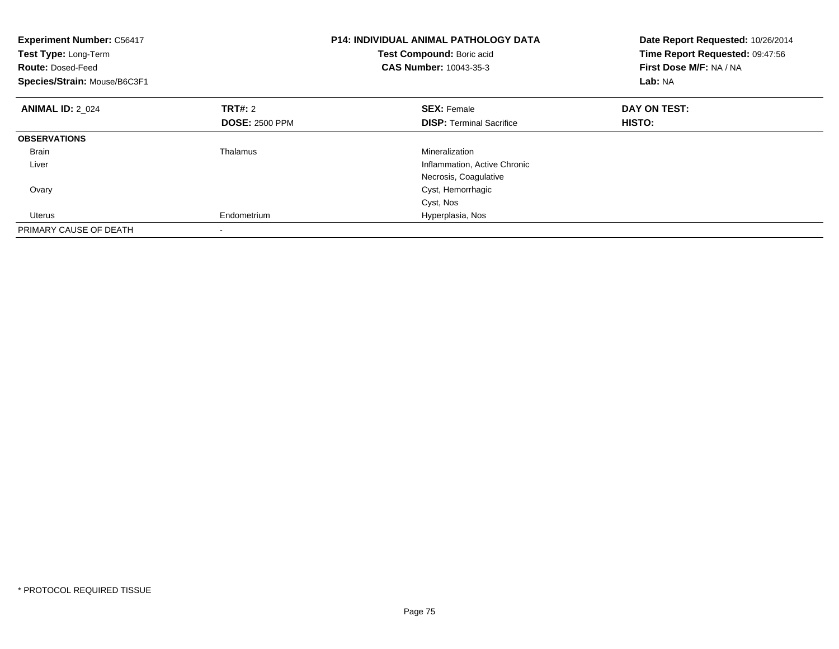| <b>Experiment Number: C56417</b><br>Test Type: Long-Term<br><b>Route: Dosed-Feed</b><br>Species/Strain: Mouse/B6C3F1 |                       | <b>P14: INDIVIDUAL ANIMAL PATHOLOGY DATA</b><br>Test Compound: Boric acid<br>CAS Number: 10043-35-3 | Date Report Requested: 10/26/2014<br>Time Report Requested: 09:47:56<br>First Dose M/F: NA / NA<br>Lab: NA |
|----------------------------------------------------------------------------------------------------------------------|-----------------------|-----------------------------------------------------------------------------------------------------|------------------------------------------------------------------------------------------------------------|
| <b>ANIMAL ID: 2 024</b>                                                                                              | TRT#: 2               | <b>SEX: Female</b>                                                                                  | DAY ON TEST:                                                                                               |
|                                                                                                                      | <b>DOSE: 2500 PPM</b> | <b>DISP:</b> Terminal Sacrifice                                                                     | HISTO:                                                                                                     |
| <b>OBSERVATIONS</b>                                                                                                  |                       |                                                                                                     |                                                                                                            |
| <b>Brain</b>                                                                                                         | Thalamus              | Mineralization                                                                                      |                                                                                                            |
| Liver                                                                                                                |                       | Inflammation, Active Chronic                                                                        |                                                                                                            |
|                                                                                                                      |                       | Necrosis, Coagulative                                                                               |                                                                                                            |
| Ovary                                                                                                                |                       | Cyst, Hemorrhagic                                                                                   |                                                                                                            |
|                                                                                                                      |                       | Cyst, Nos                                                                                           |                                                                                                            |
| Uterus                                                                                                               | Endometrium           | Hyperplasia, Nos                                                                                    |                                                                                                            |
| PRIMARY CAUSE OF DEATH                                                                                               |                       |                                                                                                     |                                                                                                            |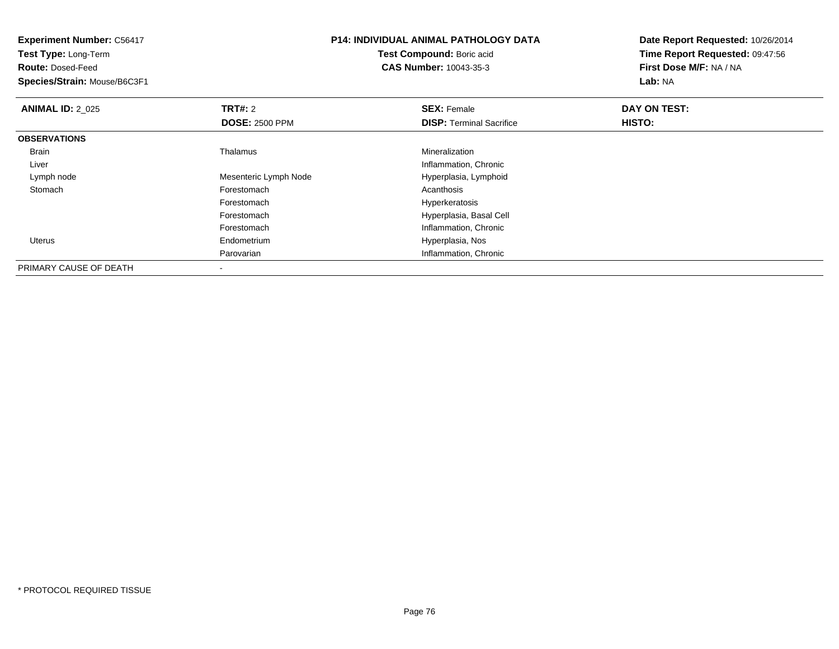| <b>Experiment Number: C56417</b><br>Test Type: Long-Term<br><b>Route: Dosed-Feed</b><br>Species/Strain: Mouse/B6C3F1 |                       | P14: INDIVIDUAL ANIMAL PATHOLOGY DATA<br>Test Compound: Boric acid<br><b>CAS Number: 10043-35-3</b> | Date Report Requested: 10/26/2014<br>Time Report Requested: 09:47:56<br>First Dose M/F: NA / NA<br>Lab: NA |  |
|----------------------------------------------------------------------------------------------------------------------|-----------------------|-----------------------------------------------------------------------------------------------------|------------------------------------------------------------------------------------------------------------|--|
| <b>ANIMAL ID: 2_025</b>                                                                                              | <b>TRT#: 2</b>        | <b>SEX: Female</b>                                                                                  | DAY ON TEST:                                                                                               |  |
|                                                                                                                      | <b>DOSE: 2500 PPM</b> | <b>DISP:</b> Terminal Sacrifice                                                                     | HISTO:                                                                                                     |  |
| <b>OBSERVATIONS</b>                                                                                                  |                       |                                                                                                     |                                                                                                            |  |
| <b>Brain</b>                                                                                                         | Thalamus              | Mineralization                                                                                      |                                                                                                            |  |
| Liver                                                                                                                |                       | Inflammation, Chronic                                                                               |                                                                                                            |  |
| Lymph node                                                                                                           | Mesenteric Lymph Node | Hyperplasia, Lymphoid                                                                               |                                                                                                            |  |
| Stomach                                                                                                              | Forestomach           | Acanthosis                                                                                          |                                                                                                            |  |
|                                                                                                                      | Forestomach           | Hyperkeratosis                                                                                      |                                                                                                            |  |
|                                                                                                                      | Forestomach           | Hyperplasia, Basal Cell                                                                             |                                                                                                            |  |
|                                                                                                                      | Forestomach           | Inflammation, Chronic                                                                               |                                                                                                            |  |
| Uterus                                                                                                               | Endometrium           | Hyperplasia, Nos                                                                                    |                                                                                                            |  |
|                                                                                                                      | Parovarian            | Inflammation, Chronic                                                                               |                                                                                                            |  |
| PRIMARY CAUSE OF DEATH                                                                                               |                       |                                                                                                     |                                                                                                            |  |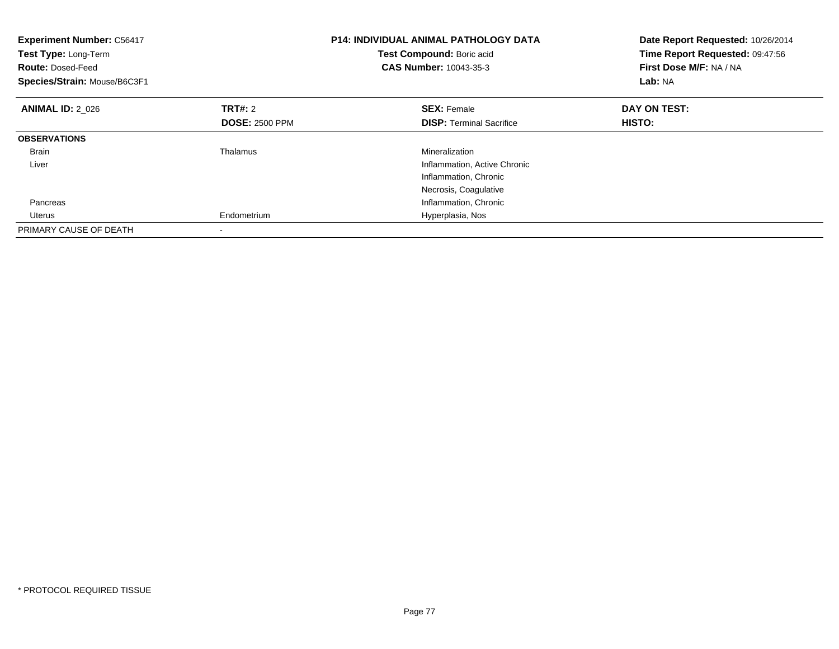| <b>Experiment Number: C56417</b><br>Test Type: Long-Term<br><b>Route: Dosed-Feed</b><br>Species/Strain: Mouse/B6C3F1 |                       | <b>P14: INDIVIDUAL ANIMAL PATHOLOGY DATA</b><br>Test Compound: Boric acid<br>CAS Number: 10043-35-3 | Date Report Requested: 10/26/2014<br>Time Report Requested: 09:47:56<br>First Dose M/F: NA / NA<br>Lab: NA |
|----------------------------------------------------------------------------------------------------------------------|-----------------------|-----------------------------------------------------------------------------------------------------|------------------------------------------------------------------------------------------------------------|
| <b>ANIMAL ID: 2 026</b>                                                                                              | TRT#: 2               | <b>SEX: Female</b>                                                                                  | DAY ON TEST:                                                                                               |
|                                                                                                                      | <b>DOSE: 2500 PPM</b> | <b>DISP:</b> Terminal Sacrifice                                                                     | HISTO:                                                                                                     |
| <b>OBSERVATIONS</b>                                                                                                  |                       |                                                                                                     |                                                                                                            |
| Brain                                                                                                                | Thalamus              | Mineralization                                                                                      |                                                                                                            |
| Liver                                                                                                                |                       | Inflammation, Active Chronic                                                                        |                                                                                                            |
|                                                                                                                      |                       | Inflammation, Chronic                                                                               |                                                                                                            |
|                                                                                                                      |                       | Necrosis, Coagulative                                                                               |                                                                                                            |
| Pancreas                                                                                                             |                       | Inflammation, Chronic                                                                               |                                                                                                            |
| Uterus                                                                                                               | Endometrium           | Hyperplasia, Nos                                                                                    |                                                                                                            |
| PRIMARY CAUSE OF DEATH                                                                                               |                       |                                                                                                     |                                                                                                            |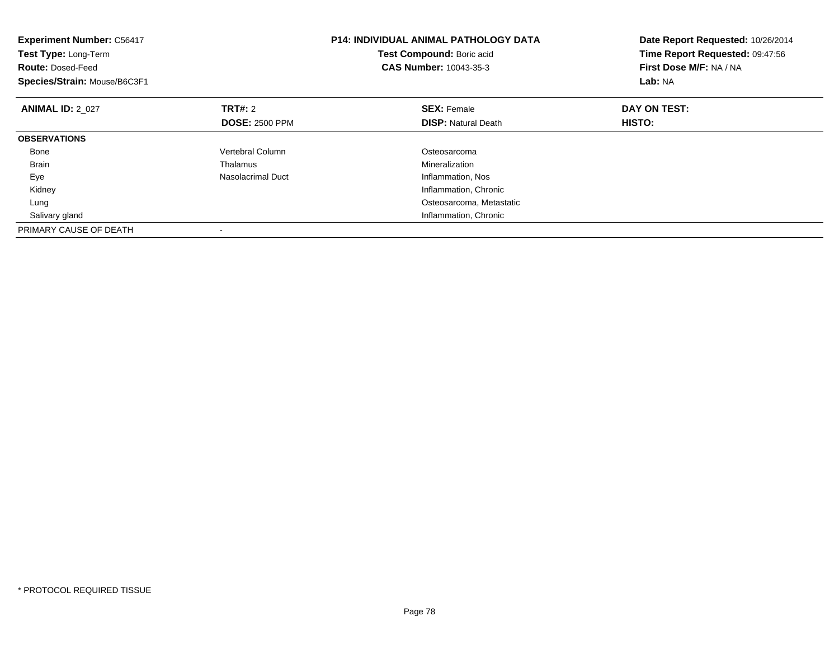| <b>Experiment Number: C56417</b><br>Test Type: Long-Term<br><b>Route: Dosed-Feed</b><br>Species/Strain: Mouse/B6C3F1 |                       | <b>P14: INDIVIDUAL ANIMAL PATHOLOGY DATA</b><br>Test Compound: Boric acid<br><b>CAS Number: 10043-35-3</b> | Date Report Requested: 10/26/2014<br>Time Report Requested: 09:47:56<br>First Dose M/F: NA / NA<br>Lab: NA |
|----------------------------------------------------------------------------------------------------------------------|-----------------------|------------------------------------------------------------------------------------------------------------|------------------------------------------------------------------------------------------------------------|
| <b>ANIMAL ID: 2 027</b>                                                                                              | <b>TRT#:</b> 2        | <b>SEX: Female</b>                                                                                         | DAY ON TEST:                                                                                               |
|                                                                                                                      | <b>DOSE: 2500 PPM</b> | <b>DISP:</b> Natural Death                                                                                 | <b>HISTO:</b>                                                                                              |
| <b>OBSERVATIONS</b>                                                                                                  |                       |                                                                                                            |                                                                                                            |
| Bone                                                                                                                 | Vertebral Column      | Osteosarcoma                                                                                               |                                                                                                            |
| <b>Brain</b>                                                                                                         | Thalamus              | Mineralization                                                                                             |                                                                                                            |
| Eye                                                                                                                  | Nasolacrimal Duct     | Inflammation, Nos                                                                                          |                                                                                                            |
| Kidney                                                                                                               |                       | Inflammation, Chronic                                                                                      |                                                                                                            |
| Lung                                                                                                                 |                       | Osteosarcoma, Metastatic                                                                                   |                                                                                                            |
| Salivary gland                                                                                                       |                       | Inflammation, Chronic                                                                                      |                                                                                                            |
| PRIMARY CAUSE OF DEATH                                                                                               |                       |                                                                                                            |                                                                                                            |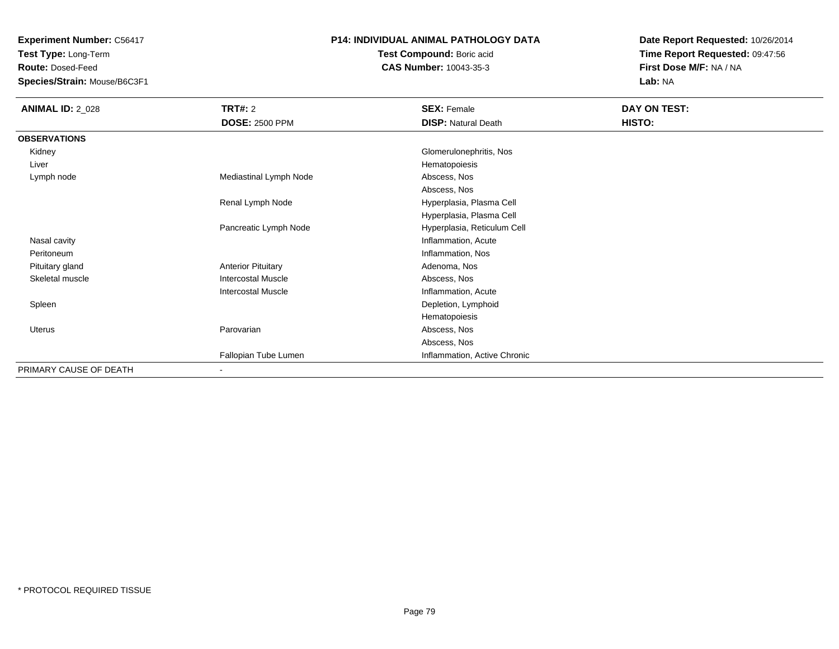**Test Type:** Long-Term

**Route:** Dosed-Feed

**Species/Strain:** Mouse/B6C3F1

### **P14: INDIVIDUAL ANIMAL PATHOLOGY DATA**

**Test Compound:** Boric acid**CAS Number:** 10043-35-3

| <b>ANIMAL ID: 2_028</b> | TRT#: 2                   | <b>SEX: Female</b>           | DAY ON TEST: |  |
|-------------------------|---------------------------|------------------------------|--------------|--|
|                         | <b>DOSE: 2500 PPM</b>     | <b>DISP: Natural Death</b>   | HISTO:       |  |
| <b>OBSERVATIONS</b>     |                           |                              |              |  |
| Kidney                  |                           | Glomerulonephritis, Nos      |              |  |
| Liver                   |                           | Hematopoiesis                |              |  |
| Lymph node              | Mediastinal Lymph Node    | Abscess, Nos                 |              |  |
|                         |                           | Abscess, Nos                 |              |  |
|                         | Renal Lymph Node          | Hyperplasia, Plasma Cell     |              |  |
|                         |                           | Hyperplasia, Plasma Cell     |              |  |
|                         | Pancreatic Lymph Node     | Hyperplasia, Reticulum Cell  |              |  |
| Nasal cavity            |                           | Inflammation, Acute          |              |  |
| Peritoneum              |                           | Inflammation, Nos            |              |  |
| Pituitary gland         | <b>Anterior Pituitary</b> | Adenoma, Nos                 |              |  |
| Skeletal muscle         | <b>Intercostal Muscle</b> | Abscess, Nos                 |              |  |
|                         | <b>Intercostal Muscle</b> | Inflammation, Acute          |              |  |
| Spleen                  |                           | Depletion, Lymphoid          |              |  |
|                         |                           | Hematopoiesis                |              |  |
| Uterus                  | Parovarian                | Abscess, Nos                 |              |  |
|                         |                           | Abscess, Nos                 |              |  |
|                         | Fallopian Tube Lumen      | Inflammation, Active Chronic |              |  |
| PRIMARY CAUSE OF DEATH  | $\overline{\phantom{a}}$  |                              |              |  |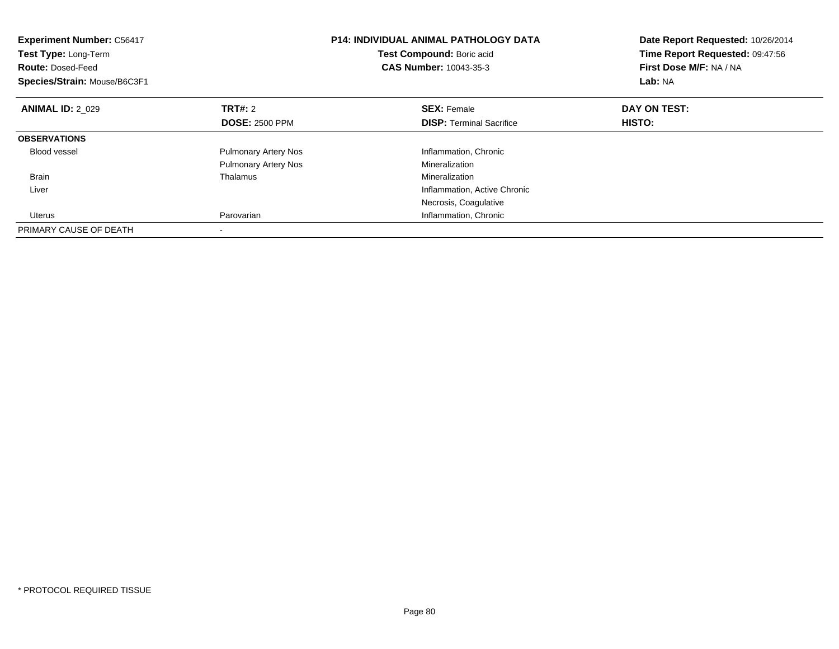| <b>Experiment Number: C56417</b><br><b>Test Type: Long-Term</b><br><b>Route: Dosed-Feed</b><br>Species/Strain: Mouse/B6C3F1 |                             | <b>P14: INDIVIDUAL ANIMAL PATHOLOGY DATA</b><br>Test Compound: Boric acid<br><b>CAS Number: 10043-35-3</b> | Date Report Requested: 10/26/2014<br>Time Report Requested: 09:47:56<br>First Dose M/F: NA / NA<br>Lab: NA |
|-----------------------------------------------------------------------------------------------------------------------------|-----------------------------|------------------------------------------------------------------------------------------------------------|------------------------------------------------------------------------------------------------------------|
| <b>ANIMAL ID: 2 029</b>                                                                                                     | <b>TRT#: 2</b>              | <b>SEX: Female</b>                                                                                         | DAY ON TEST:                                                                                               |
|                                                                                                                             | <b>DOSE: 2500 PPM</b>       | <b>DISP:</b> Terminal Sacrifice                                                                            | HISTO:                                                                                                     |
| <b>OBSERVATIONS</b>                                                                                                         |                             |                                                                                                            |                                                                                                            |
| <b>Blood vessel</b>                                                                                                         | <b>Pulmonary Artery Nos</b> | Inflammation, Chronic                                                                                      |                                                                                                            |
|                                                                                                                             | <b>Pulmonary Artery Nos</b> | Mineralization                                                                                             |                                                                                                            |
| <b>Brain</b>                                                                                                                | Thalamus                    | Mineralization                                                                                             |                                                                                                            |
| Liver                                                                                                                       |                             | Inflammation, Active Chronic                                                                               |                                                                                                            |
|                                                                                                                             |                             | Necrosis, Coagulative                                                                                      |                                                                                                            |
| Uterus                                                                                                                      | Parovarian                  | Inflammation, Chronic                                                                                      |                                                                                                            |
| PRIMARY CAUSE OF DEATH                                                                                                      |                             |                                                                                                            |                                                                                                            |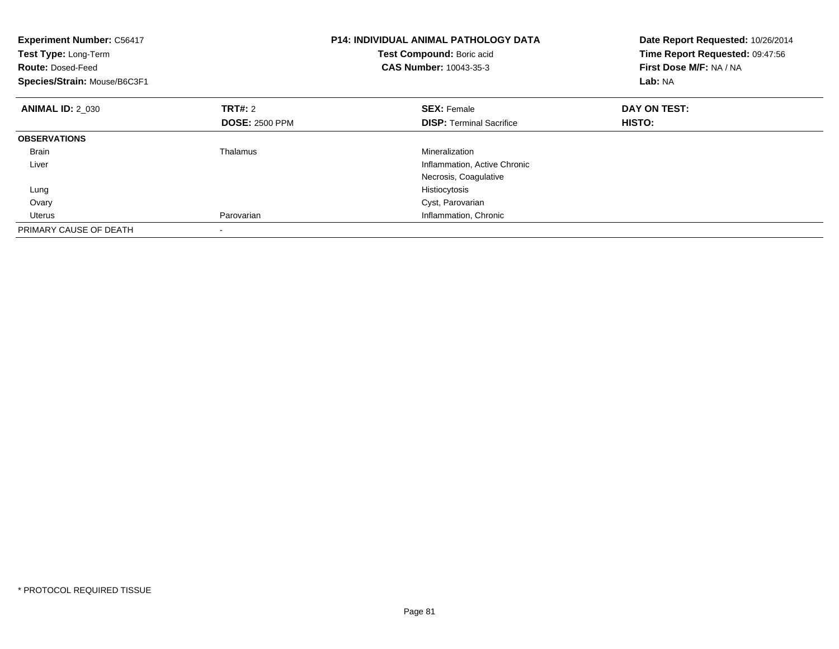| <b>Experiment Number: C56417</b><br>Test Type: Long-Term<br><b>Route: Dosed-Feed</b><br>Species/Strain: Mouse/B6C3F1 |                       | <b>P14: INDIVIDUAL ANIMAL PATHOLOGY DATA</b><br>Test Compound: Boric acid<br><b>CAS Number: 10043-35-3</b> | Date Report Requested: 10/26/2014<br>Time Report Requested: 09:47:56<br>First Dose M/F: NA / NA<br>Lab: NA |
|----------------------------------------------------------------------------------------------------------------------|-----------------------|------------------------------------------------------------------------------------------------------------|------------------------------------------------------------------------------------------------------------|
| <b>ANIMAL ID: 2_030</b>                                                                                              | <b>TRT#: 2</b>        | <b>SEX: Female</b>                                                                                         | DAY ON TEST:                                                                                               |
|                                                                                                                      | <b>DOSE: 2500 PPM</b> | <b>DISP:</b> Terminal Sacrifice                                                                            | HISTO:                                                                                                     |
| <b>OBSERVATIONS</b>                                                                                                  |                       |                                                                                                            |                                                                                                            |
| <b>Brain</b>                                                                                                         | Thalamus              | Mineralization                                                                                             |                                                                                                            |
| Liver                                                                                                                |                       | Inflammation, Active Chronic                                                                               |                                                                                                            |
|                                                                                                                      |                       | Necrosis, Coagulative                                                                                      |                                                                                                            |
| Lung                                                                                                                 |                       | Histiocytosis                                                                                              |                                                                                                            |
| Ovary                                                                                                                |                       | Cyst, Parovarian                                                                                           |                                                                                                            |
| <b>Uterus</b>                                                                                                        | Parovarian            | Inflammation, Chronic                                                                                      |                                                                                                            |
| PRIMARY CAUSE OF DEATH                                                                                               |                       |                                                                                                            |                                                                                                            |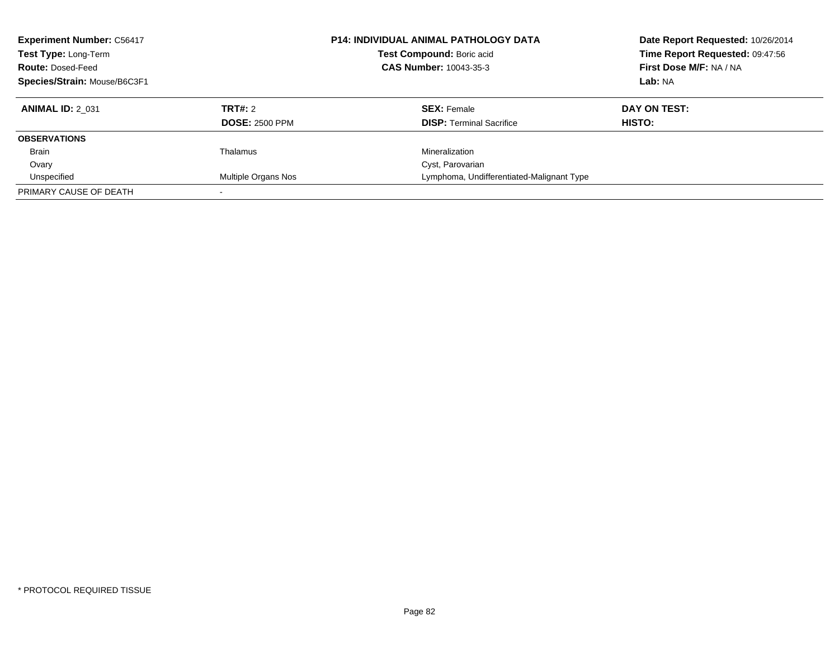| <b>Experiment Number: C56417</b><br>Test Type: Long-Term<br><b>Route: Dosed-Feed</b><br>Species/Strain: Mouse/B6C3F1 |                                         | <b>P14: INDIVIDUAL ANIMAL PATHOLOGY DATA</b><br>Test Compound: Boric acid<br>CAS Number: 10043-35-3 | Date Report Requested: 10/26/2014<br>Time Report Requested: 09:47:56<br>First Dose M/F: NA / NA<br>Lab: NA |
|----------------------------------------------------------------------------------------------------------------------|-----------------------------------------|-----------------------------------------------------------------------------------------------------|------------------------------------------------------------------------------------------------------------|
| <b>ANIMAL ID: 2 031</b>                                                                                              | <b>TRT#: 2</b><br><b>DOSE: 2500 PPM</b> | <b>SEX: Female</b><br><b>DISP:</b> Terminal Sacrifice                                               | DAY ON TEST:<br><b>HISTO:</b>                                                                              |
| <b>OBSERVATIONS</b>                                                                                                  |                                         |                                                                                                     |                                                                                                            |
| <b>Brain</b>                                                                                                         | Thalamus                                | Mineralization                                                                                      |                                                                                                            |
| Ovary                                                                                                                |                                         | Cyst, Parovarian                                                                                    |                                                                                                            |
| Unspecified                                                                                                          | Multiple Organs Nos                     | Lymphoma, Undifferentiated-Malignant Type                                                           |                                                                                                            |
| PRIMARY CAUSE OF DEATH                                                                                               |                                         |                                                                                                     |                                                                                                            |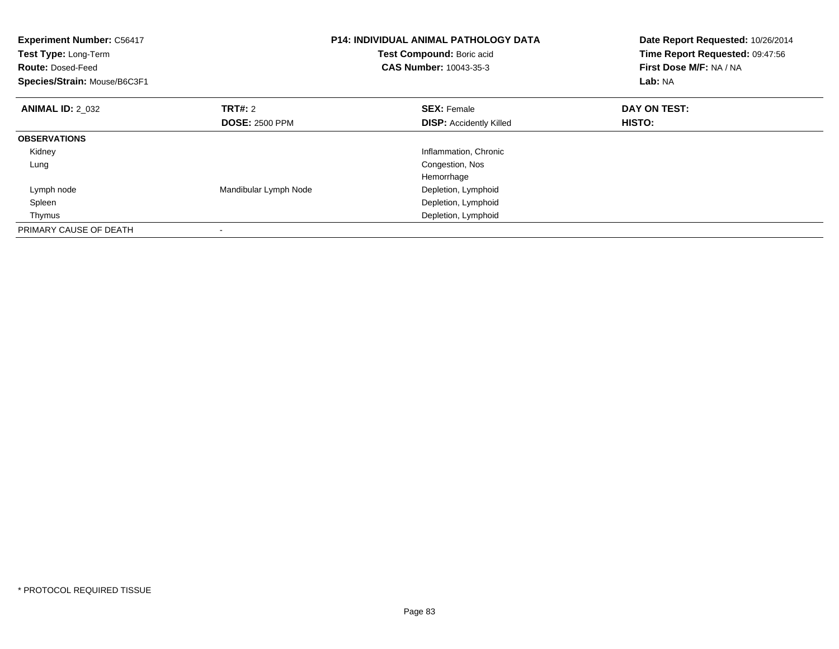| <b>Experiment Number: C56417</b><br>Test Type: Long-Term<br><b>Route: Dosed-Feed</b><br>Species/Strain: Mouse/B6C3F1 |                       | <b>P14: INDIVIDUAL ANIMAL PATHOLOGY DATA</b><br>Test Compound: Boric acid<br><b>CAS Number: 10043-35-3</b> | Date Report Requested: 10/26/2014<br>Time Report Requested: 09:47:56<br>First Dose M/F: NA / NA<br>Lab: NA |
|----------------------------------------------------------------------------------------------------------------------|-----------------------|------------------------------------------------------------------------------------------------------------|------------------------------------------------------------------------------------------------------------|
| <b>ANIMAL ID: 2 032</b>                                                                                              | <b>TRT#: 2</b>        | <b>SEX: Female</b>                                                                                         | DAY ON TEST:                                                                                               |
|                                                                                                                      | <b>DOSE: 2500 PPM</b> | <b>DISP:</b> Accidently Killed                                                                             | <b>HISTO:</b>                                                                                              |
| <b>OBSERVATIONS</b>                                                                                                  |                       |                                                                                                            |                                                                                                            |
| Kidney                                                                                                               |                       | Inflammation, Chronic                                                                                      |                                                                                                            |
| Lung                                                                                                                 |                       | Congestion, Nos                                                                                            |                                                                                                            |
|                                                                                                                      |                       | Hemorrhage                                                                                                 |                                                                                                            |
| Lymph node                                                                                                           | Mandibular Lymph Node | Depletion, Lymphoid                                                                                        |                                                                                                            |
| Spleen                                                                                                               |                       | Depletion, Lymphoid                                                                                        |                                                                                                            |
| Thymus                                                                                                               |                       | Depletion, Lymphoid                                                                                        |                                                                                                            |
| PRIMARY CAUSE OF DEATH                                                                                               |                       |                                                                                                            |                                                                                                            |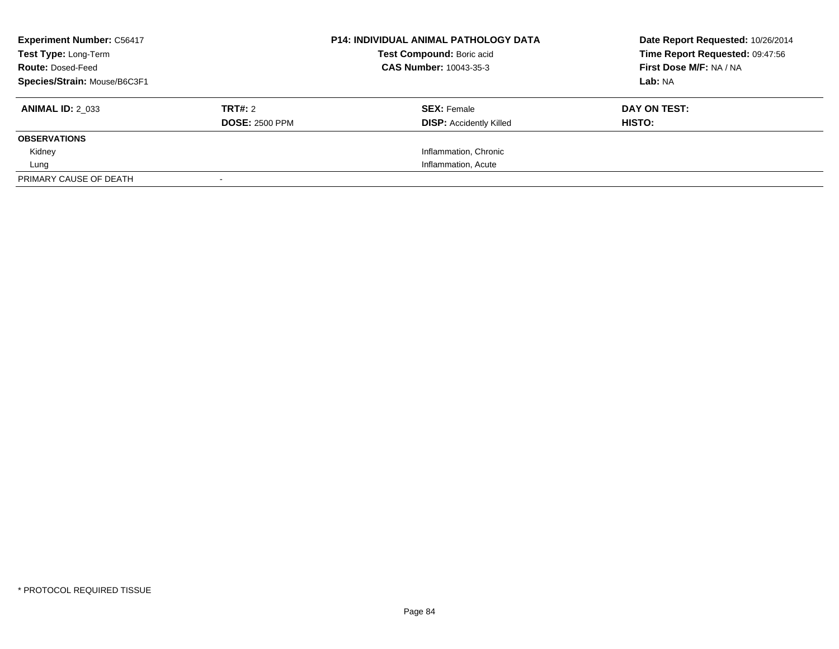| <b>Experiment Number: C56417</b><br><b>P14: INDIVIDUAL ANIMAL PATHOLOGY DATA</b><br>Test Compound: Boric acid<br>Test Type: Long-Term<br>CAS Number: 10043-35-3<br><b>Route: Dosed-Feed</b><br>Species/Strain: Mouse/B6C3F1 |                                         | Date Report Requested: 10/26/2014<br>Time Report Requested: 09:47:56<br>First Dose M/F: NA / NA<br>Lab: NA |                        |
|-----------------------------------------------------------------------------------------------------------------------------------------------------------------------------------------------------------------------------|-----------------------------------------|------------------------------------------------------------------------------------------------------------|------------------------|
| <b>ANIMAL ID: 2 033</b>                                                                                                                                                                                                     | <b>TRT#: 2</b><br><b>DOSE: 2500 PPM</b> | <b>SEX: Female</b><br><b>DISP: Accidently Killed</b>                                                       | DAY ON TEST:<br>HISTO: |
| <b>OBSERVATIONS</b>                                                                                                                                                                                                         |                                         |                                                                                                            |                        |
| Kidney                                                                                                                                                                                                                      |                                         | Inflammation, Chronic                                                                                      |                        |
| Lung                                                                                                                                                                                                                        |                                         | Inflammation, Acute                                                                                        |                        |
| PRIMARY CAUSE OF DEATH                                                                                                                                                                                                      |                                         |                                                                                                            |                        |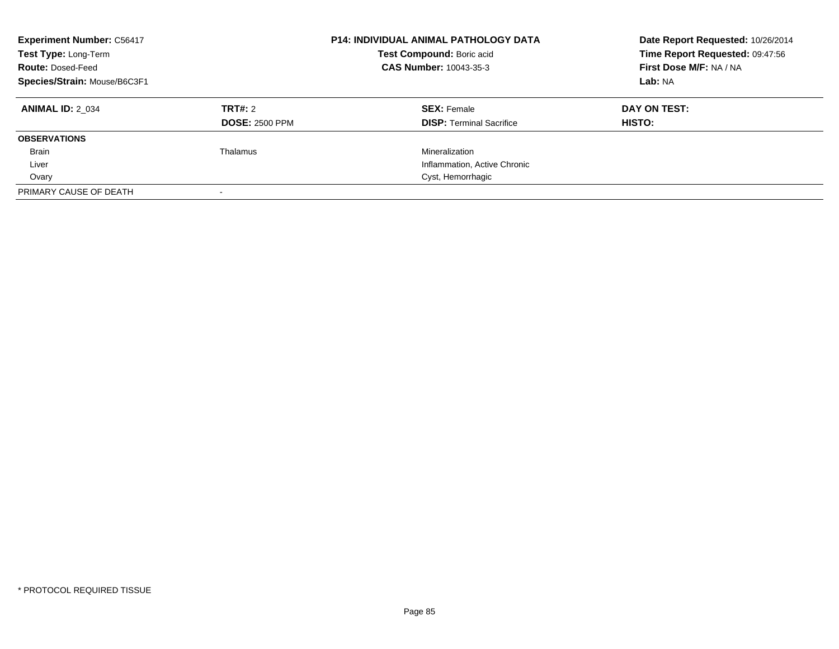| <b>Experiment Number: C56417</b><br>Test Type: Long-Term<br><b>Route: Dosed-Feed</b><br>Species/Strain: Mouse/B6C3F1 |                                         | <b>P14: INDIVIDUAL ANIMAL PATHOLOGY DATA</b><br>Test Compound: Boric acid<br>CAS Number: 10043-35-3 | Date Report Requested: 10/26/2014<br>Time Report Requested: 09:47:56<br>First Dose M/F: NA / NA<br>Lab: NA |
|----------------------------------------------------------------------------------------------------------------------|-----------------------------------------|-----------------------------------------------------------------------------------------------------|------------------------------------------------------------------------------------------------------------|
| <b>ANIMAL ID: 2 034</b>                                                                                              | <b>TRT#: 2</b><br><b>DOSE: 2500 PPM</b> | <b>SEX: Female</b><br><b>DISP:</b> Terminal Sacrifice                                               | DAY ON TEST:<br><b>HISTO:</b>                                                                              |
| <b>OBSERVATIONS</b>                                                                                                  |                                         |                                                                                                     |                                                                                                            |
| <b>Brain</b>                                                                                                         | Thalamus                                | Mineralization                                                                                      |                                                                                                            |
| Liver                                                                                                                |                                         | Inflammation, Active Chronic                                                                        |                                                                                                            |
| Ovary                                                                                                                |                                         | Cyst, Hemorrhagic                                                                                   |                                                                                                            |
| PRIMARY CAUSE OF DEATH                                                                                               |                                         |                                                                                                     |                                                                                                            |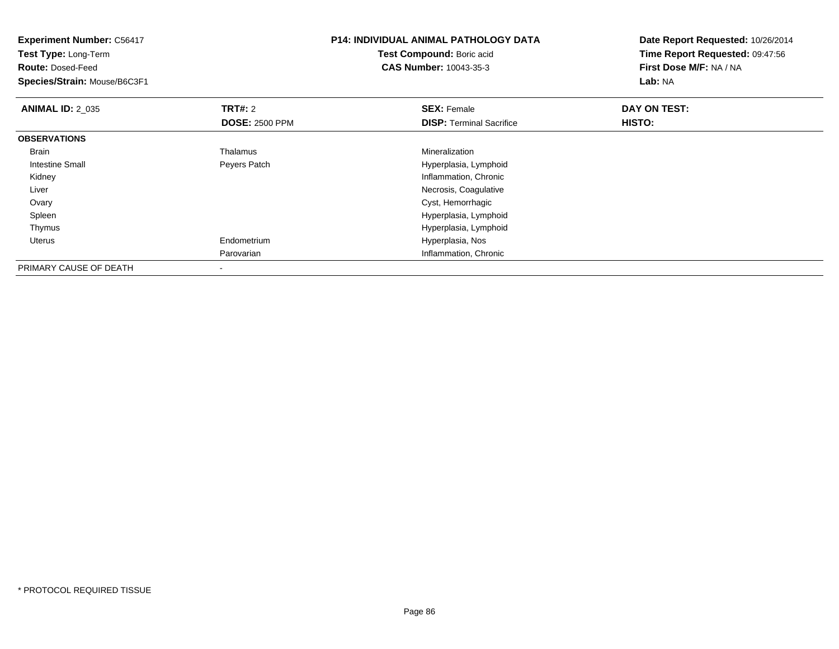| <b>Experiment Number: C56417</b><br>Test Type: Long-Term<br><b>Route: Dosed-Feed</b><br>Species/Strain: Mouse/B6C3F1 |                                         | <b>P14: INDIVIDUAL ANIMAL PATHOLOGY DATA</b><br>Test Compound: Boric acid<br><b>CAS Number: 10043-35-3</b> | Date Report Requested: 10/26/2014<br>Time Report Requested: 09:47:56<br>First Dose M/F: NA / NA<br><b>Lab: NA</b> |
|----------------------------------------------------------------------------------------------------------------------|-----------------------------------------|------------------------------------------------------------------------------------------------------------|-------------------------------------------------------------------------------------------------------------------|
| <b>ANIMAL ID: 2_035</b>                                                                                              | <b>TRT#: 2</b><br><b>DOSE: 2500 PPM</b> | <b>SEX: Female</b><br><b>DISP: Terminal Sacrifice</b>                                                      | DAY ON TEST:<br><b>HISTO:</b>                                                                                     |
| <b>OBSERVATIONS</b>                                                                                                  |                                         |                                                                                                            |                                                                                                                   |
| Brain                                                                                                                | Thalamus                                | Mineralization                                                                                             |                                                                                                                   |
| Intestine Small                                                                                                      | Peyers Patch                            | Hyperplasia, Lymphoid                                                                                      |                                                                                                                   |
| Kidney                                                                                                               |                                         | Inflammation, Chronic                                                                                      |                                                                                                                   |
| Liver                                                                                                                |                                         | Necrosis, Coagulative                                                                                      |                                                                                                                   |
| Ovary                                                                                                                |                                         | Cyst, Hemorrhagic                                                                                          |                                                                                                                   |
| Spleen                                                                                                               |                                         | Hyperplasia, Lymphoid                                                                                      |                                                                                                                   |
| Thymus                                                                                                               |                                         | Hyperplasia, Lymphoid                                                                                      |                                                                                                                   |
| Uterus                                                                                                               | Endometrium                             | Hyperplasia, Nos                                                                                           |                                                                                                                   |
|                                                                                                                      | Parovarian                              | Inflammation, Chronic                                                                                      |                                                                                                                   |
| PRIMARY CAUSE OF DEATH                                                                                               | $\,$                                    |                                                                                                            |                                                                                                                   |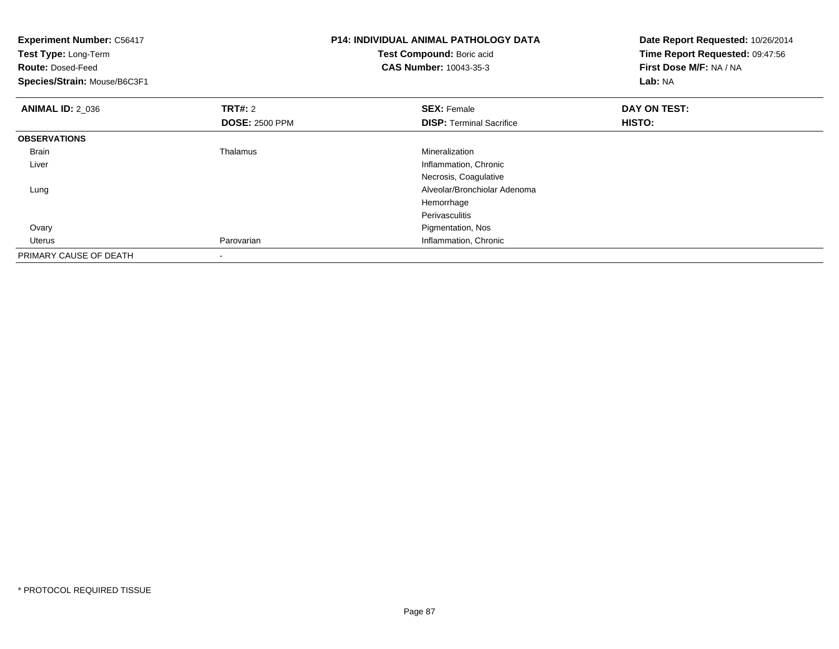| <b>Experiment Number: C56417</b><br>Test Type: Long-Term<br><b>Route: Dosed-Feed</b><br>Species/Strain: Mouse/B6C3F1 |                                         | <b>P14: INDIVIDUAL ANIMAL PATHOLOGY DATA</b><br>Test Compound: Boric acid<br><b>CAS Number: 10043-35-3</b> | Date Report Requested: 10/26/2014<br>Time Report Requested: 09:47:56<br>First Dose M/F: NA / NA<br>Lab: NA |
|----------------------------------------------------------------------------------------------------------------------|-----------------------------------------|------------------------------------------------------------------------------------------------------------|------------------------------------------------------------------------------------------------------------|
| <b>ANIMAL ID: 2_036</b>                                                                                              | <b>TRT#: 2</b><br><b>DOSE: 2500 PPM</b> | <b>SEX: Female</b><br><b>DISP:</b> Terminal Sacrifice                                                      | DAY ON TEST:<br>HISTO:                                                                                     |
| <b>OBSERVATIONS</b>                                                                                                  |                                         |                                                                                                            |                                                                                                            |
| <b>Brain</b>                                                                                                         | Thalamus                                | Mineralization                                                                                             |                                                                                                            |
| Liver                                                                                                                |                                         | Inflammation, Chronic                                                                                      |                                                                                                            |
|                                                                                                                      |                                         | Necrosis, Coagulative                                                                                      |                                                                                                            |
| Lung                                                                                                                 |                                         | Alveolar/Bronchiolar Adenoma                                                                               |                                                                                                            |
|                                                                                                                      |                                         | Hemorrhage                                                                                                 |                                                                                                            |
|                                                                                                                      |                                         | Perivasculitis                                                                                             |                                                                                                            |
| Ovary                                                                                                                |                                         | Pigmentation, Nos                                                                                          |                                                                                                            |
| Uterus                                                                                                               | Parovarian                              | Inflammation, Chronic                                                                                      |                                                                                                            |
| PRIMARY CAUSE OF DEATH                                                                                               | $\blacksquare$                          |                                                                                                            |                                                                                                            |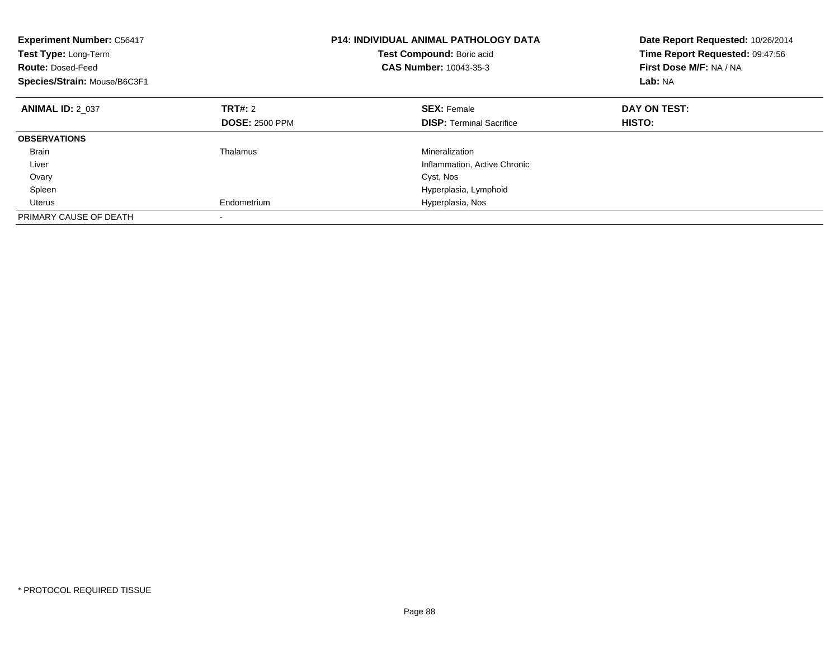| <b>Experiment Number: C56417</b><br>Test Type: Long-Term<br><b>Route: Dosed-Feed</b><br>Species/Strain: Mouse/B6C3F1 |                                  | <b>P14: INDIVIDUAL ANIMAL PATHOLOGY DATA</b><br>Test Compound: Boric acid<br><b>CAS Number: 10043-35-3</b> | Date Report Requested: 10/26/2014<br>Time Report Requested: 09:47:56<br>First Dose M/F: NA / NA<br>Lab: NA |
|----------------------------------------------------------------------------------------------------------------------|----------------------------------|------------------------------------------------------------------------------------------------------------|------------------------------------------------------------------------------------------------------------|
| <b>ANIMAL ID: 2 037</b>                                                                                              | TRT#: 2<br><b>DOSE: 2500 PPM</b> | <b>SEX: Female</b><br><b>DISP:</b> Terminal Sacrifice                                                      | DAY ON TEST:<br>HISTO:                                                                                     |
| <b>OBSERVATIONS</b>                                                                                                  |                                  |                                                                                                            |                                                                                                            |
| <b>Brain</b><br>Liver                                                                                                | Thalamus                         | Mineralization<br>Inflammation, Active Chronic                                                             |                                                                                                            |
| Ovary                                                                                                                |                                  | Cyst, Nos                                                                                                  |                                                                                                            |
| Spleen                                                                                                               |                                  | Hyperplasia, Lymphoid                                                                                      |                                                                                                            |
| Uterus                                                                                                               | Endometrium                      | Hyperplasia, Nos                                                                                           |                                                                                                            |
| PRIMARY CAUSE OF DEATH                                                                                               |                                  |                                                                                                            |                                                                                                            |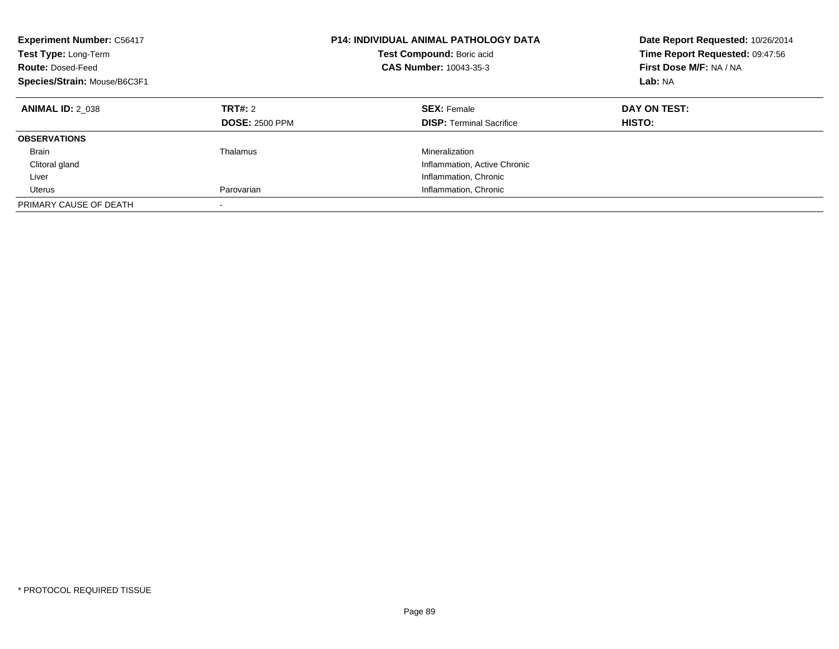| <b>Experiment Number: C56417</b><br>Test Type: Long-Term<br><b>Route: Dosed-Feed</b><br>Species/Strain: Mouse/B6C3F1 |                                  | P14: INDIVIDUAL ANIMAL PATHOLOGY DATA<br>Test Compound: Boric acid<br><b>CAS Number: 10043-35-3</b> | Date Report Requested: 10/26/2014<br>Time Report Requested: 09:47:56<br>First Dose M/F: NA / NA<br>Lab: NA |
|----------------------------------------------------------------------------------------------------------------------|----------------------------------|-----------------------------------------------------------------------------------------------------|------------------------------------------------------------------------------------------------------------|
| <b>ANIMAL ID: 2 038</b>                                                                                              | TRT#: 2<br><b>DOSE: 2500 PPM</b> | <b>SEX: Female</b><br><b>DISP:</b> Terminal Sacrifice                                               | DAY ON TEST:<br><b>HISTO:</b>                                                                              |
| <b>OBSERVATIONS</b>                                                                                                  |                                  |                                                                                                     |                                                                                                            |
| Brain                                                                                                                | Thalamus                         | Mineralization                                                                                      |                                                                                                            |
| Clitoral gland                                                                                                       |                                  | Inflammation, Active Chronic                                                                        |                                                                                                            |
| Liver                                                                                                                |                                  | Inflammation, Chronic                                                                               |                                                                                                            |
| Uterus                                                                                                               | Parovarian                       | Inflammation, Chronic                                                                               |                                                                                                            |
| PRIMARY CAUSE OF DEATH                                                                                               | -                                |                                                                                                     |                                                                                                            |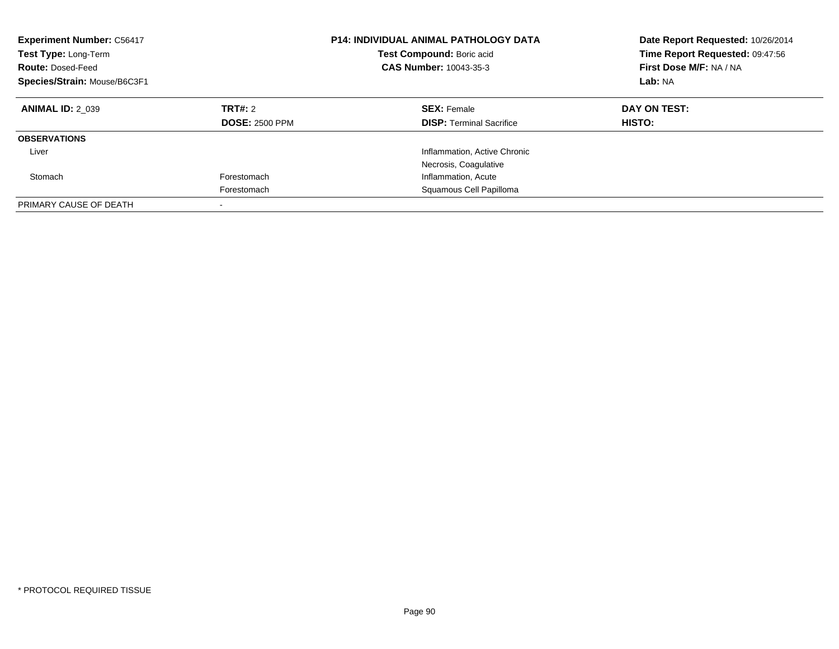| <b>Experiment Number: C56417</b><br>Test Type: Long-Term<br><b>Route: Dosed-Feed</b><br>Species/Strain: Mouse/B6C3F1 |                                  | <b>P14: INDIVIDUAL ANIMAL PATHOLOGY DATA</b><br><b>Test Compound: Boric acid</b><br>CAS Number: 10043-35-3 | Date Report Requested: 10/26/2014<br>Time Report Requested: 09:47:56<br>First Dose M/F: NA / NA<br>Lab: NA |
|----------------------------------------------------------------------------------------------------------------------|----------------------------------|------------------------------------------------------------------------------------------------------------|------------------------------------------------------------------------------------------------------------|
| <b>ANIMAL ID: 2 039</b>                                                                                              | TRT#: 2<br><b>DOSE: 2500 PPM</b> | <b>SEX: Female</b><br><b>DISP:</b> Terminal Sacrifice                                                      | DAY ON TEST:<br>HISTO:                                                                                     |
| <b>OBSERVATIONS</b>                                                                                                  |                                  |                                                                                                            |                                                                                                            |
| Liver                                                                                                                |                                  | Inflammation, Active Chronic<br>Necrosis, Coagulative                                                      |                                                                                                            |
| Stomach                                                                                                              | Forestomach                      | Inflammation, Acute                                                                                        |                                                                                                            |
|                                                                                                                      | Forestomach                      | Squamous Cell Papilloma                                                                                    |                                                                                                            |
| PRIMARY CAUSE OF DEATH                                                                                               |                                  |                                                                                                            |                                                                                                            |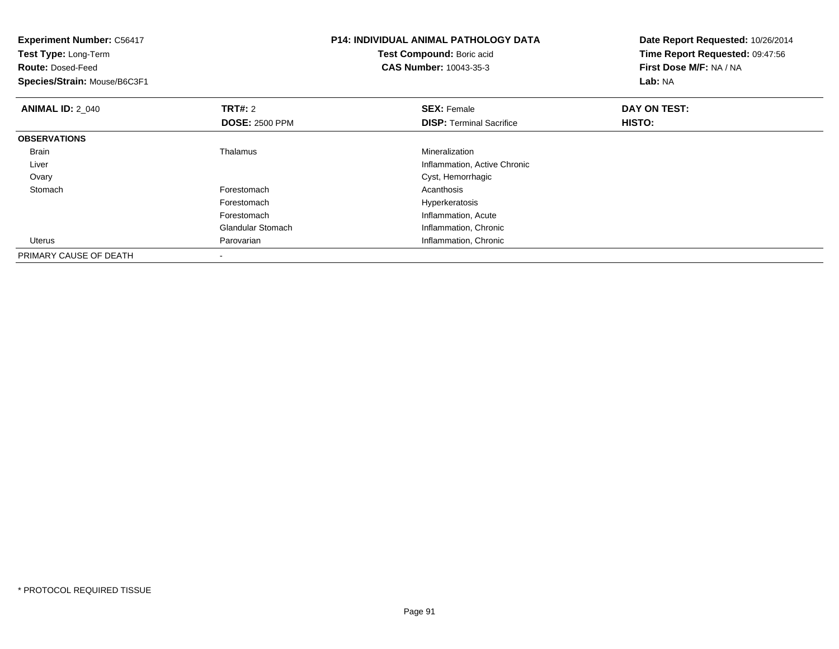| <b>Experiment Number: C56417</b><br>Test Type: Long-Term<br><b>Route: Dosed-Feed</b><br>Species/Strain: Mouse/B6C3F1 |                                  | <b>P14: INDIVIDUAL ANIMAL PATHOLOGY DATA</b><br>Test Compound: Boric acid<br><b>CAS Number: 10043-35-3</b> | Date Report Requested: 10/26/2014<br>Time Report Requested: 09:47:56<br>First Dose M/F: NA / NA<br>Lab: NA |
|----------------------------------------------------------------------------------------------------------------------|----------------------------------|------------------------------------------------------------------------------------------------------------|------------------------------------------------------------------------------------------------------------|
| <b>ANIMAL ID: 2_040</b>                                                                                              | TRT#: 2<br><b>DOSE: 2500 PPM</b> | <b>SEX: Female</b><br><b>DISP:</b> Terminal Sacrifice                                                      | DAY ON TEST:<br>HISTO:                                                                                     |
| <b>OBSERVATIONS</b>                                                                                                  |                                  |                                                                                                            |                                                                                                            |
| <b>Brain</b>                                                                                                         | Thalamus                         | Mineralization                                                                                             |                                                                                                            |
| Liver                                                                                                                |                                  | Inflammation, Active Chronic                                                                               |                                                                                                            |
| Ovary                                                                                                                |                                  | Cyst, Hemorrhagic                                                                                          |                                                                                                            |
| Stomach                                                                                                              | Forestomach                      | Acanthosis                                                                                                 |                                                                                                            |
|                                                                                                                      | Forestomach                      | Hyperkeratosis                                                                                             |                                                                                                            |
|                                                                                                                      | Forestomach                      | Inflammation, Acute                                                                                        |                                                                                                            |
|                                                                                                                      | <b>Glandular Stomach</b>         | Inflammation, Chronic                                                                                      |                                                                                                            |
| Uterus                                                                                                               | Parovarian                       | Inflammation, Chronic                                                                                      |                                                                                                            |
| PRIMARY CAUSE OF DEATH                                                                                               | $\overline{\phantom{a}}$         |                                                                                                            |                                                                                                            |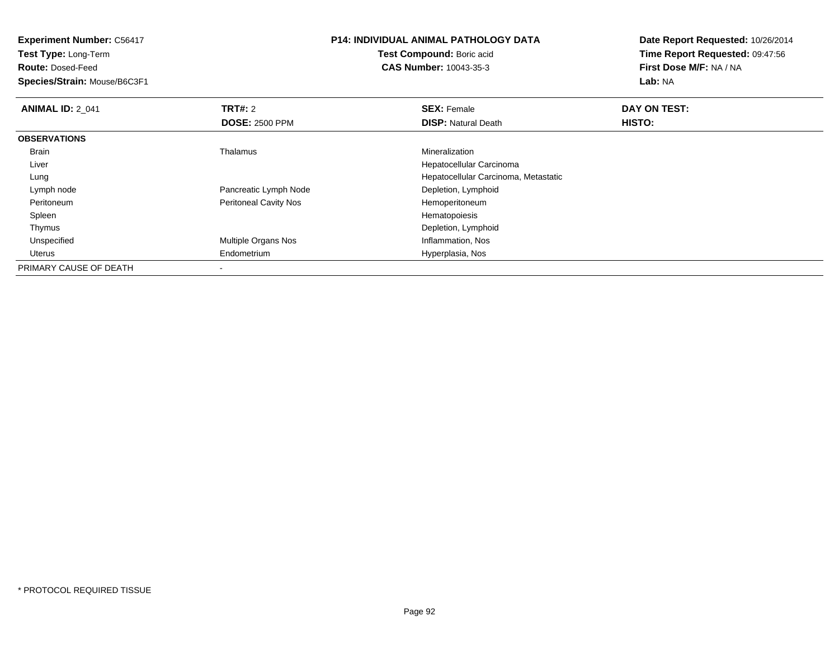**Experiment Number:** C56417**Test Type:** Long-Term**Route:** Dosed-Feed **Species/Strain:** Mouse/B6C3F1**P14: INDIVIDUAL ANIMAL PATHOLOGY DATATest Compound:** Boric acid **CAS Number:** 10043-35-3**Date Report Requested:** 10/26/2014**Time Report Requested:** 09:47:56**First Dose M/F:** NA / NA**Lab:** NA**ANIMAL ID: 2 041 TRT#:** 2 **SEX:** Female **DAY ON TEST: DOSE:** 2500 PPM**DISP:** Natural Death **HISTO: OBSERVATIONS** Brain Thalamus Mineralization Liver Hepatocellular Carcinoma Hepatocellular Carcinoma, Metastatic Lung Lymph nodePancreatic Lymph Node<br>
Peritoneal Cavity Nos<br>
Peritoneal Cavity Nos<br>
Depletion, Lymphoid<br>
Hemoperitoneum PeritoneumPeritoneal Cavity Nos<br>
Hemoperitoneum<br>
Hematopoiesis Spleenn and the state of the state of the state of the state of the state of the state of the state of the state of the state of the state of the state of the state of the state of the state of the state of the state of the stat Thymus Depletion, Lymphoid UnspecifiedMultiple Organs Nos **Inflammation**, Nos Uterus Endometrium Hyperplasia, Nos PRIMARY CAUSE OF DEATH

-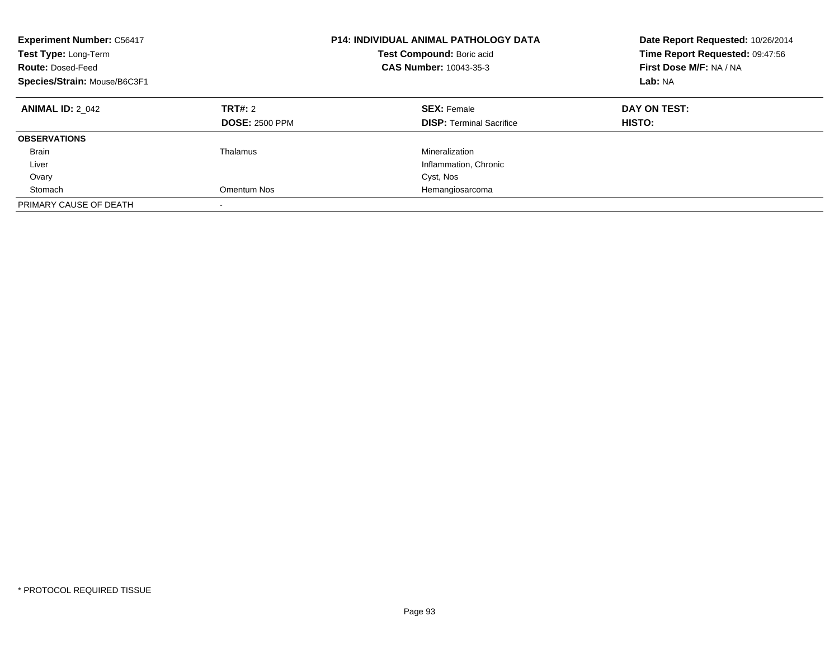| <b>Experiment Number: C56417</b><br>Test Type: Long-Term<br><b>Route: Dosed-Feed</b><br>Species/Strain: Mouse/B6C3F1 |                                  | <b>P14: INDIVIDUAL ANIMAL PATHOLOGY DATA</b><br>Test Compound: Boric acid<br><b>CAS Number: 10043-35-3</b> | Date Report Requested: 10/26/2014<br>Time Report Requested: 09:47:56<br>First Dose M/F: NA / NA<br>Lab: NA |
|----------------------------------------------------------------------------------------------------------------------|----------------------------------|------------------------------------------------------------------------------------------------------------|------------------------------------------------------------------------------------------------------------|
| <b>ANIMAL ID: 2 042</b>                                                                                              | TRT#: 2<br><b>DOSE: 2500 PPM</b> | <b>SEX: Female</b><br><b>DISP:</b> Terminal Sacrifice                                                      | DAY ON TEST:<br><b>HISTO:</b>                                                                              |
| <b>OBSERVATIONS</b>                                                                                                  |                                  |                                                                                                            |                                                                                                            |
| Brain                                                                                                                | Thalamus                         | Mineralization                                                                                             |                                                                                                            |
| Liver                                                                                                                |                                  | Inflammation, Chronic                                                                                      |                                                                                                            |
| Ovary                                                                                                                |                                  | Cyst, Nos                                                                                                  |                                                                                                            |
| Stomach                                                                                                              | Omentum Nos                      | Hemangiosarcoma                                                                                            |                                                                                                            |
| PRIMARY CAUSE OF DEATH                                                                                               | -                                |                                                                                                            |                                                                                                            |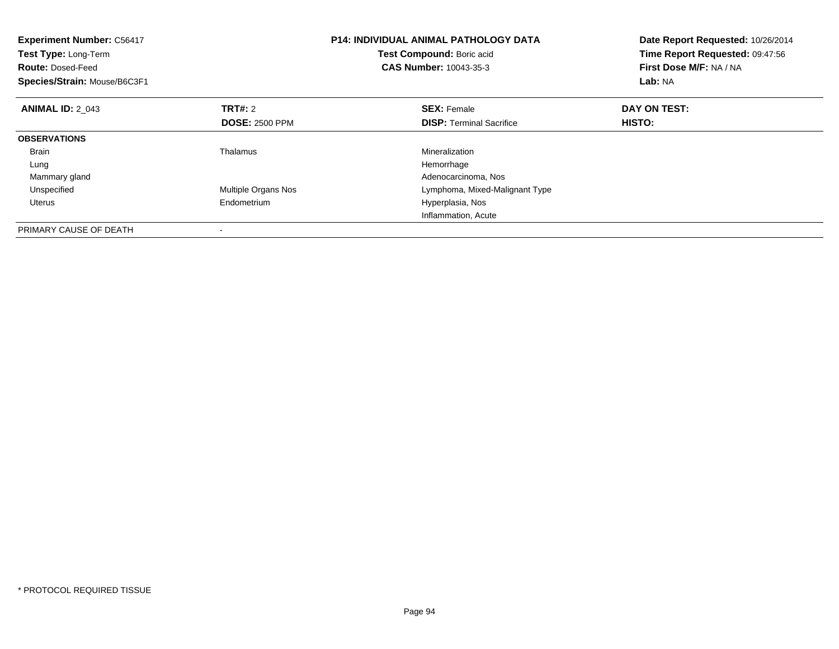| <b>Experiment Number: C56417</b><br>Test Type: Long-Term<br><b>Route: Dosed-Feed</b><br>Species/Strain: Mouse/B6C3F1 |                       | <b>P14: INDIVIDUAL ANIMAL PATHOLOGY DATA</b><br>Test Compound: Boric acid<br><b>CAS Number: 10043-35-3</b> | Date Report Requested: 10/26/2014<br>Time Report Requested: 09:47:56<br>First Dose M/F: NA / NA<br>Lab: NA |
|----------------------------------------------------------------------------------------------------------------------|-----------------------|------------------------------------------------------------------------------------------------------------|------------------------------------------------------------------------------------------------------------|
| <b>ANIMAL ID: 2 043</b>                                                                                              | TRT#: 2               | <b>SEX: Female</b>                                                                                         | DAY ON TEST:                                                                                               |
|                                                                                                                      | <b>DOSE: 2500 PPM</b> | <b>DISP:</b> Terminal Sacrifice                                                                            | HISTO:                                                                                                     |
| <b>OBSERVATIONS</b>                                                                                                  |                       |                                                                                                            |                                                                                                            |
| <b>Brain</b>                                                                                                         | Thalamus              | Mineralization                                                                                             |                                                                                                            |
| Lung                                                                                                                 |                       | Hemorrhage                                                                                                 |                                                                                                            |
| Mammary gland                                                                                                        |                       | Adenocarcinoma, Nos                                                                                        |                                                                                                            |
| Unspecified                                                                                                          | Multiple Organs Nos   | Lymphoma, Mixed-Malignant Type                                                                             |                                                                                                            |
| Uterus                                                                                                               | Endometrium           | Hyperplasia, Nos                                                                                           |                                                                                                            |
|                                                                                                                      |                       | Inflammation, Acute                                                                                        |                                                                                                            |
| PRIMARY CAUSE OF DEATH                                                                                               |                       |                                                                                                            |                                                                                                            |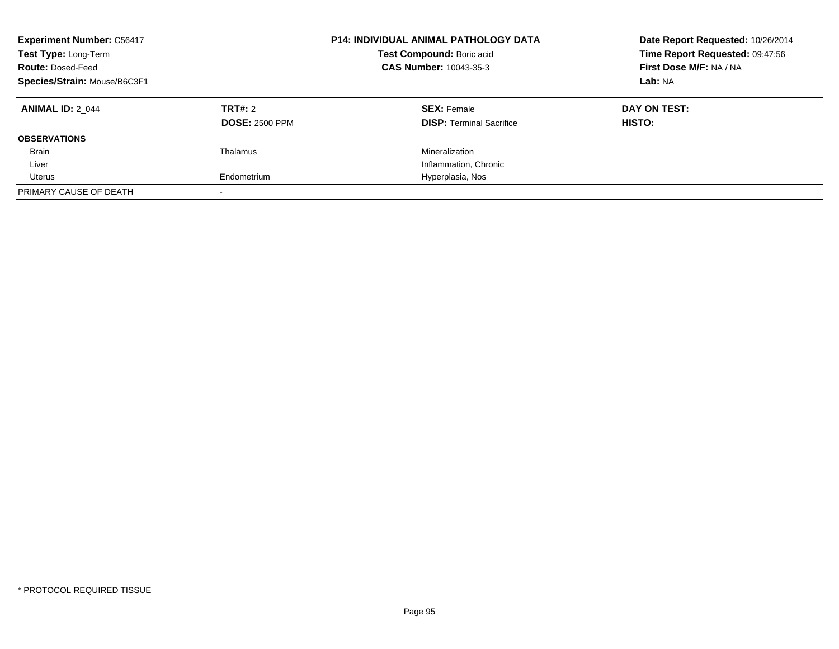| <b>Experiment Number: C56417</b><br>Test Type: Long-Term<br><b>Route: Dosed-Feed</b><br>Species/Strain: Mouse/B6C3F1 |                                  | <b>P14: INDIVIDUAL ANIMAL PATHOLOGY DATA</b><br>Test Compound: Boric acid<br>CAS Number: 10043-35-3 | Date Report Requested: 10/26/2014<br>Time Report Requested: 09:47:56<br>First Dose M/F: NA / NA<br><b>Lab: NA</b> |
|----------------------------------------------------------------------------------------------------------------------|----------------------------------|-----------------------------------------------------------------------------------------------------|-------------------------------------------------------------------------------------------------------------------|
| <b>ANIMAL ID: 2 044</b>                                                                                              | TRT#: 2<br><b>DOSE: 2500 PPM</b> | <b>SEX: Female</b><br><b>DISP: Terminal Sacrifice</b>                                               | DAY ON TEST:<br>HISTO:                                                                                            |
| <b>OBSERVATIONS</b>                                                                                                  |                                  |                                                                                                     |                                                                                                                   |
| <b>Brain</b>                                                                                                         | Thalamus                         | Mineralization                                                                                      |                                                                                                                   |
| Liver                                                                                                                |                                  | Inflammation, Chronic                                                                               |                                                                                                                   |
| Uterus                                                                                                               | Endometrium                      | Hyperplasia, Nos                                                                                    |                                                                                                                   |
| PRIMARY CAUSE OF DEATH                                                                                               |                                  |                                                                                                     |                                                                                                                   |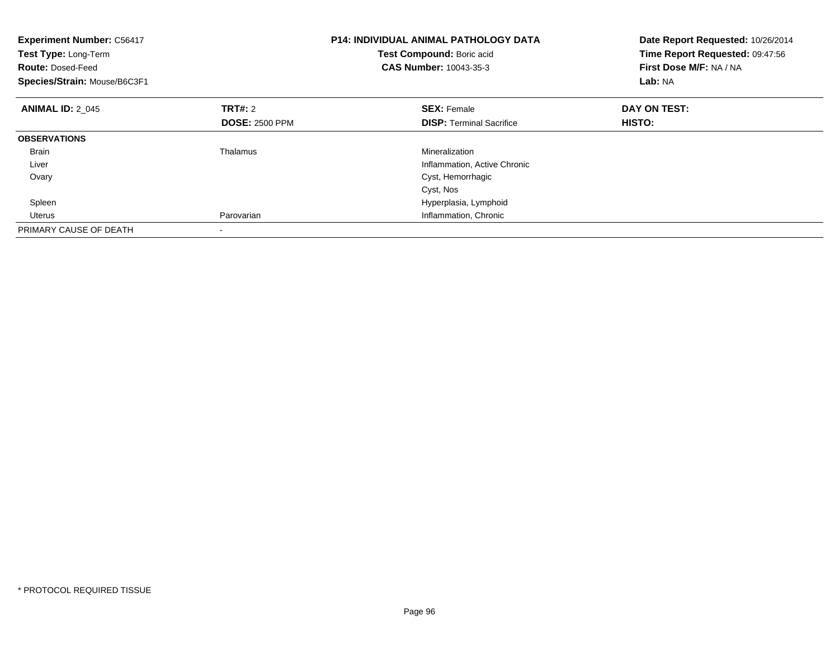| <b>Experiment Number: C56417</b><br>Test Type: Long-Term<br><b>Route: Dosed-Feed</b><br>Species/Strain: Mouse/B6C3F1 |                       | <b>P14: INDIVIDUAL ANIMAL PATHOLOGY DATA</b><br>Test Compound: Boric acid<br><b>CAS Number: 10043-35-3</b> | Date Report Requested: 10/26/2014<br>Time Report Requested: 09:47:56<br>First Dose M/F: NA / NA<br>Lab: NA |
|----------------------------------------------------------------------------------------------------------------------|-----------------------|------------------------------------------------------------------------------------------------------------|------------------------------------------------------------------------------------------------------------|
| <b>ANIMAL ID: 2 045</b>                                                                                              | TRT#: 2               | <b>SEX: Female</b>                                                                                         | DAY ON TEST:                                                                                               |
|                                                                                                                      | <b>DOSE: 2500 PPM</b> | <b>DISP:</b> Terminal Sacrifice                                                                            | HISTO:                                                                                                     |
| <b>OBSERVATIONS</b>                                                                                                  |                       |                                                                                                            |                                                                                                            |
| <b>Brain</b>                                                                                                         | Thalamus              | Mineralization                                                                                             |                                                                                                            |
| Liver                                                                                                                |                       | Inflammation, Active Chronic                                                                               |                                                                                                            |
| Ovary                                                                                                                |                       | Cyst, Hemorrhagic                                                                                          |                                                                                                            |
|                                                                                                                      |                       | Cyst, Nos                                                                                                  |                                                                                                            |
| Spleen                                                                                                               |                       | Hyperplasia, Lymphoid                                                                                      |                                                                                                            |
| Uterus                                                                                                               | Parovarian            | Inflammation, Chronic                                                                                      |                                                                                                            |
| PRIMARY CAUSE OF DEATH                                                                                               |                       |                                                                                                            |                                                                                                            |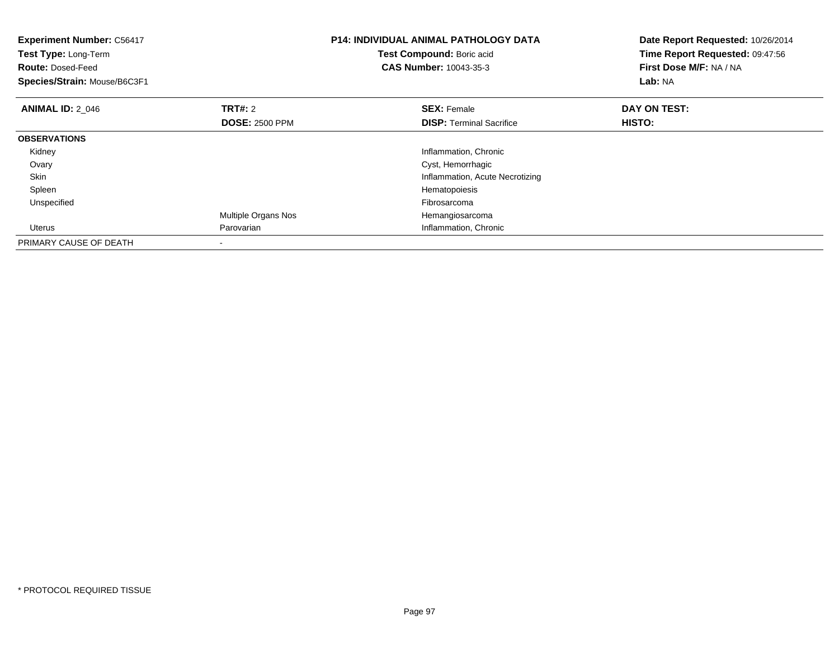| <b>Experiment Number: C56417</b><br>Test Type: Long-Term<br><b>Route: Dosed-Feed</b><br>Species/Strain: Mouse/B6C3F1 |                                         | <b>P14: INDIVIDUAL ANIMAL PATHOLOGY DATA</b><br>Test Compound: Boric acid<br><b>CAS Number: 10043-35-3</b> | Date Report Requested: 10/26/2014<br>Time Report Requested: 09:47:56<br>First Dose M/F: NA / NA<br>Lab: NA |
|----------------------------------------------------------------------------------------------------------------------|-----------------------------------------|------------------------------------------------------------------------------------------------------------|------------------------------------------------------------------------------------------------------------|
| <b>ANIMAL ID: 2 046</b>                                                                                              | <b>TRT#:</b> 2<br><b>DOSE: 2500 PPM</b> | <b>SEX: Female</b><br><b>DISP:</b> Terminal Sacrifice                                                      | DAY ON TEST:<br><b>HISTO:</b>                                                                              |
| <b>OBSERVATIONS</b>                                                                                                  |                                         |                                                                                                            |                                                                                                            |
| Kidney                                                                                                               |                                         | Inflammation, Chronic                                                                                      |                                                                                                            |
| Ovary                                                                                                                |                                         | Cyst, Hemorrhagic                                                                                          |                                                                                                            |
| Skin                                                                                                                 |                                         | Inflammation, Acute Necrotizing                                                                            |                                                                                                            |
| Spleen                                                                                                               |                                         | Hematopoiesis                                                                                              |                                                                                                            |
| Unspecified                                                                                                          |                                         | Fibrosarcoma                                                                                               |                                                                                                            |
|                                                                                                                      | Multiple Organs Nos                     | Hemangiosarcoma                                                                                            |                                                                                                            |
| Uterus                                                                                                               | Parovarian                              | Inflammation, Chronic                                                                                      |                                                                                                            |
| PRIMARY CAUSE OF DEATH                                                                                               |                                         |                                                                                                            |                                                                                                            |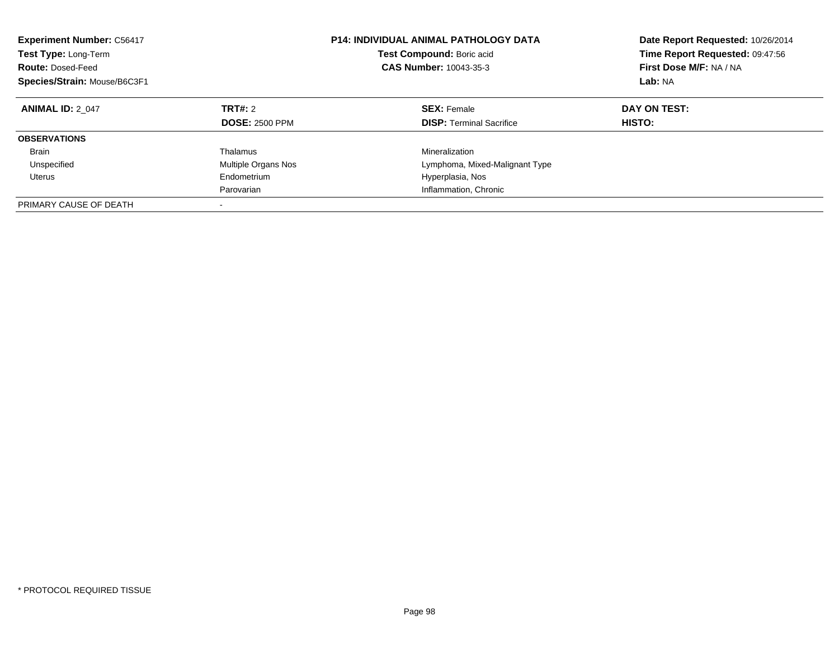| <b>Experiment Number: C56417</b><br>Test Type: Long-Term<br><b>Route: Dosed-Feed</b><br>Species/Strain: Mouse/B6C3F1 |                                         | <b>P14: INDIVIDUAL ANIMAL PATHOLOGY DATA</b><br>Test Compound: Boric acid<br><b>CAS Number: 10043-35-3</b> | Date Report Requested: 10/26/2014<br>Time Report Requested: 09:47:56<br>First Dose M/F: NA / NA<br>Lab: NA |  |
|----------------------------------------------------------------------------------------------------------------------|-----------------------------------------|------------------------------------------------------------------------------------------------------------|------------------------------------------------------------------------------------------------------------|--|
| <b>ANIMAL ID: 2 047</b>                                                                                              | <b>TRT#: 2</b><br><b>DOSE: 2500 PPM</b> | <b>SEX: Female</b><br><b>DISP:</b> Terminal Sacrifice                                                      | DAY ON TEST:<br><b>HISTO:</b>                                                                              |  |
| <b>OBSERVATIONS</b>                                                                                                  |                                         |                                                                                                            |                                                                                                            |  |
| <b>Brain</b><br>Unspecified                                                                                          | Thalamus<br>Multiple Organs Nos         | Mineralization<br>Lymphoma, Mixed-Malignant Type                                                           |                                                                                                            |  |
| Uterus                                                                                                               | Endometrium<br>Parovarian               | Hyperplasia, Nos<br>Inflammation, Chronic                                                                  |                                                                                                            |  |
| PRIMARY CAUSE OF DEATH                                                                                               | -                                       |                                                                                                            |                                                                                                            |  |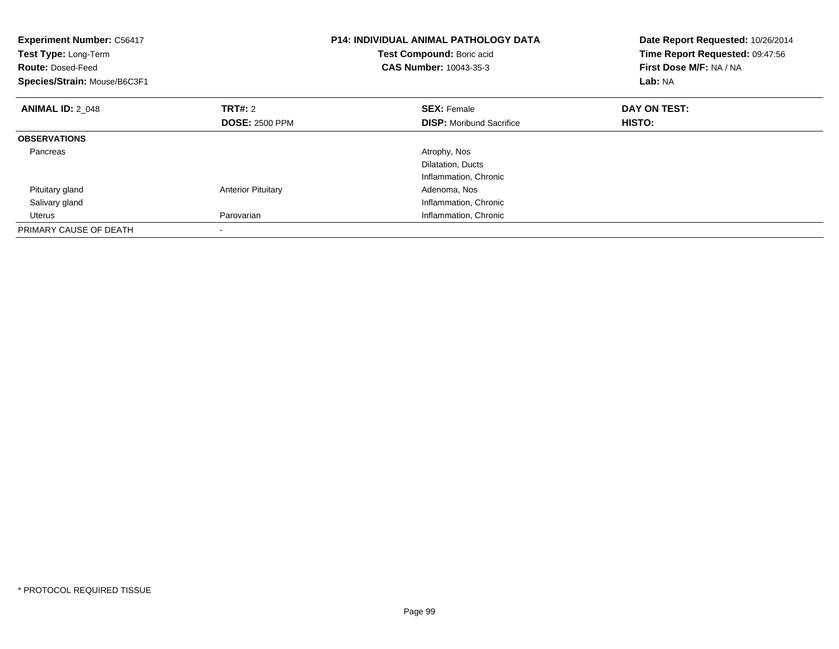| <b>Experiment Number: C56417</b><br>Test Type: Long-Term<br><b>Route: Dosed-Feed</b><br>Species/Strain: Mouse/B6C3F1 |                           | <b>P14: INDIVIDUAL ANIMAL PATHOLOGY DATA</b><br>Test Compound: Boric acid<br>CAS Number: 10043-35-3 | Date Report Requested: 10/26/2014<br>Time Report Requested: 09:47:56<br>First Dose M/F: NA / NA<br>Lab: NA |
|----------------------------------------------------------------------------------------------------------------------|---------------------------|-----------------------------------------------------------------------------------------------------|------------------------------------------------------------------------------------------------------------|
| <b>ANIMAL ID: 2 048</b>                                                                                              | TRT#: 2                   | <b>SEX: Female</b>                                                                                  | DAY ON TEST:                                                                                               |
|                                                                                                                      | <b>DOSE: 2500 PPM</b>     | <b>DISP:</b> Moribund Sacrifice                                                                     | HISTO:                                                                                                     |
| <b>OBSERVATIONS</b>                                                                                                  |                           |                                                                                                     |                                                                                                            |
| Pancreas                                                                                                             |                           | Atrophy, Nos                                                                                        |                                                                                                            |
|                                                                                                                      |                           | Dilatation, Ducts                                                                                   |                                                                                                            |
|                                                                                                                      |                           | Inflammation, Chronic                                                                               |                                                                                                            |
| Pituitary gland                                                                                                      | <b>Anterior Pituitary</b> | Adenoma, Nos                                                                                        |                                                                                                            |
| Salivary gland                                                                                                       |                           | Inflammation, Chronic                                                                               |                                                                                                            |
| Uterus                                                                                                               | Parovarian                | Inflammation, Chronic                                                                               |                                                                                                            |
| PRIMARY CAUSE OF DEATH                                                                                               |                           |                                                                                                     |                                                                                                            |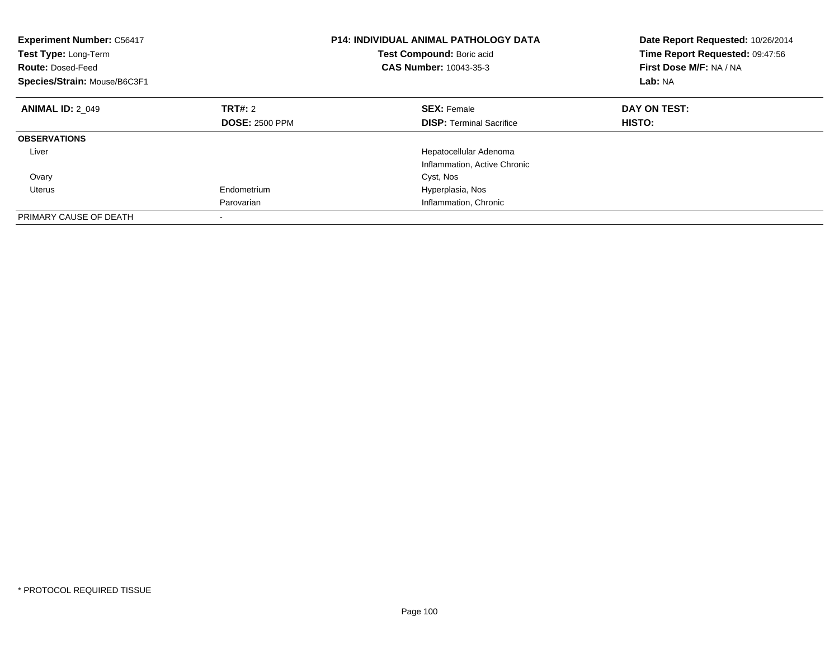| <b>Experiment Number: C56417</b><br>Test Type: Long-Term<br><b>Route: Dosed-Feed</b><br>Species/Strain: Mouse/B6C3F1 |                          | <b>P14: INDIVIDUAL ANIMAL PATHOLOGY DATA</b><br>Test Compound: Boric acid<br>CAS Number: 10043-35-3 | Date Report Requested: 10/26/2014<br>Time Report Requested: 09:47:56<br>First Dose M/F: NA / NA<br>Lab: NA |
|----------------------------------------------------------------------------------------------------------------------|--------------------------|-----------------------------------------------------------------------------------------------------|------------------------------------------------------------------------------------------------------------|
| <b>ANIMAL ID: 2 049</b>                                                                                              | TRT#: 2                  | <b>SEX: Female</b>                                                                                  | DAY ON TEST:                                                                                               |
|                                                                                                                      | <b>DOSE: 2500 PPM</b>    | <b>DISP:</b> Terminal Sacrifice                                                                     | HISTO:                                                                                                     |
| <b>OBSERVATIONS</b>                                                                                                  |                          |                                                                                                     |                                                                                                            |
| Liver                                                                                                                |                          | Hepatocellular Adenoma                                                                              |                                                                                                            |
|                                                                                                                      |                          | Inflammation, Active Chronic                                                                        |                                                                                                            |
| Ovary                                                                                                                |                          | Cyst, Nos                                                                                           |                                                                                                            |
| Uterus                                                                                                               | Endometrium              | Hyperplasia, Nos                                                                                    |                                                                                                            |
|                                                                                                                      | Parovarian               | Inflammation, Chronic                                                                               |                                                                                                            |
| PRIMARY CAUSE OF DEATH                                                                                               | $\overline{\phantom{a}}$ |                                                                                                     |                                                                                                            |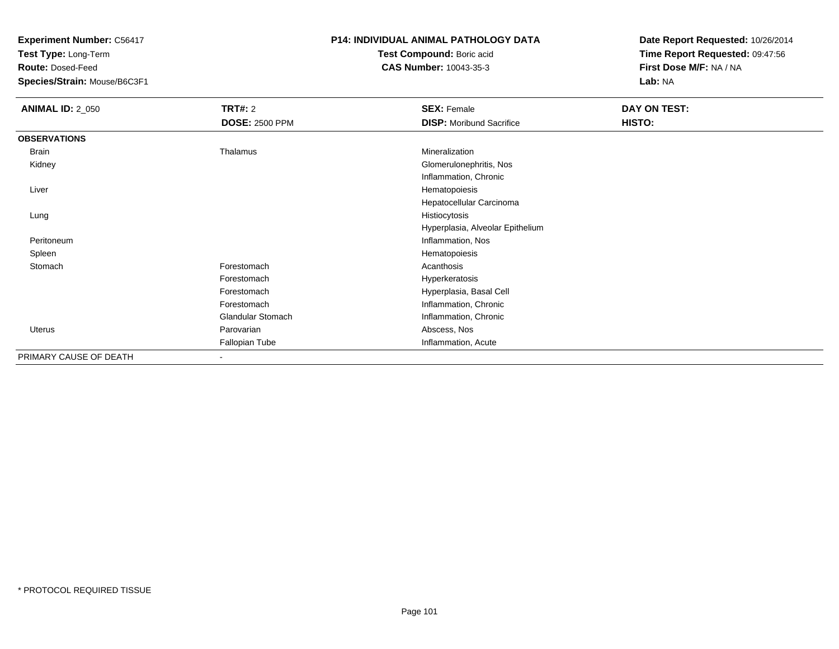**Test Type:** Long-Term

**Route:** Dosed-Feed

**Species/Strain:** Mouse/B6C3F1

### **P14: INDIVIDUAL ANIMAL PATHOLOGY DATA**

**Test Compound:** Boric acid**CAS Number:** 10043-35-3

| <b>ANIMAL ID: 2_050</b> | TRT#: 2                  | <b>SEX: Female</b>               | DAY ON TEST: |  |
|-------------------------|--------------------------|----------------------------------|--------------|--|
|                         | <b>DOSE: 2500 PPM</b>    | <b>DISP:</b> Moribund Sacrifice  | HISTO:       |  |
| <b>OBSERVATIONS</b>     |                          |                                  |              |  |
| Brain                   | Thalamus                 | Mineralization                   |              |  |
| Kidney                  |                          | Glomerulonephritis, Nos          |              |  |
|                         |                          | Inflammation, Chronic            |              |  |
| Liver                   |                          | Hematopoiesis                    |              |  |
|                         |                          | Hepatocellular Carcinoma         |              |  |
| Lung                    |                          | Histiocytosis                    |              |  |
|                         |                          | Hyperplasia, Alveolar Epithelium |              |  |
| Peritoneum              |                          | Inflammation, Nos                |              |  |
| Spleen                  |                          | Hematopoiesis                    |              |  |
| Stomach                 | Forestomach              | Acanthosis                       |              |  |
|                         | Forestomach              | Hyperkeratosis                   |              |  |
|                         | Forestomach              | Hyperplasia, Basal Cell          |              |  |
|                         | Forestomach              | Inflammation, Chronic            |              |  |
|                         | <b>Glandular Stomach</b> | Inflammation, Chronic            |              |  |
| Uterus                  | Parovarian               | Abscess, Nos                     |              |  |
|                         | Fallopian Tube           | Inflammation, Acute              |              |  |
| PRIMARY CAUSE OF DEATH  | $\overline{\phantom{a}}$ |                                  |              |  |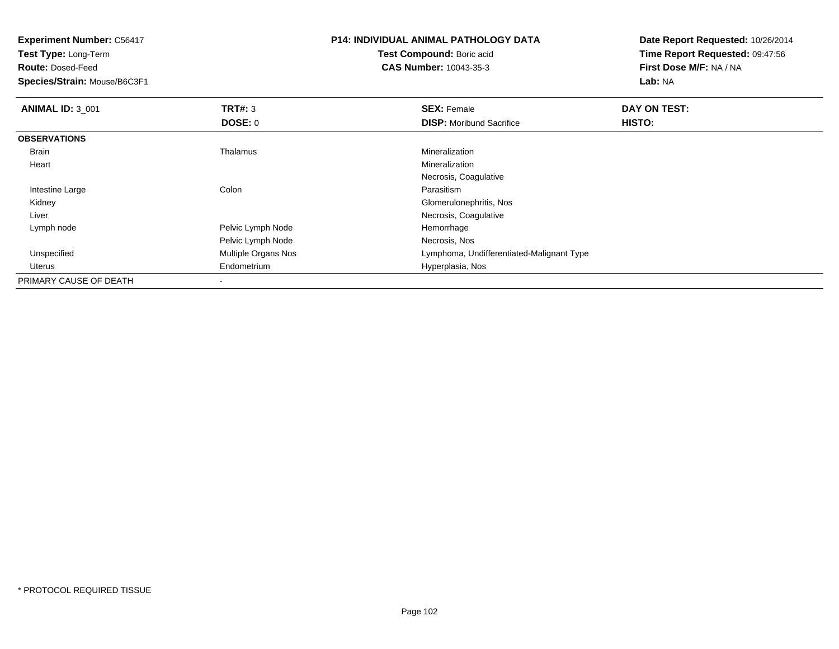**Test Type:** Long-Term

**Route:** Dosed-Feed

**Species/Strain:** Mouse/B6C3F1

# **P14: INDIVIDUAL ANIMAL PATHOLOGY DATA**

**Test Compound:** Boric acid**CAS Number:** 10043-35-3

| <b>ANIMAL ID: 3_001</b> | TRT#: 3                  | <b>SEX: Female</b>                        | DAY ON TEST: |  |
|-------------------------|--------------------------|-------------------------------------------|--------------|--|
|                         | DOSE: 0                  | <b>DISP:</b> Moribund Sacrifice           | HISTO:       |  |
| <b>OBSERVATIONS</b>     |                          |                                           |              |  |
| Brain                   | Thalamus                 | Mineralization                            |              |  |
| Heart                   |                          | Mineralization                            |              |  |
|                         |                          | Necrosis, Coagulative                     |              |  |
| Intestine Large         | Colon                    | Parasitism                                |              |  |
| Kidney                  |                          | Glomerulonephritis, Nos                   |              |  |
| Liver                   |                          | Necrosis, Coagulative                     |              |  |
| Lymph node              | Pelvic Lymph Node        | Hemorrhage                                |              |  |
|                         | Pelvic Lymph Node        | Necrosis, Nos                             |              |  |
| Unspecified             | Multiple Organs Nos      | Lymphoma, Undifferentiated-Malignant Type |              |  |
| Uterus                  | Endometrium              | Hyperplasia, Nos                          |              |  |
| PRIMARY CAUSE OF DEATH  | $\overline{\phantom{a}}$ |                                           |              |  |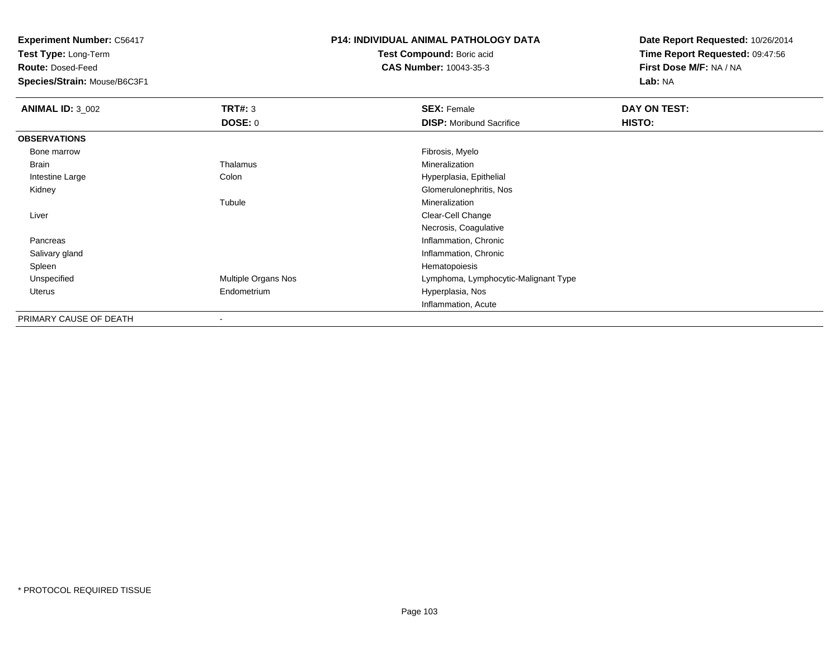**Test Type:** Long-Term

**Route:** Dosed-Feed

**Species/Strain:** Mouse/B6C3F1

### **P14: INDIVIDUAL ANIMAL PATHOLOGY DATA**

**Test Compound:** Boric acid**CAS Number:** 10043-35-3

| <b>ANIMAL ID: 3_002</b> | TRT#: 3                  | <b>SEX: Female</b>                   | DAY ON TEST: |  |
|-------------------------|--------------------------|--------------------------------------|--------------|--|
|                         | DOSE: 0                  | <b>DISP:</b> Moribund Sacrifice      | HISTO:       |  |
| <b>OBSERVATIONS</b>     |                          |                                      |              |  |
| Bone marrow             |                          | Fibrosis, Myelo                      |              |  |
| Brain                   | Thalamus                 | Mineralization                       |              |  |
| Intestine Large         | Colon                    | Hyperplasia, Epithelial              |              |  |
| Kidney                  |                          | Glomerulonephritis, Nos              |              |  |
|                         | Tubule                   | Mineralization                       |              |  |
| Liver                   |                          | Clear-Cell Change                    |              |  |
|                         |                          | Necrosis, Coagulative                |              |  |
| Pancreas                |                          | Inflammation, Chronic                |              |  |
| Salivary gland          |                          | Inflammation, Chronic                |              |  |
| Spleen                  |                          | Hematopoiesis                        |              |  |
| Unspecified             | Multiple Organs Nos      | Lymphoma, Lymphocytic-Malignant Type |              |  |
| Uterus                  | Endometrium              | Hyperplasia, Nos                     |              |  |
|                         |                          | Inflammation, Acute                  |              |  |
| PRIMARY CAUSE OF DEATH  | $\overline{\phantom{a}}$ |                                      |              |  |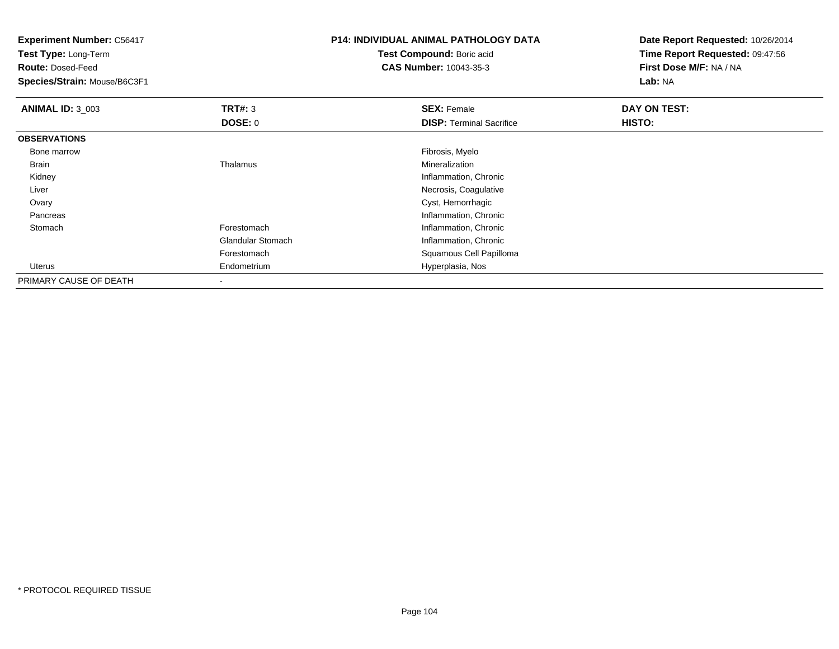**Experiment Number:** C56417**Test Type:** Long-Term**Route:** Dosed-Feed **Species/Strain:** Mouse/B6C3F1**P14: INDIVIDUAL ANIMAL PATHOLOGY DATATest Compound:** Boric acid **CAS Number:** 10043-35-3**Date Report Requested:** 10/26/2014**Time Report Requested:** 09:47:56**First Dose M/F:** NA / NA**Lab:** NA**ANIMAL ID:** 3\_003**TRT#:** 3 **SEX:** Female **DAY ON TEST: DOSE:** 0**DISP:** Terminal Sacrifice **HISTO: OBSERVATIONS** Bone marroww which is a state of the state of the state of the state of the state of the Fibrosis, Myelo state of the state of the state of the state of the state of the state of the state of the state of the state of the state of th Brain Thalamus Mineralization Kidney Inflammation, Chronic Liver Necrosis, Coagulative Ovary Cyst, Hemorrhagic Pancreas Inflammation, Chronic StomachForestomach **Inflammation**, Chronic Glandular Stomach Inflammation, Chronic Forestomach Squamous Cell Papilloma Uterus Endometrium Hyperplasia, Nos PRIMARY CAUSE OF DEATH-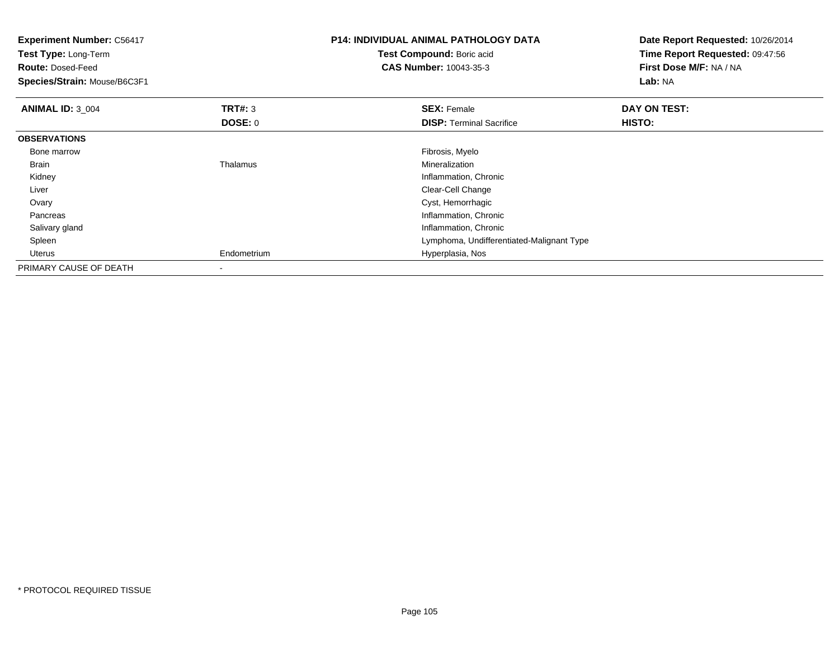| <b>Experiment Number: C56417</b><br>Test Type: Long-Term<br><b>Route: Dosed-Feed</b><br>Species/Strain: Mouse/B6C3F1 |                           | <b>P14: INDIVIDUAL ANIMAL PATHOLOGY DATA</b><br>Test Compound: Boric acid<br><b>CAS Number: 10043-35-3</b> | Date Report Requested: 10/26/2014<br>Time Report Requested: 09:47:56<br>First Dose M/F: NA / NA<br>Lab: NA |
|----------------------------------------------------------------------------------------------------------------------|---------------------------|------------------------------------------------------------------------------------------------------------|------------------------------------------------------------------------------------------------------------|
| <b>ANIMAL ID: 3_004</b>                                                                                              | <b>TRT#: 3</b><br>DOSE: 0 | <b>SEX: Female</b><br><b>DISP: Terminal Sacrifice</b>                                                      | DAY ON TEST:<br>HISTO:                                                                                     |
| <b>OBSERVATIONS</b>                                                                                                  |                           |                                                                                                            |                                                                                                            |
| Bone marrow                                                                                                          |                           | Fibrosis, Myelo                                                                                            |                                                                                                            |
| Brain                                                                                                                | Thalamus                  | Mineralization                                                                                             |                                                                                                            |
| Kidney                                                                                                               |                           | Inflammation, Chronic                                                                                      |                                                                                                            |
| Liver                                                                                                                |                           | Clear-Cell Change                                                                                          |                                                                                                            |
| Ovary                                                                                                                |                           | Cyst, Hemorrhagic                                                                                          |                                                                                                            |
| Pancreas                                                                                                             |                           | Inflammation, Chronic                                                                                      |                                                                                                            |
| Salivary gland                                                                                                       |                           | Inflammation, Chronic                                                                                      |                                                                                                            |
| Spleen                                                                                                               |                           | Lymphoma, Undifferentiated-Malignant Type                                                                  |                                                                                                            |
| Uterus                                                                                                               | Endometrium               | Hyperplasia, Nos                                                                                           |                                                                                                            |
| PRIMARY CAUSE OF DEATH                                                                                               | $\,$                      |                                                                                                            |                                                                                                            |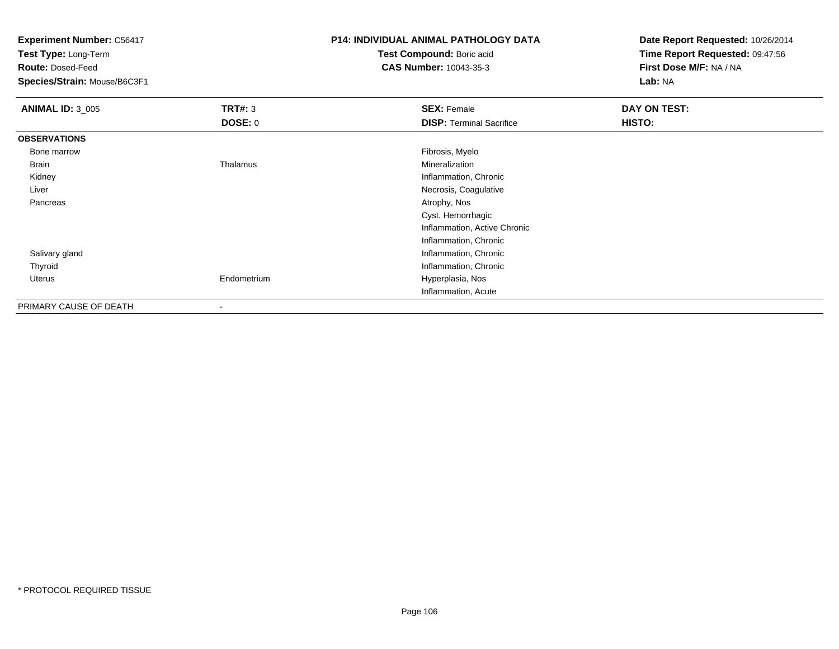**Test Type:** Long-Term

**Route:** Dosed-Feed

**Species/Strain:** Mouse/B6C3F1

## **P14: INDIVIDUAL ANIMAL PATHOLOGY DATA**

**Test Compound:** Boric acid**CAS Number:** 10043-35-3

| <b>ANIMAL ID: 3_005</b> | TRT#: 3                  | <b>SEX: Female</b>              | DAY ON TEST: |  |
|-------------------------|--------------------------|---------------------------------|--------------|--|
|                         | <b>DOSE: 0</b>           | <b>DISP: Terminal Sacrifice</b> | HISTO:       |  |
| <b>OBSERVATIONS</b>     |                          |                                 |              |  |
| Bone marrow             |                          | Fibrosis, Myelo                 |              |  |
| Brain                   | Thalamus                 | Mineralization                  |              |  |
| Kidney                  |                          | Inflammation, Chronic           |              |  |
| Liver                   |                          | Necrosis, Coagulative           |              |  |
| Pancreas                |                          | Atrophy, Nos                    |              |  |
|                         |                          | Cyst, Hemorrhagic               |              |  |
|                         |                          | Inflammation, Active Chronic    |              |  |
|                         |                          | Inflammation, Chronic           |              |  |
| Salivary gland          |                          | Inflammation, Chronic           |              |  |
| Thyroid                 |                          | Inflammation, Chronic           |              |  |
| Uterus                  | Endometrium              | Hyperplasia, Nos                |              |  |
|                         |                          | Inflammation, Acute             |              |  |
| PRIMARY CAUSE OF DEATH  | $\overline{\phantom{a}}$ |                                 |              |  |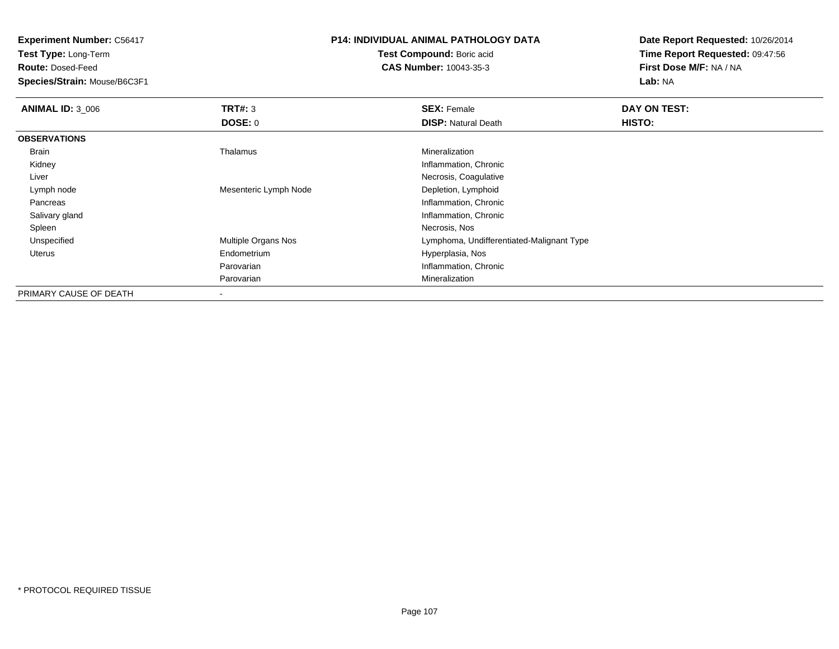**Test Type:** Long-Term

**Route:** Dosed-Feed

**Species/Strain:** Mouse/B6C3F1

### **P14: INDIVIDUAL ANIMAL PATHOLOGY DATA**

**Test Compound:** Boric acid**CAS Number:** 10043-35-3

| <b>ANIMAL ID: 3 006</b> | TRT#: 3               | <b>SEX: Female</b>                        | DAY ON TEST: |
|-------------------------|-----------------------|-------------------------------------------|--------------|
|                         | <b>DOSE: 0</b>        | <b>DISP: Natural Death</b>                | HISTO:       |
| <b>OBSERVATIONS</b>     |                       |                                           |              |
| Brain                   | Thalamus              | Mineralization                            |              |
| Kidney                  |                       | Inflammation, Chronic                     |              |
| Liver                   |                       | Necrosis, Coagulative                     |              |
| Lymph node              | Mesenteric Lymph Node | Depletion, Lymphoid                       |              |
| Pancreas                |                       | Inflammation, Chronic                     |              |
| Salivary gland          |                       | Inflammation, Chronic                     |              |
| Spleen                  |                       | Necrosis, Nos                             |              |
| Unspecified             | Multiple Organs Nos   | Lymphoma, Undifferentiated-Malignant Type |              |
| Uterus                  | Endometrium           | Hyperplasia, Nos                          |              |
|                         | Parovarian            | Inflammation, Chronic                     |              |
|                         | Parovarian            | Mineralization                            |              |
| PRIMARY CAUSE OF DEATH  | $\,$                  |                                           |              |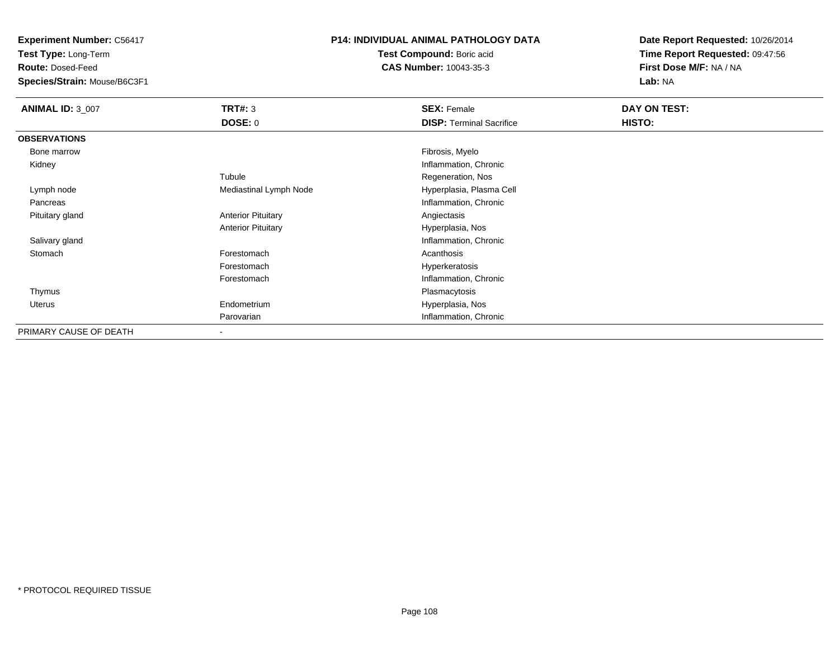**Test Type:** Long-Term

**Route:** Dosed-Feed

**Species/Strain:** Mouse/B6C3F1

#### **P14: INDIVIDUAL ANIMAL PATHOLOGY DATA**

**Test Compound:** Boric acid**CAS Number:** 10043-35-3

| <b>ANIMAL ID: 3_007</b> | TRT#: 3                   | <b>SEX: Female</b>              | DAY ON TEST: |  |
|-------------------------|---------------------------|---------------------------------|--------------|--|
|                         | DOSE: 0                   | <b>DISP: Terminal Sacrifice</b> | HISTO:       |  |
| <b>OBSERVATIONS</b>     |                           |                                 |              |  |
| Bone marrow             |                           | Fibrosis, Myelo                 |              |  |
| Kidney                  |                           | Inflammation, Chronic           |              |  |
|                         | Tubule                    | Regeneration, Nos               |              |  |
| Lymph node              | Mediastinal Lymph Node    | Hyperplasia, Plasma Cell        |              |  |
| Pancreas                |                           | Inflammation, Chronic           |              |  |
| Pituitary gland         | <b>Anterior Pituitary</b> | Angiectasis                     |              |  |
|                         | <b>Anterior Pituitary</b> | Hyperplasia, Nos                |              |  |
| Salivary gland          |                           | Inflammation, Chronic           |              |  |
| Stomach                 | Forestomach               | Acanthosis                      |              |  |
|                         | Forestomach               | Hyperkeratosis                  |              |  |
|                         | Forestomach               | Inflammation, Chronic           |              |  |
| Thymus                  |                           | Plasmacytosis                   |              |  |
| Uterus                  | Endometrium               | Hyperplasia, Nos                |              |  |
|                         | Parovarian                | Inflammation, Chronic           |              |  |
| PRIMARY CAUSE OF DEATH  | $\overline{\phantom{a}}$  |                                 |              |  |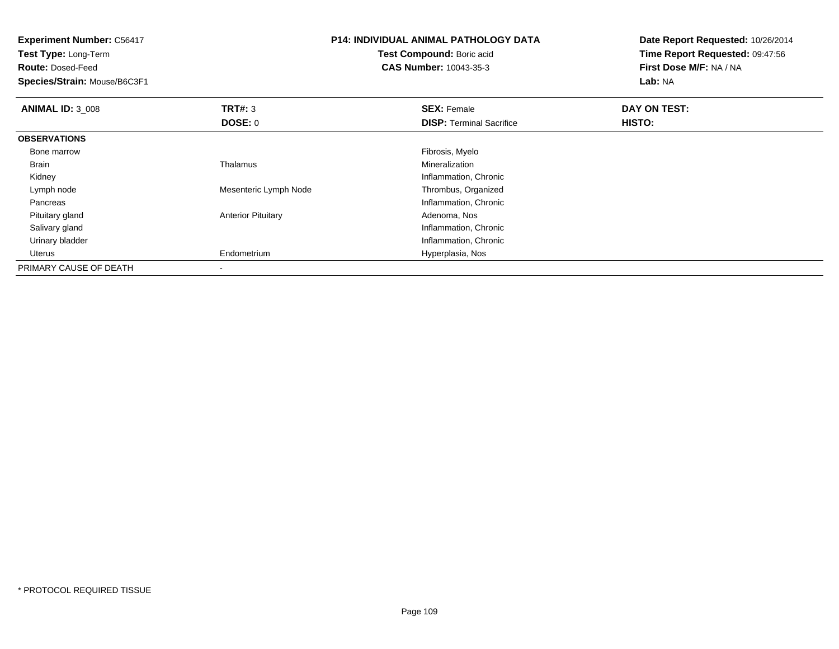| <b>P14: INDIVIDUAL ANIMAL PATHOLOGY DATA</b><br><b>Experiment Number: C56417</b><br>Test Compound: Boric acid<br>Test Type: Long-Term<br><b>CAS Number: 10043-35-3</b><br><b>Route: Dosed-Feed</b><br>Species/Strain: Mouse/B6C3F1 |                           |                                 | Date Report Requested: 10/26/2014<br>Time Report Requested: 09:47:56<br>First Dose M/F: NA / NA<br>Lab: NA |
|------------------------------------------------------------------------------------------------------------------------------------------------------------------------------------------------------------------------------------|---------------------------|---------------------------------|------------------------------------------------------------------------------------------------------------|
| <b>ANIMAL ID: 3_008</b>                                                                                                                                                                                                            | TRT#: 3                   | <b>SEX: Female</b>              | DAY ON TEST:                                                                                               |
|                                                                                                                                                                                                                                    | DOSE: 0                   | <b>DISP:</b> Terminal Sacrifice | HISTO:                                                                                                     |
| <b>OBSERVATIONS</b>                                                                                                                                                                                                                |                           |                                 |                                                                                                            |
| Bone marrow                                                                                                                                                                                                                        |                           | Fibrosis, Myelo                 |                                                                                                            |
| Brain                                                                                                                                                                                                                              | Thalamus                  | Mineralization                  |                                                                                                            |
| Kidney                                                                                                                                                                                                                             |                           | Inflammation, Chronic           |                                                                                                            |
| Lymph node                                                                                                                                                                                                                         | Mesenteric Lymph Node     | Thrombus, Organized             |                                                                                                            |
| Pancreas                                                                                                                                                                                                                           |                           | Inflammation, Chronic           |                                                                                                            |
| Pituitary gland                                                                                                                                                                                                                    | <b>Anterior Pituitary</b> | Adenoma, Nos                    |                                                                                                            |
| Salivary gland                                                                                                                                                                                                                     |                           | Inflammation, Chronic           |                                                                                                            |
| Urinary bladder                                                                                                                                                                                                                    |                           | Inflammation, Chronic           |                                                                                                            |
| Uterus                                                                                                                                                                                                                             | Endometrium               | Hyperplasia, Nos                |                                                                                                            |
| PRIMARY CAUSE OF DEATH                                                                                                                                                                                                             |                           |                                 |                                                                                                            |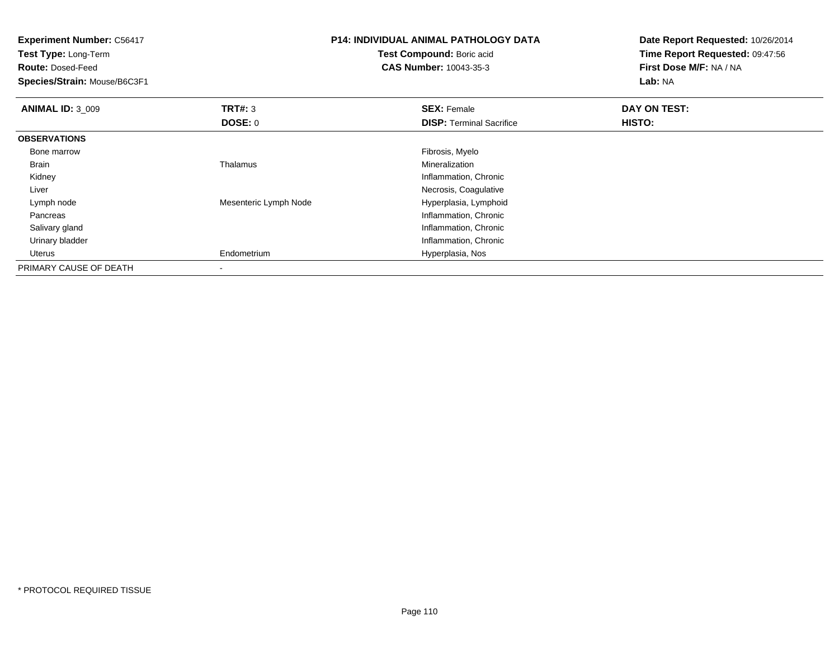| <b>Experiment Number: C56417</b><br>Test Type: Long-Term<br><b>Route: Dosed-Feed</b><br>Species/Strain: Mouse/B6C3F1 |                       | <b>P14: INDIVIDUAL ANIMAL PATHOLOGY DATA</b><br>Test Compound: Boric acid<br><b>CAS Number: 10043-35-3</b> | Date Report Requested: 10/26/2014<br>Time Report Requested: 09:47:56<br>First Dose M/F: NA / NA<br>Lab: NA |
|----------------------------------------------------------------------------------------------------------------------|-----------------------|------------------------------------------------------------------------------------------------------------|------------------------------------------------------------------------------------------------------------|
| <b>ANIMAL ID: 3_009</b>                                                                                              | TRT#: 3               | <b>SEX: Female</b>                                                                                         | DAY ON TEST:                                                                                               |
|                                                                                                                      | DOSE: 0               | <b>DISP: Terminal Sacrifice</b>                                                                            | HISTO:                                                                                                     |
| <b>OBSERVATIONS</b>                                                                                                  |                       |                                                                                                            |                                                                                                            |
| Bone marrow                                                                                                          |                       | Fibrosis, Myelo                                                                                            |                                                                                                            |
| Brain                                                                                                                | Thalamus              | Mineralization                                                                                             |                                                                                                            |
| Kidney                                                                                                               |                       | Inflammation, Chronic                                                                                      |                                                                                                            |
| Liver                                                                                                                |                       | Necrosis, Coagulative                                                                                      |                                                                                                            |
| Lymph node                                                                                                           | Mesenteric Lymph Node | Hyperplasia, Lymphoid                                                                                      |                                                                                                            |
| Pancreas                                                                                                             |                       | Inflammation, Chronic                                                                                      |                                                                                                            |
| Salivary gland                                                                                                       |                       | Inflammation, Chronic                                                                                      |                                                                                                            |
| Urinary bladder                                                                                                      |                       | Inflammation, Chronic                                                                                      |                                                                                                            |
| Uterus                                                                                                               | Endometrium           | Hyperplasia, Nos                                                                                           |                                                                                                            |
| PRIMARY CAUSE OF DEATH                                                                                               |                       |                                                                                                            |                                                                                                            |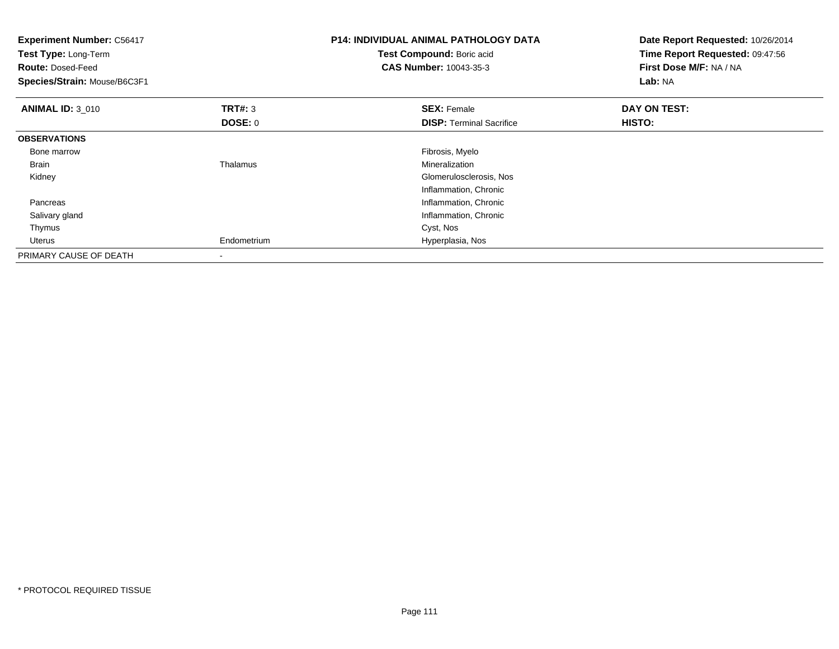| <b>Experiment Number: C56417</b><br>Test Type: Long-Term<br><b>Route: Dosed-Feed</b><br>Species/Strain: Mouse/B6C3F1 |                | <b>P14: INDIVIDUAL ANIMAL PATHOLOGY DATA</b><br>Test Compound: Boric acid<br><b>CAS Number: 10043-35-3</b> | Date Report Requested: 10/26/2014<br>Time Report Requested: 09:47:56<br>First Dose M/F: NA / NA<br>Lab: NA |
|----------------------------------------------------------------------------------------------------------------------|----------------|------------------------------------------------------------------------------------------------------------|------------------------------------------------------------------------------------------------------------|
| <b>ANIMAL ID: 3_010</b>                                                                                              | <b>TRT#: 3</b> | <b>SEX: Female</b>                                                                                         | DAY ON TEST:                                                                                               |
|                                                                                                                      | <b>DOSE: 0</b> | <b>DISP:</b> Terminal Sacrifice                                                                            | HISTO:                                                                                                     |
| <b>OBSERVATIONS</b>                                                                                                  |                |                                                                                                            |                                                                                                            |
| Bone marrow                                                                                                          |                | Fibrosis, Myelo                                                                                            |                                                                                                            |
| <b>Brain</b>                                                                                                         | Thalamus       | Mineralization                                                                                             |                                                                                                            |
| Kidney                                                                                                               |                | Glomerulosclerosis, Nos                                                                                    |                                                                                                            |
|                                                                                                                      |                | Inflammation, Chronic                                                                                      |                                                                                                            |
| Pancreas                                                                                                             |                | Inflammation, Chronic                                                                                      |                                                                                                            |
| Salivary gland                                                                                                       |                | Inflammation, Chronic                                                                                      |                                                                                                            |
| Thymus                                                                                                               |                | Cyst, Nos                                                                                                  |                                                                                                            |
| <b>Uterus</b>                                                                                                        | Endometrium    | Hyperplasia, Nos                                                                                           |                                                                                                            |
| PRIMARY CAUSE OF DEATH                                                                                               | -              |                                                                                                            |                                                                                                            |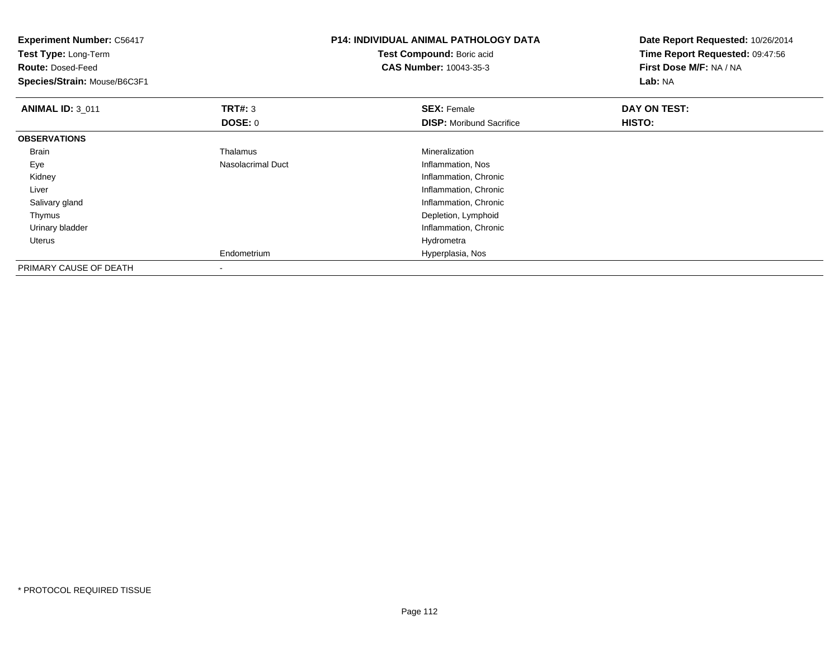| <b>Experiment Number: C56417</b><br>Test Type: Long-Term<br><b>Route: Dosed-Feed</b><br>Species/Strain: Mouse/B6C3F1 |                          | <b>P14: INDIVIDUAL ANIMAL PATHOLOGY DATA</b><br>Test Compound: Boric acid<br><b>CAS Number: 10043-35-3</b> | Date Report Requested: 10/26/2014<br>Time Report Requested: 09:47:56<br>First Dose M/F: NA / NA<br>Lab: NA |
|----------------------------------------------------------------------------------------------------------------------|--------------------------|------------------------------------------------------------------------------------------------------------|------------------------------------------------------------------------------------------------------------|
| <b>ANIMAL ID: 3 011</b>                                                                                              | TRT#: 3<br>DOSE: 0       | <b>SEX: Female</b><br><b>DISP:</b> Moribund Sacrifice                                                      | DAY ON TEST:<br><b>HISTO:</b>                                                                              |
|                                                                                                                      |                          |                                                                                                            |                                                                                                            |
| <b>OBSERVATIONS</b>                                                                                                  |                          |                                                                                                            |                                                                                                            |
| Brain                                                                                                                | Thalamus                 | Mineralization                                                                                             |                                                                                                            |
| Eye                                                                                                                  | <b>Nasolacrimal Duct</b> | Inflammation, Nos                                                                                          |                                                                                                            |
| Kidney                                                                                                               |                          | Inflammation, Chronic                                                                                      |                                                                                                            |
| Liver                                                                                                                |                          | Inflammation, Chronic                                                                                      |                                                                                                            |
| Salivary gland                                                                                                       |                          | Inflammation, Chronic                                                                                      |                                                                                                            |
| Thymus                                                                                                               |                          | Depletion, Lymphoid                                                                                        |                                                                                                            |
| Urinary bladder                                                                                                      |                          | Inflammation, Chronic                                                                                      |                                                                                                            |
| Uterus                                                                                                               |                          | Hydrometra                                                                                                 |                                                                                                            |
|                                                                                                                      | Endometrium              | Hyperplasia, Nos                                                                                           |                                                                                                            |
| PRIMARY CAUSE OF DEATH                                                                                               | $\blacksquare$           |                                                                                                            |                                                                                                            |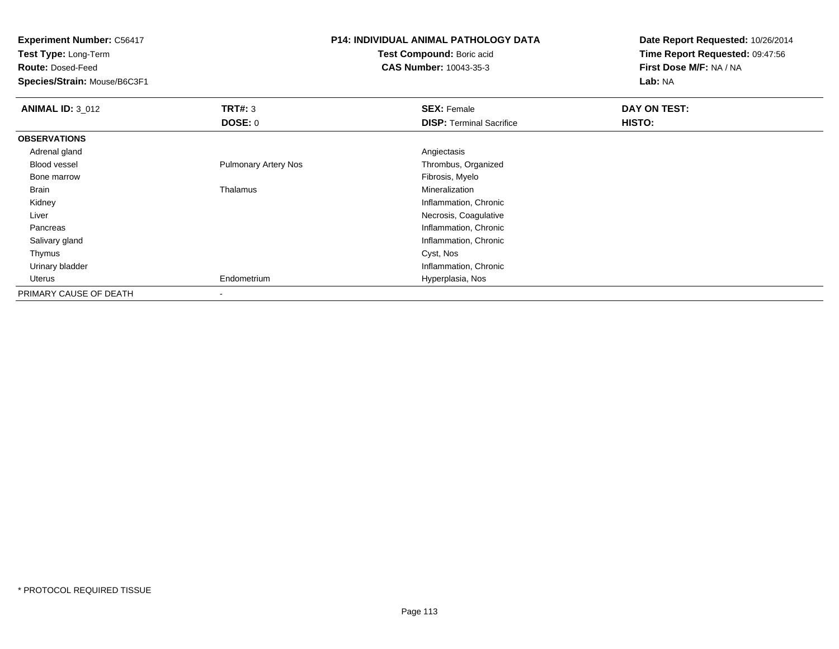**Experiment Number:** C56417**Test Type:** Long-Term**Route:** Dosed-Feed **Species/Strain:** Mouse/B6C3F1**P14: INDIVIDUAL ANIMAL PATHOLOGY DATATest Compound:** Boric acid **CAS Number:** 10043-35-3**Date Report Requested:** 10/26/2014**Time Report Requested:** 09:47:56**First Dose M/F:** NA / NA**Lab:** NA**ANIMAL ID: 3 012 TRT#:** <sup>3</sup> **SEX:** Female **DAY ON TEST: DOSE:** 0**DISP:** Terminal Sacrifice **HISTO: OBSERVATIONS** Adrenal glandd and the contract of the contract of the contract of the contract of the contract of the contract of the contract of the contract of the contract of the contract of the contract of the contract of the contract of the cont Blood vessel Pulmonary Artery Nos Thrombus, Organized Bone marroww which is a state of the state of the state of the state of the state of the Fibrosis, Myelo state of the state of the state of the state of the state of the state of the state of the state of the state of the state of th Brain Thalamus Mineralization Kidney Inflammation, Chronic Liver Necrosis, Coagulative**Inflammation, Chronic**  Pancreas Salivary gland Inflammation, Chronic Thymuss and the control of the control of the control of the control of the control of the control of the control of the control of the control of the control of the control of the control of the control of the control of the co Urinary bladder Inflammation, Chronic Uterus Endometrium Hyperplasia, Nos PRIMARY CAUSE OF DEATH-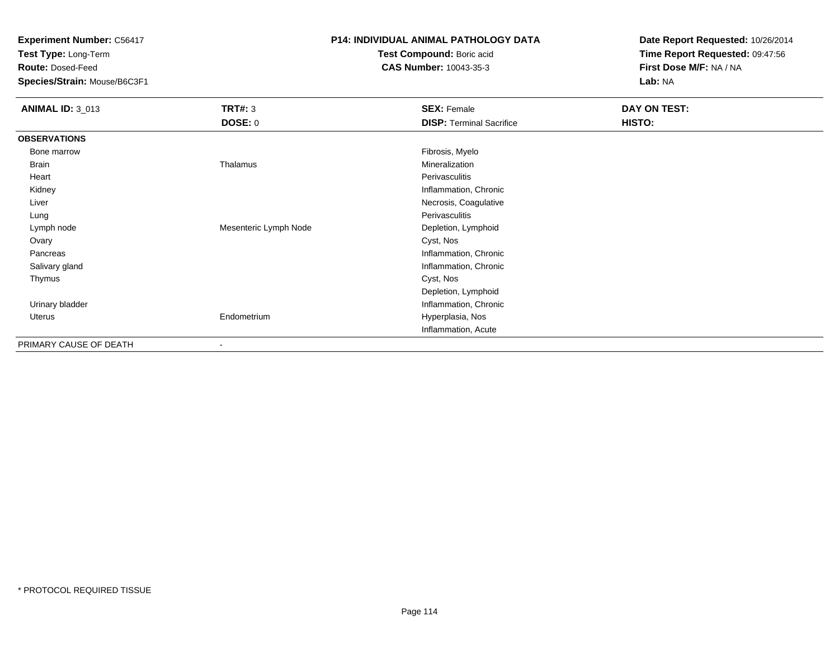**Test Type:** Long-Term

**Route:** Dosed-Feed

**Species/Strain:** Mouse/B6C3F1

### **P14: INDIVIDUAL ANIMAL PATHOLOGY DATA**

**Test Compound:** Boric acid**CAS Number:** 10043-35-3

| <b>ANIMAL ID: 3_013</b> | <b>TRT#: 3</b>        | <b>SEX: Female</b>              | DAY ON TEST: |
|-------------------------|-----------------------|---------------------------------|--------------|
|                         | <b>DOSE: 0</b>        | <b>DISP: Terminal Sacrifice</b> | HISTO:       |
| <b>OBSERVATIONS</b>     |                       |                                 |              |
| Bone marrow             |                       | Fibrosis, Myelo                 |              |
| Brain                   | Thalamus              | Mineralization                  |              |
| Heart                   |                       | Perivasculitis                  |              |
| Kidney                  |                       | Inflammation, Chronic           |              |
| Liver                   |                       | Necrosis, Coagulative           |              |
| Lung                    |                       | Perivasculitis                  |              |
| Lymph node              | Mesenteric Lymph Node | Depletion, Lymphoid             |              |
| Ovary                   |                       | Cyst, Nos                       |              |
| Pancreas                |                       | Inflammation, Chronic           |              |
| Salivary gland          |                       | Inflammation, Chronic           |              |
| Thymus                  |                       | Cyst, Nos                       |              |
|                         |                       | Depletion, Lymphoid             |              |
| Urinary bladder         |                       | Inflammation, Chronic           |              |
| Uterus                  | Endometrium           | Hyperplasia, Nos                |              |
|                         |                       | Inflammation, Acute             |              |
| PRIMARY CAUSE OF DEATH  |                       |                                 |              |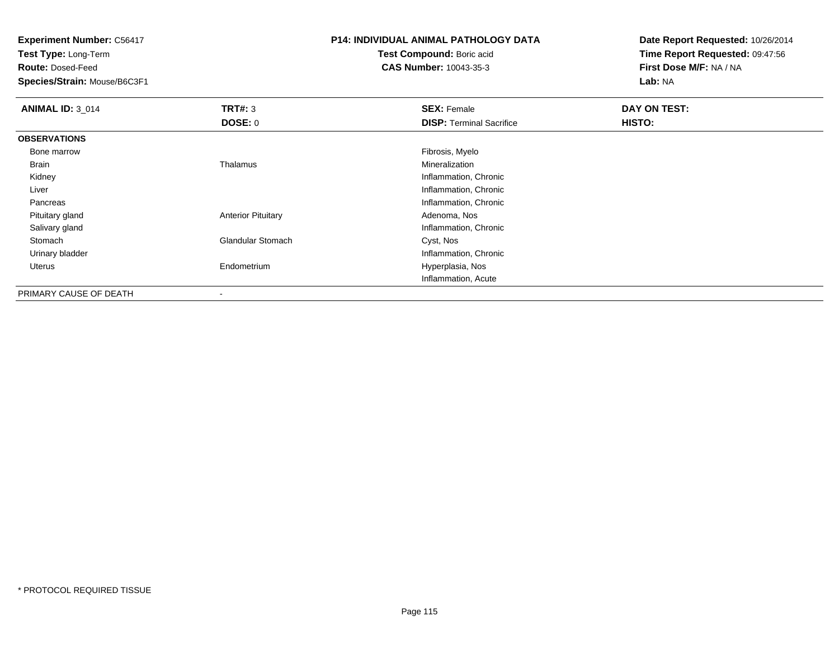**Test Type:** Long-Term

**Route:** Dosed-Feed

**Species/Strain:** Mouse/B6C3F1

# **P14: INDIVIDUAL ANIMAL PATHOLOGY DATA**

**Test Compound:** Boric acid**CAS Number:** 10043-35-3

| <b>ANIMAL ID: 3_014</b> | TRT#: 3                   | <b>SEX: Female</b>              | DAY ON TEST: |
|-------------------------|---------------------------|---------------------------------|--------------|
|                         | <b>DOSE: 0</b>            | <b>DISP: Terminal Sacrifice</b> | HISTO:       |
| <b>OBSERVATIONS</b>     |                           |                                 |              |
| Bone marrow             |                           | Fibrosis, Myelo                 |              |
| Brain                   | Thalamus                  | Mineralization                  |              |
| Kidney                  |                           | Inflammation, Chronic           |              |
| Liver                   |                           | Inflammation, Chronic           |              |
| Pancreas                |                           | Inflammation, Chronic           |              |
| Pituitary gland         | <b>Anterior Pituitary</b> | Adenoma, Nos                    |              |
| Salivary gland          |                           | Inflammation, Chronic           |              |
| Stomach                 | <b>Glandular Stomach</b>  | Cyst, Nos                       |              |
| Urinary bladder         |                           | Inflammation, Chronic           |              |
| Uterus                  | Endometrium               | Hyperplasia, Nos                |              |
|                         |                           | Inflammation, Acute             |              |
| PRIMARY CAUSE OF DEATH  | $\,$                      |                                 |              |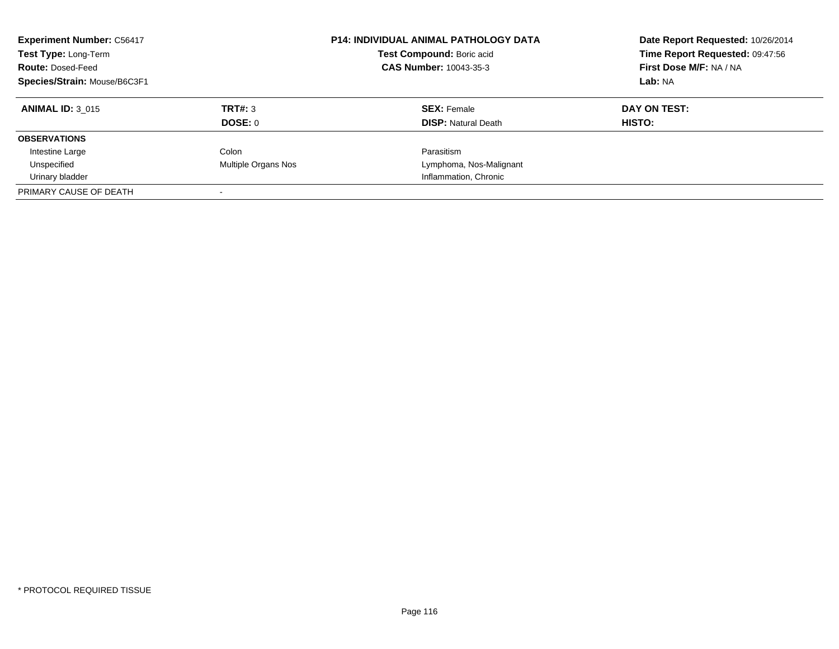| <b>Experiment Number: C56417</b><br>Test Type: Long-Term<br><b>Route: Dosed-Feed</b><br>Species/Strain: Mouse/B6C3F1 |                     | <b>P14: INDIVIDUAL ANIMAL PATHOLOGY DATA</b><br>Test Compound: Boric acid<br>CAS Number: 10043-35-3 | Date Report Requested: 10/26/2014<br>Time Report Requested: 09:47:56<br>First Dose M/F: NA / NA<br>Lab: NA |
|----------------------------------------------------------------------------------------------------------------------|---------------------|-----------------------------------------------------------------------------------------------------|------------------------------------------------------------------------------------------------------------|
| <b>ANIMAL ID: 3 015</b>                                                                                              | TRT#: 3             | <b>SEX: Female</b>                                                                                  | DAY ON TEST:                                                                                               |
|                                                                                                                      | DOSE: 0             | <b>DISP:</b> Natural Death                                                                          | HISTO:                                                                                                     |
| <b>OBSERVATIONS</b>                                                                                                  |                     |                                                                                                     |                                                                                                            |
| Intestine Large                                                                                                      | Colon               | Parasitism                                                                                          |                                                                                                            |
| Unspecified                                                                                                          | Multiple Organs Nos | Lymphoma, Nos-Malignant                                                                             |                                                                                                            |
| Urinary bladder                                                                                                      |                     | Inflammation, Chronic                                                                               |                                                                                                            |
| PRIMARY CAUSE OF DEATH                                                                                               |                     |                                                                                                     |                                                                                                            |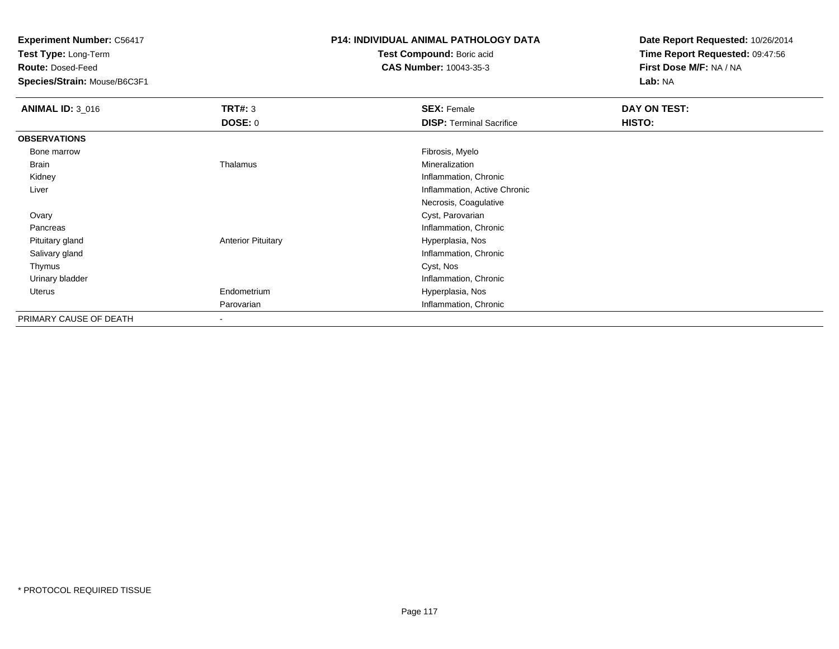**Test Type:** Long-Term

**Route:** Dosed-Feed

**Species/Strain:** Mouse/B6C3F1

# **P14: INDIVIDUAL ANIMAL PATHOLOGY DATA**

**Test Compound:** Boric acid**CAS Number:** 10043-35-3

| <b>ANIMAL ID: 3_016</b> | <b>TRT#: 3</b>            | <b>SEX: Female</b>              | DAY ON TEST: |
|-------------------------|---------------------------|---------------------------------|--------------|
|                         | <b>DOSE: 0</b>            | <b>DISP: Terminal Sacrifice</b> | HISTO:       |
| <b>OBSERVATIONS</b>     |                           |                                 |              |
| Bone marrow             |                           | Fibrosis, Myelo                 |              |
| Brain                   | Thalamus                  | Mineralization                  |              |
| Kidney                  |                           | Inflammation, Chronic           |              |
| Liver                   |                           | Inflammation, Active Chronic    |              |
|                         |                           | Necrosis, Coagulative           |              |
| Ovary                   |                           | Cyst, Parovarian                |              |
| Pancreas                |                           | Inflammation, Chronic           |              |
| Pituitary gland         | <b>Anterior Pituitary</b> | Hyperplasia, Nos                |              |
| Salivary gland          |                           | Inflammation, Chronic           |              |
| Thymus                  |                           | Cyst, Nos                       |              |
| Urinary bladder         |                           | Inflammation, Chronic           |              |
| <b>Uterus</b>           | Endometrium               | Hyperplasia, Nos                |              |
|                         | Parovarian                | Inflammation, Chronic           |              |
| PRIMARY CAUSE OF DEATH  | $\overline{\phantom{a}}$  |                                 |              |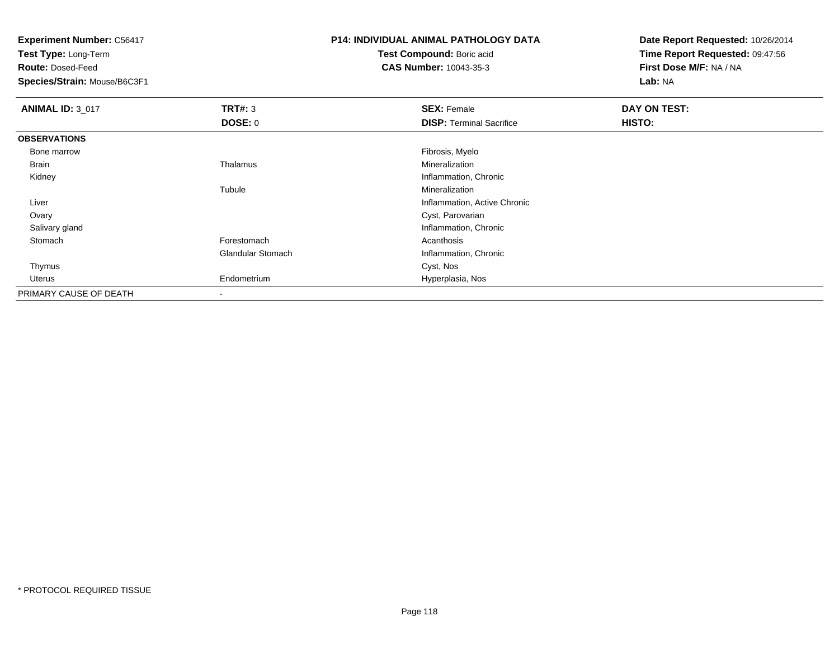**Test Type:** Long-Term

**Route:** Dosed-Feed

**Species/Strain:** Mouse/B6C3F1

# **P14: INDIVIDUAL ANIMAL PATHOLOGY DATA**

**Test Compound:** Boric acid**CAS Number:** 10043-35-3

| <b>ANIMAL ID: 3_017</b> | TRT#: 3                  | <b>SEX: Female</b>              | DAY ON TEST: |  |
|-------------------------|--------------------------|---------------------------------|--------------|--|
|                         | <b>DOSE: 0</b>           | <b>DISP: Terminal Sacrifice</b> | HISTO:       |  |
| <b>OBSERVATIONS</b>     |                          |                                 |              |  |
| Bone marrow             |                          | Fibrosis, Myelo                 |              |  |
| Brain                   | Thalamus                 | Mineralization                  |              |  |
| Kidney                  |                          | Inflammation, Chronic           |              |  |
|                         | Tubule                   | Mineralization                  |              |  |
| Liver                   |                          | Inflammation, Active Chronic    |              |  |
| Ovary                   |                          | Cyst, Parovarian                |              |  |
| Salivary gland          |                          | Inflammation, Chronic           |              |  |
| Stomach                 | Forestomach              | Acanthosis                      |              |  |
|                         | <b>Glandular Stomach</b> | Inflammation, Chronic           |              |  |
| Thymus                  |                          | Cyst, Nos                       |              |  |
| Uterus                  | Endometrium              | Hyperplasia, Nos                |              |  |
| PRIMARY CAUSE OF DEATH  | $\blacksquare$           |                                 |              |  |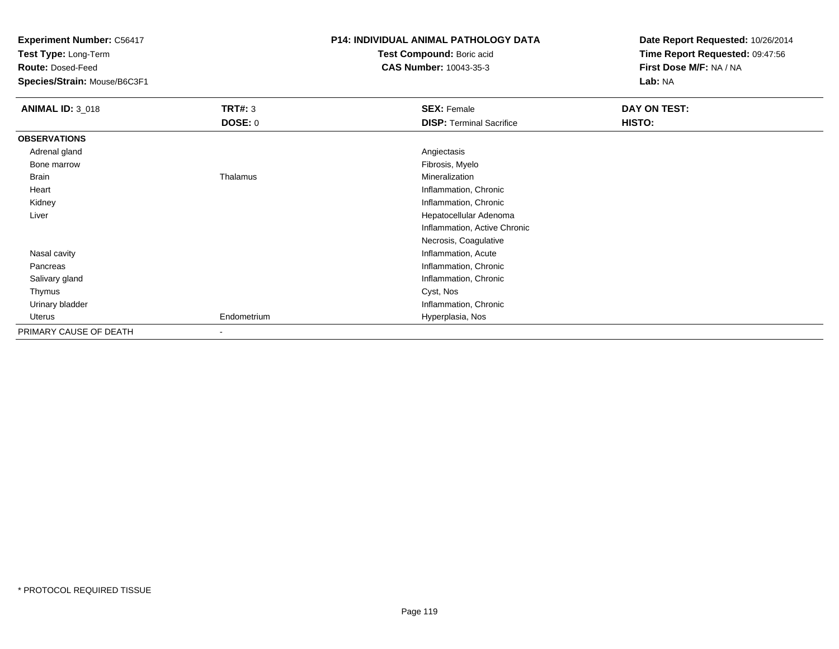**Test Type:** Long-Term

**Route:** Dosed-Feed

**Species/Strain:** Mouse/B6C3F1

### **P14: INDIVIDUAL ANIMAL PATHOLOGY DATA**

**Test Compound:** Boric acid**CAS Number:** 10043-35-3

| <b>ANIMAL ID: 3_018</b> | <b>TRT#: 3</b> | <b>SEX: Female</b>              | DAY ON TEST: |  |
|-------------------------|----------------|---------------------------------|--------------|--|
|                         | <b>DOSE: 0</b> | <b>DISP: Terminal Sacrifice</b> | HISTO:       |  |
| <b>OBSERVATIONS</b>     |                |                                 |              |  |
| Adrenal gland           |                | Angiectasis                     |              |  |
| Bone marrow             |                | Fibrosis, Myelo                 |              |  |
| Brain                   | Thalamus       | Mineralization                  |              |  |
| Heart                   |                | Inflammation, Chronic           |              |  |
| Kidney                  |                | Inflammation, Chronic           |              |  |
| Liver                   |                | Hepatocellular Adenoma          |              |  |
|                         |                | Inflammation, Active Chronic    |              |  |
|                         |                | Necrosis, Coagulative           |              |  |
| Nasal cavity            |                | Inflammation, Acute             |              |  |
| Pancreas                |                | Inflammation, Chronic           |              |  |
| Salivary gland          |                | Inflammation, Chronic           |              |  |
| Thymus                  |                | Cyst, Nos                       |              |  |
| Urinary bladder         |                | Inflammation, Chronic           |              |  |
| Uterus                  | Endometrium    | Hyperplasia, Nos                |              |  |
| PRIMARY CAUSE OF DEATH  | $\blacksquare$ |                                 |              |  |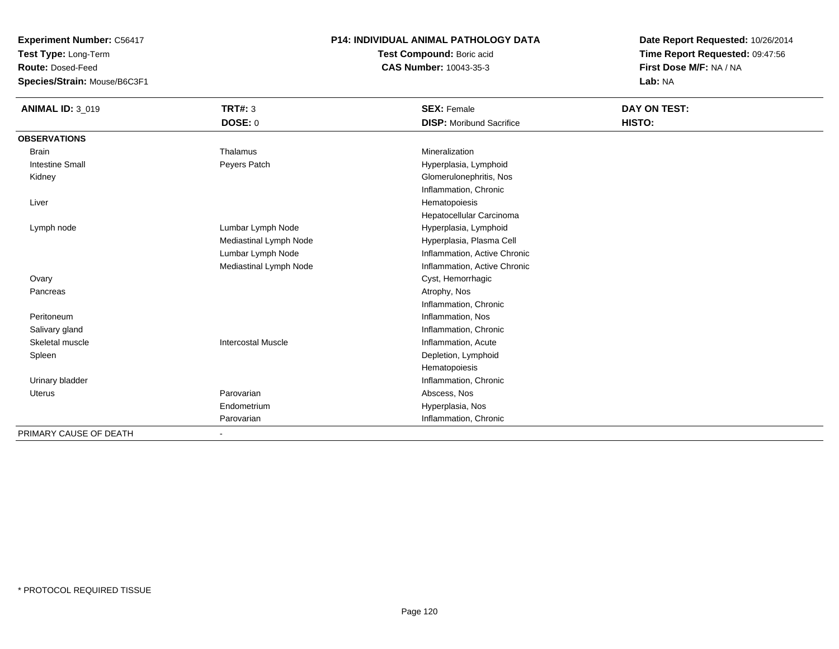**Test Type:** Long-Term

**Route:** Dosed-Feed

**Species/Strain:** Mouse/B6C3F1

### **P14: INDIVIDUAL ANIMAL PATHOLOGY DATA**

**Test Compound:** Boric acid**CAS Number:** 10043-35-3

| <b>ANIMAL ID: 3_019</b> | <b>TRT#: 3</b>            | <b>SEX: Female</b>              | DAY ON TEST: |  |
|-------------------------|---------------------------|---------------------------------|--------------|--|
|                         | DOSE: 0                   | <b>DISP:</b> Moribund Sacrifice | HISTO:       |  |
| <b>OBSERVATIONS</b>     |                           |                                 |              |  |
| <b>Brain</b>            | Thalamus                  | Mineralization                  |              |  |
| <b>Intestine Small</b>  | Peyers Patch              | Hyperplasia, Lymphoid           |              |  |
| Kidney                  |                           | Glomerulonephritis, Nos         |              |  |
|                         |                           | Inflammation, Chronic           |              |  |
| Liver                   |                           | Hematopoiesis                   |              |  |
|                         |                           | Hepatocellular Carcinoma        |              |  |
| Lymph node              | Lumbar Lymph Node         | Hyperplasia, Lymphoid           |              |  |
|                         | Mediastinal Lymph Node    | Hyperplasia, Plasma Cell        |              |  |
|                         | Lumbar Lymph Node         | Inflammation, Active Chronic    |              |  |
|                         | Mediastinal Lymph Node    | Inflammation, Active Chronic    |              |  |
| Ovary                   |                           | Cyst, Hemorrhagic               |              |  |
| Pancreas                |                           | Atrophy, Nos                    |              |  |
|                         |                           | Inflammation, Chronic           |              |  |
| Peritoneum              |                           | Inflammation, Nos               |              |  |
| Salivary gland          |                           | Inflammation, Chronic           |              |  |
| Skeletal muscle         | <b>Intercostal Muscle</b> | Inflammation, Acute             |              |  |
| Spleen                  |                           | Depletion, Lymphoid             |              |  |
|                         |                           | Hematopoiesis                   |              |  |
| Urinary bladder         |                           | Inflammation, Chronic           |              |  |
| Uterus                  | Parovarian                | Abscess, Nos                    |              |  |
|                         | Endometrium               | Hyperplasia, Nos                |              |  |
|                         | Parovarian                | Inflammation, Chronic           |              |  |
| PRIMARY CAUSE OF DEATH  |                           |                                 |              |  |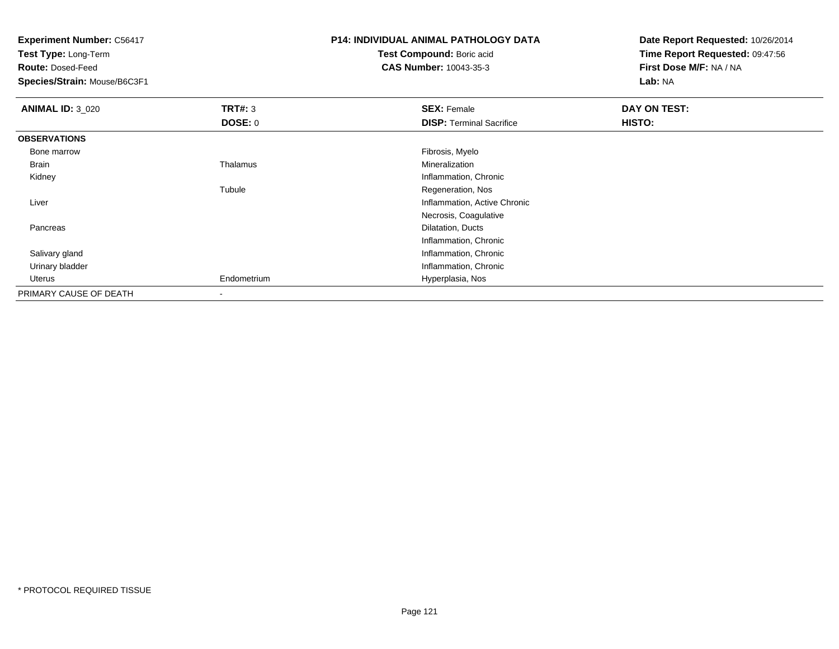**Test Type:** Long-Term

**Route:** Dosed-Feed

**Species/Strain:** Mouse/B6C3F1

# **P14: INDIVIDUAL ANIMAL PATHOLOGY DATA**

**Test Compound:** Boric acid**CAS Number:** 10043-35-3

| <b>ANIMAL ID: 3_020</b> | TRT#: 3                  | <b>SEX: Female</b>              | DAY ON TEST: |  |
|-------------------------|--------------------------|---------------------------------|--------------|--|
|                         | <b>DOSE: 0</b>           | <b>DISP: Terminal Sacrifice</b> | HISTO:       |  |
| <b>OBSERVATIONS</b>     |                          |                                 |              |  |
| Bone marrow             |                          | Fibrosis, Myelo                 |              |  |
| Brain                   | Thalamus                 | Mineralization                  |              |  |
| Kidney                  |                          | Inflammation, Chronic           |              |  |
|                         | Tubule                   | Regeneration, Nos               |              |  |
| Liver                   |                          | Inflammation, Active Chronic    |              |  |
|                         |                          | Necrosis, Coagulative           |              |  |
| Pancreas                |                          | Dilatation, Ducts               |              |  |
|                         |                          | Inflammation, Chronic           |              |  |
| Salivary gland          |                          | Inflammation, Chronic           |              |  |
| Urinary bladder         |                          | Inflammation, Chronic           |              |  |
| Uterus                  | Endometrium              | Hyperplasia, Nos                |              |  |
| PRIMARY CAUSE OF DEATH  | $\overline{\phantom{a}}$ |                                 |              |  |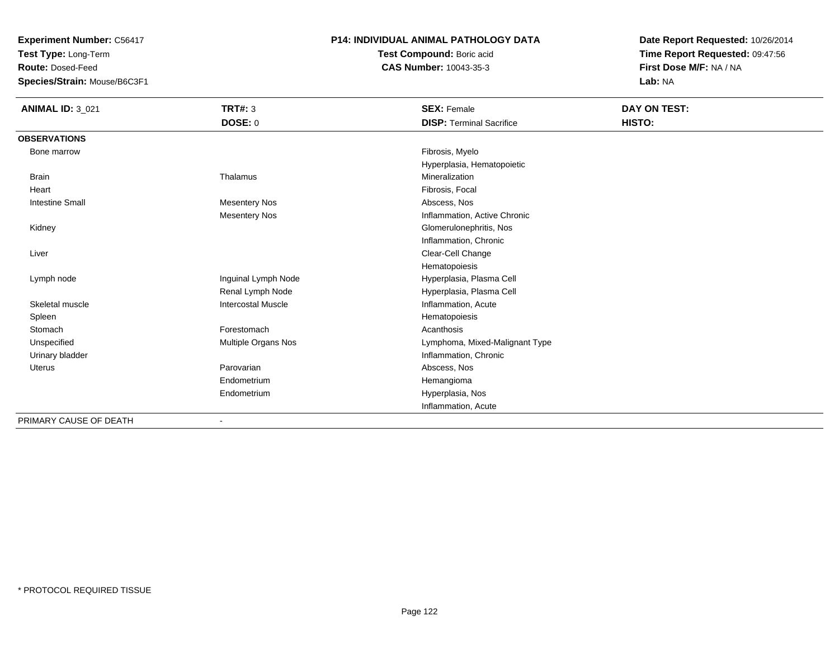**Test Type:** Long-Term

**Route:** Dosed-Feed

**Species/Strain:** Mouse/B6C3F1

#### **P14: INDIVIDUAL ANIMAL PATHOLOGY DATA**

**Test Compound:** Boric acid**CAS Number:** 10043-35-3

**Date Report Requested:** 10/26/2014**Time Report Requested:** 09:47:56**First Dose M/F:** NA / NA**Lab:** NA

| <b>ANIMAL ID: 3_021</b>                                                                                                                                                                                                                                                                                                                                                                                                                                                                    | <b>TRT#: 3</b>            | <b>SEX: Female</b>              | DAY ON TEST: |  |
|--------------------------------------------------------------------------------------------------------------------------------------------------------------------------------------------------------------------------------------------------------------------------------------------------------------------------------------------------------------------------------------------------------------------------------------------------------------------------------------------|---------------------------|---------------------------------|--------------|--|
|                                                                                                                                                                                                                                                                                                                                                                                                                                                                                            | DOSE: 0                   | <b>DISP: Terminal Sacrifice</b> | HISTO:       |  |
| <b>OBSERVATIONS</b>                                                                                                                                                                                                                                                                                                                                                                                                                                                                        |                           |                                 |              |  |
| Bone marrow                                                                                                                                                                                                                                                                                                                                                                                                                                                                                |                           | Fibrosis, Myelo                 |              |  |
|                                                                                                                                                                                                                                                                                                                                                                                                                                                                                            |                           | Hyperplasia, Hematopoietic      |              |  |
| <b>Brain</b>                                                                                                                                                                                                                                                                                                                                                                                                                                                                               | Thalamus                  | Mineralization                  |              |  |
| Heart                                                                                                                                                                                                                                                                                                                                                                                                                                                                                      |                           | Fibrosis, Focal                 |              |  |
| <b>Intestine Small</b>                                                                                                                                                                                                                                                                                                                                                                                                                                                                     | <b>Mesentery Nos</b>      | Abscess, Nos                    |              |  |
|                                                                                                                                                                                                                                                                                                                                                                                                                                                                                            | <b>Mesentery Nos</b>      | Inflammation, Active Chronic    |              |  |
| Kidney                                                                                                                                                                                                                                                                                                                                                                                                                                                                                     |                           | Glomerulonephritis, Nos         |              |  |
|                                                                                                                                                                                                                                                                                                                                                                                                                                                                                            |                           | Inflammation, Chronic           |              |  |
| Liver                                                                                                                                                                                                                                                                                                                                                                                                                                                                                      |                           | Clear-Cell Change               |              |  |
|                                                                                                                                                                                                                                                                                                                                                                                                                                                                                            |                           | Hematopoiesis                   |              |  |
| Lymph node                                                                                                                                                                                                                                                                                                                                                                                                                                                                                 | Inguinal Lymph Node       | Hyperplasia, Plasma Cell        |              |  |
|                                                                                                                                                                                                                                                                                                                                                                                                                                                                                            | Renal Lymph Node          | Hyperplasia, Plasma Cell        |              |  |
| Skeletal muscle                                                                                                                                                                                                                                                                                                                                                                                                                                                                            | <b>Intercostal Muscle</b> | Inflammation, Acute             |              |  |
| Spleen                                                                                                                                                                                                                                                                                                                                                                                                                                                                                     |                           | Hematopoiesis                   |              |  |
| Stomach                                                                                                                                                                                                                                                                                                                                                                                                                                                                                    | Forestomach               | Acanthosis                      |              |  |
| Unspecified                                                                                                                                                                                                                                                                                                                                                                                                                                                                                | Multiple Organs Nos       | Lymphoma, Mixed-Malignant Type  |              |  |
| Urinary bladder                                                                                                                                                                                                                                                                                                                                                                                                                                                                            |                           | Inflammation, Chronic           |              |  |
| <b>Uterus</b>                                                                                                                                                                                                                                                                                                                                                                                                                                                                              | Parovarian                | Abscess, Nos                    |              |  |
|                                                                                                                                                                                                                                                                                                                                                                                                                                                                                            | Endometrium               | Hemangioma                      |              |  |
|                                                                                                                                                                                                                                                                                                                                                                                                                                                                                            | Endometrium               | Hyperplasia, Nos                |              |  |
|                                                                                                                                                                                                                                                                                                                                                                                                                                                                                            |                           | Inflammation, Acute             |              |  |
| $\blacksquare$ $\blacksquare$ $\blacksquare$ $\blacksquare$ $\blacksquare$ $\blacksquare$ $\blacksquare$ $\blacksquare$ $\blacksquare$ $\blacksquare$ $\blacksquare$ $\blacksquare$ $\blacksquare$ $\blacksquare$ $\blacksquare$ $\blacksquare$ $\blacksquare$ $\blacksquare$ $\blacksquare$ $\blacksquare$ $\blacksquare$ $\blacksquare$ $\blacksquare$ $\blacksquare$ $\blacksquare$ $\blacksquare$ $\blacksquare$ $\blacksquare$ $\blacksquare$ $\blacksquare$ $\blacksquare$ $\blacks$ |                           |                                 |              |  |

PRIMARY CAUSE OF DEATH-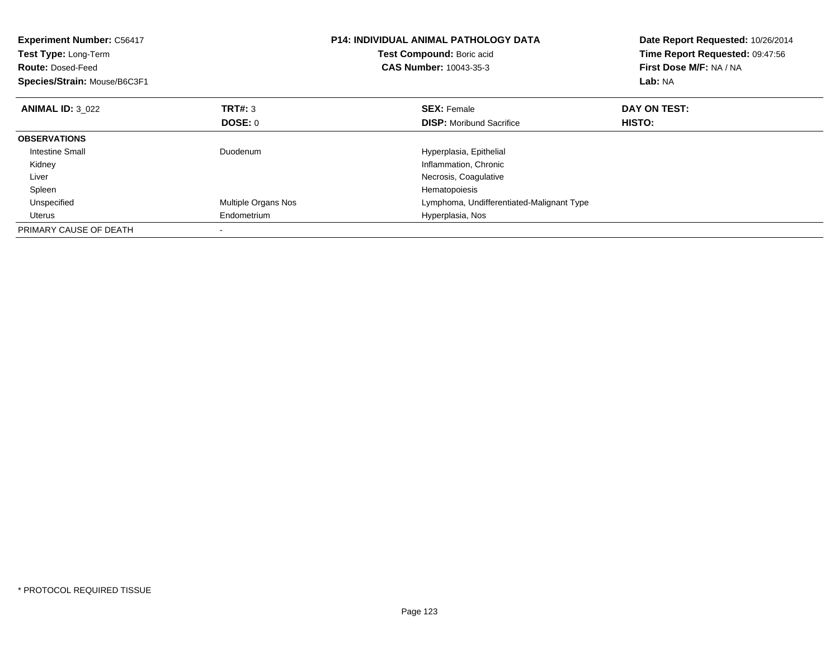| <b>Experiment Number: C56417</b><br><b>Test Type: Long-Term</b><br><b>Route: Dosed-Feed</b><br>Species/Strain: Mouse/B6C3F1 |                     | <b>P14: INDIVIDUAL ANIMAL PATHOLOGY DATA</b><br>Test Compound: Boric acid<br><b>CAS Number: 10043-35-3</b> | Date Report Requested: 10/26/2014<br>Time Report Requested: 09:47:56<br>First Dose M/F: NA / NA<br>Lab: NA |
|-----------------------------------------------------------------------------------------------------------------------------|---------------------|------------------------------------------------------------------------------------------------------------|------------------------------------------------------------------------------------------------------------|
| <b>ANIMAL ID: 3 022</b>                                                                                                     | <b>TRT#: 3</b>      | <b>SEX: Female</b>                                                                                         | DAY ON TEST:                                                                                               |
|                                                                                                                             | DOSE: 0             | <b>DISP:</b> Moribund Sacrifice                                                                            | <b>HISTO:</b>                                                                                              |
| <b>OBSERVATIONS</b>                                                                                                         |                     |                                                                                                            |                                                                                                            |
| Intestine Small                                                                                                             | Duodenum            | Hyperplasia, Epithelial                                                                                    |                                                                                                            |
| Kidney                                                                                                                      |                     | Inflammation, Chronic                                                                                      |                                                                                                            |
| Liver                                                                                                                       |                     | Necrosis, Coagulative                                                                                      |                                                                                                            |
| Spleen                                                                                                                      |                     | Hematopoiesis                                                                                              |                                                                                                            |
| Unspecified                                                                                                                 | Multiple Organs Nos | Lymphoma, Undifferentiated-Malignant Type                                                                  |                                                                                                            |
| Uterus                                                                                                                      | Endometrium         | Hyperplasia, Nos                                                                                           |                                                                                                            |
| PRIMARY CAUSE OF DEATH                                                                                                      |                     |                                                                                                            |                                                                                                            |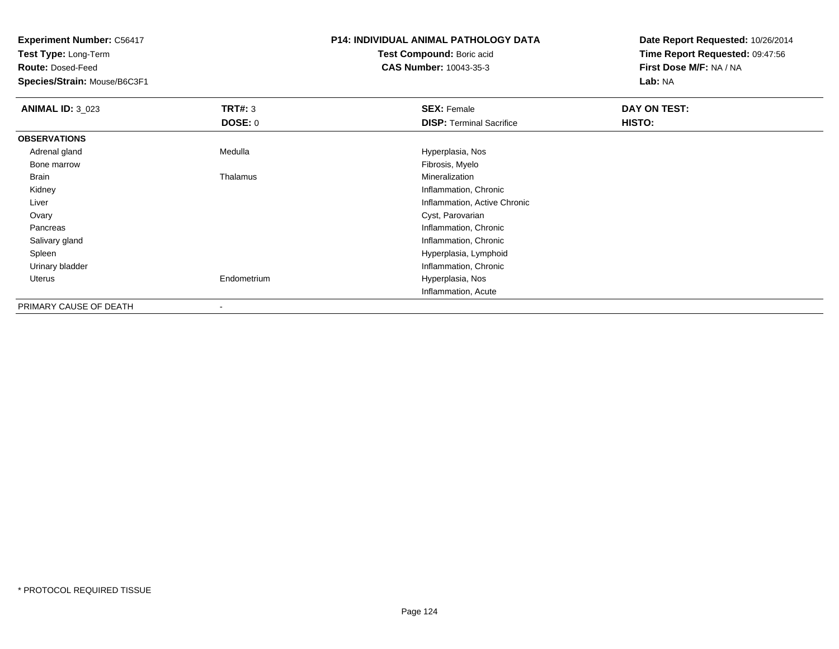**Test Type:** Long-Term

**Route:** Dosed-Feed

**Species/Strain:** Mouse/B6C3F1

# **P14: INDIVIDUAL ANIMAL PATHOLOGY DATA**

**Test Compound:** Boric acid**CAS Number:** 10043-35-3

| <b>ANIMAL ID: 3_023</b> | TRT#: 3        | <b>SEX: Female</b>              | DAY ON TEST: |  |
|-------------------------|----------------|---------------------------------|--------------|--|
|                         | <b>DOSE: 0</b> | <b>DISP: Terminal Sacrifice</b> | HISTO:       |  |
| <b>OBSERVATIONS</b>     |                |                                 |              |  |
| Adrenal gland           | Medulla        | Hyperplasia, Nos                |              |  |
| Bone marrow             |                | Fibrosis, Myelo                 |              |  |
| Brain                   | Thalamus       | Mineralization                  |              |  |
| Kidney                  |                | Inflammation, Chronic           |              |  |
| Liver                   |                | Inflammation, Active Chronic    |              |  |
| Ovary                   |                | Cyst, Parovarian                |              |  |
| Pancreas                |                | Inflammation, Chronic           |              |  |
| Salivary gland          |                | Inflammation, Chronic           |              |  |
| Spleen                  |                | Hyperplasia, Lymphoid           |              |  |
| Urinary bladder         |                | Inflammation, Chronic           |              |  |
| Uterus                  | Endometrium    | Hyperplasia, Nos                |              |  |
|                         |                | Inflammation, Acute             |              |  |
| PRIMARY CAUSE OF DEATH  |                |                                 |              |  |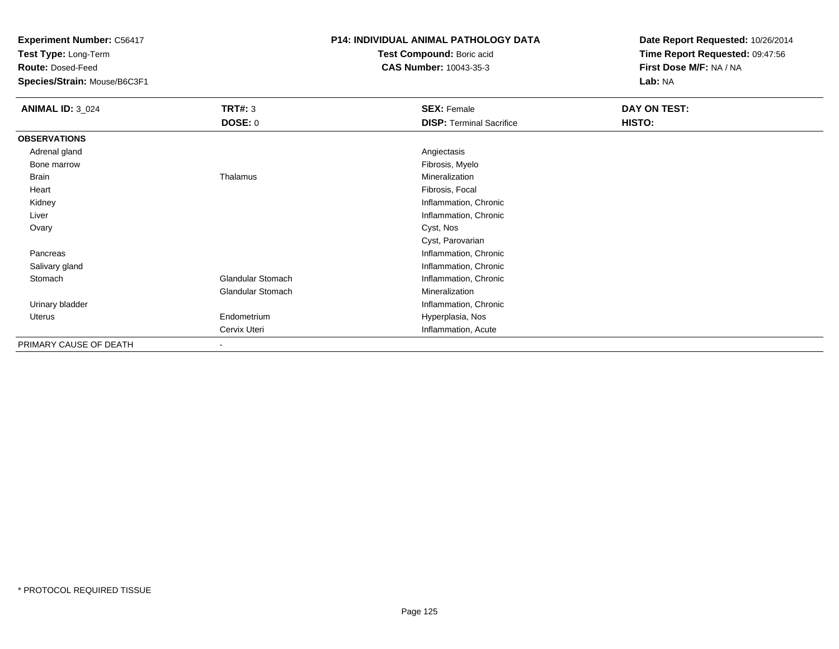**Test Type:** Long-Term

**Route:** Dosed-Feed

**Species/Strain:** Mouse/B6C3F1

### **P14: INDIVIDUAL ANIMAL PATHOLOGY DATA**

**Test Compound:** Boric acid**CAS Number:** 10043-35-3

| <b>ANIMAL ID: 3_024</b> | <b>TRT#: 3</b>           | <b>SEX: Female</b>              | DAY ON TEST: |  |
|-------------------------|--------------------------|---------------------------------|--------------|--|
|                         | <b>DOSE: 0</b>           | <b>DISP: Terminal Sacrifice</b> | HISTO:       |  |
| <b>OBSERVATIONS</b>     |                          |                                 |              |  |
| Adrenal gland           |                          | Angiectasis                     |              |  |
| Bone marrow             |                          | Fibrosis, Myelo                 |              |  |
| Brain                   | Thalamus                 | Mineralization                  |              |  |
| Heart                   |                          | Fibrosis, Focal                 |              |  |
| Kidney                  |                          | Inflammation, Chronic           |              |  |
| Liver                   |                          | Inflammation, Chronic           |              |  |
| Ovary                   |                          | Cyst, Nos                       |              |  |
|                         |                          | Cyst, Parovarian                |              |  |
| Pancreas                |                          | Inflammation, Chronic           |              |  |
| Salivary gland          |                          | Inflammation, Chronic           |              |  |
| Stomach                 | <b>Glandular Stomach</b> | Inflammation, Chronic           |              |  |
|                         | Glandular Stomach        | Mineralization                  |              |  |
| Urinary bladder         |                          | Inflammation, Chronic           |              |  |
| Uterus                  | Endometrium              | Hyperplasia, Nos                |              |  |
|                         | Cervix Uteri             | Inflammation, Acute             |              |  |
| PRIMARY CAUSE OF DEATH  | $\overline{\phantom{a}}$ |                                 |              |  |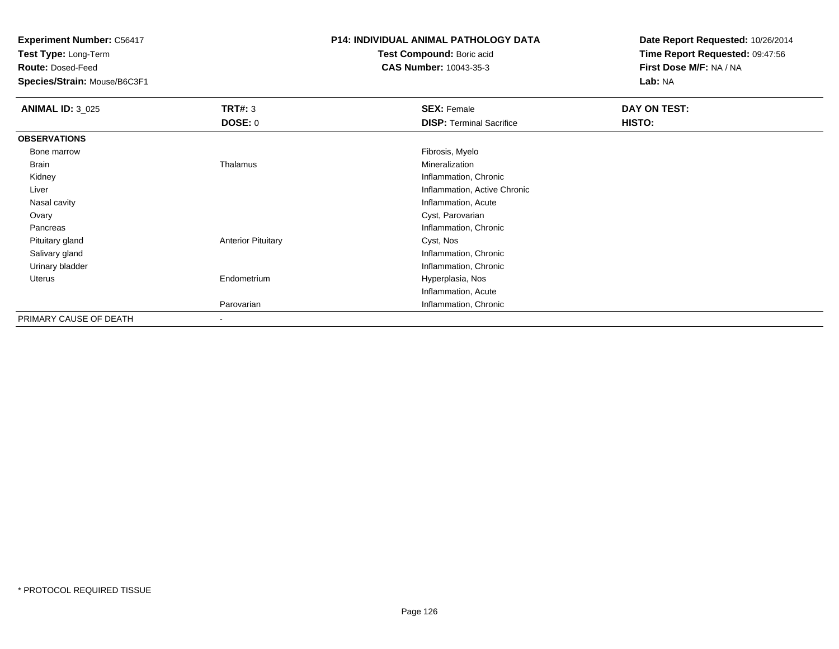**Test Type:** Long-Term

**Route:** Dosed-Feed

**Species/Strain:** Mouse/B6C3F1

## **P14: INDIVIDUAL ANIMAL PATHOLOGY DATA**

**Test Compound:** Boric acid**CAS Number:** 10043-35-3

| <b>ANIMAL ID: 3_025</b> | TRT#: 3<br><b>DOSE: 0</b> | <b>SEX: Female</b><br><b>DISP: Terminal Sacrifice</b> | DAY ON TEST:<br>HISTO: |
|-------------------------|---------------------------|-------------------------------------------------------|------------------------|
| <b>OBSERVATIONS</b>     |                           |                                                       |                        |
| Bone marrow             |                           | Fibrosis, Myelo                                       |                        |
| Brain                   | Thalamus                  | Mineralization                                        |                        |
| Kidney                  |                           | Inflammation, Chronic                                 |                        |
| Liver                   |                           | Inflammation, Active Chronic                          |                        |
| Nasal cavity            |                           | Inflammation, Acute                                   |                        |
| Ovary                   |                           | Cyst, Parovarian                                      |                        |
| Pancreas                |                           | Inflammation, Chronic                                 |                        |
| Pituitary gland         | <b>Anterior Pituitary</b> | Cyst, Nos                                             |                        |
| Salivary gland          |                           | Inflammation, Chronic                                 |                        |
| Urinary bladder         |                           | Inflammation, Chronic                                 |                        |
| Uterus                  | Endometrium               | Hyperplasia, Nos                                      |                        |
|                         |                           | Inflammation, Acute                                   |                        |
|                         | Parovarian                | Inflammation, Chronic                                 |                        |
| PRIMARY CAUSE OF DEATH  |                           |                                                       |                        |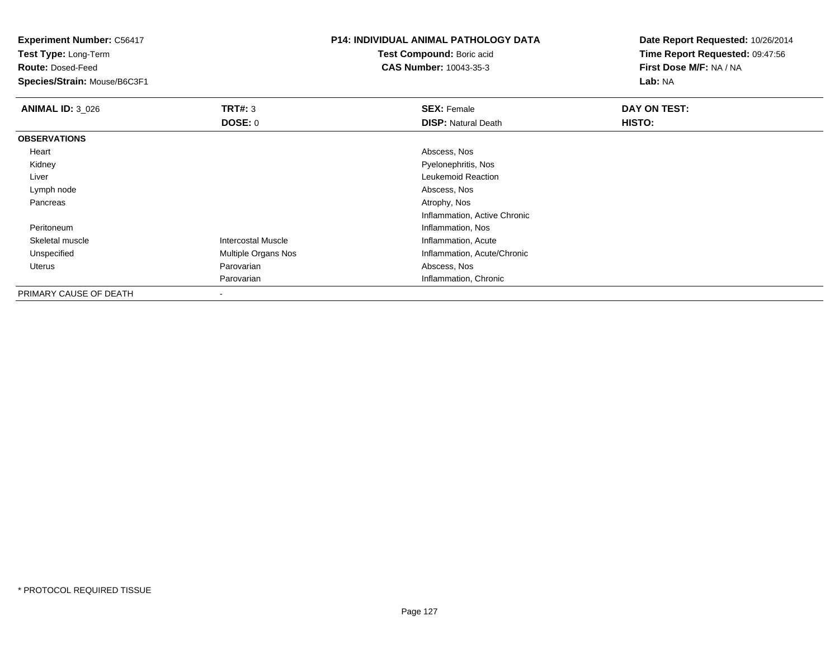**Test Type:** Long-Term

**Route:** Dosed-Feed

**Species/Strain:** Mouse/B6C3F1

## **P14: INDIVIDUAL ANIMAL PATHOLOGY DATA**

**Test Compound:** Boric acid**CAS Number:** 10043-35-3

| <b>ANIMAL ID: 3_026</b> | TRT#: 3                   | <b>SEX: Female</b>           | DAY ON TEST: |
|-------------------------|---------------------------|------------------------------|--------------|
|                         | DOSE: 0                   | <b>DISP: Natural Death</b>   | HISTO:       |
| <b>OBSERVATIONS</b>     |                           |                              |              |
| Heart                   |                           | Abscess, Nos                 |              |
| Kidney                  |                           | Pyelonephritis, Nos          |              |
| Liver                   |                           | Leukemoid Reaction           |              |
| Lymph node              |                           | Abscess, Nos                 |              |
| Pancreas                |                           | Atrophy, Nos                 |              |
|                         |                           | Inflammation, Active Chronic |              |
| Peritoneum              |                           | Inflammation, Nos            |              |
| Skeletal muscle         | <b>Intercostal Muscle</b> | Inflammation, Acute          |              |
| Unspecified             | Multiple Organs Nos       | Inflammation, Acute/Chronic  |              |
| Uterus                  | Parovarian                | Abscess, Nos                 |              |
|                         | Parovarian                | Inflammation, Chronic        |              |
| PRIMARY CAUSE OF DEATH  | $\overline{\phantom{a}}$  |                              |              |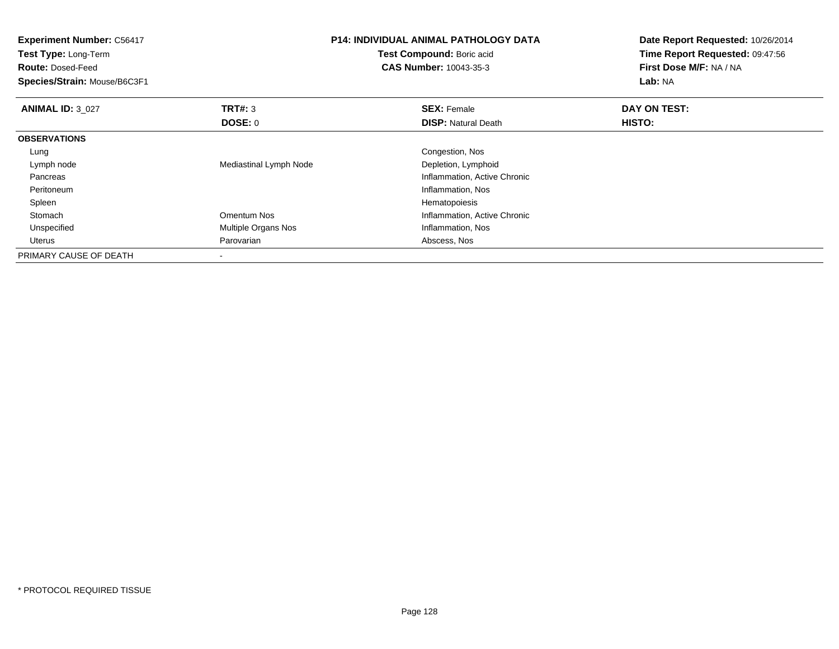| <b>Experiment Number: C56417</b><br>Test Type: Long-Term |                        | <b>P14: INDIVIDUAL ANIMAL PATHOLOGY DATA</b> | Date Report Requested: 10/26/2014<br>Time Report Requested: 09:47:56 |  |
|----------------------------------------------------------|------------------------|----------------------------------------------|----------------------------------------------------------------------|--|
|                                                          |                        | Test Compound: Boric acid                    |                                                                      |  |
| <b>Route: Dosed-Feed</b>                                 |                        | <b>CAS Number: 10043-35-3</b>                | First Dose M/F: NA / NA                                              |  |
| Species/Strain: Mouse/B6C3F1                             |                        |                                              | Lab: NA                                                              |  |
| <b>ANIMAL ID: 3 027</b>                                  | TRT#: 3                | <b>SEX: Female</b>                           | DAY ON TEST:                                                         |  |
|                                                          | DOSE: 0                | <b>DISP:</b> Natural Death                   | HISTO:                                                               |  |
| <b>OBSERVATIONS</b>                                      |                        |                                              |                                                                      |  |
| Lung                                                     |                        | Congestion, Nos                              |                                                                      |  |
| Lymph node                                               | Mediastinal Lymph Node | Depletion, Lymphoid                          |                                                                      |  |
| Pancreas                                                 |                        | Inflammation, Active Chronic                 |                                                                      |  |
| Peritoneum                                               |                        | Inflammation, Nos                            |                                                                      |  |
| Spleen                                                   |                        | Hematopoiesis                                |                                                                      |  |
| Stomach                                                  | Omentum Nos            | Inflammation, Active Chronic                 |                                                                      |  |
| Unspecified                                              | Multiple Organs Nos    | Inflammation, Nos                            |                                                                      |  |
| Uterus                                                   | Parovarian             | Abscess, Nos                                 |                                                                      |  |
| PRIMARY CAUSE OF DEATH                                   |                        |                                              |                                                                      |  |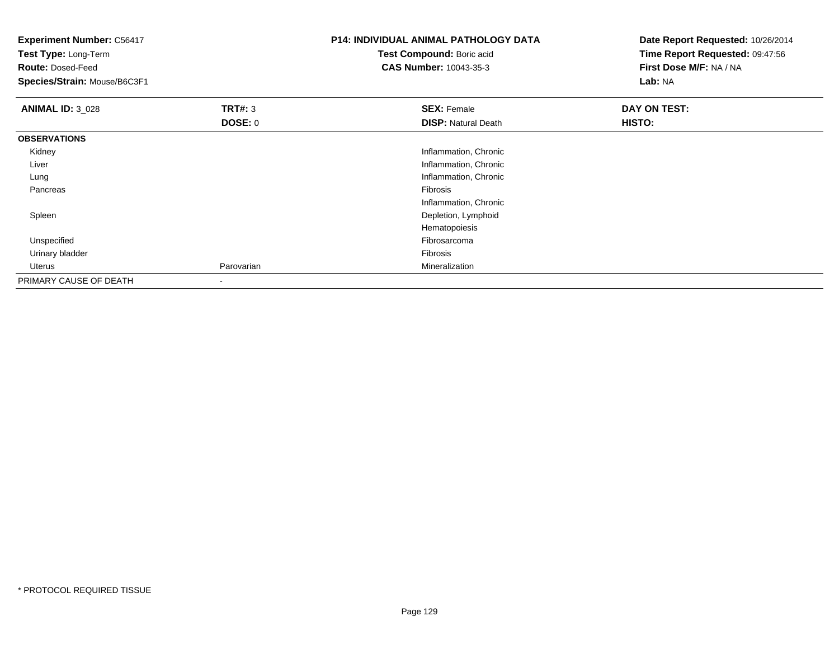| <b>Experiment Number: C56417</b><br>Test Type: Long-Term<br><b>Route: Dosed-Feed</b><br>Species/Strain: Mouse/B6C3F1 |                                  | <b>P14: INDIVIDUAL ANIMAL PATHOLOGY DATA</b><br>Test Compound: Boric acid<br><b>CAS Number: 10043-35-3</b> | Date Report Requested: 10/26/2014<br>Time Report Requested: 09:47:56<br>First Dose M/F: NA / NA<br>Lab: NA |
|----------------------------------------------------------------------------------------------------------------------|----------------------------------|------------------------------------------------------------------------------------------------------------|------------------------------------------------------------------------------------------------------------|
| <b>ANIMAL ID: 3_028</b>                                                                                              | <b>TRT#: 3</b><br><b>DOSE: 0</b> | <b>SEX: Female</b><br><b>DISP: Natural Death</b>                                                           | DAY ON TEST:<br>HISTO:                                                                                     |
| <b>OBSERVATIONS</b>                                                                                                  |                                  |                                                                                                            |                                                                                                            |
| Kidney                                                                                                               |                                  | Inflammation, Chronic                                                                                      |                                                                                                            |
| Liver                                                                                                                |                                  | Inflammation, Chronic                                                                                      |                                                                                                            |
| Lung                                                                                                                 |                                  | Inflammation, Chronic                                                                                      |                                                                                                            |
| Pancreas                                                                                                             |                                  | Fibrosis                                                                                                   |                                                                                                            |
|                                                                                                                      |                                  | Inflammation, Chronic                                                                                      |                                                                                                            |
| Spleen                                                                                                               |                                  | Depletion, Lymphoid                                                                                        |                                                                                                            |
|                                                                                                                      |                                  | Hematopoiesis                                                                                              |                                                                                                            |
| Unspecified                                                                                                          |                                  | Fibrosarcoma                                                                                               |                                                                                                            |
| Urinary bladder                                                                                                      |                                  | Fibrosis                                                                                                   |                                                                                                            |
| Uterus                                                                                                               | Parovarian                       | Mineralization                                                                                             |                                                                                                            |
| PRIMARY CAUSE OF DEATH                                                                                               | ۰                                |                                                                                                            |                                                                                                            |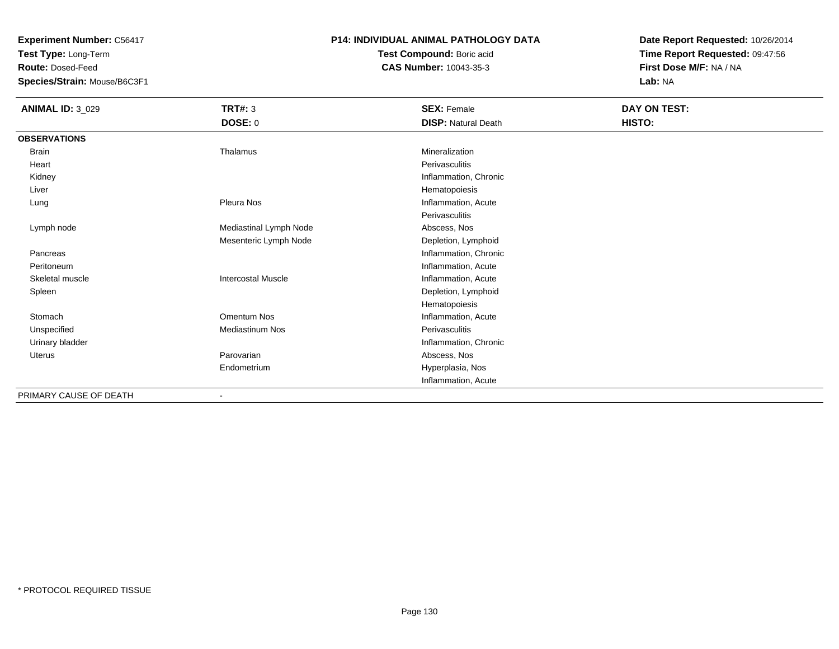**Test Type:** Long-Term

**Route:** Dosed-Feed

**Species/Strain:** Mouse/B6C3F1

### **P14: INDIVIDUAL ANIMAL PATHOLOGY DATA**

**Test Compound:** Boric acid**CAS Number:** 10043-35-3

| <b>ANIMAL ID: 3_029</b> | <b>TRT#: 3</b>               | <b>SEX: Female</b>         | DAY ON TEST: |
|-------------------------|------------------------------|----------------------------|--------------|
|                         | <b>DOSE: 0</b>               | <b>DISP: Natural Death</b> | HISTO:       |
| <b>OBSERVATIONS</b>     |                              |                            |              |
| Brain                   | Thalamus                     | Mineralization             |              |
| Heart                   |                              | Perivasculitis             |              |
| Kidney                  |                              | Inflammation, Chronic      |              |
| Liver                   |                              | Hematopoiesis              |              |
| Lung                    | Pleura Nos                   | Inflammation, Acute        |              |
|                         |                              | Perivasculitis             |              |
| Lymph node              | Mediastinal Lymph Node       | Abscess, Nos               |              |
|                         | Mesenteric Lymph Node        | Depletion, Lymphoid        |              |
| Pancreas                |                              | Inflammation, Chronic      |              |
| Peritoneum              |                              | Inflammation, Acute        |              |
| Skeletal muscle         | <b>Intercostal Muscle</b>    | Inflammation, Acute        |              |
| Spleen                  |                              | Depletion, Lymphoid        |              |
|                         |                              | Hematopoiesis              |              |
| Stomach                 | Omentum Nos                  | Inflammation, Acute        |              |
| Unspecified             | <b>Mediastinum Nos</b>       | Perivasculitis             |              |
| Urinary bladder         |                              | Inflammation, Chronic      |              |
| Uterus                  | Parovarian                   | Abscess, Nos               |              |
|                         | Endometrium                  | Hyperplasia, Nos           |              |
|                         |                              | Inflammation, Acute        |              |
| PRIMARY CAUSE OF DEATH  | $\qquad \qquad \blacksquare$ |                            |              |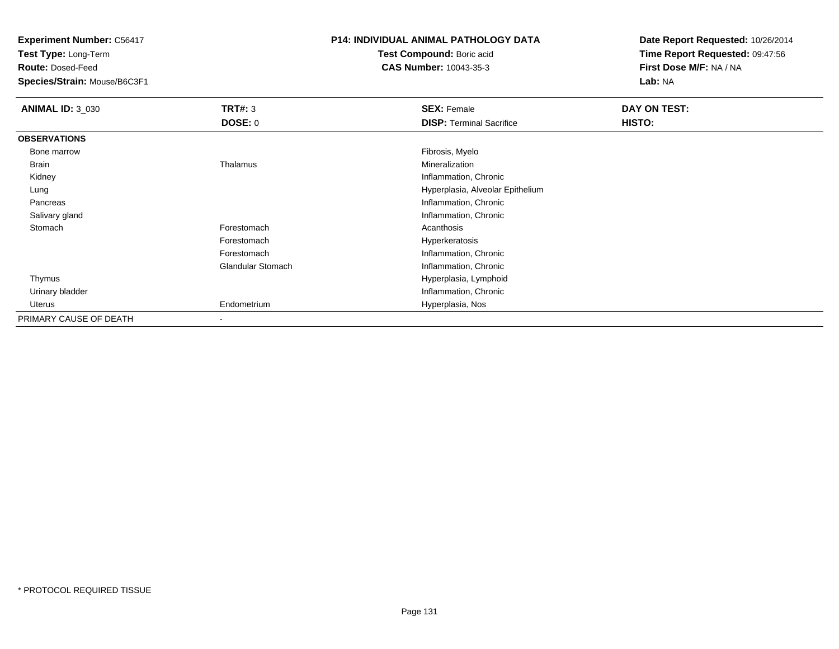**Test Type:** Long-Term

**Route:** Dosed-Feed

**Species/Strain:** Mouse/B6C3F1

## **P14: INDIVIDUAL ANIMAL PATHOLOGY DATA**

**Test Compound:** Boric acid**CAS Number:** 10043-35-3

| <b>ANIMAL ID: 3_030</b> | TRT#: 3<br><b>DOSE: 0</b> | <b>SEX: Female</b><br><b>DISP: Terminal Sacrifice</b> | DAY ON TEST:<br>HISTO: |
|-------------------------|---------------------------|-------------------------------------------------------|------------------------|
|                         |                           |                                                       |                        |
| <b>OBSERVATIONS</b>     |                           |                                                       |                        |
| Bone marrow             |                           | Fibrosis, Myelo                                       |                        |
| Brain                   | Thalamus                  | Mineralization                                        |                        |
| Kidney                  |                           | Inflammation, Chronic                                 |                        |
| Lung                    |                           | Hyperplasia, Alveolar Epithelium                      |                        |
| Pancreas                |                           | Inflammation, Chronic                                 |                        |
| Salivary gland          |                           | Inflammation, Chronic                                 |                        |
| Stomach                 | Forestomach               | Acanthosis                                            |                        |
|                         | Forestomach               | Hyperkeratosis                                        |                        |
|                         | Forestomach               | Inflammation, Chronic                                 |                        |
|                         | <b>Glandular Stomach</b>  | Inflammation, Chronic                                 |                        |
| Thymus                  |                           | Hyperplasia, Lymphoid                                 |                        |
| Urinary bladder         |                           | Inflammation, Chronic                                 |                        |
| Uterus                  | Endometrium               | Hyperplasia, Nos                                      |                        |
| PRIMARY CAUSE OF DEATH  |                           |                                                       |                        |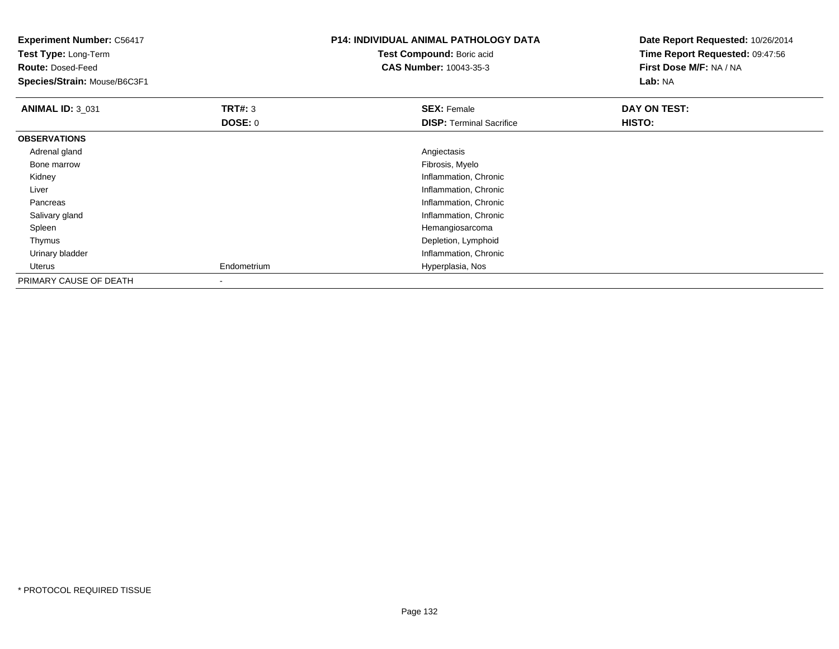| <b>Experiment Number: C56417</b><br>Test Type: Long-Term<br><b>Route: Dosed-Feed</b><br>Species/Strain: Mouse/B6C3F1 |                | <b>P14: INDIVIDUAL ANIMAL PATHOLOGY DATA</b><br>Test Compound: Boric acid<br>CAS Number: 10043-35-3 | Date Report Requested: 10/26/2014<br>Time Report Requested: 09:47:56<br>First Dose M/F: NA / NA<br>Lab: NA |
|----------------------------------------------------------------------------------------------------------------------|----------------|-----------------------------------------------------------------------------------------------------|------------------------------------------------------------------------------------------------------------|
| <b>ANIMAL ID: 3_031</b>                                                                                              | <b>TRT#: 3</b> | <b>SEX: Female</b>                                                                                  | DAY ON TEST:                                                                                               |
|                                                                                                                      | <b>DOSE: 0</b> | <b>DISP:</b> Terminal Sacrifice                                                                     | HISTO:                                                                                                     |
| <b>OBSERVATIONS</b>                                                                                                  |                |                                                                                                     |                                                                                                            |
| Adrenal gland                                                                                                        |                | Angiectasis                                                                                         |                                                                                                            |
| Bone marrow                                                                                                          |                | Fibrosis, Myelo                                                                                     |                                                                                                            |
| Kidney                                                                                                               |                | Inflammation, Chronic                                                                               |                                                                                                            |
| Liver                                                                                                                |                | Inflammation, Chronic                                                                               |                                                                                                            |
| Pancreas                                                                                                             |                | Inflammation, Chronic                                                                               |                                                                                                            |
| Salivary gland                                                                                                       |                | Inflammation, Chronic                                                                               |                                                                                                            |
| Spleen                                                                                                               |                | Hemangiosarcoma                                                                                     |                                                                                                            |
| Thymus                                                                                                               |                | Depletion, Lymphoid                                                                                 |                                                                                                            |
| Urinary bladder                                                                                                      |                | Inflammation, Chronic                                                                               |                                                                                                            |
| Uterus                                                                                                               | Endometrium    | Hyperplasia, Nos                                                                                    |                                                                                                            |
| PRIMARY CAUSE OF DEATH                                                                                               |                |                                                                                                     |                                                                                                            |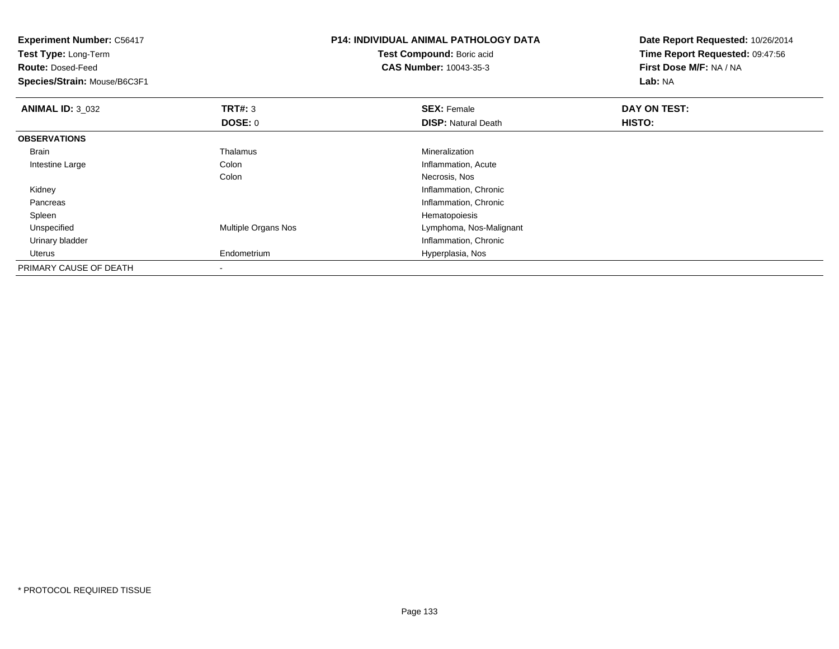| <b>Experiment Number: C56417</b><br>Test Type: Long-Term<br><b>Route: Dosed-Feed</b><br>Species/Strain: Mouse/B6C3F1 |                     | <b>P14: INDIVIDUAL ANIMAL PATHOLOGY DATA</b><br>Test Compound: Boric acid<br><b>CAS Number: 10043-35-3</b> | Date Report Requested: 10/26/2014<br>Time Report Requested: 09:47:56<br>First Dose M/F: NA / NA<br>Lab: NA |
|----------------------------------------------------------------------------------------------------------------------|---------------------|------------------------------------------------------------------------------------------------------------|------------------------------------------------------------------------------------------------------------|
| <b>ANIMAL ID: 3_032</b>                                                                                              | TRT#: 3             | <b>SEX: Female</b>                                                                                         | DAY ON TEST:                                                                                               |
|                                                                                                                      | DOSE: 0             | <b>DISP: Natural Death</b>                                                                                 | HISTO:                                                                                                     |
| <b>OBSERVATIONS</b>                                                                                                  |                     |                                                                                                            |                                                                                                            |
| Brain                                                                                                                | Thalamus            | Mineralization                                                                                             |                                                                                                            |
| Intestine Large                                                                                                      | Colon               | Inflammation, Acute                                                                                        |                                                                                                            |
|                                                                                                                      | Colon               | Necrosis, Nos                                                                                              |                                                                                                            |
| Kidney                                                                                                               |                     | Inflammation, Chronic                                                                                      |                                                                                                            |
| Pancreas                                                                                                             |                     | Inflammation, Chronic                                                                                      |                                                                                                            |
| Spleen                                                                                                               |                     | Hematopoiesis                                                                                              |                                                                                                            |
| Unspecified                                                                                                          | Multiple Organs Nos | Lymphoma, Nos-Malignant                                                                                    |                                                                                                            |
| Urinary bladder                                                                                                      |                     | Inflammation, Chronic                                                                                      |                                                                                                            |
| Uterus                                                                                                               | Endometrium         | Hyperplasia, Nos                                                                                           |                                                                                                            |
| PRIMARY CAUSE OF DEATH                                                                                               |                     |                                                                                                            |                                                                                                            |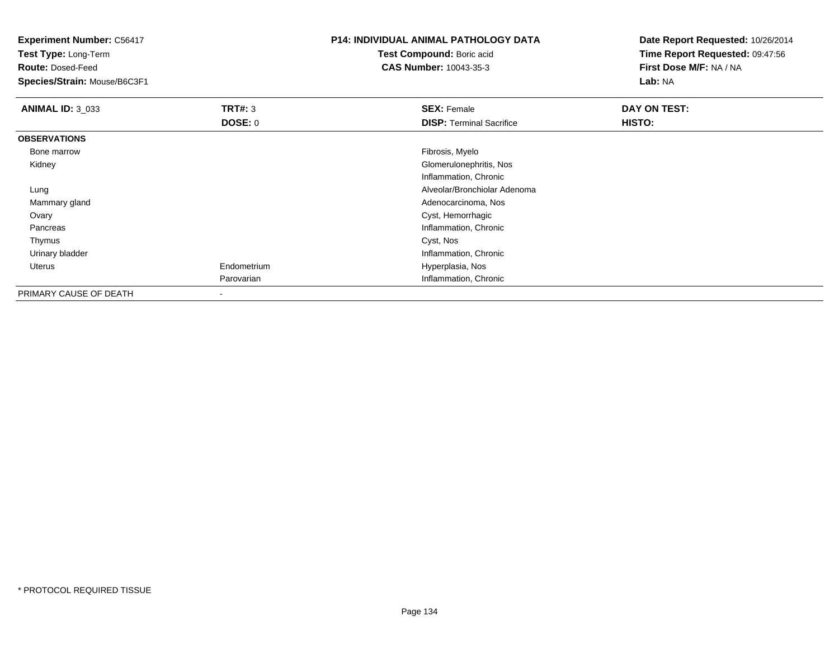**Experiment Number:** C56417**Test Type:** Long-Term**Route:** Dosed-Feed **Species/Strain:** Mouse/B6C3F1**P14: INDIVIDUAL ANIMAL PATHOLOGY DATATest Compound:** Boric acid **CAS Number:** 10043-35-3**Date Report Requested:** 10/26/2014**Time Report Requested:** 09:47:56**First Dose M/F:** NA / NA**Lab:** NA**ANIMAL ID:** 3\_033**TRT#:** 3 **SEX:** Female **DAY ON TEST: DOSE:** 0**DISP:** Terminal Sacrifice **HISTO: OBSERVATIONS** Bone marroww which is a state of the state of the state of the state of the state of the Fibrosis, Myelo state of the state of the state of the state of the state of the state of the state of the state of the state of the state of th Kidney Glomerulonephritis, Nos Inflammation, Chronic Alveolar/Bronchiolar Adenoma Lung Mammary gland Adenocarcinoma, Nos **Ovary**  Cyst, Hemorrhagic Pancreas Inflammation, Chronic Thymuss and the control of the control of the control of the control of the control of the control of the control of the control of the control of the control of the control of the control of the control of the control of the co Urinary bladder Inflammation, Chronic Uterus Endometrium Hyperplasia, Nos Parovarian Inflammation, Chronic PRIMARY CAUSE OF DEATH-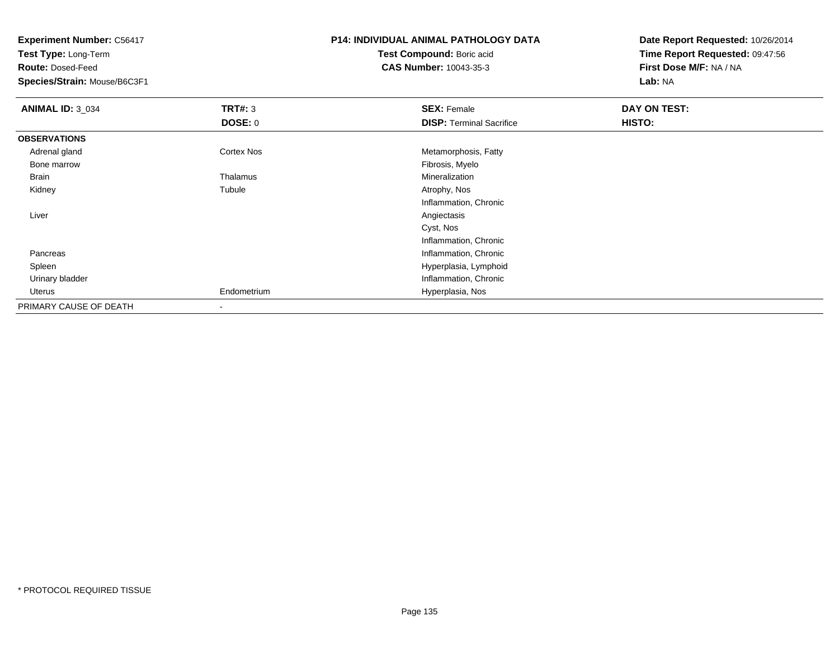**Experiment Number:** C56417**Test Type:** Long-Term**Route:** Dosed-Feed **Species/Strain:** Mouse/B6C3F1**P14: INDIVIDUAL ANIMAL PATHOLOGY DATATest Compound:** Boric acid **CAS Number:** 10043-35-3**Date Report Requested:** 10/26/2014**Time Report Requested:** 09:47:56**First Dose M/F:** NA / NA**Lab:** NA**ANIMAL ID:** 3\_034**TRT#:** 3 **SEX:** Female **DAY ON TEST: DOSE:** 0**DISP:** Terminal Sacrifice **HISTO: OBSERVATIONS** Adrenal glandCortex Nos **Metamorphosis, Fatty** Metamorphosis, Fatty Fibrosis, Myelo Bone marroww which is a state of the state of the state of the state of the state of the Fibrosis, Myelo state of the state of the state of the state of the state of the state of the state of the state of the state of the state of th Brain Thalamus Mineralization Kidneyy the contract of the contract of the contract of the contract of the contract of the contract of the contract of the contract of the contract of the contract of the contract of the contract of the contract of the contract Tubule **Atrophy, Nos** Inflammation, Chronic Liverr and the contract of the contract of the contract of the contract of the contract of the contract of the contract of the contract of the contract of the contract of the contract of the contract of the contract of the cont Cyst, Nos Inflammation, Chronic**Inflammation, Chronic**  Pancreas Spleen Hyperplasia, Lymphoid Urinary bladder Inflammation, Chronic Uterus Endometrium Hyperplasia, Nos PRIMARY CAUSE OF DEATH-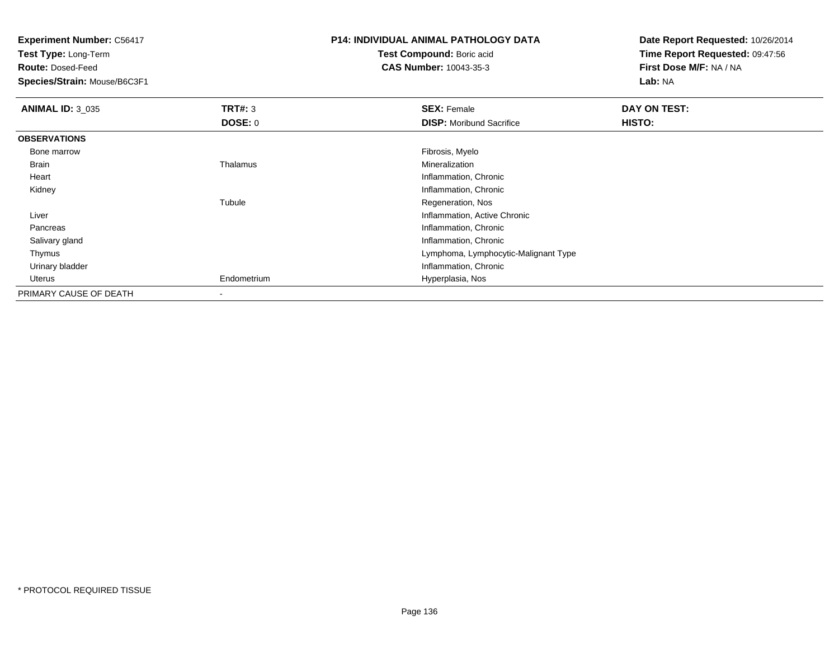**Test Type:** Long-Term

**Route:** Dosed-Feed

**Species/Strain:** Mouse/B6C3F1

# **P14: INDIVIDUAL ANIMAL PATHOLOGY DATA**

**Test Compound:** Boric acid**CAS Number:** 10043-35-3

| <b>ANIMAL ID: 3_035</b> | TRT#: 3     | <b>SEX: Female</b>                   | DAY ON TEST: |  |
|-------------------------|-------------|--------------------------------------|--------------|--|
|                         | DOSE: 0     | <b>DISP:</b> Moribund Sacrifice      | HISTO:       |  |
| <b>OBSERVATIONS</b>     |             |                                      |              |  |
| Bone marrow             |             | Fibrosis, Myelo                      |              |  |
| Brain                   | Thalamus    | Mineralization                       |              |  |
| Heart                   |             | Inflammation, Chronic                |              |  |
| Kidney                  |             | Inflammation, Chronic                |              |  |
|                         | Tubule      | Regeneration, Nos                    |              |  |
| Liver                   |             | Inflammation, Active Chronic         |              |  |
| Pancreas                |             | Inflammation, Chronic                |              |  |
| Salivary gland          |             | Inflammation, Chronic                |              |  |
| Thymus                  |             | Lymphoma, Lymphocytic-Malignant Type |              |  |
| Urinary bladder         |             | Inflammation, Chronic                |              |  |
| Uterus                  | Endometrium | Hyperplasia, Nos                     |              |  |
| PRIMARY CAUSE OF DEATH  |             |                                      |              |  |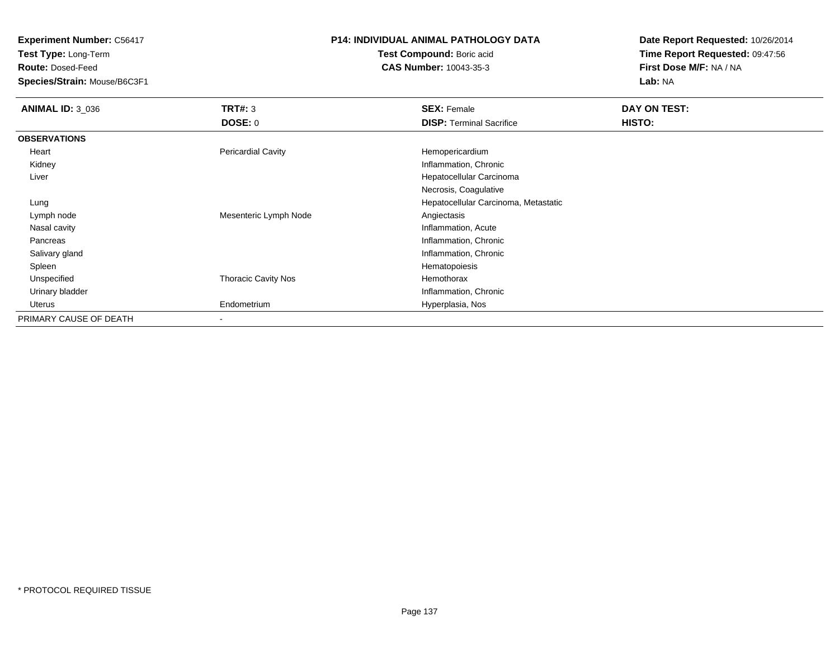**Test Type:** Long-Term

**Route:** Dosed-Feed

**Species/Strain:** Mouse/B6C3F1

# **P14: INDIVIDUAL ANIMAL PATHOLOGY DATA**

**Test Compound:** Boric acid**CAS Number:** 10043-35-3

| <b>ANIMAL ID: 3_036</b> | TRT#: 3                    | <b>SEX: Female</b>                   | DAY ON TEST: |
|-------------------------|----------------------------|--------------------------------------|--------------|
|                         | <b>DOSE: 0</b>             | <b>DISP: Terminal Sacrifice</b>      | HISTO:       |
| <b>OBSERVATIONS</b>     |                            |                                      |              |
| Heart                   | <b>Pericardial Cavity</b>  | Hemopericardium                      |              |
| Kidney                  |                            | Inflammation, Chronic                |              |
| Liver                   |                            | Hepatocellular Carcinoma             |              |
|                         |                            | Necrosis, Coagulative                |              |
| Lung                    |                            | Hepatocellular Carcinoma, Metastatic |              |
| Lymph node              | Mesenteric Lymph Node      | Angiectasis                          |              |
| Nasal cavity            |                            | Inflammation, Acute                  |              |
| Pancreas                |                            | Inflammation, Chronic                |              |
| Salivary gland          |                            | Inflammation, Chronic                |              |
| Spleen                  |                            | Hematopoiesis                        |              |
| Unspecified             | <b>Thoracic Cavity Nos</b> | Hemothorax                           |              |
| Urinary bladder         |                            | Inflammation, Chronic                |              |
| Uterus                  | Endometrium                | Hyperplasia, Nos                     |              |
| PRIMARY CAUSE OF DEATH  |                            |                                      |              |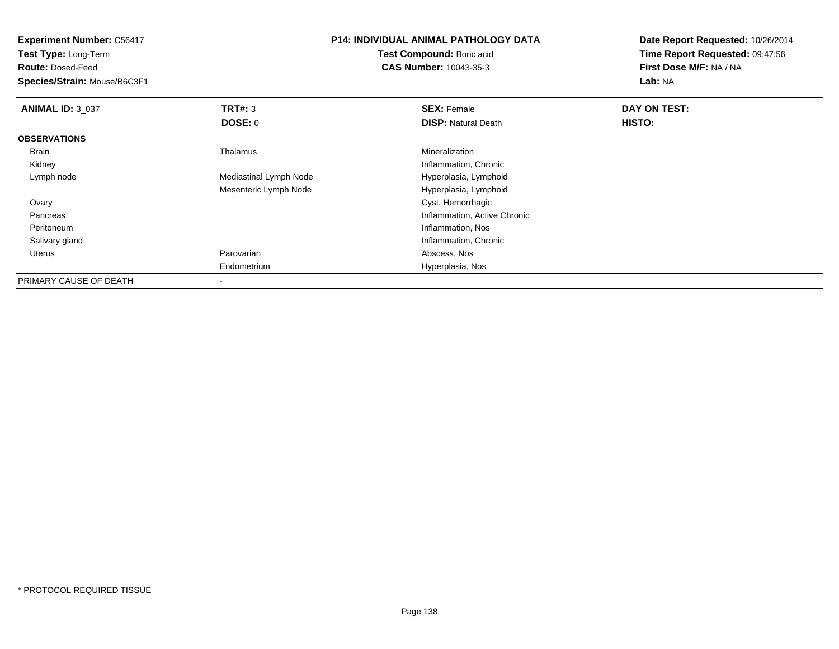**Experiment Number:** C56417**Test Type:** Long-Term**Route:** Dosed-Feed **Species/Strain:** Mouse/B6C3F1**P14: INDIVIDUAL ANIMAL PATHOLOGY DATATest Compound:** Boric acid **CAS Number:** 10043-35-3**Date Report Requested:** 10/26/2014**Time Report Requested:** 09:47:56**First Dose M/F:** NA / NA**Lab:** NA**ANIMAL ID: 3 037 TRT#:** <sup>3</sup> **SEX:** Female **DAY ON TEST: DOSE:** 0**DISP:** Natural Death **HISTO: OBSERVATIONS** Brain Thalamus Mineralization Kidney Inflammation, Chronic Lymph nodeMediastinal Lymph Node Hyperplasia, Lymphoid Mesenteric Lymph Node Hyperplasia, Lymphoid Ovary Cyst, Hemorrhagic Pancreas Inflammation, Active Chronic Peritoneumn and the contract of the contract of the contract of the contract of the contract of the contract of the contract of the contract of the contract of the contract of the contract of the contract of the contract of the cont Salivary gland Inflammation, Chronic Uterus Parovarian Abscess, Nos Endometrium Hyperplasia, Nos PRIMARY CAUSE OF DEATH-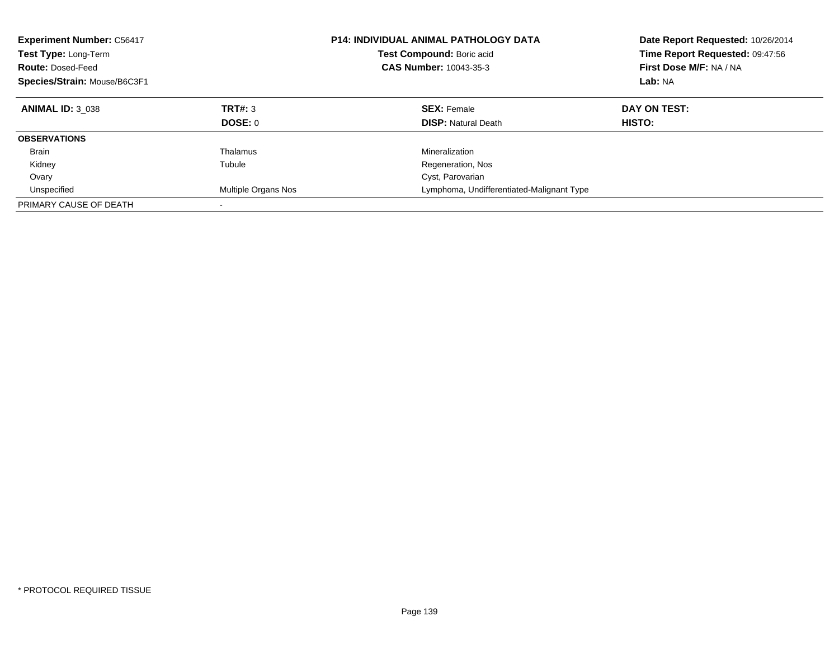| <b>Experiment Number: C56417</b><br>Test Type: Long-Term<br><b>Route: Dosed-Feed</b><br>Species/Strain: Mouse/B6C3F1 |                     | <b>P14: INDIVIDUAL ANIMAL PATHOLOGY DATA</b><br>Test Compound: Boric acid<br><b>CAS Number: 10043-35-3</b> | Date Report Requested: 10/26/2014<br>Time Report Requested: 09:47:56<br>First Dose M/F: NA / NA<br>Lab: NA |  |
|----------------------------------------------------------------------------------------------------------------------|---------------------|------------------------------------------------------------------------------------------------------------|------------------------------------------------------------------------------------------------------------|--|
| <b>ANIMAL ID: 3 038</b>                                                                                              | <b>TRT#: 3</b>      | <b>SEX: Female</b>                                                                                         | DAY ON TEST:                                                                                               |  |
|                                                                                                                      | DOSE: 0             | <b>DISP:</b> Natural Death                                                                                 | HISTO:                                                                                                     |  |
| <b>OBSERVATIONS</b>                                                                                                  |                     |                                                                                                            |                                                                                                            |  |
| <b>Brain</b>                                                                                                         | Thalamus            | Mineralization                                                                                             |                                                                                                            |  |
| Kidney                                                                                                               | Tubule              | Regeneration, Nos                                                                                          |                                                                                                            |  |
| Ovary                                                                                                                |                     | Cyst, Parovarian                                                                                           |                                                                                                            |  |
| Unspecified                                                                                                          | Multiple Organs Nos | Lymphoma, Undifferentiated-Malignant Type                                                                  |                                                                                                            |  |
| PRIMARY CAUSE OF DEATH                                                                                               |                     |                                                                                                            |                                                                                                            |  |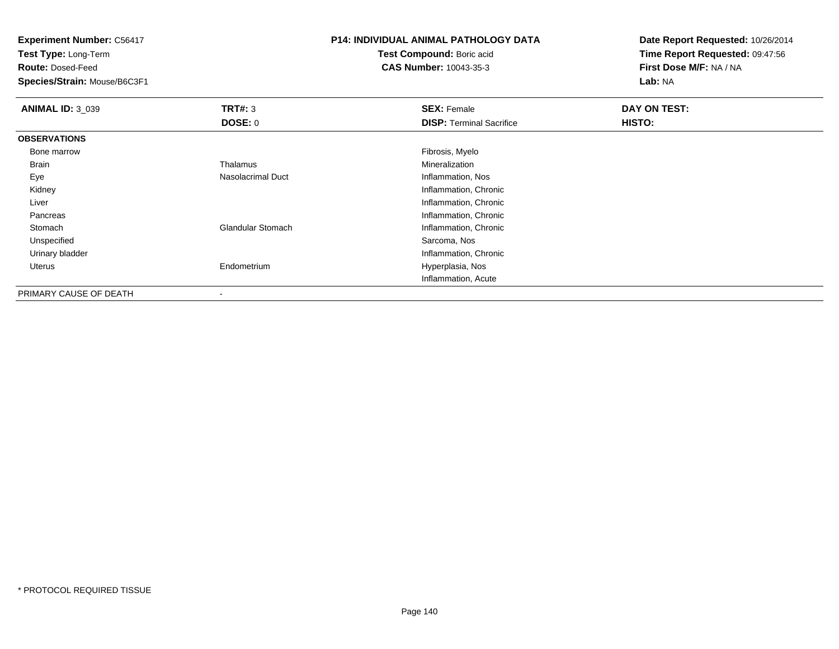**Test Type:** Long-Term

**Route:** Dosed-Feed

**Species/Strain:** Mouse/B6C3F1

## **P14: INDIVIDUAL ANIMAL PATHOLOGY DATA**

**Test Compound:** Boric acid**CAS Number:** 10043-35-3

| <b>ANIMAL ID: 3_039</b> | TRT#: 3                  | <b>SEX: Female</b>              | DAY ON TEST: |  |
|-------------------------|--------------------------|---------------------------------|--------------|--|
|                         | DOSE: 0                  | <b>DISP:</b> Terminal Sacrifice | HISTO:       |  |
| <b>OBSERVATIONS</b>     |                          |                                 |              |  |
| Bone marrow             |                          | Fibrosis, Myelo                 |              |  |
| Brain                   | Thalamus                 | Mineralization                  |              |  |
| Eye                     | Nasolacrimal Duct        | Inflammation, Nos               |              |  |
| Kidney                  |                          | Inflammation, Chronic           |              |  |
| Liver                   |                          | Inflammation, Chronic           |              |  |
| Pancreas                |                          | Inflammation, Chronic           |              |  |
| Stomach                 | <b>Glandular Stomach</b> | Inflammation, Chronic           |              |  |
| Unspecified             |                          | Sarcoma, Nos                    |              |  |
| Urinary bladder         |                          | Inflammation, Chronic           |              |  |
| Uterus                  | Endometrium              | Hyperplasia, Nos                |              |  |
|                         |                          | Inflammation, Acute             |              |  |
| PRIMARY CAUSE OF DEATH  | $\,$                     |                                 |              |  |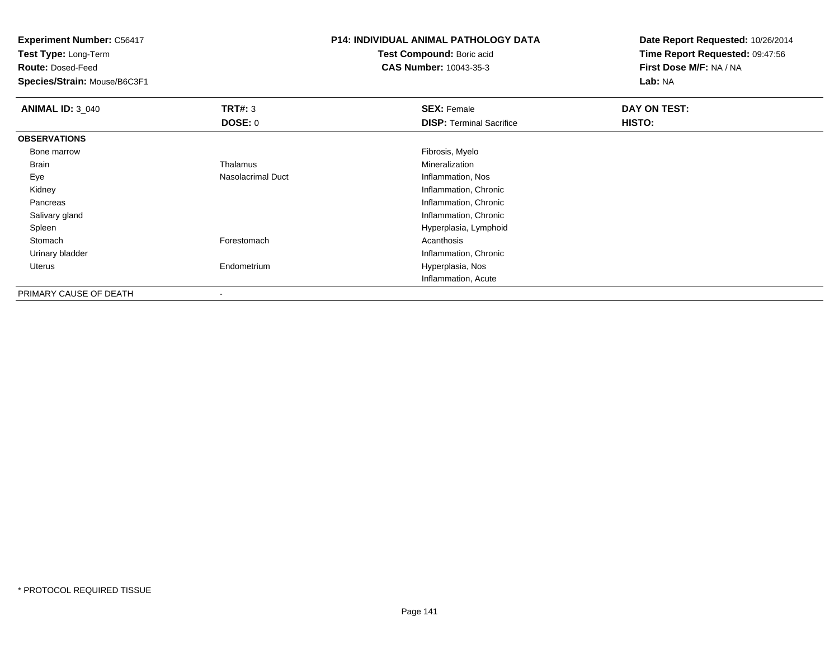**Test Type:** Long-Term

**Route:** Dosed-Feed

**Species/Strain:** Mouse/B6C3F1

## **P14: INDIVIDUAL ANIMAL PATHOLOGY DATA**

**Test Compound:** Boric acid**CAS Number:** 10043-35-3

| <b>ANIMAL ID: 3_040</b> | TRT#: 3           | <b>SEX: Female</b>              | DAY ON TEST: |  |
|-------------------------|-------------------|---------------------------------|--------------|--|
|                         | DOSE: 0           | <b>DISP:</b> Terminal Sacrifice | HISTO:       |  |
| <b>OBSERVATIONS</b>     |                   |                                 |              |  |
| Bone marrow             |                   | Fibrosis, Myelo                 |              |  |
| Brain                   | Thalamus          | Mineralization                  |              |  |
| Eye                     | Nasolacrimal Duct | Inflammation, Nos               |              |  |
| Kidney                  |                   | Inflammation, Chronic           |              |  |
| Pancreas                |                   | Inflammation, Chronic           |              |  |
| Salivary gland          |                   | Inflammation, Chronic           |              |  |
| Spleen                  |                   | Hyperplasia, Lymphoid           |              |  |
| Stomach                 | Forestomach       | Acanthosis                      |              |  |
| Urinary bladder         |                   | Inflammation, Chronic           |              |  |
| Uterus                  | Endometrium       | Hyperplasia, Nos                |              |  |
|                         |                   | Inflammation, Acute             |              |  |
| PRIMARY CAUSE OF DEATH  | $\,$              |                                 |              |  |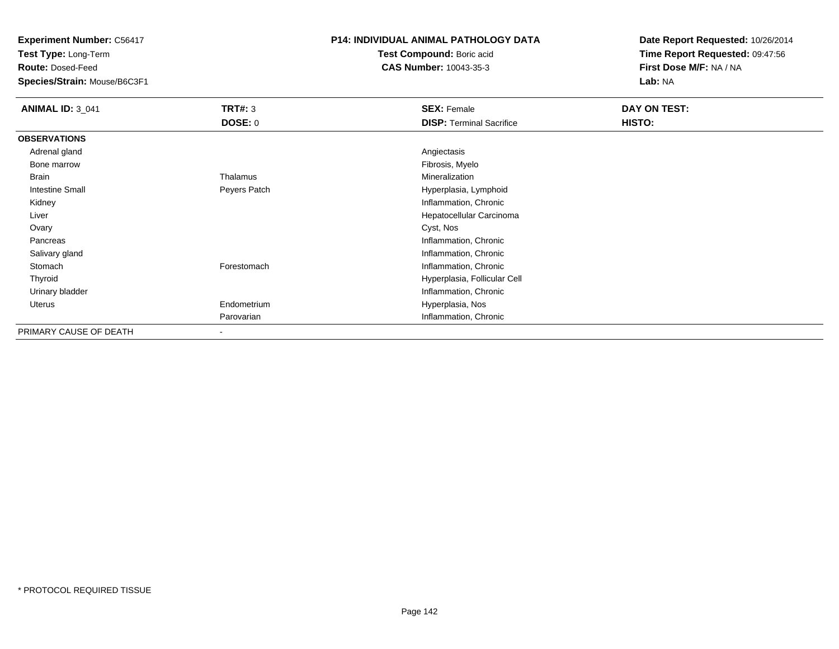**Test Type:** Long-Term

**Route:** Dosed-Feed

**Species/Strain:** Mouse/B6C3F1

#### **P14: INDIVIDUAL ANIMAL PATHOLOGY DATA**

**Test Compound:** Boric acid**CAS Number:** 10043-35-3

| <b>ANIMAL ID: 3 041</b> | <b>TRT#: 3</b>           | <b>SEX: Female</b>              | DAY ON TEST:  |
|-------------------------|--------------------------|---------------------------------|---------------|
|                         | <b>DOSE: 0</b>           | <b>DISP: Terminal Sacrifice</b> | <b>HISTO:</b> |
| <b>OBSERVATIONS</b>     |                          |                                 |               |
| Adrenal gland           |                          | Angiectasis                     |               |
| Bone marrow             |                          | Fibrosis, Myelo                 |               |
| Brain                   | Thalamus                 | Mineralization                  |               |
| <b>Intestine Small</b>  | Peyers Patch             | Hyperplasia, Lymphoid           |               |
| Kidney                  |                          | Inflammation, Chronic           |               |
| Liver                   |                          | Hepatocellular Carcinoma        |               |
| Ovary                   |                          | Cyst, Nos                       |               |
| Pancreas                |                          | Inflammation, Chronic           |               |
| Salivary gland          |                          | Inflammation, Chronic           |               |
| Stomach                 | Forestomach              | Inflammation, Chronic           |               |
| Thyroid                 |                          | Hyperplasia, Follicular Cell    |               |
| Urinary bladder         |                          | Inflammation, Chronic           |               |
| Uterus                  | Endometrium              | Hyperplasia, Nos                |               |
|                         | Parovarian               | Inflammation, Chronic           |               |
| PRIMARY CAUSE OF DEATH  | $\overline{\phantom{a}}$ |                                 |               |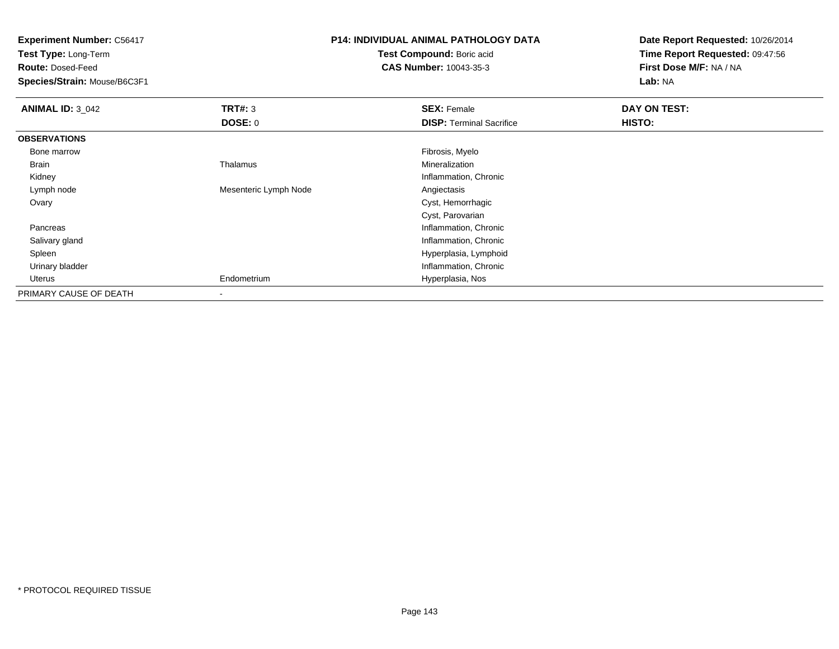**Test Type:** Long-Term

**Route:** Dosed-Feed

**Species/Strain:** Mouse/B6C3F1

# **P14: INDIVIDUAL ANIMAL PATHOLOGY DATA**

**Test Compound:** Boric acid**CAS Number:** 10043-35-3

| <b>ANIMAL ID: 3_042</b> | TRT#: 3               | <b>SEX: Female</b>              | DAY ON TEST:  |  |
|-------------------------|-----------------------|---------------------------------|---------------|--|
|                         | DOSE: 0               | <b>DISP: Terminal Sacrifice</b> | <b>HISTO:</b> |  |
| <b>OBSERVATIONS</b>     |                       |                                 |               |  |
| Bone marrow             |                       | Fibrosis, Myelo                 |               |  |
| Brain                   | Thalamus              | Mineralization                  |               |  |
| Kidney                  |                       | Inflammation, Chronic           |               |  |
| Lymph node              | Mesenteric Lymph Node | Angiectasis                     |               |  |
| Ovary                   |                       | Cyst, Hemorrhagic               |               |  |
|                         |                       | Cyst, Parovarian                |               |  |
| Pancreas                |                       | Inflammation, Chronic           |               |  |
| Salivary gland          |                       | Inflammation, Chronic           |               |  |
| Spleen                  |                       | Hyperplasia, Lymphoid           |               |  |
| Urinary bladder         |                       | Inflammation, Chronic           |               |  |
| Uterus                  | Endometrium           | Hyperplasia, Nos                |               |  |
| PRIMARY CAUSE OF DEATH  |                       |                                 |               |  |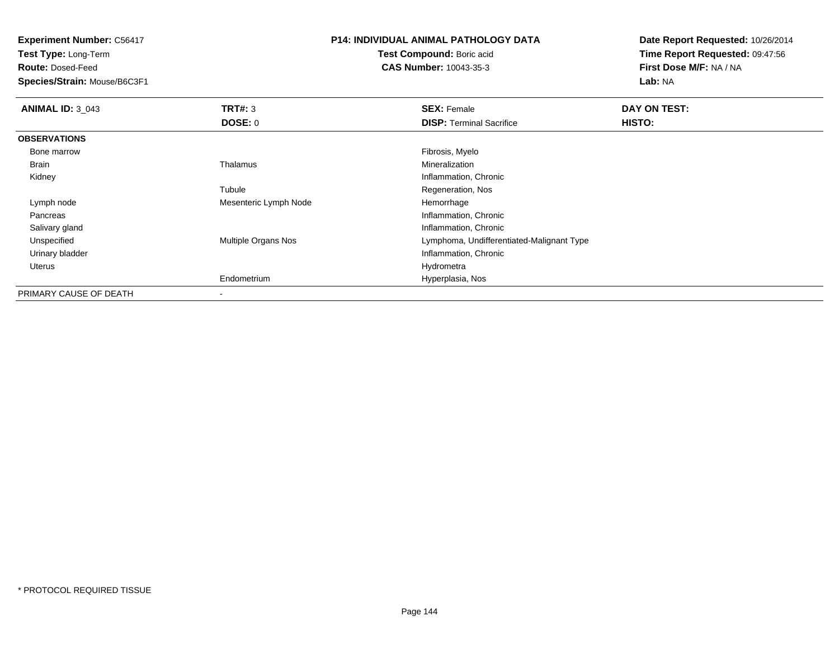**Test Type:** Long-Term

**Route:** Dosed-Feed

**Species/Strain:** Mouse/B6C3F1

# **P14: INDIVIDUAL ANIMAL PATHOLOGY DATA**

**Test Compound:** Boric acid**CAS Number:** 10043-35-3

| <b>ANIMAL ID: 3_043</b> | TRT#: 3               | <b>SEX: Female</b>                        | DAY ON TEST: |  |
|-------------------------|-----------------------|-------------------------------------------|--------------|--|
|                         | DOSE: 0               | <b>DISP:</b> Terminal Sacrifice           | HISTO:       |  |
| <b>OBSERVATIONS</b>     |                       |                                           |              |  |
| Bone marrow             |                       | Fibrosis, Myelo                           |              |  |
| Brain                   | Thalamus              | Mineralization                            |              |  |
| Kidney                  |                       | Inflammation, Chronic                     |              |  |
|                         | Tubule                | Regeneration, Nos                         |              |  |
| Lymph node              | Mesenteric Lymph Node | Hemorrhage                                |              |  |
| Pancreas                |                       | Inflammation, Chronic                     |              |  |
| Salivary gland          |                       | Inflammation, Chronic                     |              |  |
| Unspecified             | Multiple Organs Nos   | Lymphoma, Undifferentiated-Malignant Type |              |  |
| Urinary bladder         |                       | Inflammation, Chronic                     |              |  |
| Uterus                  |                       | Hydrometra                                |              |  |
|                         | Endometrium           | Hyperplasia, Nos                          |              |  |
| PRIMARY CAUSE OF DEATH  |                       |                                           |              |  |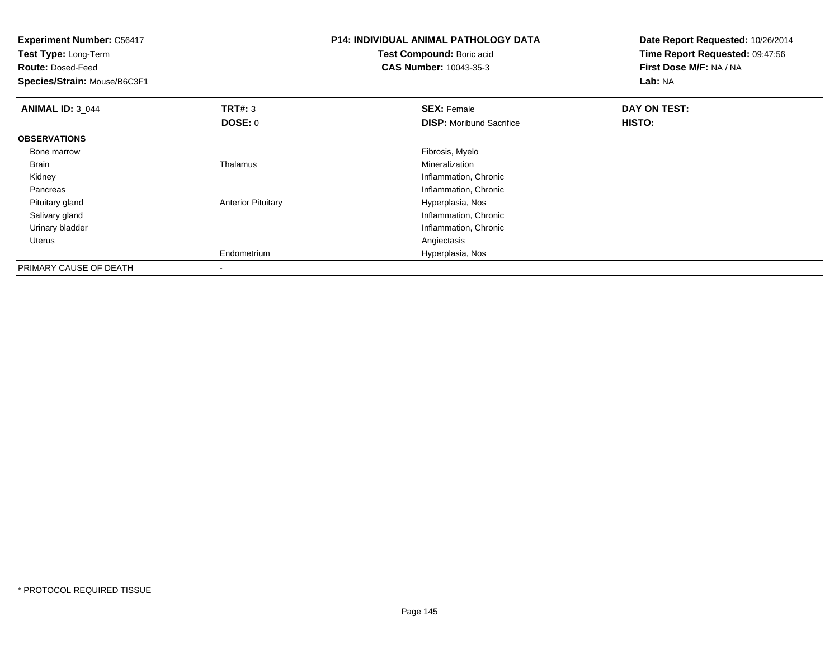| <b>Experiment Number: C56417</b><br>Test Type: Long-Term<br><b>Route: Dosed-Feed</b><br>Species/Strain: Mouse/B6C3F1 |                           | <b>P14: INDIVIDUAL ANIMAL PATHOLOGY DATA</b><br>Test Compound: Boric acid<br><b>CAS Number: 10043-35-3</b> | Date Report Requested: 10/26/2014<br>Time Report Requested: 09:47:56<br>First Dose M/F: NA / NA<br>Lab: NA |
|----------------------------------------------------------------------------------------------------------------------|---------------------------|------------------------------------------------------------------------------------------------------------|------------------------------------------------------------------------------------------------------------|
| <b>ANIMAL ID: 3_044</b>                                                                                              | TRT#: 3                   | <b>SEX: Female</b>                                                                                         | DAY ON TEST:                                                                                               |
|                                                                                                                      | DOSE: 0                   | <b>DISP:</b> Moribund Sacrifice                                                                            | <b>HISTO:</b>                                                                                              |
| <b>OBSERVATIONS</b>                                                                                                  |                           |                                                                                                            |                                                                                                            |
| Bone marrow                                                                                                          |                           | Fibrosis, Myelo                                                                                            |                                                                                                            |
| Brain                                                                                                                | Thalamus                  | Mineralization                                                                                             |                                                                                                            |
| Kidney                                                                                                               |                           | Inflammation, Chronic                                                                                      |                                                                                                            |
| Pancreas                                                                                                             |                           | Inflammation, Chronic                                                                                      |                                                                                                            |
| Pituitary gland                                                                                                      | <b>Anterior Pituitary</b> | Hyperplasia, Nos                                                                                           |                                                                                                            |
| Salivary gland                                                                                                       |                           | Inflammation, Chronic                                                                                      |                                                                                                            |
| Urinary bladder                                                                                                      |                           | Inflammation, Chronic                                                                                      |                                                                                                            |
| Uterus                                                                                                               |                           | Angiectasis                                                                                                |                                                                                                            |
|                                                                                                                      | Endometrium               | Hyperplasia, Nos                                                                                           |                                                                                                            |
| PRIMARY CAUSE OF DEATH                                                                                               |                           |                                                                                                            |                                                                                                            |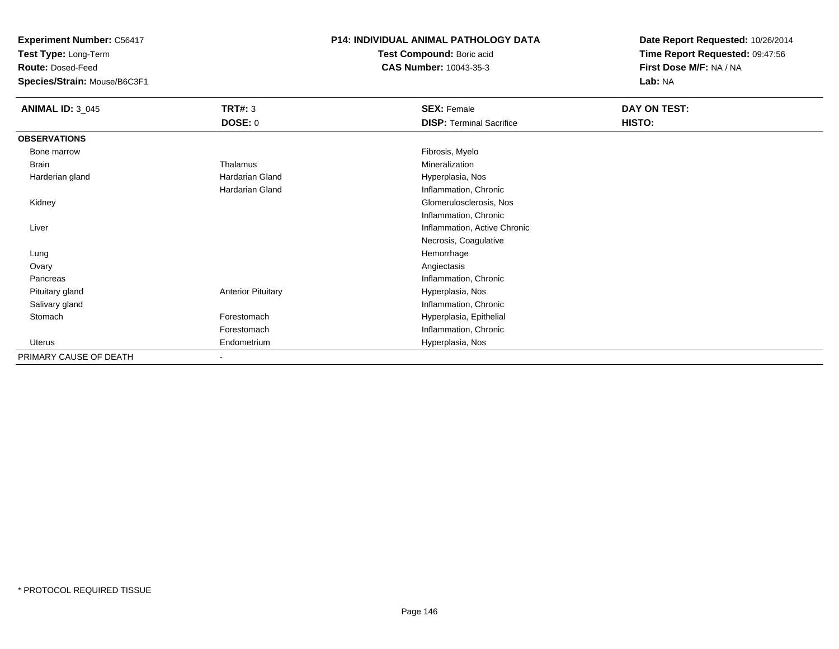**Experiment Number:** C56417

**Test Type:** Long-Term

**Route:** Dosed-Feed

**Species/Strain:** Mouse/B6C3F1

## **P14: INDIVIDUAL ANIMAL PATHOLOGY DATA**

**Test Compound:** Boric acid**CAS Number:** 10043-35-3

**Date Report Requested:** 10/26/2014**Time Report Requested:** 09:47:56**First Dose M/F:** NA / NA**Lab:** NA

| <b>ANIMAL ID: 3_045</b> | <b>TRT#: 3</b>            | <b>SEX: Female</b>              | DAY ON TEST: |  |
|-------------------------|---------------------------|---------------------------------|--------------|--|
|                         | <b>DOSE: 0</b>            | <b>DISP: Terminal Sacrifice</b> | HISTO:       |  |
| <b>OBSERVATIONS</b>     |                           |                                 |              |  |
| Bone marrow             |                           | Fibrosis, Myelo                 |              |  |
| <b>Brain</b>            | Thalamus                  | Mineralization                  |              |  |
| Harderian gland         | Hardarian Gland           | Hyperplasia, Nos                |              |  |
|                         | Hardarian Gland           | Inflammation, Chronic           |              |  |
| Kidney                  |                           | Glomerulosclerosis, Nos         |              |  |
|                         |                           | Inflammation, Chronic           |              |  |
| Liver                   |                           | Inflammation, Active Chronic    |              |  |
|                         |                           | Necrosis, Coagulative           |              |  |
| Lung                    |                           | Hemorrhage                      |              |  |
| Ovary                   |                           | Angiectasis                     |              |  |
| Pancreas                |                           | Inflammation, Chronic           |              |  |
| Pituitary gland         | <b>Anterior Pituitary</b> | Hyperplasia, Nos                |              |  |
| Salivary gland          |                           | Inflammation, Chronic           |              |  |
| Stomach                 | Forestomach               | Hyperplasia, Epithelial         |              |  |
|                         | Forestomach               | Inflammation, Chronic           |              |  |
| <b>Uterus</b>           | Endometrium               | Hyperplasia, Nos                |              |  |
| PRIMARY CAUSE OF DEATH  | $\blacksquare$            |                                 |              |  |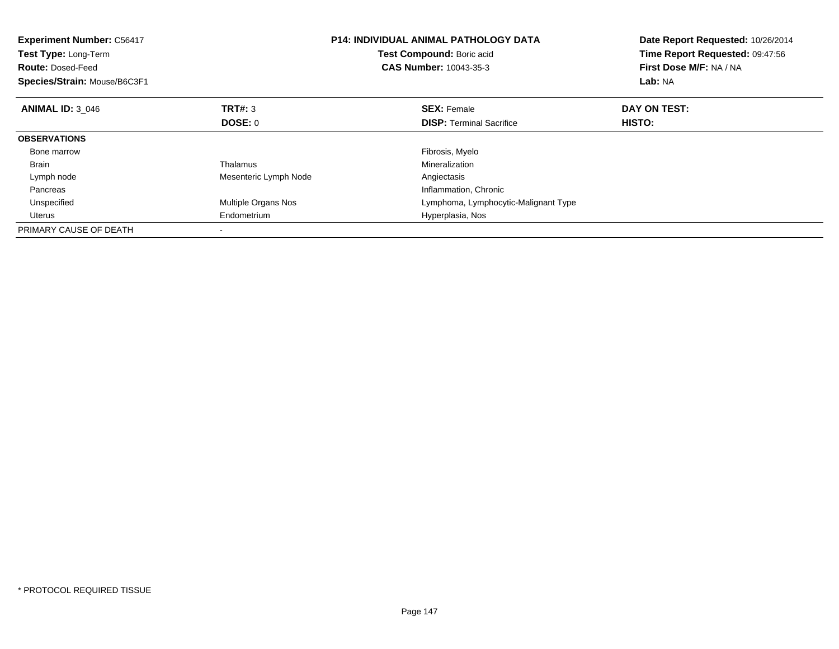| <b>Experiment Number: C56417</b><br>Test Type: Long-Term<br><b>Route: Dosed-Feed</b><br>Species/Strain: Mouse/B6C3F1 |                       | <b>P14: INDIVIDUAL ANIMAL PATHOLOGY DATA</b><br>Test Compound: Boric acid<br><b>CAS Number: 10043-35-3</b> | Date Report Requested: 10/26/2014<br>Time Report Requested: 09:47:56<br>First Dose M/F: NA / NA<br>Lab: NA |
|----------------------------------------------------------------------------------------------------------------------|-----------------------|------------------------------------------------------------------------------------------------------------|------------------------------------------------------------------------------------------------------------|
| <b>ANIMAL ID: 3 046</b>                                                                                              | TRT#: 3               | <b>SEX: Female</b>                                                                                         | DAY ON TEST:                                                                                               |
|                                                                                                                      | <b>DOSE: 0</b>        | <b>DISP:</b> Terminal Sacrifice                                                                            | HISTO:                                                                                                     |
| <b>OBSERVATIONS</b>                                                                                                  |                       |                                                                                                            |                                                                                                            |
| Bone marrow                                                                                                          |                       | Fibrosis, Myelo                                                                                            |                                                                                                            |
| <b>Brain</b>                                                                                                         | Thalamus              | Mineralization                                                                                             |                                                                                                            |
| Lymph node                                                                                                           | Mesenteric Lymph Node | Angiectasis                                                                                                |                                                                                                            |
| Pancreas                                                                                                             |                       | Inflammation, Chronic                                                                                      |                                                                                                            |
| Unspecified                                                                                                          | Multiple Organs Nos   | Lymphoma, Lymphocytic-Malignant Type                                                                       |                                                                                                            |
| <b>Uterus</b>                                                                                                        | Endometrium           | Hyperplasia, Nos                                                                                           |                                                                                                            |
| PRIMARY CAUSE OF DEATH                                                                                               |                       |                                                                                                            |                                                                                                            |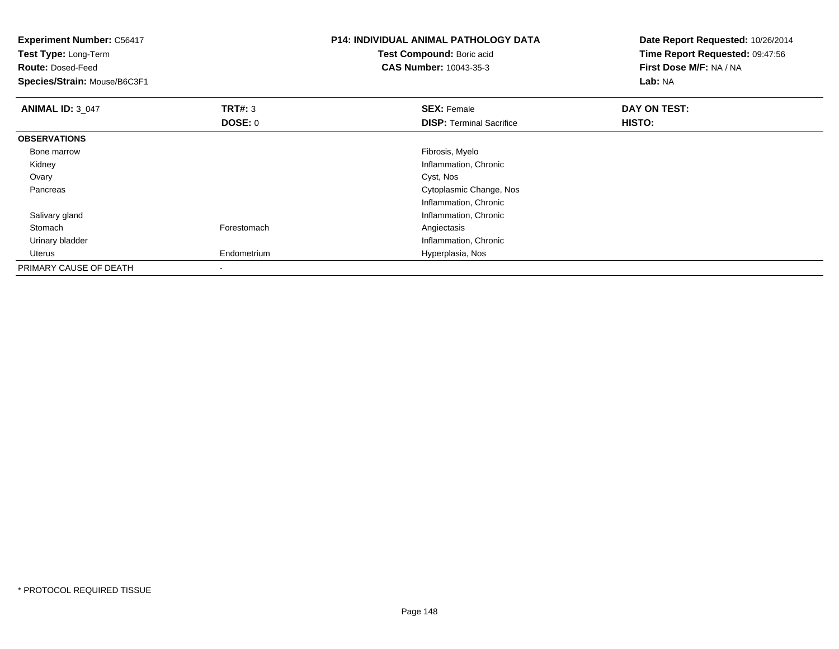| <b>Experiment Number: C56417</b><br>Test Type: Long-Term<br><b>Route: Dosed-Feed</b><br>Species/Strain: Mouse/B6C3F1 |                           | <b>P14: INDIVIDUAL ANIMAL PATHOLOGY DATA</b><br>Test Compound: Boric acid<br><b>CAS Number: 10043-35-3</b> | Date Report Requested: 10/26/2014<br>Time Report Requested: 09:47:56<br>First Dose M/F: NA / NA<br>Lab: NA |
|----------------------------------------------------------------------------------------------------------------------|---------------------------|------------------------------------------------------------------------------------------------------------|------------------------------------------------------------------------------------------------------------|
| <b>ANIMAL ID: 3_047</b>                                                                                              | TRT#: 3<br><b>DOSE: 0</b> | <b>SEX: Female</b><br><b>DISP: Terminal Sacrifice</b>                                                      | DAY ON TEST:<br>HISTO:                                                                                     |
| <b>OBSERVATIONS</b>                                                                                                  |                           |                                                                                                            |                                                                                                            |
| Bone marrow                                                                                                          |                           | Fibrosis, Myelo                                                                                            |                                                                                                            |
| Kidney                                                                                                               |                           | Inflammation, Chronic                                                                                      |                                                                                                            |
| Ovary                                                                                                                |                           | Cyst, Nos                                                                                                  |                                                                                                            |
| Pancreas                                                                                                             |                           | Cytoplasmic Change, Nos                                                                                    |                                                                                                            |
|                                                                                                                      |                           | Inflammation, Chronic                                                                                      |                                                                                                            |
| Salivary gland                                                                                                       |                           | Inflammation, Chronic                                                                                      |                                                                                                            |
| Stomach                                                                                                              | Forestomach               | Angiectasis                                                                                                |                                                                                                            |
| Urinary bladder                                                                                                      |                           | Inflammation, Chronic                                                                                      |                                                                                                            |
| Uterus                                                                                                               | Endometrium               | Hyperplasia, Nos                                                                                           |                                                                                                            |
| PRIMARY CAUSE OF DEATH                                                                                               |                           |                                                                                                            |                                                                                                            |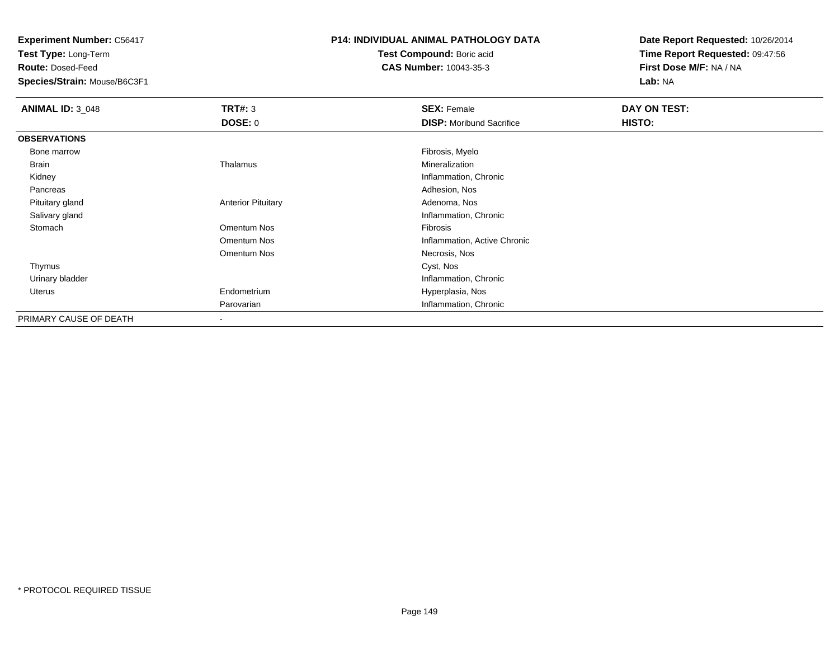**Experiment Number:** C56417

**Test Type:** Long-Term

**Route:** Dosed-Feed

**Species/Strain:** Mouse/B6C3F1

## **P14: INDIVIDUAL ANIMAL PATHOLOGY DATA**

**Test Compound:** Boric acid**CAS Number:** 10043-35-3

**Date Report Requested:** 10/26/2014**Time Report Requested:** 09:47:56**First Dose M/F:** NA / NA**Lab:** NA

| <b>ANIMAL ID: 3_048</b> | TRT#: 3                   | <b>SEX: Female</b>              | DAY ON TEST: |  |
|-------------------------|---------------------------|---------------------------------|--------------|--|
|                         | DOSE: 0                   | <b>DISP:</b> Moribund Sacrifice | HISTO:       |  |
| <b>OBSERVATIONS</b>     |                           |                                 |              |  |
| Bone marrow             |                           | Fibrosis, Myelo                 |              |  |
| Brain                   | Thalamus                  | Mineralization                  |              |  |
| Kidney                  |                           | Inflammation, Chronic           |              |  |
| Pancreas                |                           | Adhesion, Nos                   |              |  |
| Pituitary gland         | <b>Anterior Pituitary</b> | Adenoma, Nos                    |              |  |
| Salivary gland          |                           | Inflammation, Chronic           |              |  |
| Stomach                 | Omentum Nos               | Fibrosis                        |              |  |
|                         | Omentum Nos               | Inflammation, Active Chronic    |              |  |
|                         | Omentum Nos               | Necrosis, Nos                   |              |  |
| Thymus                  |                           | Cyst, Nos                       |              |  |
| Urinary bladder         |                           | Inflammation, Chronic           |              |  |
| Uterus                  | Endometrium               | Hyperplasia, Nos                |              |  |
|                         | Parovarian                | Inflammation, Chronic           |              |  |
| PRIMARY CAUSE OF DEATH  |                           |                                 |              |  |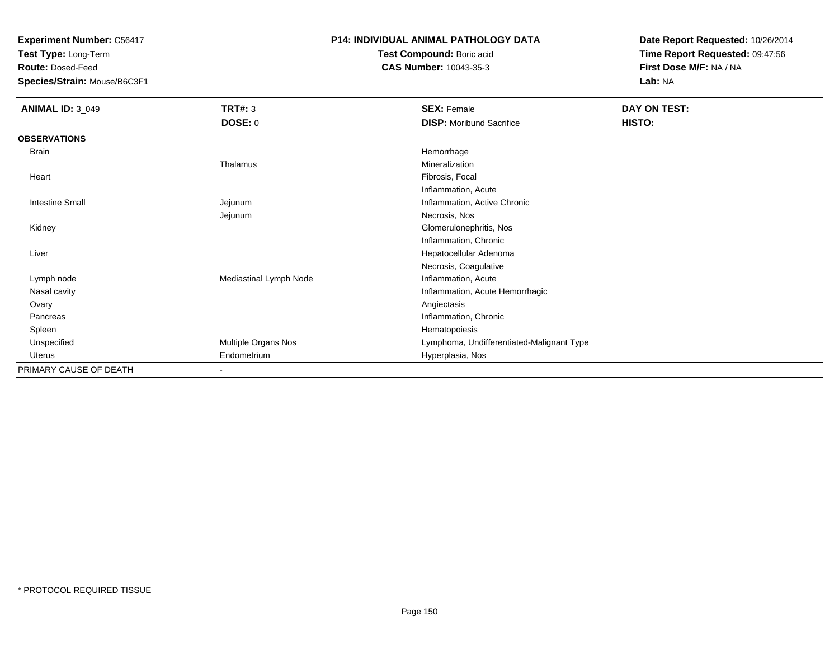**Experiment Number:** C56417

**Test Type:** Long-Term

**Route:** Dosed-Feed

**Species/Strain:** Mouse/B6C3F1

## **P14: INDIVIDUAL ANIMAL PATHOLOGY DATA**

**Test Compound:** Boric acid**CAS Number:** 10043-35-3

**Date Report Requested:** 10/26/2014**Time Report Requested:** 09:47:56**First Dose M/F:** NA / NA**Lab:** NA

| <b>ANIMAL ID: 3_049</b> | TRT#: 3                  | <b>SEX: Female</b>                        | DAY ON TEST: |  |
|-------------------------|--------------------------|-------------------------------------------|--------------|--|
|                         | <b>DOSE: 0</b>           | <b>DISP: Moribund Sacrifice</b>           | HISTO:       |  |
| <b>OBSERVATIONS</b>     |                          |                                           |              |  |
| Brain                   |                          | Hemorrhage                                |              |  |
|                         | Thalamus                 | Mineralization                            |              |  |
| Heart                   |                          | Fibrosis, Focal                           |              |  |
|                         |                          | Inflammation, Acute                       |              |  |
| <b>Intestine Small</b>  | Jejunum                  | Inflammation, Active Chronic              |              |  |
|                         | Jejunum                  | Necrosis, Nos                             |              |  |
| Kidney                  |                          | Glomerulonephritis, Nos                   |              |  |
|                         |                          | Inflammation, Chronic                     |              |  |
| Liver                   |                          | Hepatocellular Adenoma                    |              |  |
|                         |                          | Necrosis, Coagulative                     |              |  |
| Lymph node              | Mediastinal Lymph Node   | Inflammation, Acute                       |              |  |
| Nasal cavity            |                          | Inflammation, Acute Hemorrhagic           |              |  |
| Ovary                   |                          | Angiectasis                               |              |  |
| Pancreas                |                          | Inflammation, Chronic                     |              |  |
| Spleen                  |                          | Hematopoiesis                             |              |  |
| Unspecified             | Multiple Organs Nos      | Lymphoma, Undifferentiated-Malignant Type |              |  |
| Uterus                  | Endometrium              | Hyperplasia, Nos                          |              |  |
| PRIMARY CAUSE OF DEATH  | $\overline{\phantom{a}}$ |                                           |              |  |